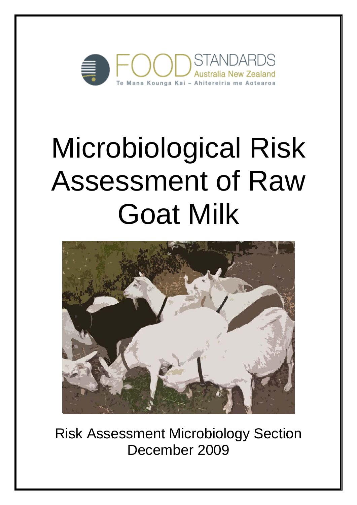

# Microbiological Risk Assessment of Raw Goat Milk



Risk Assessment Microbiology Section December 2009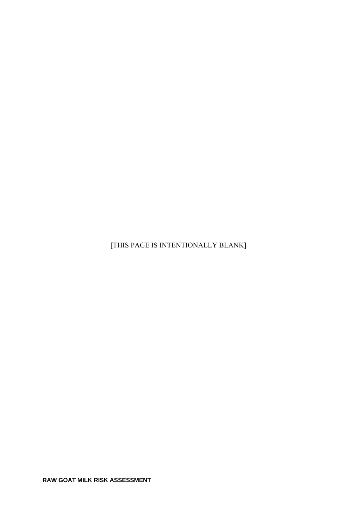[THIS PAGE IS INTENTIONALLY BLANK]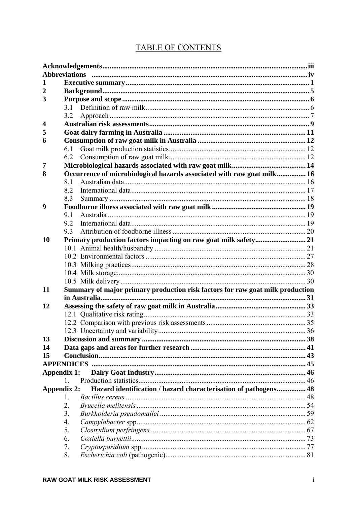# **TABLE OF CONTENTS**

| 2                       |     |                                                                               |  |  |
|-------------------------|-----|-------------------------------------------------------------------------------|--|--|
| 3                       |     |                                                                               |  |  |
|                         |     |                                                                               |  |  |
|                         | 3.2 |                                                                               |  |  |
| $\overline{\mathbf{4}}$ |     |                                                                               |  |  |
| 5                       |     |                                                                               |  |  |
| 6                       |     |                                                                               |  |  |
|                         | 6.1 |                                                                               |  |  |
|                         | 6.2 |                                                                               |  |  |
| 7                       |     |                                                                               |  |  |
| 8                       |     | Occurrence of microbiological hazards associated with raw goat milk 16        |  |  |
|                         | 8.1 |                                                                               |  |  |
|                         | 8.2 |                                                                               |  |  |
|                         | 8.3 |                                                                               |  |  |
| 9                       |     |                                                                               |  |  |
|                         | 9.1 |                                                                               |  |  |
|                         | 9.2 |                                                                               |  |  |
|                         | 9.3 |                                                                               |  |  |
| 10                      |     |                                                                               |  |  |
|                         |     |                                                                               |  |  |
|                         |     |                                                                               |  |  |
|                         |     |                                                                               |  |  |
|                         |     |                                                                               |  |  |
|                         |     |                                                                               |  |  |
| 11                      |     | Summary of major primary production risk factors for raw goat milk production |  |  |
|                         |     |                                                                               |  |  |
| 12                      |     |                                                                               |  |  |
|                         |     |                                                                               |  |  |
|                         |     |                                                                               |  |  |
|                         |     |                                                                               |  |  |
| 13                      |     |                                                                               |  |  |
| 14                      |     |                                                                               |  |  |
| 15                      |     |                                                                               |  |  |
|                         |     |                                                                               |  |  |
| Appendix 1:             |     |                                                                               |  |  |
|                         |     |                                                                               |  |  |
| <b>Appendix 2:</b>      |     | Hazard identification / hazard characterisation of pathogens 48               |  |  |
|                         | 1.  |                                                                               |  |  |
|                         | 2.  |                                                                               |  |  |
|                         | 3.  |                                                                               |  |  |
|                         | 4.  |                                                                               |  |  |
|                         | 5.  |                                                                               |  |  |
|                         | 6.  |                                                                               |  |  |
|                         | 7.  |                                                                               |  |  |
|                         | 8.  |                                                                               |  |  |
|                         |     |                                                                               |  |  |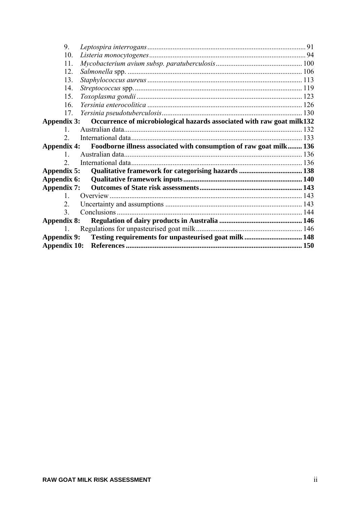| 9.                 |                                                                                    |  |
|--------------------|------------------------------------------------------------------------------------|--|
| 10.                |                                                                                    |  |
| 11.                |                                                                                    |  |
| 12.                |                                                                                    |  |
| 13.                |                                                                                    |  |
| 14.                |                                                                                    |  |
| 15.                |                                                                                    |  |
| 16.                |                                                                                    |  |
| 17.                |                                                                                    |  |
|                    | Appendix 3: Occurrence of microbiological hazards associated with raw goat milk132 |  |
| $\mathbf{1}$       |                                                                                    |  |
| $\overline{2}$ .   |                                                                                    |  |
|                    | Appendix 4: Foodborne illness associated with consumption of raw goat milk 136     |  |
| $\mathbf{1}$       |                                                                                    |  |
| $2^{\circ}$        |                                                                                    |  |
| <b>Appendix 5:</b> |                                                                                    |  |
|                    |                                                                                    |  |
|                    |                                                                                    |  |
| $\mathbf{1}$       |                                                                                    |  |
| $2^{\circ}$        |                                                                                    |  |
| 3.                 |                                                                                    |  |
| Appendix 8:        |                                                                                    |  |
| 1.                 |                                                                                    |  |
| Appendix 9:        |                                                                                    |  |
|                    |                                                                                    |  |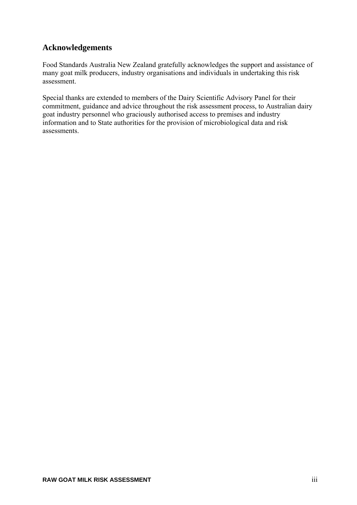# **Acknowledgements**

Food Standards Australia New Zealand gratefully acknowledges the support and assistance of many goat milk producers, industry organisations and individuals in undertaking this risk assessment.

Special thanks are extended to members of the Dairy Scientific Advisory Panel for their commitment, guidance and advice throughout the risk assessment process, to Australian dairy goat industry personnel who graciously authorised access to premises and industry information and to State authorities for the provision of microbiological data and risk assessments.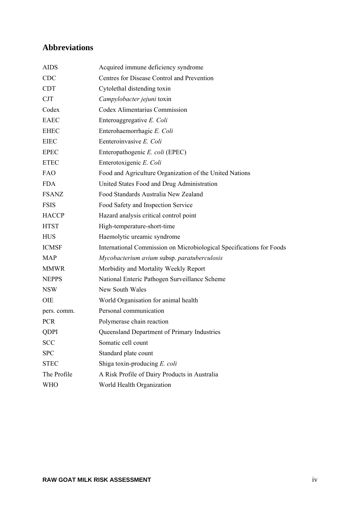# **Abbreviations**

| <b>AIDS</b>  | Acquired immune deficiency syndrome                                  |
|--------------|----------------------------------------------------------------------|
| <b>CDC</b>   | Centres for Disease Control and Prevention                           |
| <b>CDT</b>   | Cytolethal distending toxin                                          |
| <b>CJT</b>   | Campylobacter jejuni toxin                                           |
| Codex        | Codex Alimentarius Commission                                        |
| <b>EAEC</b>  | Enteroaggregative E. Coli                                            |
| <b>EHEC</b>  | Enterohaemorrhagic E. Coli                                           |
| <b>EIEC</b>  | Eenteroinvasive E. Coli                                              |
| <b>EPEC</b>  | Enteropathogenic E. coli (EPEC)                                      |
| <b>ETEC</b>  | Enterotoxigenic E. Coli                                              |
| FAO          | Food and Agriculture Organization of the United Nations              |
| <b>FDA</b>   | United States Food and Drug Administration                           |
| <b>FSANZ</b> | Food Standards Australia New Zealand                                 |
| <b>FSIS</b>  | Food Safety and Inspection Service                                   |
| <b>HACCP</b> | Hazard analysis critical control point                               |
| <b>HTST</b>  | High-temperature-short-time                                          |
| <b>HUS</b>   | Haemolytic ureamic syndrome                                          |
| <b>ICMSF</b> | International Commission on Microbiological Specifications for Foods |
| <b>MAP</b>   | Mycobacterium avium subsp. paratuberculosis                          |
| <b>MMWR</b>  | Morbidity and Mortality Weekly Report                                |
| <b>NEPPS</b> | National Enteric Pathogen Surveillance Scheme                        |
| <b>NSW</b>   | New South Wales                                                      |
| <b>OIE</b>   | World Organisation for animal health                                 |
| pers. comm.  | Personal communication                                               |
| <b>PCR</b>   | Polymerase chain reaction                                            |
| QDPI         | Queensland Department of Primary Industries                          |
| <b>SCC</b>   | Somatic cell count                                                   |
| <b>SPC</b>   | Standard plate count                                                 |
| <b>STEC</b>  | Shiga toxin-producing $E$ . coli                                     |
| The Profile  | A Risk Profile of Dairy Products in Australia                        |
| <b>WHO</b>   | World Health Organization                                            |
|              |                                                                      |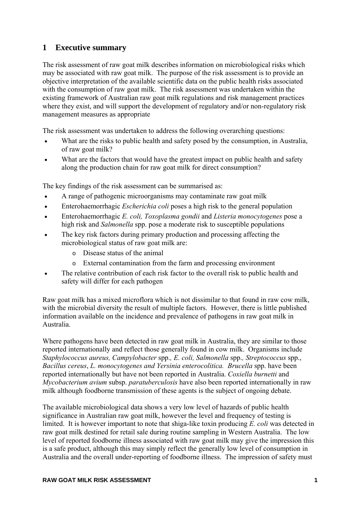# **1 Executive summary**

The risk assessment of raw goat milk describes information on microbiological risks which may be associated with raw goat milk. The purpose of the risk assessment is to provide an objective interpretation of the available scientific data on the public health risks associated with the consumption of raw goat milk. The risk assessment was undertaken within the existing framework of Australian raw goat milk regulations and risk management practices where they exist, and will support the development of regulatory and/or non-regulatory risk management measures as appropriate

The risk assessment was undertaken to address the following overarching questions:

- What are the risks to public health and safety posed by the consumption, in Australia, of raw goat milk?
- What are the factors that would have the greatest impact on public health and safety along the production chain for raw goat milk for direct consumption?

The key findings of the risk assessment can be summarised as:

- A range of pathogenic microorganisms may contaminate raw goat milk
- Enterohaemorrhagic *Escherichia coli* poses a high risk to the general population
- Enterohaemorrhagic *E. coli, Toxoplasma gondii* and *Listeria monocytogenes* pose a high risk and *Salmonella* spp. pose a moderate risk to susceptible populations
- The key risk factors during primary production and processing affecting the microbiological status of raw goat milk are:
	- o Disease status of the animal
	- o External contamination from the farm and processing environment
- The relative contribution of each risk factor to the overall risk to public health and safety will differ for each pathogen

Raw goat milk has a mixed microflora which is not dissimilar to that found in raw cow milk, with the microbial diversity the result of multiple factors. However, there is little published information available on the incidence and prevalence of pathogens in raw goat milk in Australia.

Where pathogens have been detected in raw goat milk in Australia, they are similar to those reported internationally and reflect those generally found in cow milk. Organisms include *Staphylococcus aureus, Campylobacter* spp.*, E. coli, Salmonella* spp.*, Streptococcus* spp., *Bacillus cereus*, *L. monocytogenes and Yersinia enterocolitica. Brucella* spp. have been reported internationally but have not been reported in Australia. *Coxiella burnetti* and *Mycobacterium avium* subsp. *paratuberculosis* have also been reported internationally in raw milk although foodborne transmission of these agents is the subject of ongoing debate.

The available microbiological data shows a very low level of hazards of public health significance in Australian raw goat milk, however the level and frequency of testing is limited. It is however important to note that shiga-like toxin producing *E. coli* was detected in raw goat milk destined for retail sale during routine sampling in Western Australia. The low level of reported foodborne illness associated with raw goat milk may give the impression this is a safe product, although this may simply reflect the generally low level of consumption in Australia and the overall under-reporting of foodborne illness. The impression of safety must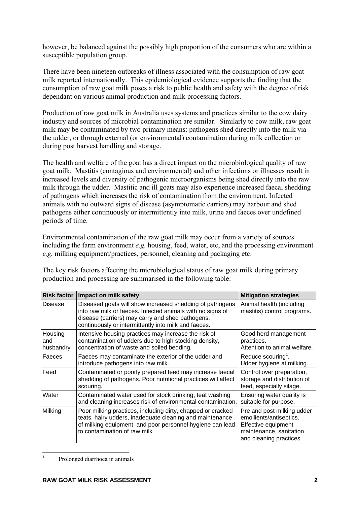however, be balanced against the possibly high proportion of the consumers who are within a susceptible population group.

There have been nineteen outbreaks of illness associated with the consumption of raw goat milk reported internationally. This epidemiological evidence supports the finding that the consumption of raw goat milk poses a risk to public health and safety with the degree of risk dependant on various animal production and milk processing factors.

Production of raw goat milk in Australia uses systems and practices similar to the cow dairy industry and sources of microbial contamination are similar. Similarly to cow milk, raw goat milk may be contaminated by two primary means: pathogens shed directly into the milk via the udder, or through external (or environmental) contamination during milk collection or during post harvest handling and storage.

The health and welfare of the goat has a direct impact on the microbiological quality of raw goat milk. Mastitis (contagious and environmental) and other infections or illnesses result in increased levels and diversity of pathogenic microorganisms being shed directly into the raw milk through the udder. Mastitic and ill goats may also experience increased faecal shedding of pathogens which increases the risk of contamination from the environment. Infected animals with no outward signs of disease (asymptomatic carriers) may harbour and shed pathogens either continuously or intermittently into milk, urine and faeces over undefined periods of time.

Environmental contamination of the raw goat milk may occur from a variety of sources including the farm environment *e.g.* housing, feed, water, etc, and the processing environment *e.g.* milking equipment/practices, personnel, cleaning and packaging etc.

The key risk factors affecting the microbiological status of raw goat milk during primary production and processing are summarised in the following table:

| <b>Risk factor</b>          | Impact on milk safety                                                                                                                                                                                                              | <b>Mitigation strategies</b>                                                                                                       |
|-----------------------------|------------------------------------------------------------------------------------------------------------------------------------------------------------------------------------------------------------------------------------|------------------------------------------------------------------------------------------------------------------------------------|
| Disease                     | Diseased goats will show increased shedding of pathogens<br>into raw milk or faeces. Infected animals with no signs of<br>disease (carriers) may carry and shed pathogens,<br>continuously or intermittently into milk and faeces. | Animal health (including<br>mastitis) control programs.                                                                            |
| Housing<br>and<br>husbandry | Intensive housing practices may increase the risk of<br>contamination of udders due to high stocking density,<br>concentration of waste and soiled bedding.                                                                        | Good herd management<br>practices.<br>Attention to animal welfare.                                                                 |
| Faeces                      | Faeces may contaminate the exterior of the udder and<br>introduce pathogens into raw milk.                                                                                                                                         | Reduce scouring <sup>1</sup> .<br>Udder hygiene at milking.                                                                        |
| Feed                        | Contaminated or poorly prepared feed may increase faecal<br>shedding of pathogens. Poor nutritional practices will affect<br>scouring.                                                                                             | Control over preparation,<br>storage and distribution of<br>feed, especially silage.                                               |
| Water                       | Contaminated water used for stock drinking, teat washing<br>and cleaning increases risk of environmental contamination.                                                                                                            | Ensuring water quality is<br>suitable for purpose.                                                                                 |
| Milking                     | Poor milking practices, including dirty, chapped or cracked<br>teats, hairy udders, inadequate cleaning and maintenance<br>of milking equipment, and poor personnel hygiene can lead<br>to contamination of raw milk.              | Pre and post milking udder<br>emollients/antiseptics.<br>Effective equipment<br>maintenance, sanitation<br>and cleaning practices. |

 $\frac{1}{1}$ Prolonged diarrhoea in animals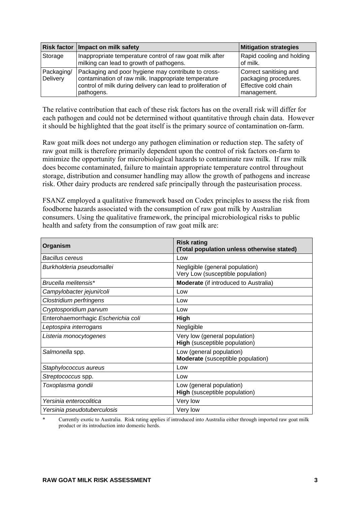|                        | <b>Risk factor Impact on milk safety</b>                                                                                                                                                  | <b>Mitigation strategies</b>                                                           |
|------------------------|-------------------------------------------------------------------------------------------------------------------------------------------------------------------------------------------|----------------------------------------------------------------------------------------|
| Storage                | Inappropriate temperature control of raw goat milk after<br>milking can lead to growth of pathogens.                                                                                      | Rapid cooling and holding<br>l of milk.                                                |
| Packaging/<br>Delivery | Packaging and poor hygiene may contribute to cross-<br>contamination of raw milk. Inappropriate temperature<br>control of milk during delivery can lead to proliferation of<br>pathogens. | Correct sanitising and<br>packaging procedures.<br>Effective cold chain<br>management. |

The relative contribution that each of these risk factors has on the overall risk will differ for each pathogen and could not be determined without quantitative through chain data. However it should be highlighted that the goat itself is the primary source of contamination on-farm.

Raw goat milk does not undergo any pathogen elimination or reduction step. The safety of raw goat milk is therefore primarily dependent upon the control of risk factors on-farm to minimize the opportunity for microbiological hazards to contaminate raw milk. If raw milk does become contaminated, failure to maintain appropriate temperature control throughout storage, distribution and consumer handling may allow the growth of pathogens and increase risk. Other dairy products are rendered safe principally through the pasteurisation process.

FSANZ employed a qualitative framework based on Codex principles to assess the risk from foodborne hazards associated with the consumption of raw goat milk by Australian consumers. Using the qualitative framework, the principal microbiological risks to public health and safety from the consumption of raw goat milk are:

| Organism                            | <b>Risk rating</b><br>(Total population unless otherwise stated)      |  |  |
|-------------------------------------|-----------------------------------------------------------------------|--|--|
| Bacillus cereus                     | Low                                                                   |  |  |
| Burkholderia pseudomallei           | Negligible (general population)<br>Very Low (susceptible population)  |  |  |
| Brucella melitensis*                | <b>Moderate</b> (if introduced to Australia)                          |  |  |
| Campylobacter jejuni/coli           | Low                                                                   |  |  |
| Clostridium perfringens             | Low                                                                   |  |  |
| Cryptosporidium parvum              | Low                                                                   |  |  |
| Enterohaemorrhagic Escherichia coli | High                                                                  |  |  |
| Leptospira interrogans              | Negligible                                                            |  |  |
| Listeria monocytogenes              | Very low (general population)<br><b>High</b> (susceptible population) |  |  |
| Salmonella spp.                     | Low (general population)<br><b>Moderate</b> (susceptible population)  |  |  |
| Staphylococcus aureus               | Low                                                                   |  |  |
| Streptococcus spp.                  | Low                                                                   |  |  |
| Toxoplasma gondii                   | Low (general population)<br><b>High</b> (susceptible population)      |  |  |
| Yersinia enterocolitica             | Very low                                                              |  |  |
| Yersinia pseudotuberculosis         | Very low                                                              |  |  |

\* Currently exotic to Australia. Risk rating applies if introduced into Australia either through imported raw goat milk product or its introduction into domestic herds.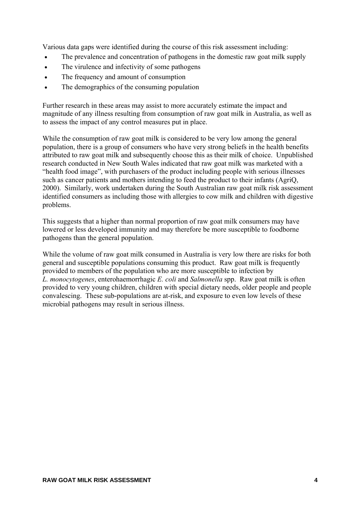Various data gaps were identified during the course of this risk assessment including:

- The prevalence and concentration of pathogens in the domestic raw goat milk supply
- The virulence and infectivity of some pathogens
- The frequency and amount of consumption
- The demographics of the consuming population

Further research in these areas may assist to more accurately estimate the impact and magnitude of any illness resulting from consumption of raw goat milk in Australia, as well as to assess the impact of any control measures put in place.

While the consumption of raw goat milk is considered to be very low among the general population, there is a group of consumers who have very strong beliefs in the health benefits attributed to raw goat milk and subsequently choose this as their milk of choice. Unpublished research conducted in New South Wales indicated that raw goat milk was marketed with a "health food image", with purchasers of the product including people with serious illnesses such as cancer patients and mothers intending to feed the product to their infants (AgriQ, 2000). Similarly, work undertaken during the South Australian raw goat milk risk assessment identified consumers as including those with allergies to cow milk and children with digestive problems.

This suggests that a higher than normal proportion of raw goat milk consumers may have lowered or less developed immunity and may therefore be more susceptible to foodborne pathogens than the general population.

While the volume of raw goat milk consumed in Australia is very low there are risks for both general and susceptible populations consuming this product. Raw goat milk is frequently provided to members of the population who are more susceptible to infection by *L. monocytogenes*, enterohaemorrhagic *E. coli* and *Salmonella* spp. Raw goat milk is often provided to very young children, children with special dietary needs, older people and people convalescing. These sub-populations are at-risk, and exposure to even low levels of these microbial pathogens may result in serious illness.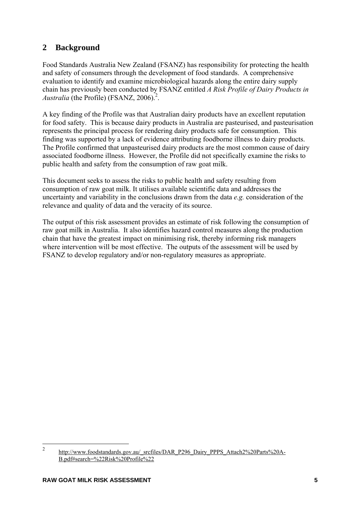# **2 Background**

Food Standards Australia New Zealand (FSANZ) has responsibility for protecting the health and safety of consumers through the development of food standards. A comprehensive evaluation to identify and examine microbiological hazards along the entire dairy supply chain has previously been conducted by FSANZ entitled *A Risk Profile of Dairy Products in Australia* (the Profile) (FSANZ, 2006).<sup>2</sup>.

A key finding of the Profile was that Australian dairy products have an excellent reputation for food safety. This is because dairy products in Australia are pasteurised, and pasteurisation represents the principal process for rendering dairy products safe for consumption. This finding was supported by a lack of evidence attributing foodborne illness to dairy products. The Profile confirmed that unpasteurised dairy products are the most common cause of dairy associated foodborne illness. However, the Profile did not specifically examine the risks to public health and safety from the consumption of raw goat milk.

This document seeks to assess the risks to public health and safety resulting from consumption of raw goat milk. It utilises available scientific data and addresses the uncertainty and variability in the conclusions drawn from the data *e.g.* consideration of the relevance and quality of data and the veracity of its source.

The output of this risk assessment provides an estimate of risk following the consumption of raw goat milk in Australia. It also identifies hazard control measures along the production chain that have the greatest impact on minimising risk, thereby informing risk managers where intervention will be most effective. The outputs of the assessment will be used by FSANZ to develop regulatory and/or non-regulatory measures as appropriate.

 $\overline{2}$ http://www.foodstandards.gov.au/\_srcfiles/DAR\_P296\_Dairy\_PPPS\_Attach2%20Parts%20A-B.pdf#search=%22Risk%20Profile%22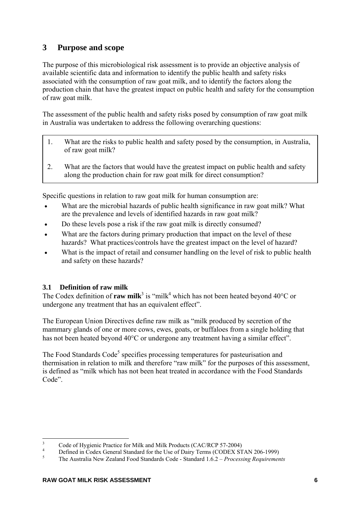# **3 Purpose and scope**

The purpose of this microbiological risk assessment is to provide an objective analysis of available scientific data and information to identify the public health and safety risks associated with the consumption of raw goat milk, and to identify the factors along the production chain that have the greatest impact on public health and safety for the consumption of raw goat milk.

The assessment of the public health and safety risks posed by consumption of raw goat milk in Australia was undertaken to address the following overarching questions:

- 1. What are the risks to public health and safety posed by the consumption, in Australia, of raw goat milk?
- 2. What are the factors that would have the greatest impact on public health and safety along the production chain for raw goat milk for direct consumption?

Specific questions in relation to raw goat milk for human consumption are:

- What are the microbial hazards of public health significance in raw goat milk? What are the prevalence and levels of identified hazards in raw goat milk?
- Do these levels pose a risk if the raw goat milk is directly consumed?
- What are the factors during primary production that impact on the level of these hazards? What practices/controls have the greatest impact on the level of hazard?
- What is the impact of retail and consumer handling on the level of risk to public health and safety on these hazards?

## **3.1 Definition of raw milk**

The Codex definition of **raw milk**<sup>3</sup> is "milk<sup>4</sup> which has not been heated beyond  $40^{\circ}$ C or undergone any treatment that has an equivalent effect".

The European Union Directives define raw milk as "milk produced by secretion of the mammary glands of one or more cows, ewes, goats, or buffaloes from a single holding that has not been heated beyond 40°C or undergone any treatment having a similar effect".

The Food Standards Code<sup>5</sup> specifies processing temperatures for pasteurisation and thermisation in relation to milk and therefore "raw milk" for the purposes of this assessment, is defined as "milk which has not been heat treated in accordance with the Food Standards Code".

 $\frac{1}{3}$  Code of Hygienic Practice for Milk and Milk Products (CAC/RCP 57-2004) 4

Defined in Codex General Standard for the Use of Dairy Terms (CODEX STAN 206-1999)

<sup>5</sup> The Australia New Zealand Food Standards Code - Standard 1.6.2 – *Processing Requirements*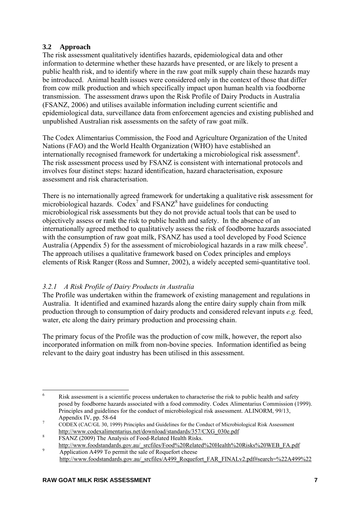#### **3.2 Approach**

The risk assessment qualitatively identifies hazards, epidemiological data and other information to determine whether these hazards have presented, or are likely to present a public health risk, and to identify where in the raw goat milk supply chain these hazards may be introduced. Animal health issues were considered only in the context of those that differ from cow milk production and which specifically impact upon human health via foodborne transmission. The assessment draws upon the Risk Profile of Dairy Products in Australia (FSANZ, 2006) and utilises available information including current scientific and epidemiological data, surveillance data from enforcement agencies and existing published and unpublished Australian risk assessments on the safety of raw goat milk.

The Codex Alimentarius Commission, the Food and Agriculture Organization of the United Nations (FAO) and the World Health Organization (WHO) have established an internationally recognised framework for undertaking a microbiological risk assessment<sup>6</sup>. The risk assessment process used by FSANZ is consistent with international protocols and involves four distinct steps: hazard identification, hazard characterisation, exposure assessment and risk characterisation.

There is no internationally agreed framework for undertaking a qualitative risk assessment for microbiological hazards.  $Codex^7$  and  $FSANZ^8$  have guidelines for conducting microbiological risk assessments but they do not provide actual tools that can be used to objectively assess or rank the risk to public health and safety. In the absence of an internationally agreed method to qualitatively assess the risk of foodborne hazards associated with the consumption of raw goat milk, FSANZ has used a tool developed by Food Science Australia (Appendix 5) for the assessment of microbiological hazards in a raw milk cheese<sup>9</sup>. The approach utilises a qualitative framework based on Codex principles and employs elements of Risk Ranger (Ross and Sumner, 2002), a widely accepted semi-quantitative tool.

## *3.2.1 A Risk Profile of Dairy Products in Australia*

The Profile was undertaken within the framework of existing management and regulations in Australia. It identified and examined hazards along the entire dairy supply chain from milk production through to consumption of dairy products and considered relevant inputs *e.g.* feed, water, etc along the dairy primary production and processing chain.

The primary focus of the Profile was the production of cow milk, however, the report also incorporated information on milk from non-bovine species. Information identified as being relevant to the dairy goat industry has been utilised in this assessment.

 $\frac{1}{6}$  Risk assessment is a scientific process undertaken to characterise the risk to public health and safety posed by foodborne hazards associated with a food commodity. Codex Alimentarius Commission (1999). Principles and guidelines for the conduct of microbiological risk assessment. ALINORM, 99/13, Appendix IV, pp. 58-64

CODEX (CAC/GL 30, 1999) Principles and Guidelines for the Conduct of Microbiological Risk Assessment http://www.codexalimentarius.net/download/standards/357/CXG\_030e.pdf  $\frac{8}{56}$ 

FSANZ (2009) The Analysis of Food-Related Health Risks.

http://www.foodstandards.gov.au/\_srcfiles/Food%20Related%20Health%20Risks%20WEB\_FA.pdf Application A499 To permit the sale of Roquefort cheese

http://www.foodstandards.gov.au/\_srcfiles/A499\_Roquefort\_FAR\_FINALv2.pdf#search=%22A499%22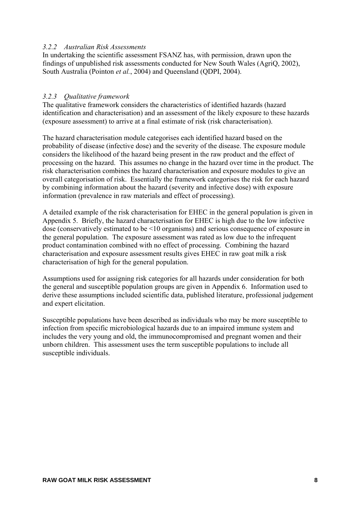#### *3.2.2 Australian Risk Assessments*

In undertaking the scientific assessment FSANZ has, with permission, drawn upon the findings of unpublished risk assessments conducted for New South Wales (AgriQ, 2002), South Australia (Pointon *et al.*, 2004) and Queensland (QDPI, 2004).

#### *3.2.3 Qualitative framework*

The qualitative framework considers the characteristics of identified hazards (hazard identification and characterisation) and an assessment of the likely exposure to these hazards (exposure assessment) to arrive at a final estimate of risk (risk characterisation).

The hazard characterisation module categorises each identified hazard based on the probability of disease (infective dose) and the severity of the disease. The exposure module considers the likelihood of the hazard being present in the raw product and the effect of processing on the hazard. This assumes no change in the hazard over time in the product. The risk characterisation combines the hazard characterisation and exposure modules to give an overall categorisation of risk. Essentially the framework categorises the risk for each hazard by combining information about the hazard (severity and infective dose) with exposure information (prevalence in raw materials and effect of processing).

A detailed example of the risk characterisation for EHEC in the general population is given in Appendix 5. Briefly, the hazard characterisation for EHEC is high due to the low infective dose (conservatively estimated to be <10 organisms) and serious consequence of exposure in the general population. The exposure assessment was rated as low due to the infrequent product contamination combined with no effect of processing. Combining the hazard characterisation and exposure assessment results gives EHEC in raw goat milk a risk characterisation of high for the general population.

Assumptions used for assigning risk categories for all hazards under consideration for both the general and susceptible population groups are given in Appendix 6. Information used to derive these assumptions included scientific data, published literature, professional judgement and expert elicitation.

Susceptible populations have been described as individuals who may be more susceptible to infection from specific microbiological hazards due to an impaired immune system and includes the very young and old, the immunocompromised and pregnant women and their unborn children. This assessment uses the term susceptible populations to include all susceptible individuals.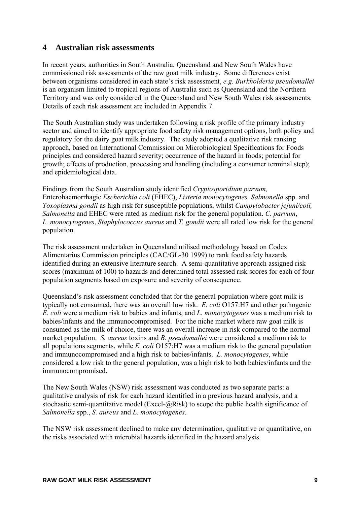# **4 Australian risk assessments**

In recent years, authorities in South Australia, Queensland and New South Wales have commissioned risk assessments of the raw goat milk industry. Some differences exist between organisms considered in each state's risk assessment, *e.g. Burkholderia pseudomallei*  is an organism limited to tropical regions of Australia such as Queensland and the Northern Territory and was only considered in the Queensland and New South Wales risk assessments. Details of each risk assessment are included in Appendix 7.

The South Australian study was undertaken following a risk profile of the primary industry sector and aimed to identify appropriate food safety risk management options, both policy and regulatory for the dairy goat milk industry. The study adopted a qualitative risk ranking approach, based on International Commission on Microbiological Specifications for Foods principles and considered hazard severity; occurrence of the hazard in foods; potential for growth; effects of production, processing and handling (including a consumer terminal step); and epidemiological data.

Findings from the South Australian study identified *Cryptosporidium parvum,*  Enterohaemorrhagic *Escherichia coli* (EHEC), *Listeria monocytogenes, Salmonella* spp. and *Toxoplasma gondii* as high risk for susceptible populations, whilst *Campylobacter jejuni/coli, Salmonella* and EHEC were rated as medium risk for the general population. *C. parvum*, *L. monocytogenes*, *Staphylococcus aureus* and *T. gondii* were all rated low risk for the general population.

The risk assessment undertaken in Queensland utilised methodology based on Codex Alimentarius Commission principles (CAC/GL-30 1999) to rank food safety hazards identified during an extensive literature search. A semi-quantitative approach assigned risk scores (maximum of 100) to hazards and determined total assessed risk scores for each of four population segments based on exposure and severity of consequence.

Queensland's risk assessment concluded that for the general population where goat milk is typically not consumed, there was an overall low risk. *E. coli* O157:H7 and other pathogenic *E. coli* were a medium risk to babies and infants, and *L. monocytogenes* was a medium risk to babies/infants and the immunocompromised. For the niche market where raw goat milk is consumed as the milk of choice, there was an overall increase in risk compared to the normal market population. *S. aureus* toxins and *B. pseudomallei* were considered a medium risk to all populations segments, while *E. coli* O157:H7 was a medium risk to the general population and immunocompromised and a high risk to babies/infants. *L. monocytogenes*, while considered a low risk to the general population, was a high risk to both babies/infants and the immunocompromised.

The New South Wales (NSW) risk assessment was conducted as two separate parts: a qualitative analysis of risk for each hazard identified in a previous hazard analysis, and a stochastic semi-quantitative model (Excel- $@Risk$ ) to scope the public health significance of *Salmonella* spp., *S. aureus* and *L. monocytogenes*.

The NSW risk assessment declined to make any determination, qualitative or quantitative, on the risks associated with microbial hazards identified in the hazard analysis.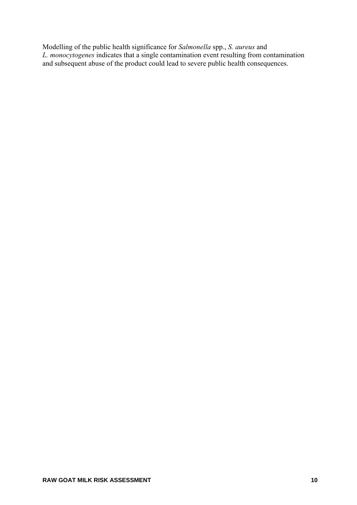Modelling of the public health significance for *Salmonella* spp., *S. aureus* and *L. monocytogenes* indicates that a single contamination event resulting from contamination and subsequent abuse of the product could lead to severe public health consequences.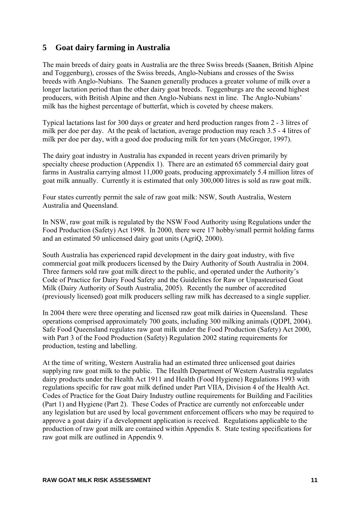# **5 Goat dairy farming in Australia**

The main breeds of dairy goats in Australia are the three Swiss breeds (Saanen, British Alpine and Toggenburg), crosses of the Swiss breeds, Anglo-Nubians and crosses of the Swiss breeds with Anglo-Nubians. The Saanen generally produces a greater volume of milk over a longer lactation period than the other dairy goat breeds. Toggenburgs are the second highest producers, with British Alpine and then Anglo-Nubians next in line. The Anglo-Nubians' milk has the highest percentage of butterfat, which is coveted by cheese makers.

Typical lactations last for 300 days or greater and herd production ranges from 2 - 3 litres of milk per doe per day. At the peak of lactation, average production may reach 3.5 - 4 litres of milk per doe per day, with a good doe producing milk for ten years (McGregor, 1997).

The dairy goat industry in Australia has expanded in recent years driven primarily by specialty cheese production (Appendix 1). There are an estimated 65 commercial dairy goat farms in Australia carrying almost 11,000 goats, producing approximately 5.4 million litres of goat milk annually. Currently it is estimated that only 300,000 litres is sold as raw goat milk.

Four states currently permit the sale of raw goat milk: NSW, South Australia, Western Australia and Queensland.

In NSW, raw goat milk is regulated by the NSW Food Authority using Regulations under the Food Production (Safety) Act 1998. In 2000, there were 17 hobby/small permit holding farms and an estimated 50 unlicensed dairy goat units (AgriQ, 2000).

South Australia has experienced rapid development in the dairy goat industry, with five commercial goat milk producers licensed by the Dairy Authority of South Australia in 2004. Three farmers sold raw goat milk direct to the public, and operated under the Authority's Code of Practice for Dairy Food Safety and the Guidelines for Raw or Unpasteurised Goat Milk (Dairy Authority of South Australia, 2005). Recently the number of accredited (previously licensed) goat milk producers selling raw milk has decreased to a single supplier.

In 2004 there were three operating and licensed raw goat milk dairies in Queensland. These operations comprised approximately 700 goats, including 300 milking animals (QDPI, 2004). Safe Food Queensland regulates raw goat milk under the Food Production (Safety) Act 2000, with Part 3 of the Food Production (Safety) Regulation 2002 stating requirements for production, testing and labelling.

At the time of writing, Western Australia had an estimated three unlicensed goat dairies supplying raw goat milk to the public. The Health Department of Western Australia regulates dairy products under the Health Act 1911 and Health (Food Hygiene) Regulations 1993 with regulations specific for raw goat milk defined under Part VIIA, Division 4 of the Health Act. Codes of Practice for the Goat Dairy Industry outline requirements for Building and Facilities (Part 1) and Hygiene (Part 2). These Codes of Practice are currently not enforceable under any legislation but are used by local government enforcement officers who may be required to approve a goat dairy if a development application is received. Regulations applicable to the production of raw goat milk are contained within Appendix 8. State testing specifications for raw goat milk are outlined in Appendix 9.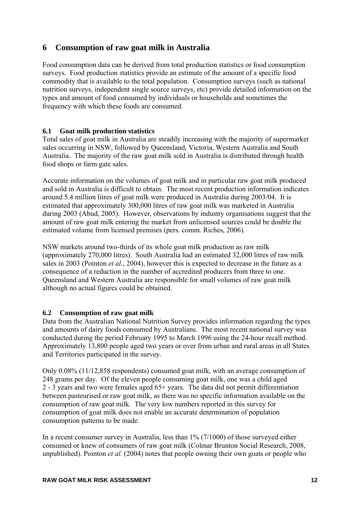# **6 Consumption of raw goat milk in Australia**

Food consumption data can be derived from total production statistics or food consumption surveys. Food production statistics provide an estimate of the amount of a specific food commodity that is available to the total population. Consumption surveys (such as national nutrition surveys, independent single source surveys, etc) provide detailed information on the types and amount of food consumed by individuals or households and sometimes the frequency with which these foods are consumed.

#### **6.1 Goat milk production statistics**

Total sales of goat milk in Australia are steadily increasing with the majority of supermarket sales occurring in NSW, followed by Queensland, Victoria, Western Australia and South Australia. The majority of the raw goat milk sold in Australia is distributed through health food shops or farm gate sales.

Accurate information on the volumes of goat milk and in particular raw goat milk produced and sold in Australia is difficult to obtain. The most recent production information indicates around 5.4 million litres of goat milk were produced in Australia during 2003/04. It is estimated that approximately 300,000 litres of raw goat milk was marketed in Australia during 2003 (Abud, 2005). However, observations by industry organisations suggest that the amount of raw goat milk entering the market from unlicensed sources could be double the estimated volume from licensed premises (pers. comm. Riches, 2006).

NSW markets around two-thirds of its whole goat milk production as raw milk (approximately 270,000 litres). South Australia had an estimated 32,000 litres of raw milk sales in 2003 (Pointon *et al.*, 2004), however this is expected to decrease in the future as a consequence of a reduction in the number of accredited producers from three to one. Queensland and Western Australia are responsible for small volumes of raw goat milk although no actual figures could be obtained.

#### **6.2 Consumption of raw goat milk**

Data from the Australian National Nutrition Survey provides information regarding the types and amounts of dairy foods consumed by Australians. The most recent national survey was conducted during the period February 1995 to March 1996 using the 24-hour recall method. Approximately 13,800 people aged two years or over from urban and rural areas in all States and Territories participated in the survey.

Only 0.08% (11/12,858 respondents) consumed goat milk, with an average consumption of 248 grams per day. Of the eleven people consuming goat milk, one was a child aged 2 - 3 years and two were females aged 65+ years. The data did not permit differentiation between pasteurised or raw goat milk, as there was no specific information available on the consumption of raw goat milk. The very low numbers reported in this survey for consumption of goat milk does not enable an accurate determination of population consumption patterns to be made.

In a recent consumer survey in Australia, less than 1% (7/1000) of those surveyed either consumed or knew of consumers of raw goat milk (Colmar Brunton Social Research, 2008, unpublished). Pointon *et al.* (2004) notes that people owning their own goats or people who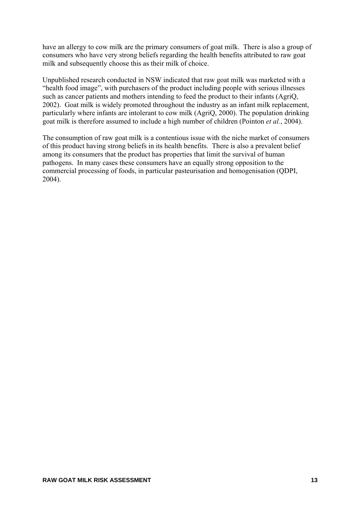have an allergy to cow milk are the primary consumers of goat milk. There is also a group of consumers who have very strong beliefs regarding the health benefits attributed to raw goat milk and subsequently choose this as their milk of choice.

Unpublished research conducted in NSW indicated that raw goat milk was marketed with a "health food image", with purchasers of the product including people with serious illnesses such as cancer patients and mothers intending to feed the product to their infants (AgriQ, 2002). Goat milk is widely promoted throughout the industry as an infant milk replacement, particularly where infants are intolerant to cow milk (AgriQ, 2000). The population drinking goat milk is therefore assumed to include a high number of children (Pointon *et al.*, 2004).

The consumption of raw goat milk is a contentious issue with the niche market of consumers of this product having strong beliefs in its health benefits. There is also a prevalent belief among its consumers that the product has properties that limit the survival of human pathogens. In many cases these consumers have an equally strong opposition to the commercial processing of foods, in particular pasteurisation and homogenisation (QDPI, 2004).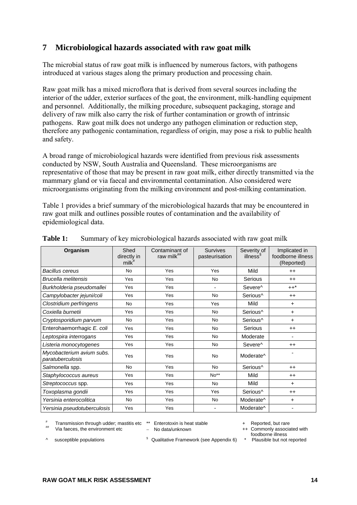## **7 Microbiological hazards associated with raw goat milk**

The microbial status of raw goat milk is influenced by numerous factors, with pathogens introduced at various stages along the primary production and processing chain.

Raw goat milk has a mixed microflora that is derived from several sources including the interior of the udder, exterior surfaces of the goat, the environment, milk-handling equipment and personnel. Additionally, the milking procedure, subsequent packaging, storage and delivery of raw milk also carry the risk of further contamination or growth of intrinsic pathogens. Raw goat milk does not undergo any pathogen elimination or reduction step, therefore any pathogenic contamination, regardless of origin, may pose a risk to public health and safety.

A broad range of microbiological hazards were identified from previous risk assessments conducted by NSW, South Australia and Queensland. These microorganisms are representative of those that may be present in raw goat milk, either directly transmitted via the mammary gland or via faecal and environmental contamination. Also considered were microorganisms originating from the milking environment and post-milking contamination.

Table 1 provides a brief summary of the microbiological hazards that may be encountered in raw goat milk and outlines possible routes of contamination and the availability of epidemiological data.

| Organism                                      | Shed<br>directly in<br>$m$ ilk $*$ | Contaminant of<br>raw milk <sup>##</sup> | <b>Survives</b><br>pasteurisation | Severity of<br>illness <sup>§</sup> | Implicated in<br>foodborne illness<br>(Reported) |
|-----------------------------------------------|------------------------------------|------------------------------------------|-----------------------------------|-------------------------------------|--------------------------------------------------|
| <b>Bacillus cereus</b>                        | <b>No</b>                          | Yes                                      | Yes                               | Mild                                | $++$                                             |
| <b>Brucella melitensis</b>                    | Yes                                | Yes                                      | <b>No</b>                         | Serious                             | $++$                                             |
| Burkholderia pseudomallei                     | Yes                                | Yes                                      |                                   | Severe <sup>^</sup>                 | $++$ *                                           |
| Campylobacter jejuni/coli                     | Yes                                | Yes                                      | <b>No</b>                         | Serious <sup>^</sup>                | $++$                                             |
| Clostridium perfringens                       | <b>No</b>                          | Yes                                      | Yes                               | Mild                                | $\pm$                                            |
| Coxiella burnetii                             | Yes                                | Yes                                      | <b>No</b>                         | Serious <sup>^</sup>                | +                                                |
| Cryptosporidium parvum                        | <b>No</b>                          | Yes                                      | <b>No</b>                         | Serious^                            | $\ddot{}$                                        |
| Enterohaemorrhagic E. coli                    | Yes                                | Yes                                      | <b>No</b>                         | Serious                             | $++$                                             |
| Leptospira interrogans                        | Yes                                | Yes                                      | <b>No</b>                         | Moderate                            |                                                  |
| Listeria monocytogenes                        | Yes                                | Yes                                      | <b>No</b>                         | Severe <sup>^</sup>                 | $++$                                             |
| Mycobacterium avium subs.<br>paratuberculosis | Yes                                | Yes                                      | <b>No</b>                         | Moderate <sup>^</sup>               | ۰                                                |
| Salmonella spp.                               | <b>No</b>                          | Yes                                      | <b>No</b>                         | Serious <sup>^</sup>                | $++$                                             |
| Staphylococcus aureus                         | Yes                                | Yes                                      | No**                              | Mild                                | $++$                                             |
| Streptococcus spp.                            | Yes                                | Yes                                      | <b>No</b>                         | Mild                                | $\ddot{}$                                        |
| Toxoplasma gondii                             | Yes                                | Yes                                      | Yes                               | Serious <sup>^</sup>                | $++$                                             |
| Yersinia enterocolitica                       | <b>No</b>                          | Yes                                      | <b>No</b>                         | Moderate <sup>^</sup>               | +                                                |
| Yersinia pseudotuberculosis                   | Yes                                | Yes                                      |                                   | Moderate <sup>^</sup>               |                                                  |

#### **Table 1:** Summary of key microbiological hazards associated with raw goat milk

#

Transmission through udder; mastitis etc \*\* Enterotoxin is heat stable + Reported, but rare<br>Via faeces, the environment etc − No data/unknown ++ Commonly associated with

foodborne illness

- <sup>§</sup> Qualitative Framework (see Appendix 6) \* Plausible but not reported
-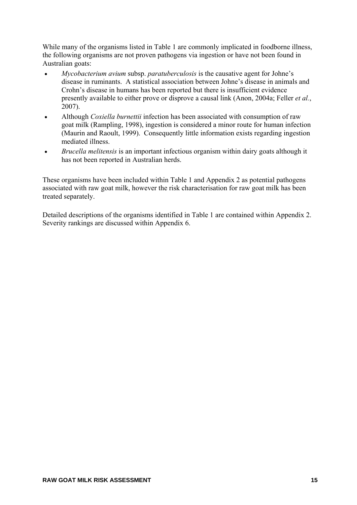While many of the organisms listed in Table 1 are commonly implicated in foodborne illness, the following organisms are not proven pathogens via ingestion or have not been found in Australian goats:

- *Mycobacterium avium* subsp. *paratuberculosis* is the causative agent for Johne's disease in ruminants. A statistical association between Johne's disease in animals and Crohn's disease in humans has been reported but there is insufficient evidence presently available to either prove or disprove a causal link (Anon, 2004a; Feller *et al.*, 2007).
- Although *Coxiella burnettii* infection has been associated with consumption of raw goat milk (Rampling, 1998), ingestion is considered a minor route for human infection (Maurin and Raoult, 1999). Consequently little information exists regarding ingestion mediated illness.
- *Brucella melitensis* is an important infectious organism within dairy goats although it has not been reported in Australian herds.

These organisms have been included within Table 1 and Appendix 2 as potential pathogens associated with raw goat milk, however the risk characterisation for raw goat milk has been treated separately.

Detailed descriptions of the organisms identified in Table 1 are contained within Appendix 2. Severity rankings are discussed within Appendix 6.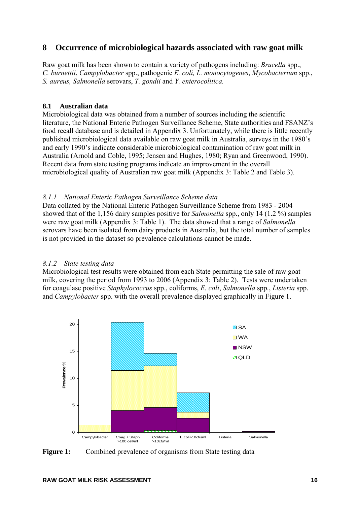# **8 Occurrence of microbiological hazards associated with raw goat milk**

Raw goat milk has been shown to contain a variety of pathogens including: *Brucella* spp., *C. burnettii*, *Campylobacter* spp., pathogenic *E. coli, L. monocytogenes*, *Mycobacterium* spp., *S. aureus, Salmonella* serovars, *T. gondii* and *Y. enterocolitica.*

#### **8.1 Australian data**

Microbiological data was obtained from a number of sources including the scientific literature, the National Enteric Pathogen Surveillance Scheme, State authorities and FSANZ's food recall database and is detailed in Appendix 3. Unfortunately, while there is little recently published microbiological data available on raw goat milk in Australia, surveys in the 1980's and early 1990's indicate considerable microbiological contamination of raw goat milk in Australia (Arnold and Coble, 1995; Jensen and Hughes, 1980; Ryan and Greenwood, 1990). Recent data from state testing programs indicate an improvement in the overall microbiological quality of Australian raw goat milk (Appendix 3: Table 2 and Table 3).

#### *8.1.1 National Enteric Pathogen Surveillance Scheme data*

Data collated by the National Enteric Pathogen Surveillance Scheme from 1983 - 2004 showed that of the 1,156 dairy samples positive for *Salmonella* spp., only 14 (1.2 %) samples were raw goat milk (Appendix 3: Table 1). The data showed that a range of *Salmonella* serovars have been isolated from dairy products in Australia, but the total number of samples is not provided in the dataset so prevalence calculations cannot be made.

#### *8.1.2 State testing data*

Microbiological test results were obtained from each State permitting the sale of raw goat milk, covering the period from 1993 to 2006 (Appendix 3: Table 2). Tests were undertaken for coagulase positive *Staphylococcus* spp., coliforms, *E. coli*, *Salmonella* spp., *Listeria* spp. and *Campylobacter* spp. with the overall prevalence displayed graphically in Figure 1.



**Figure 1:** Combined prevalence of organisms from State testing data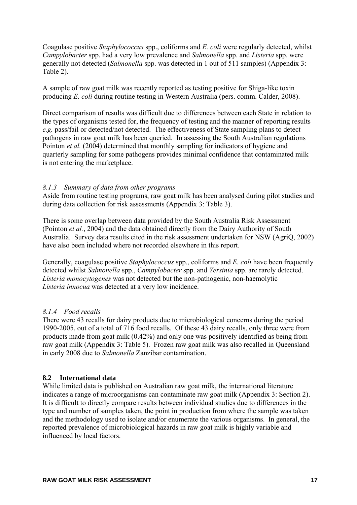Coagulase positive *Staphylococcus* spp., coliforms and *E. coli* were regularly detected, whilst *Campylobacter* spp. had a very low prevalence and *Salmonella* spp. and *Listeria* spp. were generally not detected (*Salmonella* spp. was detected in 1 out of 511 samples) (Appendix 3: Table 2).

A sample of raw goat milk was recently reported as testing positive for Shiga-like toxin producing *E. coli* during routine testing in Western Australia (pers. comm. Calder, 2008).

Direct comparison of results was difficult due to differences between each State in relation to the types of organisms tested for, the frequency of testing and the manner of reporting results *e.g.* pass/fail or detected/not detected. The effectiveness of State sampling plans to detect pathogens in raw goat milk has been queried. In assessing the South Australian regulations Pointon *et al.* (2004) determined that monthly sampling for indicators of hygiene and quarterly sampling for some pathogens provides minimal confidence that contaminated milk is not entering the marketplace.

#### *8.1.3 Summary of data from other programs*

Aside from routine testing programs, raw goat milk has been analysed during pilot studies and during data collection for risk assessments (Appendix 3: Table 3).

There is some overlap between data provided by the South Australia Risk Assessment (Pointon *et al.*, 2004) and the data obtained directly from the Dairy Authority of South Australia. Survey data results cited in the risk assessment undertaken for NSW (AgriQ, 2002) have also been included where not recorded elsewhere in this report.

Generally, coagulase positive *Staphylococcus* spp., coliforms and *E. coli* have been frequently detected whilst *Salmonella* spp., *Campylobacter* spp. and *Yersinia* spp. are rarely detected. *Listeria monocytogenes* was not detected but the non-pathogenic, non-haemolytic *Listeria innocua* was detected at a very low incidence.

#### *8.1.4 Food recalls*

There were 43 recalls for dairy products due to microbiological concerns during the period 1990-2005, out of a total of 716 food recalls. Of these 43 dairy recalls, only three were from products made from goat milk (0.42%) and only one was positively identified as being from raw goat milk (Appendix 3: Table 5). Frozen raw goat milk was also recalled in Queensland in early 2008 due to *Salmonella* Zanzibar contamination.

#### **8.2 International data**

While limited data is published on Australian raw goat milk, the international literature indicates a range of microorganisms can contaminate raw goat milk (Appendix 3: Section 2). It is difficult to directly compare results between individual studies due to differences in the type and number of samples taken, the point in production from where the sample was taken and the methodology used to isolate and/or enumerate the various organisms. In general, the reported prevalence of microbiological hazards in raw goat milk is highly variable and influenced by local factors.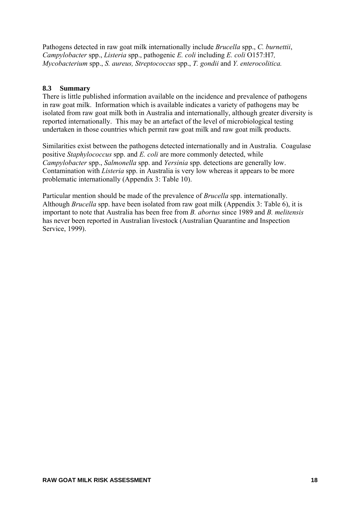Pathogens detected in raw goat milk internationally include *Brucella* spp., *C. burnettii*, *Campylobacter* spp., *Listeria* spp., pathogenic *E. coli* including *E. coli* O157:H7*, Mycobacterium* spp., *S. aureus, Streptococcus* spp., *T. gondii* and *Y. enterocolitica.*

#### **8.3 Summary**

There is little published information available on the incidence and prevalence of pathogens in raw goat milk. Information which is available indicates a variety of pathogens may be isolated from raw goat milk both in Australia and internationally, although greater diversity is reported internationally. This may be an artefact of the level of microbiological testing undertaken in those countries which permit raw goat milk and raw goat milk products.

Similarities exist between the pathogens detected internationally and in Australia. Coagulase positive *Staphylococcus* spp. and *E. coli* are more commonly detected, while *Campylobacter* spp., *Salmonella* spp. and *Yersinia* spp. detections are generally low. Contamination with *Listeria* spp. in Australia is very low whereas it appears to be more problematic internationally (Appendix 3: Table 10).

Particular mention should be made of the prevalence of *Brucella* spp. internationally. Although *Brucella* spp. have been isolated from raw goat milk (Appendix 3: Table 6), it is important to note that Australia has been free from *B. abortus* since 1989 and *B. melitensis* has never been reported in Australian livestock (Australian Quarantine and Inspection Service, 1999).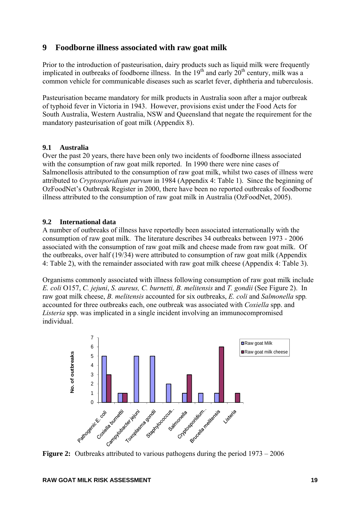## **9 Foodborne illness associated with raw goat milk**

Prior to the introduction of pasteurisation, dairy products such as liquid milk were frequently implicated in outbreaks of foodborne illness. In the  $19<sup>th</sup>$  and early  $20<sup>th</sup>$  century, milk was a common vehicle for communicable diseases such as scarlet fever, diphtheria and tuberculosis.

Pasteurisation became mandatory for milk products in Australia soon after a major outbreak of typhoid fever in Victoria in 1943. However, provisions exist under the Food Acts for South Australia, Western Australia, NSW and Queensland that negate the requirement for the mandatory pasteurisation of goat milk (Appendix 8).

#### **9.1 Australia**

Over the past 20 years, there have been only two incidents of foodborne illness associated with the consumption of raw goat milk reported. In 1990 there were nine cases of Salmonellosis attributed to the consumption of raw goat milk, whilst two cases of illness were attributed to *Cryptosporidium parvum* in 1984 (Appendix 4: Table 1). Since the beginning of OzFoodNet's Outbreak Register in 2000, there have been no reported outbreaks of foodborne illness attributed to the consumption of raw goat milk in Australia (OzFoodNet, 2005).

#### **9.2 International data**

A number of outbreaks of illness have reportedly been associated internationally with the consumption of raw goat milk. The literature describes 34 outbreaks between 1973 - 2006 associated with the consumption of raw goat milk and cheese made from raw goat milk. Of the outbreaks, over half (19/34) were attributed to consumption of raw goat milk (Appendix 4: Table 2), with the remainder associated with raw goat milk cheese (Appendix 4: Table 3).

Organisms commonly associated with illness following consumption of raw goat milk include *E. coli* O157, *C. jejuni*, *S. aureus, C. burnetti, B. melitensis* and *T. gondii* (See Figure 2). In raw goat milk cheese, *B. melitensis* accounted for six outbreaks, *E. coli* and *Salmonella* spp*.* accounted for three outbreaks each, one outbreak was associated with *Coxiella* spp. and *Listeria* spp. was implicated in a single incident involving an immunocompromised individual.

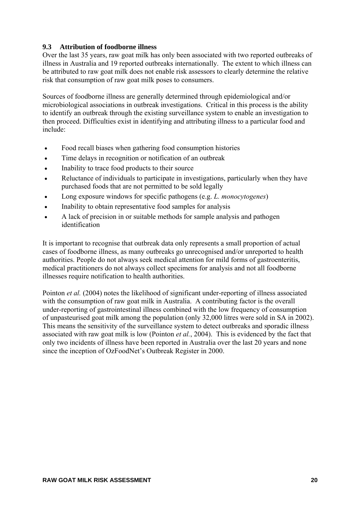#### **9.3 Attribution of foodborne illness**

Over the last 35 years, raw goat milk has only been associated with two reported outbreaks of illness in Australia and 19 reported outbreaks internationally. The extent to which illness can be attributed to raw goat milk does not enable risk assessors to clearly determine the relative risk that consumption of raw goat milk poses to consumers.

Sources of foodborne illness are generally determined through epidemiological and/or microbiological associations in outbreak investigations. Critical in this process is the ability to identify an outbreak through the existing surveillance system to enable an investigation to then proceed. Difficulties exist in identifying and attributing illness to a particular food and include:

- Food recall biases when gathering food consumption histories
- Time delays in recognition or notification of an outbreak
- Inability to trace food products to their source
- Reluctance of individuals to participate in investigations, particularly when they have purchased foods that are not permitted to be sold legally
- Long exposure windows for specific pathogens (e.g. *L. monocytogenes*)
- Inability to obtain representative food samples for analysis
- A lack of precision in or suitable methods for sample analysis and pathogen identification

It is important to recognise that outbreak data only represents a small proportion of actual cases of foodborne illness, as many outbreaks go unrecognised and/or unreported to health authorities. People do not always seek medical attention for mild forms of gastroenteritis, medical practitioners do not always collect specimens for analysis and not all foodborne illnesses require notification to health authorities.

Pointon *et al.* (2004) notes the likelihood of significant under-reporting of illness associated with the consumption of raw goat milk in Australia. A contributing factor is the overall under-reporting of gastrointestinal illness combined with the low frequency of consumption of unpasteurised goat milk among the population (only 32,000 litres were sold in SA in 2002). This means the sensitivity of the surveillance system to detect outbreaks and sporadic illness associated with raw goat milk is low (Pointon *et al.*, 2004). This is evidenced by the fact that only two incidents of illness have been reported in Australia over the last 20 years and none since the inception of OzFoodNet's Outbreak Register in 2000.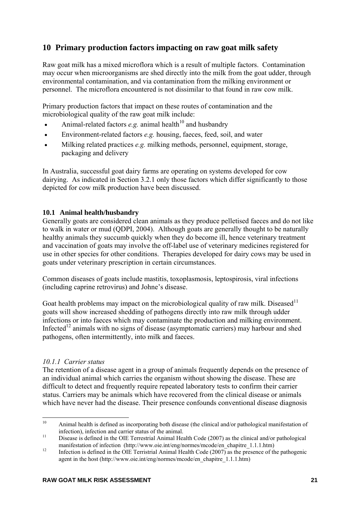# **10 Primary production factors impacting on raw goat milk safety**

Raw goat milk has a mixed microflora which is a result of multiple factors. Contamination may occur when microorganisms are shed directly into the milk from the goat udder, through environmental contamination, and via contamination from the milking environment or personnel. The microflora encountered is not dissimilar to that found in raw cow milk.

Primary production factors that impact on these routes of contamination and the microbiological quality of the raw goat milk include:

- Animal-related factors  $e.g.$  animal health<sup>10</sup> and husbandry
- Environment-related factors *e.g.* housing, faeces, feed, soil, and water
- Milking related practices *e.g.* milking methods, personnel, equipment, storage, packaging and delivery

In Australia, successful goat dairy farms are operating on systems developed for cow dairying. As indicated in Section 3.2.1 only those factors which differ significantly to those depicted for cow milk production have been discussed.

#### **10.1 Animal health/husbandry**

Generally goats are considered clean animals as they produce pelletised faeces and do not like to walk in water or mud (QDPI, 2004). Although goats are generally thought to be naturally healthy animals they succumb quickly when they do become ill, hence veterinary treatment and vaccination of goats may involve the off-label use of veterinary medicines registered for use in other species for other conditions. Therapies developed for dairy cows may be used in goats under veterinary prescription in certain circumstances.

Common diseases of goats include mastitis, toxoplasmosis, leptospirosis, viral infections (including caprine retrovirus) and Johne's disease.

Goat health problems may impact on the microbiological quality of raw milk. Diseased<sup>11</sup> goats will show increased shedding of pathogens directly into raw milk through udder infections or into faeces which may contaminate the production and milking environment. Infected<sup>12</sup> animals with no signs of disease (asymptomatic carriers) may harbour and shed pathogens, often intermittently, into milk and faeces.

#### *10.1.1 Carrier status*

The retention of a disease agent in a group of animals frequently depends on the presence of an individual animal which carries the organism without showing the disease. These are difficult to detect and frequently require repeated laboratory tests to confirm their carrier status. Carriers may be animals which have recovered from the clinical disease or animals which have never had the disease. Their presence confounds conventional disease diagnosis

 $10$ Animal health is defined as incorporating both disease (the clinical and/or pathological manifestation of infection), infection and carrier status of the animal.<br><sup>11</sup> Disease is defined in the OIE Terrestrial Animal Health Code (2007) as the clinical and/or pathological

manifestation of infection (http://www.oie.int/eng/normes/mcode/en\_chapitre\_1.1.1.htm)<br>Infection is defined in the OIE Terristrial Animal Health Code (2007) as the presence of the pathogenic

agent in the host (http://www.oie.int/eng/normes/mcode/en\_chapitre\_1.1.1.htm)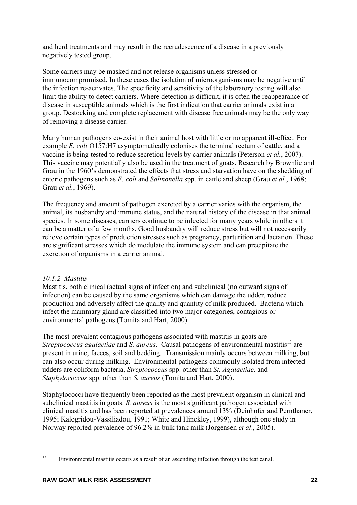and herd treatments and may result in the recrudescence of a disease in a previously negatively tested group.

Some carriers may be masked and not release organisms unless stressed or immunocompromised. In these cases the isolation of microorganisms may be negative until the infection re-activates. The specificity and sensitivity of the laboratory testing will also limit the ability to detect carriers. Where detection is difficult, it is often the reappearance of disease in susceptible animals which is the first indication that carrier animals exist in a group. Destocking and complete replacement with disease free animals may be the only way of removing a disease carrier.

Many human pathogens co-exist in their animal host with little or no apparent ill-effect. For example *E. coli* O157:H7 asymptomatically colonises the terminal rectum of cattle, and a vaccine is being tested to reduce secretion levels by carrier animals (Peterson *et al.*, 2007). This vaccine may potentially also be used in the treatment of goats. Research by Brownlie and Grau in the 1960's demonstrated the effects that stress and starvation have on the shedding of enteric pathogens such as *E. coli* and *Salmonella* spp. in cattle and sheep (Grau *et al.*, 1968; Grau *et al.*, 1969).

The frequency and amount of pathogen excreted by a carrier varies with the organism, the animal, its husbandry and immune status, and the natural history of the disease in that animal species. In some diseases, carriers continue to be infected for many years while in others it can be a matter of a few months. Good husbandry will reduce stress but will not necessarily relieve certain types of production stresses such as pregnancy, parturition and lactation. These are significant stresses which do modulate the immune system and can precipitate the excretion of organisms in a carrier animal.

#### *10.1.2 Mastitis*

Mastitis, both clinical (actual signs of infection) and subclinical (no outward signs of infection) can be caused by the same organisms which can damage the udder, reduce production and adversely affect the quality and quantity of milk produced. Bacteria which infect the mammary gland are classified into two major categories, contagious or environmental pathogens (Tomita and Hart, 2000).

The most prevalent contagious pathogens associated with mastitis in goats are *Streptococcus agalactiae* and *S. aureus.* Causal pathogens of environmental mastitis<sup>13</sup> are present in urine, faeces, soil and bedding. Transmission mainly occurs between milking, but can also occur during milking. Environmental pathogens commonly isolated from infected udders are coliform bacteria, *Streptococcus* spp. other than *St. Agalactiae,* and *Staphylococcus* spp. other than *S. aureus* (Tomita and Hart, 2000).

Staphylococci have frequently been reported as the most prevalent organism in clinical and subclinical mastitis in goats. *S. aureus* is the most significant pathogen associated with clinical mastitis and has been reported at prevalences around 13% (Deinhofer and Pernthaner, 1995; Kalogridou-Vassiliadou, 1991; White and Hinckley, 1999), although one study in Norway reported prevalence of 96.2% in bulk tank milk (Jorgensen *et al*., 2005).

 $13$ Environmental mastitis occurs as a result of an ascending infection through the teat canal.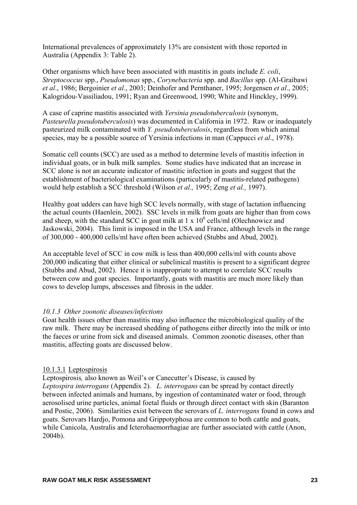International prevalences of approximately 13% are consistent with those reported in Australia (Appendix 3: Table 2).

Other organisms which have been associated with mastitis in goats include *E. coli*, *Streptococcus* spp., *Pseudomonas* spp., *Corynebacteria* spp. and *Bacillus* spp. (Al-Graibawi *et al*., 1986; Bergoinier *et al*., 2003; Deinhofer and Pernthaner, 1995; Jorgensen *et al*., 2005; Kalogridou-Vassiliadou, 1991; Ryan and Greenwood, 1990; White and Hinckley, 1999).

A case of caprine mastitis associated with *Yersinia pseudotuberculosis* (synonym, *Pasteurella pseudotuberculosis*) was documented in California in 1972. Raw or inadequately pasteurized milk contaminated with *Y. pseudotuberculosis*, regardless from which animal species, may be a possible source of Yersinia infections in man (Cappucci *et al*., 1978).

Somatic cell counts (SCC) are used as a method to determine levels of mastitis infection in individual goats, or in bulk milk samples. Some studies have indicated that an increase in SCC alone is not an accurate indicator of mastitic infection in goats and suggest that the establishment of bacteriological examinations (particularly of mastitis-related pathogens) would help establish a SCC threshold (Wilson *et al.,* 1995; Zeng *et al.,* 1997).

Healthy goat udders can have high SCC levels normally, with stage of lactation influencing the actual counts (Haenlein, 2002). SSC levels in milk from goats are higher than from cows and sheep, with the standard SCC in goat milk at  $1 \times 10^6$  cells/ml (Olechnowicz and Jaskowski, 2004). This limit is imposed in the USA and France, although levels in the range of 300,000 - 400,000 cells/ml have often been achieved (Stubbs and Abud, 2002).

An acceptable level of SCC in cow milk is less than 400,000 cells/ml with counts above 200,000 indicating that either clinical or subclinical mastitis is present to a significant degree (Stubbs and Abud, 2002). Hence it is inappropriate to attempt to correlate SCC results between cow and goat species. Importantly, goats with mastitis are much more likely than cows to develop lumps, abscesses and fibrosis in the udder.

#### *10.1.3 Other zoonotic diseases/infections*

Goat health issues other than mastitis may also influence the microbiological quality of the raw milk. There may be increased shedding of pathogens either directly into the milk or into the faeces or urine from sick and diseased animals. Common zoonotic diseases, other than mastitis, affecting goats are discussed below.

#### 10.1.3.1 Leptospirosis

Leptospirosis*,* also known as Weil's or Canecutter's Disease, is caused by *Leptospira interrogans* (Appendix 2). *L. interrogans* can be spread by contact directly between infected animals and humans, by ingestion of contaminated water or food, through aerosolised urine particles, animal foetal fluids or through direct contact with skin (Baranton and Postic, 2006). Similarities exist between the serovars of *L. interrogans* found in cows and goats. Serovars Hardjo, Pomona and Grippotyphosa are common to both cattle and goats, while Canicola, Australis and Icterohaemorrhagiae are further associated with cattle (Anon, 2004b).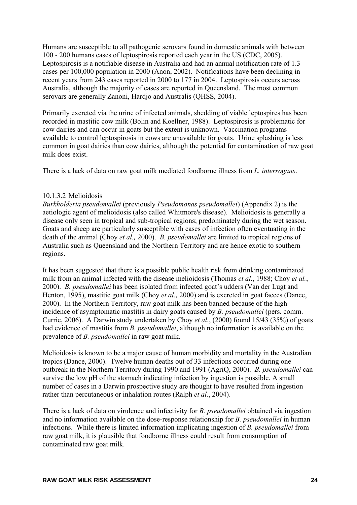Humans are susceptible to all pathogenic serovars found in domestic animals with between 100 - 200 humans cases of leptospirosis reported each year in the US (CDC, 2005). Leptospirosis is a notifiable disease in Australia and had an annual notification rate of 1.3 cases per 100,000 population in 2000 (Anon, 2002). Notifications have been declining in recent years from 243 cases reported in 2000 to 177 in 2004. Leptospirosis occurs across Australia, although the majority of cases are reported in Queensland. The most common serovars are generally Zanoni, Hardjo and Australis (QHSS, 2004).

Primarily excreted via the urine of infected animals, shedding of viable leptospires has been recorded in mastitic cow milk (Bolin and Koellner, 1988). Leptospirosis is problematic for cow dairies and can occur in goats but the extent is unknown. Vaccination programs available to control leptospirosis in cows are unavailable for goats. Urine splashing is less common in goat dairies than cow dairies, although the potential for contamination of raw goat milk does exist.

There is a lack of data on raw goat milk mediated foodborne illness from *L. interrogans*.

#### 10.1.3.2 Melioidosis

*Burkholderia pseudomallei* (previously *Pseudomonas pseudomallei*) (Appendix 2) is the aetiologic agent of melioidosis (also called Whitmore's disease). Melioidosis is generally a disease only seen in tropical and sub-tropical regions; predominately during the wet season. Goats and sheep are particularly susceptible with cases of infection often eventuating in the death of the animal (Choy *et al.,* 2000). *B. pseudomallei* are limited to tropical regions of Australia such as Queensland and the Northern Territory and are hence exotic to southern regions.

It has been suggested that there is a possible public health risk from drinking contaminated milk from an animal infected with the disease melioidosis (Thomas *et al.*, 1988; Choy *et al.*, 2000). *B. pseudomallei* has been isolated from infected goat's udders (Van der Lugt and Henton, 1995), mastitic goat milk (Choy *et al.,* 2000) and is excreted in goat faeces (Dance, 2000). In the Northern Territory, raw goat milk has been banned because of the high incidence of asymptomatic mastitis in dairy goats caused by *B. pseudomallei* (pers. comm. Currie, 2006). A Darwin study undertaken by Choy *et al.*, (2000) found 15/43 (35%) of goats had evidence of mastitis from *B. pseudomallei*, although no information is available on the prevalence of *B. pseudomallei* in raw goat milk.

Melioidosis is known to be a major cause of human morbidity and mortality in the Australian tropics (Dance, 2000). Twelve human deaths out of 33 infections occurred during one outbreak in the Northern Territory during 1990 and 1991 (AgriQ, 2000). *B. pseudomallei* can survive the low pH of the stomach indicating infection by ingestion is possible. A small number of cases in a Darwin prospective study are thought to have resulted from ingestion rather than percutaneous or inhalation routes (Ralph *et al.*, 2004).

There is a lack of data on virulence and infectivity for *B. pseudomallei* obtained via ingestion and no information available on the dose-response relationship for *B. pseudomallei* in human infections. While there is limited information implicating ingestion of *B. pseudomallei* from raw goat milk, it is plausible that foodborne illness could result from consumption of contaminated raw goat milk.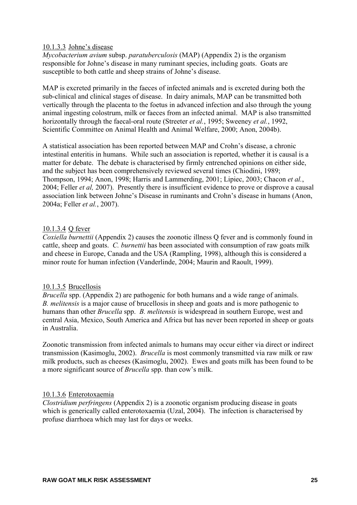#### 10.1.3.3 Johne's disease

*Mycobacterium avium* subsp. *paratuberculosis* (MAP) (Appendix 2) is the organism responsible for Johne's disease in many ruminant species, including goats. Goats are susceptible to both cattle and sheep strains of Johne's disease.

MAP is excreted primarily in the faeces of infected animals and is excreted during both the sub-clinical and clinical stages of disease. In dairy animals, MAP can be transmitted both vertically through the placenta to the foetus in advanced infection and also through the young animal ingesting colostrum, milk or faeces from an infected animal. MAP is also transmitted horizontally through the faecal-oral route (Streeter *et al.*, 1995; Sweeney *et al.*, 1992, Scientific Committee on Animal Health and Animal Welfare, 2000; Anon, 2004b).

A statistical association has been reported between MAP and Crohn's disease, a chronic intestinal enteritis in humans. While such an association is reported, whether it is causal is a matter for debate. The debate is characterised by firmly entrenched opinions on either side, and the subject has been comprehensively reviewed several times (Chiodini, 1989; Thompson, 1994; Anon, 1998; Harris and Lammerding, 2001; Lipiec, 2003; Chacon *et al.*, 2004; Feller *et al,* 2007). Presently there is insufficient evidence to prove or disprove a causal association link between Johne's Disease in ruminants and Crohn's disease in humans (Anon, 2004a; Feller *et al.*, 2007).

#### 10.1.3.4 Q fever

*Coxiella burnettii* (Appendix 2) causes the zoonotic illness Q fever and is commonly found in cattle, sheep and goats. *C. burnettii* has been associated with consumption of raw goats milk and cheese in Europe, Canada and the USA (Rampling, 1998), although this is considered a minor route for human infection (Vanderlinde, 2004; Maurin and Raoult, 1999).

#### 10.1.3.5 Brucellosis

*Brucella* spp. (Appendix 2) are pathogenic for both humans and a wide range of animals. *B. melitensis* is a major cause of brucellosis in sheep and goats and is more pathogenic to humans than other *Brucella* spp. *B. melitensis* is widespread in southern Europe, west and central Asia, Mexico, South America and Africa but has never been reported in sheep or goats in Australia.

Zoonotic transmission from infected animals to humans may occur either via direct or indirect transmission (Kasimoglu, 2002). *Brucella* is most commonly transmitted via raw milk or raw milk products, such as cheeses (Kasimoglu, 2002). Ewes and goats milk has been found to be a more significant source of *Brucella* spp. than cow's milk.

#### 10.1.3.6 Enterotoxaemia

*Clostridium perfringens* (Appendix 2) is a zoonotic organism producing disease in goats which is generically called enterotoxaemia (Uzal, 2004). The infection is characterised by profuse diarrhoea which may last for days or weeks.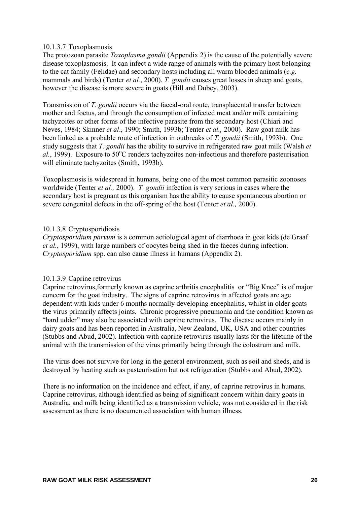#### 10.1.3.7 Toxoplasmosis

The protozoan parasite *Toxoplasma gondii* (Appendix 2) is the cause of the potentially severe disease toxoplasmosis. It can infect a wide range of animals with the primary host belonging to the cat family (Felidae) and secondary hosts including all warm blooded animals (*e.g.* mammals and birds) (Tenter *et al.*, 2000). *T. gondii* causes great losses in sheep and goats, however the disease is more severe in goats (Hill and Dubey, 2003).

Transmission of *T. gondii* occurs via the faecal-oral route, transplacental transfer between mother and foetus, and through the consumption of infected meat and/or milk containing tachyzoites or other forms of the infective parasite from the secondary host (Chiari and Neves, 1984; Skinner *et al*., 1990; Smith, 1993b; Tenter *et al.,* 2000). Raw goat milk has been linked as a probable route of infection in outbreaks of *T. gondii* (Smith, 1993b). One study suggests that *T. gondii* has the ability to survive in refrigerated raw goat milk (Walsh *et*  al., 1999). Exposure to 50°C renders tachyzoites non-infectious and therefore pasteurisation will eliminate tachyzoites (Smith, 1993b).

Toxoplasmosis is widespread in humans, being one of the most common parasitic zoonoses worldwide (Tenter *et al.,* 2000). *T. gondii* infection is very serious in cases where the secondary host is pregnant as this organism has the ability to cause spontaneous abortion or severe congenital defects in the off-spring of the host (Tenter *et al.,* 2000).

#### 10.1.3.8 Cryptosporidiosis

*Cryptosporidium parvum* is a common aetiological agent of diarrhoea in goat kids (de Graaf *et al.*, 1999), with large numbers of oocytes being shed in the faeces during infection. *Cryptosporidium* spp. can also cause illness in humans (Appendix 2).

#### 10.1.3.9 Caprine retrovirus

Caprine retrovirus,formerly known as caprine arthritis encephalitis or "Big Knee" is of major concern for the goat industry. The signs of caprine retrovirus in affected goats are age dependent with kids under 6 months normally developing encephalitis, whilst in older goats the virus primarily affects joints. Chronic progressive pneumonia and the condition known as "hard udder" may also be associated with caprine retrovirus. The disease occurs mainly in dairy goats and has been reported in Australia, New Zealand, UK, USA and other countries (Stubbs and Abud, 2002). Infection with caprine retrovirus usually lasts for the lifetime of the animal with the transmission of the virus primarily being through the colostrum and milk.

The virus does not survive for long in the general environment, such as soil and sheds, and is destroyed by heating such as pasteurisation but not refrigeration (Stubbs and Abud, 2002).

There is no information on the incidence and effect, if any, of caprine retrovirus in humans. Caprine retrovirus, although identified as being of significant concern within dairy goats in Australia, and milk being identified as a transmission vehicle, was not considered in the risk assessment as there is no documented association with human illness.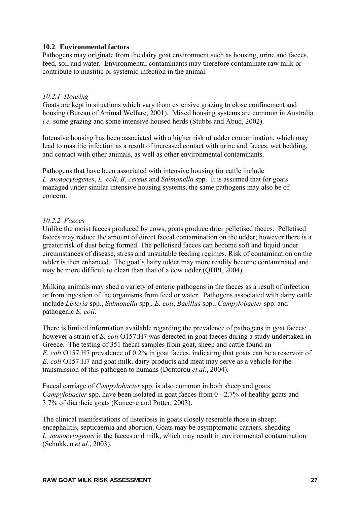#### **10.2 Environmental factors**

Pathogens may originate from the dairy goat environment such as housing, urine and faeces, feed, soil and water. Environmental contaminants may therefore contaminate raw milk or contribute to mastitic or systemic infection in the animal.

#### *10.2.1 Housing*

Goats are kept in situations which vary from extensive grazing to close confinement and housing (Bureau of Animal Welfare, 2001). Mixed housing systems are common in Australia *i.e.* some grazing and some intensive housed herds (Stubbs and Abud, 2002).

Intensive housing has been associated with a higher risk of udder contamination, which may lead to mastitic infection as a result of increased contact with urine and faeces, wet bedding, and contact with other animals, as well as other environmental contaminants.

Pathogens that have been associated with intensive housing for cattle include *L. monocytogenes*, *E. coli*, *B. cereus* and *Salmonella* spp. It is assumed that for goats managed under similar intensive housing systems, the same pathogens may also be of concern.

#### *10.2.2 Faeces*

Unlike the moist faeces produced by cows, goats produce drier pelletised faeces. Pelletised faeces may reduce the amount of direct faecal contamination on the udder; however there is a greater risk of dust being formed. The pelletised faeces can become soft and liquid under circumstances of disease, stress and unsuitable feeding regimes. Risk of contamination on the udder is then enhanced. The goat's hairy udder may more readily become contaminated and may be more difficult to clean than that of a cow udder (QDPI, 2004).

Milking animals may shed a variety of enteric pathogens in the faeces as a result of infection or from ingestion of the organisms from feed or water. Pathogens associated with dairy cattle include *Listeria* spp., *Salmonella* spp., *E. coli*, *Bacillus* spp., *Campylobacter* spp. and pathogenic *E. coli*.

There is limited information available regarding the prevalence of pathogens in goat faeces; however a strain of *E. coli* O157:H7 was detected in goat faeces during a study undertaken in Greece. The testing of 351 faecal samples from goat, sheep and cattle found an *E. coli* O157:H7 prevalence of 0.2% in goat faeces, indicating that goats can be a reservoir of *E. coli* O157:H7 and goat milk, dairy products and meat may serve as a vehicle for the transmission of this pathogen to humans (Dontorou *et al.*, 2004).

Faecal carriage of *Campylobacter* spp. is also common in both sheep and goats. *Campylobacter* spp. have been isolated in goat faeces from 0 - 2.7% of healthy goats and 3.7% of diarrheic goats (Kaneene and Potter, 2003).

The clinical manifestations of listeriosis in goats closely resemble those in sheep: encephalitis, septicaemia and abortion. Goats may be asymptomatic carriers, shedding *L. monocytogenes* in the faeces and milk, which may result in environmental contamination (Schukken *et al.*, 2003).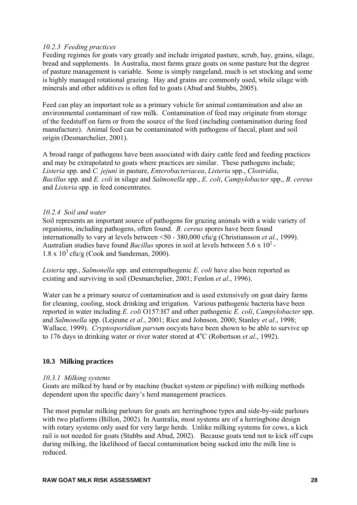#### *10.2.3 Feeding practices*

Feeding regimes for goats vary greatly and include irrigated pasture, scrub, hay, grains, silage, bread and supplements. In Australia, most farms graze goats on some pasture but the degree of pasture management is variable. Some is simply rangeland, much is set stocking and some is highly managed rotational grazing. Hay and grains are commonly used, while silage with minerals and other additives is often fed to goats (Abud and Stubbs, 2005).

Feed can play an important role as a primary vehicle for animal contamination and also an environmental contaminant of raw milk. Contamination of feed may originate from storage of the feedstuff on farm or from the source of the feed (including contamination during feed manufacture). Animal feed can be contaminated with pathogens of faecal, plant and soil origin (Desmarchelier, 2001).

A broad range of pathogens have been associated with dairy cattle feed and feeding practices and may be extrapolated to goats where practices are similar. These pathogens include; *Listeria* spp. and *C. jejuni* in pasture, *Enterobacteriacea*, *Listeria* spp., *Clostridia*, *Bacillus* spp. and *E. coli* in silage and *Salmonella* spp., *E. coli*, *Campylobacter* spp., *B. cereus*  and *Listeria* spp. in feed concentrates.

#### *10.2.4 Soil and water*

Soil represents an important source of pathogens for grazing animals with a wide variety of organisms, including pathogens, often found. *B. cereus* spores have been found internationally to vary at levels between <50 - 380,000 cfu/g (Christiansson *et al.*, 1999). Australian studies have found *Bacillus* spores in soil at levels between  $5.6 \times 10^2$  - $1.8 \times 10^3$  cfu/g (Cook and Sandeman, 2000).

*Listeria* spp., *Salmonella* spp. and enteropathogenic *E. coli* have also been reported as existing and surviving in soil (Desmarchelier, 2001; Fenlon *et al*., 1996).

Water can be a primary source of contamination and is used extensively on goat dairy farms for cleaning, cooling, stock drinking and irrigation. Various pathogenic bacteria have been reported in water including *E. coli* O157:H7 and other pathogenic *E. coli*, *Campylobacter* spp. and *Salmonella* spp. (Lejeune *et al*., 2001; Rice and Johnson, 2000; Stanley *et al*., 1998; Wallace, 1999). *Cryptosporidium parvum* oocysts have been shown to be able to survive up to 176 days in drinking water or river water stored at 4<sup>o</sup>C (Robertson *et al.*, 1992).

#### **10.3 Milking practices**

#### *10.3.1 Milking systems*

Goats are milked by hand or by machine (bucket system or pipeline) with milking methods dependent upon the specific dairy's herd management practices.

The most popular milking parlours for goats are herringbone types and side-by-side parlours with two platforms (Billon, 2002). In Australia, most systems are of a herringbone design with rotary systems only used for very large herds. Unlike milking systems for cows, a kick rail is not needed for goats (Stubbs and Abud, 2002). Because goats tend not to kick off cups during milking, the likelihood of faecal contamination being sucked into the milk line is reduced.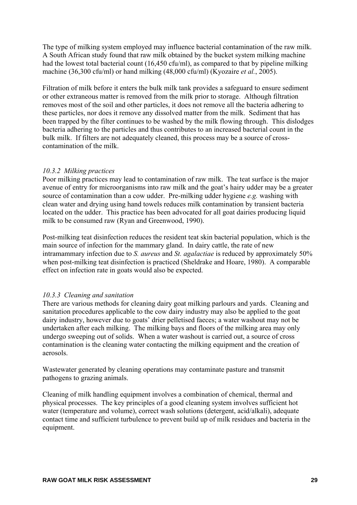The type of milking system employed may influence bacterial contamination of the raw milk. A South African study found that raw milk obtained by the bucket system milking machine had the lowest total bacterial count (16,450 cfu/ml), as compared to that by pipeline milking machine (36,300 cfu/ml) or hand milking (48,000 cfu/ml) (Kyozaire *et al.*, 2005).

Filtration of milk before it enters the bulk milk tank provides a safeguard to ensure sediment or other extraneous matter is removed from the milk prior to storage. Although filtration removes most of the soil and other particles, it does not remove all the bacteria adhering to these particles, nor does it remove any dissolved matter from the milk. Sediment that has been trapped by the filter continues to be washed by the milk flowing through. This dislodges bacteria adhering to the particles and thus contributes to an increased bacterial count in the bulk milk. If filters are not adequately cleaned, this process may be a source of crosscontamination of the milk.

#### *10.3.2 Milking practices*

Poor milking practices may lead to contamination of raw milk. The teat surface is the major avenue of entry for microorganisms into raw milk and the goat's hairy udder may be a greater source of contamination than a cow udder. Pre-milking udder hygiene *e.g.* washing with clean water and drying using hand towels reduces milk contamination by transient bacteria located on the udder. This practice has been advocated for all goat dairies producing liquid milk to be consumed raw (Ryan and Greenwood, 1990).

Post-milking teat disinfection reduces the resident teat skin bacterial population, which is the main source of infection for the mammary gland. In dairy cattle, the rate of new intramammary infection due to *S. aureus* and *St. agalactiae* is reduced by approximately 50% when post-milking teat disinfection is practiced (Sheldrake and Hoare, 1980). A comparable effect on infection rate in goats would also be expected.

#### *10.3.3 Cleaning and sanitation*

There are various methods for cleaning dairy goat milking parlours and yards. Cleaning and sanitation procedures applicable to the cow dairy industry may also be applied to the goat dairy industry, however due to goats' drier pelletised faeces; a water washout may not be undertaken after each milking. The milking bays and floors of the milking area may only undergo sweeping out of solids. When a water washout is carried out, a source of cross contamination is the cleaning water contacting the milking equipment and the creation of aerosols.

Wastewater generated by cleaning operations may contaminate pasture and transmit pathogens to grazing animals.

Cleaning of milk handling equipment involves a combination of chemical, thermal and physical processes. The key principles of a good cleaning system involves sufficient hot water (temperature and volume), correct wash solutions (detergent, acid/alkali), adequate contact time and sufficient turbulence to prevent build up of milk residues and bacteria in the equipment.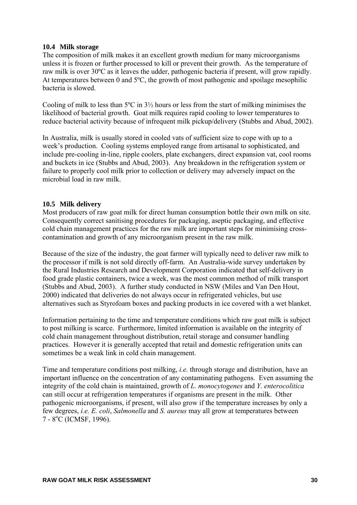#### **10.4 Milk storage**

The composition of milk makes it an excellent growth medium for many microorganisms unless it is frozen or further processed to kill or prevent their growth. As the temperature of raw milk is over 30ºC as it leaves the udder, pathogenic bacteria if present, will grow rapidly. At temperatures between 0 and 5ºC, the growth of most pathogenic and spoilage mesophilic bacteria is slowed.

Cooling of milk to less than  $5^{\circ}$ C in  $3\frac{1}{2}$  hours or less from the start of milking minimises the likelihood of bacterial growth. Goat milk requires rapid cooling to lower temperatures to reduce bacterial activity because of infrequent milk pickup/delivery (Stubbs and Abud, 2002).

In Australia, milk is usually stored in cooled vats of sufficient size to cope with up to a week's production. Cooling systems employed range from artisanal to sophisticated, and include pre-cooling in-line, ripple coolers, plate exchangers, direct expansion vat, cool rooms and buckets in ice (Stubbs and Abud, 2003). Any breakdown in the refrigeration system or failure to properly cool milk prior to collection or delivery may adversely impact on the microbial load in raw milk.

#### **10.5 Milk delivery**

Most producers of raw goat milk for direct human consumption bottle their own milk on site. Consequently correct sanitising procedures for packaging, aseptic packaging, and effective cold chain management practices for the raw milk are important steps for minimising crosscontamination and growth of any microorganism present in the raw milk.

Because of the size of the industry, the goat farmer will typically need to deliver raw milk to the processor if milk is not sold directly off-farm. An Australia-wide survey undertaken by the Rural Industries Research and Development Corporation indicated that self-delivery in food grade plastic containers, twice a week, was the most common method of milk transport (Stubbs and Abud, 2003). A further study conducted in NSW (Miles and Van Den Hout, 2000) indicated that deliveries do not always occur in refrigerated vehicles, but use alternatives such as Styrofoam boxes and packing products in ice covered with a wet blanket.

Information pertaining to the time and temperature conditions which raw goat milk is subject to post milking is scarce. Furthermore, limited information is available on the integrity of cold chain management throughout distribution, retail storage and consumer handling practices. However it is generally accepted that retail and domestic refrigeration units can sometimes be a weak link in cold chain management.

Time and temperature conditions post milking, *i.e.* through storage and distribution, have an important influence on the concentration of any contaminating pathogens. Even assuming the integrity of the cold chain is maintained, growth of *L. monocytogenes* and *Y. enterocolitica* can still occur at refrigeration temperatures if organisms are present in the milk. Other pathogenic microorganisms, if present, will also grow if the temperature increases by only a few degrees, *i.e. E. coli*, *Salmonella* and *S. aureus* may all grow at temperatures between 7 - 8<sup>o</sup>C (ICMSF, 1996).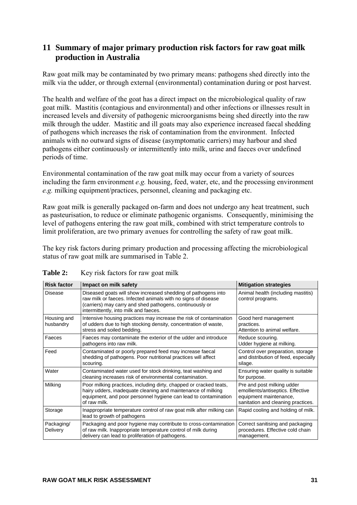# **11 Summary of major primary production risk factors for raw goat milk production in Australia**

Raw goat milk may be contaminated by two primary means: pathogens shed directly into the milk via the udder, or through external (environmental) contamination during or post harvest.

The health and welfare of the goat has a direct impact on the microbiological quality of raw goat milk. Mastitis (contagious and environmental) and other infections or illnesses result in increased levels and diversity of pathogenic microorganisms being shed directly into the raw milk through the udder. Mastitic and ill goats may also experience increased faecal shedding of pathogens which increases the risk of contamination from the environment. Infected animals with no outward signs of disease (asymptomatic carriers) may harbour and shed pathogens either continuously or intermittently into milk, urine and faeces over undefined periods of time.

Environmental contamination of the raw goat milk may occur from a variety of sources including the farm environment *e.g.* housing, feed, water, etc, and the processing environment *e.g.* milking equipment/practices, personnel, cleaning and packaging etc.

Raw goat milk is generally packaged on-farm and does not undergo any heat treatment, such as pasteurisation, to reduce or eliminate pathogenic organisms. Consequently, minimising the level of pathogens entering the raw goat milk, combined with strict temperature controls to limit proliferation, are two primary avenues for controlling the safety of raw goat milk.

The key risk factors during primary production and processing affecting the microbiological status of raw goat milk are summarised in Table 2.

| <b>Risk factor</b>       | Impact on milk safety                                                                                                                                                                                                               | <b>Mitigation strategies</b>                                                                                                    |
|--------------------------|-------------------------------------------------------------------------------------------------------------------------------------------------------------------------------------------------------------------------------------|---------------------------------------------------------------------------------------------------------------------------------|
| Disease                  | Diseased goats will show increased shedding of pathogens into<br>raw milk or faeces. Infected animals with no signs of disease<br>(carriers) may carry and shed pathogens, continuously or<br>intermittently, into milk and faeces. | Animal health (including mastitis)<br>control programs.                                                                         |
| Housing and<br>husbandry | Intensive housing practices may increase the risk of contamination<br>of udders due to high stocking density, concentration of waste,<br>stress and soiled bedding.                                                                 | Good herd management<br>practices.<br>Attention to animal welfare.                                                              |
| Faeces                   | Faeces may contaminate the exterior of the udder and introduce<br>pathogens into raw milk.                                                                                                                                          | Reduce scouring.<br>Udder hygiene at milking.                                                                                   |
| Feed                     | Contaminated or poorly prepared feed may increase faecal<br>shedding of pathogens. Poor nutritional practices will affect<br>scouring.                                                                                              | Control over preparation, storage<br>and distribution of feed, especially<br>silage.                                            |
| Water                    | Contaminated water used for stock drinking, teat washing and<br>cleaning increases risk of environmental contamination.                                                                                                             | Ensuring water quality is suitable<br>for purpose.                                                                              |
| Milking                  | Poor milking practices, including dirty, chapped or cracked teats,<br>hairy udders, inadequate cleaning and maintenance of milking<br>equipment, and poor personnel hygiene can lead to contamination<br>of raw milk.               | Pre and post milking udder<br>emollients/antiseptics. Effective<br>equipment maintenance,<br>sanitation and cleaning practices. |
| Storage                  | Inappropriate temperature control of raw goat milk after milking can<br>lead to growth of pathogens                                                                                                                                 | Rapid cooling and holding of milk.                                                                                              |
| Packaging/<br>Delivery   | Packaging and poor hygiene may contribute to cross-contamination<br>of raw milk. Inappropriate temperature control of milk during<br>delivery can lead to proliferation of pathogens.                                               | Correct sanitising and packaging<br>procedures. Effective cold chain<br>management.                                             |

**Table 2:** Key risk factors for raw goat milk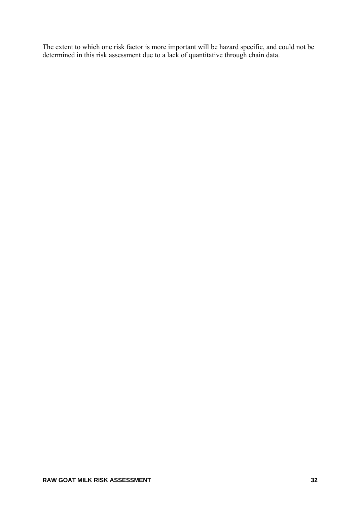The extent to which one risk factor is more important will be hazard specific, and could not be determined in this risk assessment due to a lack of quantitative through chain data.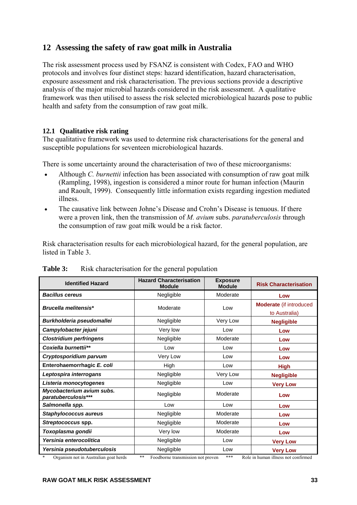# **12 Assessing the safety of raw goat milk in Australia**

The risk assessment process used by FSANZ is consistent with Codex, FAO and WHO protocols and involves four distinct steps: hazard identification, hazard characterisation, exposure assessment and risk characterisation. The previous sections provide a descriptive analysis of the major microbial hazards considered in the risk assessment. A qualitative framework was then utilised to assess the risk selected microbiological hazards pose to public health and safety from the consumption of raw goat milk.

# **12.1 Qualitative risk rating**

The qualitative framework was used to determine risk characterisations for the general and susceptible populations for seventeen microbiological hazards.

There is some uncertainty around the characterisation of two of these microorganisms:

- Although *C. burnettii* infection has been associated with consumption of raw goat milk (Rampling, 1998), ingestion is considered a minor route for human infection (Maurin and Raoult, 1999). Consequently little information exists regarding ingestion mediated illness.
- The causative link between Johne's Disease and Crohn's Disease is tenuous. If there were a proven link, then the transmission of *M. avium* subs. *paratuberculosis* through the consumption of raw goat milk would be a risk factor.

Risk characterisation results for each microbiological hazard, for the general population, are listed in Table 3.

| <b>Identified Hazard</b>                         | <b>Hazard Characterisation</b><br><b>Module</b> | <b>Exposure</b><br><b>Module</b> | <b>Risk Characterisation</b>                    |
|--------------------------------------------------|-------------------------------------------------|----------------------------------|-------------------------------------------------|
| <b>Bacillus cereus</b>                           | Negligible                                      | Moderate                         | Low                                             |
| Brucella melitensis*                             | Moderate                                        | Low                              | <b>Moderate</b> (if introduced<br>to Australia) |
| Burkholderia pseudomallei                        | Negligible                                      | Very Low                         | <b>Negligible</b>                               |
| Campylobacter jejuni                             | Very low                                        | Low                              | Low                                             |
| <b>Clostridium perfringens</b>                   | Negligible                                      | Moderate                         | Low                                             |
| Coxiella burnettii**                             | Low                                             | Low                              | Low                                             |
| Cryptosporidium parvum                           | Very Low                                        | Low                              | Low                                             |
| Enterohaemorrhagic E. coli                       | High                                            | Low                              | <b>High</b>                                     |
| Leptospira interrogans                           | Negligible                                      | Very Low                         | <b>Negligible</b>                               |
| Listeria monocytogenes                           | Negligible                                      | Low                              | <b>Very Low</b>                                 |
| Mycobacterium avium subs.<br>paratuberculosis*** | Negligible                                      | Moderate                         | Low                                             |
| Salmonella spp.                                  | Low                                             | Low                              | Low                                             |
| <b>Staphylococcus aureus</b>                     | Negligible                                      | Moderate                         | Low                                             |
| Streptococcus spp.                               | Negligible                                      | Moderate                         | Low                                             |
| Toxoplasma gondii                                | Very low                                        | Moderate                         | Low                                             |
| Yersinia enterocolitica                          | Negligible                                      | Low                              | <b>Very Low</b>                                 |
| Yersinia pseudotuberculosis                      | Negligible                                      | Low                              | <b>Very Low</b>                                 |
| Organism not in Australian goat herds<br>*       | Foodborne transmission not proven<br>**         | ***                              | Role in human illness not confirmed             |

| Table 3: | Risk characterisation for the general population |  |  |
|----------|--------------------------------------------------|--|--|
|----------|--------------------------------------------------|--|--|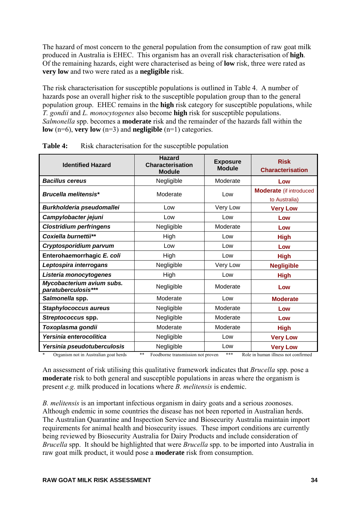The hazard of most concern to the general population from the consumption of raw goat milk produced in Australia is EHEC. This organism has an overall risk characterisation of **high**. Of the remaining hazards, eight were characterised as being of **low** risk, three were rated as **very low** and two were rated as a **negligible** risk.

The risk characterisation for susceptible populations is outlined in Table 4. A number of hazards pose an overall higher risk to the susceptible population group than to the general population group. EHEC remains in the **high** risk category for susceptible populations, while *T. gondii* and *L. monocytogenes* also become **high** risk for susceptible populations. *Salmonella* spp. becomes a **moderate** risk and the remainder of the hazards fall within the **low** (n=6), **very low** (n=3) and **negligible** (n=1) categories.

| <b>Identified Hazard</b>                         | <b>Hazard</b><br><b>Characterisation</b><br><b>Module</b> | <b>Exposure</b><br><b>Module</b> | <b>Risk</b><br><b>Characterisation</b>          |
|--------------------------------------------------|-----------------------------------------------------------|----------------------------------|-------------------------------------------------|
| <b>Bacillus cereus</b>                           | Negligible                                                | Moderate                         | Low                                             |
| Brucella melitensis*                             | Moderate                                                  | Low                              | <b>Moderate</b> (if introduced<br>to Australia) |
| <b>Burkholderia pseudomallei</b>                 | Low                                                       | Very Low                         | <b>Very Low</b>                                 |
| Campylobacter jejuni                             | Low                                                       | Low                              | Low                                             |
| <b>Clostridium perfringens</b>                   | Negligible                                                | Moderate                         | Low                                             |
| Coxiella burnettii**                             | High                                                      | Low                              | <b>High</b>                                     |
| Cryptosporidium parvum                           | Low                                                       | Low                              | Low                                             |
| Enterohaemorrhagic E. coli                       | High                                                      | Low                              | <b>High</b>                                     |
| Leptospira interrogans                           | Negligible                                                | Very Low                         | <b>Negligible</b>                               |
| Listeria monocytogenes                           | High                                                      | Low                              | <b>High</b>                                     |
| Mycobacterium avium subs.<br>paratuberculosis*** | Negligible                                                | Moderate                         | Low                                             |
| Salmonella spp.                                  | Moderate                                                  | Low                              | <b>Moderate</b>                                 |
| <b>Staphylococcus aureus</b>                     | Negligible                                                | Moderate                         | Low                                             |
| Streptococcus spp.                               | Negligible                                                | Moderate                         | Low                                             |
| Toxoplasma gondii                                | Moderate                                                  | Moderate                         | <b>High</b>                                     |
| Yersinia enterocolitica                          | Negligible                                                | Low                              | <b>Very Low</b>                                 |
| Yersinia pseudotuberculosis                      | Negligible                                                | Low                              | <b>Very Low</b>                                 |

**Table 4:** Risk characterisation for the susceptible population

\* Organism not in Australian goat herds \*\* Foodborne transmission not proven \*\*\* Role in human illness not confirmed

An assessment of risk utilising this qualitative framework indicates that *Brucella* spp. pose a **moderate** risk to both general and susceptible populations in areas where the organism is present *e.g.* milk produced in locations where *B. melitensis* is endemic.

*B. melitensis* is an important infectious organism in dairy goats and a serious zoonoses. Although endemic in some countries the disease has not been reported in Australian herds. The Australian Quarantine and Inspection Service and Biosecurity Australia maintain import requirements for animal health and biosecurity issues. These import conditions are currently being reviewed by Biosecurity Australia for Dairy Products and include consideration of *Brucella* spp. It should be highlighted that were *Brucella* spp. to be imported into Australia in raw goat milk product, it would pose a **moderate** risk from consumption.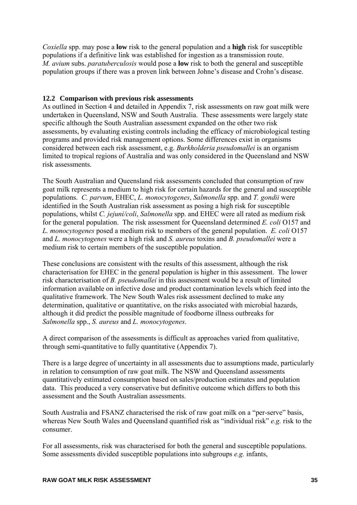*Coxiella* spp. may pose a **low** risk to the general population and a **high** risk for susceptible populations if a definitive link was established for ingestion as a transmission route. *M. avium* subs. *paratuberculosis* would pose a **low** risk to both the general and susceptible population groups if there was a proven link between Johne's disease and Crohn's disease.

# **12.2 Comparison with previous risk assessments**

As outlined in Section 4 and detailed in Appendix 7, risk assessments on raw goat milk were undertaken in Queensland, NSW and South Australia. These assessments were largely state specific although the South Australian assessment expanded on the other two risk assessments, by evaluating existing controls including the efficacy of microbiological testing programs and provided risk management options. Some differences exist in organisms considered between each risk assessment, e.g. *Burkholderia pseudomallei* is an organism limited to tropical regions of Australia and was only considered in the Queensland and NSW risk assessments.

The South Australian and Queensland risk assessments concluded that consumption of raw goat milk represents a medium to high risk for certain hazards for the general and susceptible populations. *C. parvum*, EHEC, *L. monocytogenes*, *Salmonella* spp. and *T. gondii* were identified in the South Australian risk assessment as posing a high risk for susceptible populations, whilst *C. jejuni/coli*, *Salmonella* spp. and EHEC were all rated as medium risk for the general population. The risk assessment for Queensland determined *E. coli* O157 and *L. monocytogenes* posed a medium risk to members of the general population. *E. coli* O157 and *L. monocytogenes* were a high risk and *S. aureus* toxins and *B. pseudomallei* were a medium risk to certain members of the susceptible population.

These conclusions are consistent with the results of this assessment, although the risk characterisation for EHEC in the general population is higher in this assessment. The lower risk characterisation of *B. pseudomallei* in this assessment would be a result of limited information available on infective dose and product contamination levels which feed into the qualitative framework. The New South Wales risk assessment declined to make any determination, qualitative or quantitative, on the risks associated with microbial hazards, although it did predict the possible magnitude of foodborne illness outbreaks for *Salmonella* spp., *S. aureus* and *L. monocytogenes*.

A direct comparison of the assessments is difficult as approaches varied from qualitative, through semi-quantitative to fully quantitative (Appendix 7).

There is a large degree of uncertainty in all assessments due to assumptions made, particularly in relation to consumption of raw goat milk. The NSW and Queensland assessments quantitatively estimated consumption based on sales/production estimates and population data. This produced a very conservative but definitive outcome which differs to both this assessment and the South Australian assessments.

South Australia and FSANZ characterised the risk of raw goat milk on a "per-serve" basis, whereas New South Wales and Queensland quantified risk as "individual risk" *e.g.* risk to the consumer.

For all assessments, risk was characterised for both the general and susceptible populations. Some assessments divided susceptible populations into subgroups *e.g.* infants,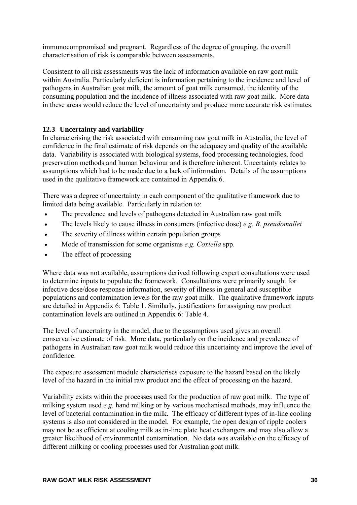immunocompromised and pregnant. Regardless of the degree of grouping, the overall characterisation of risk is comparable between assessments.

Consistent to all risk assessments was the lack of information available on raw goat milk within Australia. Particularly deficient is information pertaining to the incidence and level of pathogens in Australian goat milk, the amount of goat milk consumed, the identity of the consuming population and the incidence of illness associated with raw goat milk. More data in these areas would reduce the level of uncertainty and produce more accurate risk estimates.

# **12.3 Uncertainty and variability**

In characterising the risk associated with consuming raw goat milk in Australia, the level of confidence in the final estimate of risk depends on the adequacy and quality of the available data. Variability is associated with biological systems, food processing technologies, food preservation methods and human behaviour and is therefore inherent. Uncertainty relates to assumptions which had to be made due to a lack of information. Details of the assumptions used in the qualitative framework are contained in Appendix 6.

There was a degree of uncertainty in each component of the qualitative framework due to limited data being available. Particularly in relation to:

- The prevalence and levels of pathogens detected in Australian raw goat milk
- The levels likely to cause illness in consumers (infective dose) *e.g. B. pseudomallei*
- The severity of illness within certain population groups
- Mode of transmission for some organisms *e.g. Coxiella* spp.
- The effect of processing

Where data was not available, assumptions derived following expert consultations were used to determine inputs to populate the framework. Consultations were primarily sought for infective dose/dose response information, severity of illness in general and susceptible populations and contamination levels for the raw goat milk. The qualitative framework inputs are detailed in Appendix 6: Table 1. Similarly, justifications for assigning raw product contamination levels are outlined in Appendix 6: Table 4.

The level of uncertainty in the model, due to the assumptions used gives an overall conservative estimate of risk. More data, particularly on the incidence and prevalence of pathogens in Australian raw goat milk would reduce this uncertainty and improve the level of confidence.

The exposure assessment module characterises exposure to the hazard based on the likely level of the hazard in the initial raw product and the effect of processing on the hazard.

Variability exists within the processes used for the production of raw goat milk. The type of milking system used *e.g.* hand milking or by various mechanised methods, may influence the level of bacterial contamination in the milk. The efficacy of different types of in-line cooling systems is also not considered in the model. For example, the open design of ripple coolers may not be as efficient at cooling milk as in-line plate heat exchangers and may also allow a greater likelihood of environmental contamination. No data was available on the efficacy of different milking or cooling processes used for Australian goat milk.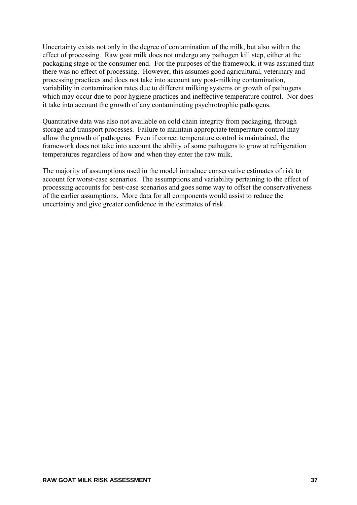Uncertainty exists not only in the degree of contamination of the milk, but also within the effect of processing. Raw goat milk does not undergo any pathogen kill step, either at the packaging stage or the consumer end. For the purposes of the framework, it was assumed that there was no effect of processing. However, this assumes good agricultural, veterinary and processing practices and does not take into account any post-milking contamination, variability in contamination rates due to different milking systems or growth of pathogens which may occur due to poor hygiene practices and ineffective temperature control. Nor does it take into account the growth of any contaminating psychrotrophic pathogens.

Quantitative data was also not available on cold chain integrity from packaging, through storage and transport processes. Failure to maintain appropriate temperature control may allow the growth of pathogens. Even if correct temperature control is maintained, the framework does not take into account the ability of some pathogens to grow at refrigeration temperatures regardless of how and when they enter the raw milk.

The majority of assumptions used in the model introduce conservative estimates of risk to account for worst-case scenarios. The assumptions and variability pertaining to the effect of processing accounts for best-case scenarios and goes some way to offset the conservativeness of the earlier assumptions. More data for all components would assist to reduce the uncertainty and give greater confidence in the estimates of risk.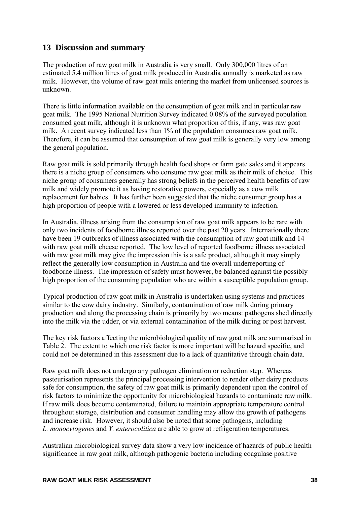# **13 Discussion and summary**

The production of raw goat milk in Australia is very small. Only 300,000 litres of an estimated 5.4 million litres of goat milk produced in Australia annually is marketed as raw milk. However, the volume of raw goat milk entering the market from unlicensed sources is unknown.

There is little information available on the consumption of goat milk and in particular raw goat milk. The 1995 National Nutrition Survey indicated 0.08% of the surveyed population consumed goat milk, although it is unknown what proportion of this, if any, was raw goat milk. A recent survey indicated less than 1% of the population consumes raw goat milk. Therefore, it can be assumed that consumption of raw goat milk is generally very low among the general population.

Raw goat milk is sold primarily through health food shops or farm gate sales and it appears there is a niche group of consumers who consume raw goat milk as their milk of choice. This niche group of consumers generally has strong beliefs in the perceived health benefits of raw milk and widely promote it as having restorative powers, especially as a cow milk replacement for babies. It has further been suggested that the niche consumer group has a high proportion of people with a lowered or less developed immunity to infection.

In Australia, illness arising from the consumption of raw goat milk appears to be rare with only two incidents of foodborne illness reported over the past 20 years. Internationally there have been 19 outbreaks of illness associated with the consumption of raw goat milk and 14 with raw goat milk cheese reported. The low level of reported foodborne illness associated with raw goat milk may give the impression this is a safe product, although it may simply reflect the generally low consumption in Australia and the overall underreporting of foodborne illness. The impression of safety must however, be balanced against the possibly high proportion of the consuming population who are within a susceptible population group.

Typical production of raw goat milk in Australia is undertaken using systems and practices similar to the cow dairy industry. Similarly, contamination of raw milk during primary production and along the processing chain is primarily by two means: pathogens shed directly into the milk via the udder, or via external contamination of the milk during or post harvest.

The key risk factors affecting the microbiological quality of raw goat milk are summarised in Table 2. The extent to which one risk factor is more important will be hazard specific, and could not be determined in this assessment due to a lack of quantitative through chain data.

Raw goat milk does not undergo any pathogen elimination or reduction step. Whereas pasteurisation represents the principal processing intervention to render other dairy products safe for consumption, the safety of raw goat milk is primarily dependent upon the control of risk factors to minimize the opportunity for microbiological hazards to contaminate raw milk. If raw milk does become contaminated, failure to maintain appropriate temperature control throughout storage, distribution and consumer handling may allow the growth of pathogens and increase risk. However, it should also be noted that some pathogens, including *L. monocytogenes* and *Y. enterocolitica* are able to grow at refrigeration temperatures.

Australian microbiological survey data show a very low incidence of hazards of public health significance in raw goat milk, although pathogenic bacteria including coagulase positive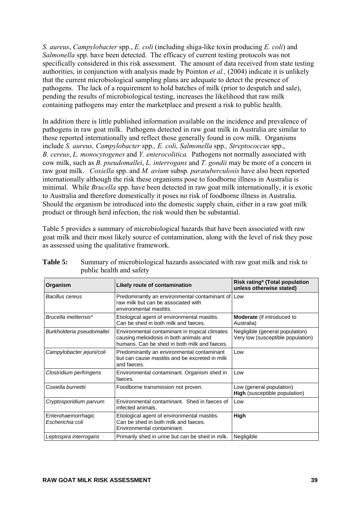*S. aureus*, *Campylobacter* spp., *E. coli* (including shiga-like toxin producing *E. coli*) and *Salmonella* spp. have been detected. The efficacy of current testing protocols was not specifically considered in this risk assessment. The amount of data received from state testing authorities, in conjunction with analysis made by Pointon *et al.,* (2004) indicate it is unlikely that the current microbiological sampling plans are adequate to detect the presence of pathogens. The lack of a requirement to hold batches of milk (prior to despatch and sale), pending the results of microbiological testing, increases the likelihood that raw milk containing pathogens may enter the marketplace and present a risk to public health.

In addition there is little published information available on the incidence and prevalence of pathogens in raw goat milk. Pathogens detected in raw goat milk in Australia are similar to those reported internationally and reflect those generally found in cow milk. Organisms include *S. aureus, Campylobacter* spp.*, E. coli, Salmonella* spp.*, Streptococcus* spp., *B. cereus*, *L. monocytogenes* and *Y. enterocolitica.* Pathogens not normally associated with cow milk, such as *B. pseudomallei*, *L. interrogans* and *T. gondii* may be more of a concern in raw goat milk. *Coxiella* spp. and *M. avium* subsp. *paratuberculosis* have also been reported internationally although the risk these organisms pose to foodborne illness in Australia is minimal. While *Brucella* spp. have been detected in raw goat milk internationally, it is exotic to Australia and therefore domestically it poses no risk of foodborne illness in Australia. Should the organism be introduced into the domestic supply chain, either in a raw goat milk product or through herd infection, the risk would then be substantial.

Table 5 provides a summary of microbiological hazards that have been associated with raw goat milk and their most likely source of contamination, along with the level of risk they pose as assessed using the qualitative framework.

| Organism                               | Likely route of contamination                                                                                                             | Risk rating* (Total population<br>unless otherwise stated)           |
|----------------------------------------|-------------------------------------------------------------------------------------------------------------------------------------------|----------------------------------------------------------------------|
| Bacillus cereus                        | Predominantly an environmental contaminant of Low<br>raw milk but can be associated with<br>environmental mastitis.                       |                                                                      |
| Brucella melitensis*                   | Etiological agent of environmental mastitis.<br>Can be shed in both milk and faeces.                                                      | <b>Moderate</b> (if introduced to<br>Australia)                      |
| Burkholderia pseudomallei              | Environmental contaminant in tropical climates<br>causing melioidosis in both animals and<br>humans. Can be shed in both milk and faeces. | Negligible (general population)<br>Very low (susceptible population) |
| Campylobacter jejuni/coli              | Predominantly an environmental contaminant<br>but can cause mastitis and be excreted in milk<br>and faeces.                               | Low                                                                  |
| Clostridium perfringens                | Environmental contaminant. Organism shed in<br>faeces.                                                                                    | Low                                                                  |
| Coxiella burnettii                     | Foodborne transmission not proven.                                                                                                        | Low (general population)<br><b>High</b> (susceptible population)     |
| Cryptosporidium parvum                 | Environmental contaminant. Shed in faeces of<br>infected animals.                                                                         | Low                                                                  |
| Enterohaemorrhagic<br>Escherichia coli | Etiological agent of environmental mastitis.<br>Can be shed in both milk and faeces.<br>Environmental contaminant.                        | High                                                                 |
| Leptospira interrogans                 | Primarily shed in urine but can be shed in milk.                                                                                          | Negligible                                                           |

**Table 5:** Summary of microbiological hazards associated with raw goat milk and risk to public health and safety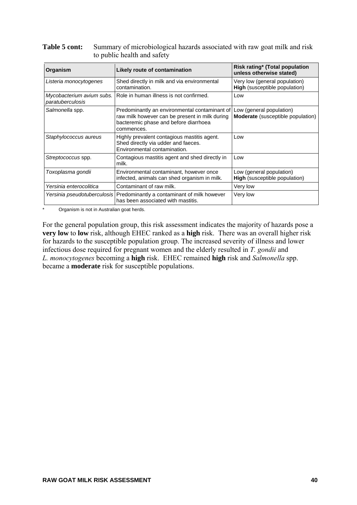**Table 5 cont:** Summary of microbiological hazards associated with raw goat milk and risk to public health and safety

| Organism                                      | Likely route of contamination                                                                                                                          | Risk rating* (Total population<br>unless otherwise stated)            |
|-----------------------------------------------|--------------------------------------------------------------------------------------------------------------------------------------------------------|-----------------------------------------------------------------------|
| Listeria monocytogenes                        | Shed directly in milk and via environmental<br>contamination.                                                                                          | Very low (general population)<br><b>High</b> (susceptible population) |
| Mycobacterium avium subs.<br>paratuberculosis | Role in human illness is not confirmed.                                                                                                                | Low                                                                   |
| Salmonella spp.                               | Predominantly an environmental contaminant of<br>raw milk however can be present in milk during<br>bacteremic phase and before diarrhoea<br>commences. | Low (general population)<br><b>Moderate</b> (susceptible population)  |
| Staphylococcus aureus                         | Highly prevalent contagious mastitis agent.<br>Shed directly via udder and faeces.<br>Environmental contamination.                                     | Low                                                                   |
| Streptococcus spp.                            | Contagious mastitis agent and shed directly in<br>milk.                                                                                                | Low                                                                   |
| Toxoplasma gondii                             | Environmental contaminant, however once<br>infected, animals can shed organism in milk.                                                                | Low (general population)<br><b>High</b> (susceptible population)      |
| Yersinia enterocolitica                       | Contaminant of raw milk.                                                                                                                               | Very low                                                              |
| Yersinia pseudotuberculosis                   | Predominantly a contaminant of milk however<br>has been associated with mastitis.                                                                      | Very low                                                              |

\* Organism is not in Australian goat herds.

For the general population group, this risk assessment indicates the majority of hazards pose a **very low** to **low** risk, although EHEC ranked as a **high** risk. There was an overall higher risk for hazards to the susceptible population group. The increased severity of illness and lower infectious dose required for pregnant women and the elderly resulted in *T. gondii* and *L. monocytogenes* becoming a **high** risk. EHEC remained **high** risk and *Salmonella* spp. became a **moderate** risk for susceptible populations.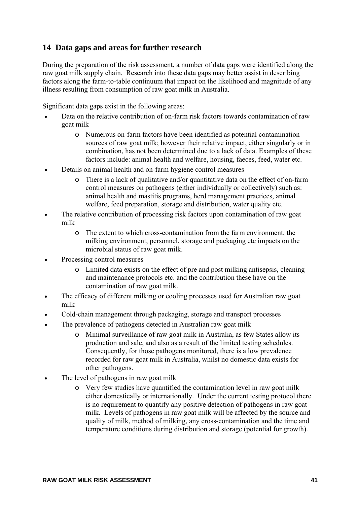# **14 Data gaps and areas for further research**

During the preparation of the risk assessment, a number of data gaps were identified along the raw goat milk supply chain. Research into these data gaps may better assist in describing factors along the farm-to-table continuum that impact on the likelihood and magnitude of any illness resulting from consumption of raw goat milk in Australia.

Significant data gaps exist in the following areas:

- Data on the relative contribution of on-farm risk factors towards contamination of raw goat milk
	- o Numerous on-farm factors have been identified as potential contamination sources of raw goat milk; however their relative impact, either singularly or in combination, has not been determined due to a lack of data. Examples of these factors include: animal health and welfare, housing, faeces, feed, water etc.
- Details on animal health and on-farm hygiene control measures
	- o There is a lack of qualitative and/or quantitative data on the effect of on-farm control measures on pathogens (either individually or collectively) such as: animal health and mastitis programs, herd management practices, animal welfare, feed preparation, storage and distribution, water quality etc.
- The relative contribution of processing risk factors upon contamination of raw goat milk
	- o The extent to which cross-contamination from the farm environment, the milking environment, personnel, storage and packaging etc impacts on the microbial status of raw goat milk.
- Processing control measures
	- o Limited data exists on the effect of pre and post milking antisepsis, cleaning and maintenance protocols etc. and the contribution these have on the contamination of raw goat milk.
- The efficacy of different milking or cooling processes used for Australian raw goat milk
- Cold-chain management through packaging, storage and transport processes
- The prevalence of pathogens detected in Australian raw goat milk
	- o Minimal surveillance of raw goat milk in Australia, as few States allow its production and sale, and also as a result of the limited testing schedules. Consequently, for those pathogens monitored, there is a low prevalence recorded for raw goat milk in Australia, whilst no domestic data exists for other pathogens.
- The level of pathogens in raw goat milk
	- o Very few studies have quantified the contamination level in raw goat milk either domestically or internationally. Under the current testing protocol there is no requirement to quantify any positive detection of pathogens in raw goat milk. Levels of pathogens in raw goat milk will be affected by the source and quality of milk, method of milking, any cross-contamination and the time and temperature conditions during distribution and storage (potential for growth).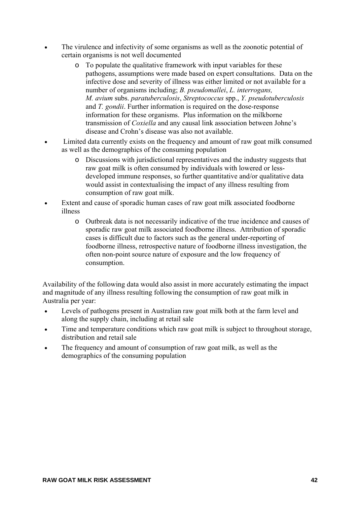- The virulence and infectivity of some organisms as well as the zoonotic potential of certain organisms is not well documented
	- o To populate the qualitative framework with input variables for these pathogens, assumptions were made based on expert consultations. Data on the infective dose and severity of illness was either limited or not available for a number of organisms including; *B. pseudomallei*, *L. interrogans, M. avium* subs. *paratuberculosis*, *Streptococcus* spp., *Y. pseudotuberculosis* and *T. gondii*. Further information is required on the dose-response information for these organisms. Plus information on the milkborne transmission of *Coxiella* and any causal link association between Johne's disease and Crohn's disease was also not available.
- Limited data currently exists on the frequency and amount of raw goat milk consumed as well as the demographics of the consuming population
	- o Discussions with jurisdictional representatives and the industry suggests that raw goat milk is often consumed by individuals with lowered or lessdeveloped immune responses, so further quantitative and/or qualitative data would assist in contextualising the impact of any illness resulting from consumption of raw goat milk.
- Extent and cause of sporadic human cases of raw goat milk associated foodborne illness
	- o Outbreak data is not necessarily indicative of the true incidence and causes of sporadic raw goat milk associated foodborne illness. Attribution of sporadic cases is difficult due to factors such as the general under-reporting of foodborne illness, retrospective nature of foodborne illness investigation, the often non-point source nature of exposure and the low frequency of consumption.

Availability of the following data would also assist in more accurately estimating the impact and magnitude of any illness resulting following the consumption of raw goat milk in Australia per year:

- Levels of pathogens present in Australian raw goat milk both at the farm level and along the supply chain, including at retail sale
- Time and temperature conditions which raw goat milk is subject to throughout storage, distribution and retail sale
- The frequency and amount of consumption of raw goat milk, as well as the demographics of the consuming population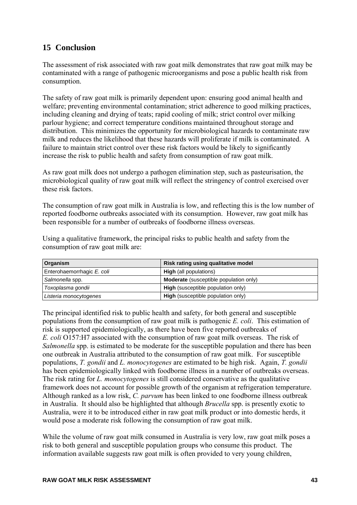# **15 Conclusion**

The assessment of risk associated with raw goat milk demonstrates that raw goat milk may be contaminated with a range of pathogenic microorganisms and pose a public health risk from consumption.

The safety of raw goat milk is primarily dependent upon: ensuring good animal health and welfare; preventing environmental contamination; strict adherence to good milking practices, including cleaning and drying of teats; rapid cooling of milk; strict control over milking parlour hygiene; and correct temperature conditions maintained throughout storage and distribution. This minimizes the opportunity for microbiological hazards to contaminate raw milk and reduces the likelihood that these hazards will proliferate if milk is contaminated. A failure to maintain strict control over these risk factors would be likely to significantly increase the risk to public health and safety from consumption of raw goat milk.

As raw goat milk does not undergo a pathogen elimination step, such as pasteurisation, the microbiological quality of raw goat milk will reflect the stringency of control exercised over these risk factors.

The consumption of raw goat milk in Australia is low, and reflecting this is the low number of reported foodborne outbreaks associated with its consumption. However, raw goat milk has been responsible for a number of outbreaks of foodborne illness overseas.

| Organism                   | Risk rating using qualitative model           |
|----------------------------|-----------------------------------------------|
| Enterohaemorrhagic E. coli | <b>High</b> (all populations)                 |
| Salmonella spp.            | <b>Moderate</b> (susceptible population only) |
| Toxoplasma gondii          | <b>High</b> (susceptible population only)     |
| Listeria monocytogenes     | High (susceptible population only)            |

Using a qualitative framework, the principal risks to public health and safety from the consumption of raw goat milk are:

The principal identified risk to public health and safety, for both general and susceptible populations from the consumption of raw goat milk is pathogenic *E. coli*. This estimation of risk is supported epidemiologically, as there have been five reported outbreaks of *E. coli* O157:H7 associated with the consumption of raw goat milk overseas. The risk of *Salmonella* spp. is estimated to be moderate for the susceptible population and there has been one outbreak in Australia attributed to the consumption of raw goat milk. For susceptible populations, *T. gondii* and *L. monocytogenes* are estimated to be high risk. Again, *T. gondii* has been epidemiologically linked with foodborne illness in a number of outbreaks overseas. The risk rating for *L. monocytogenes* is still considered conservative as the qualitative framework does not account for possible growth of the organism at refrigeration temperature. Although ranked as a low risk, *C. parvum* has been linked to one foodborne illness outbreak in Australia. It should also be highlighted that although *Brucella* spp. is presently exotic to Australia, were it to be introduced either in raw goat milk product or into domestic herds, it would pose a moderate risk following the consumption of raw goat milk.

While the volume of raw goat milk consumed in Australia is very low, raw goat milk poses a risk to both general and susceptible population groups who consume this product. The information available suggests raw goat milk is often provided to very young children,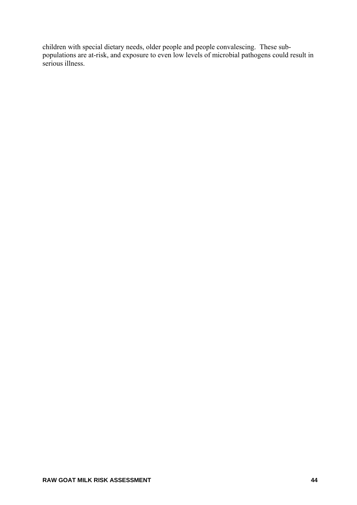children with special dietary needs, older people and people convalescing. These subpopulations are at-risk, and exposure to even low levels of microbial pathogens could result in serious illness.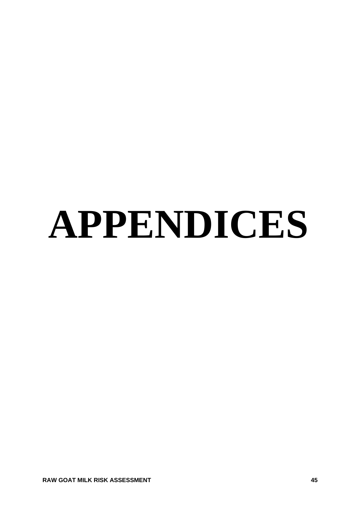# **APPENDICES**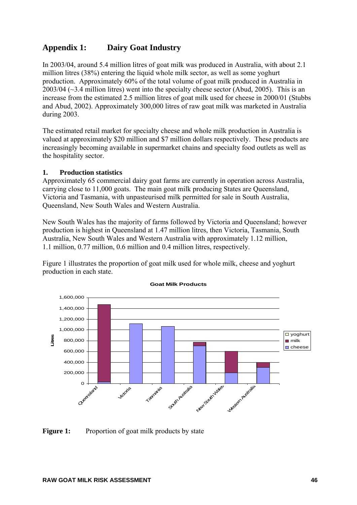# **Appendix 1: Dairy Goat Industry**

In 2003/04, around 5.4 million litres of goat milk was produced in Australia, with about 2.1 million litres (38%) entering the liquid whole milk sector, as well as some yoghurt production. Approximately 60% of the total volume of goat milk produced in Australia in 2003/04 (~3.4 million litres) went into the specialty cheese sector (Abud, 2005). This is an increase from the estimated 2.5 million litres of goat milk used for cheese in 2000/01 (Stubbs and Abud, 2002). Approximately 300,000 litres of raw goat milk was marketed in Australia during 2003.

The estimated retail market for specialty cheese and whole milk production in Australia is valued at approximately \$20 million and \$7 million dollars respectively. These products are increasingly becoming available in supermarket chains and specialty food outlets as well as the hospitality sector.

## **1. Production statistics**

Approximately 65 commercial dairy goat farms are currently in operation across Australia, carrying close to 11,000 goats. The main goat milk producing States are Queensland, Victoria and Tasmania, with unpasteurised milk permitted for sale in South Australia, Queensland, New South Wales and Western Australia.

New South Wales has the majority of farms followed by Victoria and Queensland; however production is highest in Queensland at 1.47 million litres, then Victoria, Tasmania, South Australia, New South Wales and Western Australia with approximately 1.12 million, 1.1 million, 0.77 million, 0.6 million and 0.4 million litres, respectively.

Figure 1 illustrates the proportion of goat milk used for whole milk, cheese and yoghurt production in each state.



**Goat Milk Products**

**Figure 1:** Proportion of goat milk products by state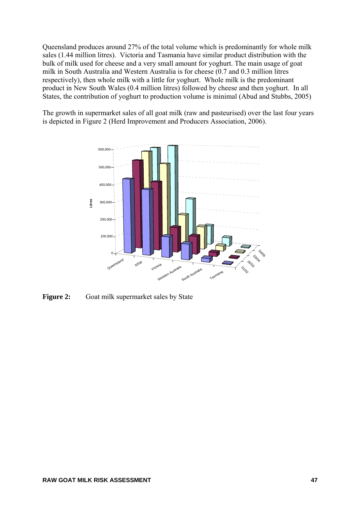Queensland produces around 27% of the total volume which is predominantly for whole milk sales (1.44 million litres). Victoria and Tasmania have similar product distribution with the bulk of milk used for cheese and a very small amount for yoghurt. The main usage of goat milk in South Australia and Western Australia is for cheese (0.7 and 0.3 million litres respectively), then whole milk with a little for yoghurt. Whole milk is the predominant product in New South Wales (0.4 million litres) followed by cheese and then yoghurt. In all States, the contribution of yoghurt to production volume is minimal (Abud and Stubbs, 2005)

The growth in supermarket sales of all goat milk (raw and pasteurised) over the last four years is depicted in Figure 2 (Herd Improvement and Producers Association, 2006).



**Figure 2:** Goat milk supermarket sales by State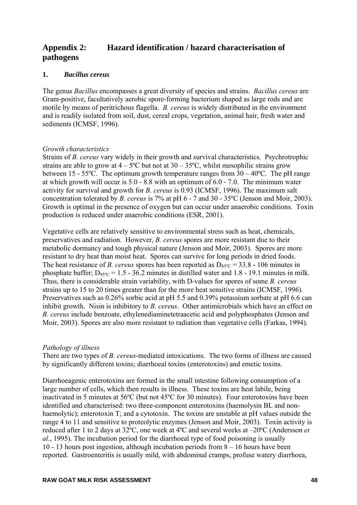# **Appendix 2: Hazard identification / hazard characterisation of pathogens**

## **1.** *Bacillus cereus*

The genus *Bacillus* encompasses a great diversity of species and strains. *Bacillus cereus* are Gram-positive, facultatively aerobic spore-forming bacterium shaped as large rods and are motile by means of peritrichous flagella. *B. cereus* is widely distributed in the environment and is readily isolated from soil, dust, cereal crops, vegetation, animal hair, fresh water and sediments (ICMSF, 1996).

## *Growth characteristics*

Strains of *B. cereus* vary widely in their growth and survival characteristics. Psychrotrophic strains are able to grow at  $4 - 5^{\circ}$ C but not at  $30 - 35^{\circ}$ C, whilst mesophilic strains grow between 15 - 55ºC. The optimum growth temperature ranges from 30 – 40ºC. The pH range at which growth will occur is 5.0 - 8.8 with an optimum of 6.0 - 7.0. The minimum water activity for survival and growth for *B. cereus* is 0.93 (ICMSF, 1996). The maximum salt concentration tolerated by *B. cereus* is 7% at pH 6 - 7 and 30 - 35ºC (Jenson and Moir, 2003). Growth is optimal in the presence of oxygen but can occur under anaerobic conditions. Toxin production is reduced under anaerobic conditions (ESR, 2001).

Vegetative cells are relatively sensitive to environmental stress such as heat, chemicals, preservatives and radiation. However, *B. cereus* spores are more resistant due to their metabolic dormancy and tough physical nature (Jenson and Moir, 2003). Spores are more resistant to dry heat than moist heat. Spores can survive for long periods in dried foods. The heat resistance of *B. cereus* spores has been reported as  $D_{85\degree C} = 33.8 - 106$  minutes in phosphate buffer;  $D_{95^{\circ}C} = 1.5 - 36.2$  minutes in distilled water and 1.8 - 19.1 minutes in milk. Thus, there is considerable strain variability, with D-values for spores of some *B. cereus* strains up to 15 to 20 times greater than for the more heat sensitive strains (ICMSF, 1996). Preservatives such as 0.26% sorbic acid at pH 5.5 and 0.39% potassium sorbate at pH 6.6 can inhibit growth. Nisin is inhibitory to *B. cereus*. Other antimicrobials which have an effect on *B. cereus* include benzoate, ethylenediaminetetraacetic acid and polyphosphates (Jenson and Moir, 2003). Spores are also more resistant to radiation than vegetative cells (Farkas, 1994).

# *Pathology of illness*

There are two types of *B. cereus*-mediated intoxications. The two forms of illness are caused by significantly different toxins; diarrhoeal toxins (enterotoxins) and emetic toxins.

Diarrhoeagenic enterotoxins are formed in the small intestine following consumption of a large number of cells, which then results in illness. These toxins are heat labile, being inactivated in 5 minutes at 56ºC (but not 45ºC for 30 minutes). Four enterotoxins have been identified and characterised: two three-component enterotoxins (haemolysin BL and nonhaemolytic); enterotoxin T; and a cytotoxin. The toxins are unstable at pH values outside the range 4 to 11 and sensitive to proteolytic enzymes (Jenson and Moir, 2003). Toxin activity is reduced after 1 to 2 days at 32ºC, one week at 4ºC and several weeks at –20ºC (Andersson *et al.*, 1995). The incubation period for the diarrhoeal type of food poisoning is usually 10 - 13 hours post ingestion, although incubation periods from 8 – 16 hours have been reported. Gastroenteritis is usually mild, with abdominal cramps, profuse watery diarrhoea,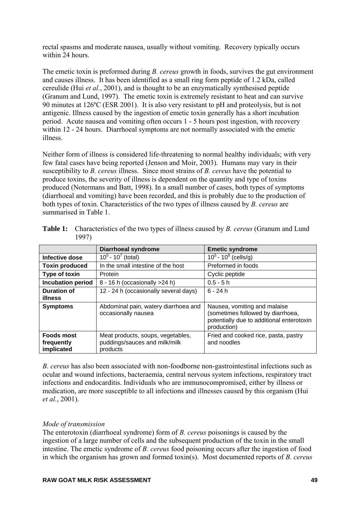rectal spasms and moderate nausea, usually without vomiting. Recovery typically occurs within 24 hours.

The emetic toxin is preformed during *B. cereus* growth in foods, survives the gut environment and causes illness. It has been identified as a small ring form peptide of 1.2 kDa, called cereulide (Hui *et al.*, 2001), and is thought to be an enzymatically synthesised peptide (Granum and Lund, 1997). The emetic toxin is extremely resistant to heat and can survive 90 minutes at 126ºC (ESR 2001). It is also very resistant to pH and proteolysis, but is not antigenic. Illness caused by the ingestion of emetic toxin generally has a short incubation period. Acute nausea and vomiting often occurs 1 - 5 hours post ingestion, with recovery within 12 - 24 hours. Diarrhoeal symptoms are not normally associated with the emetic illness.

Neither form of illness is considered life-threatening to normal healthy individuals; with very few fatal cases have being reported (Jenson and Moir, 2003). Humans may vary in their susceptibility to *B. cereus* illness. Since most strains of *B. cereus* have the potential to produce toxins, the severity of illness is dependent on the quantity and type of toxins produced (Notermans and Batt, 1998). In a small number of cases, both types of symptoms (diarrhoeal and vomiting) have been recorded, and this is probably due to the production of both types of toxin. Characteristics of the two types of illness caused by *B. cereus* are summarised in Table 1.

|                                               | Diarrhoeal syndrome                                                            | <b>Emetic syndrome</b>                                                                                                        |
|-----------------------------------------------|--------------------------------------------------------------------------------|-------------------------------------------------------------------------------------------------------------------------------|
| Infective dose                                | $10^5 - 10^7$ (total)                                                          | $\frac{10^5 - 10^8}{2}$ (cells/g)                                                                                             |
| <b>Toxin produced</b>                         | In the small intestine of the host                                             | Preformed in foods                                                                                                            |
| <b>Type of toxin</b>                          | Protein                                                                        | Cyclic peptide                                                                                                                |
| <b>Incubation period</b>                      | 8 - 16 h (occasionally > 24 h)                                                 | $0.5 - 5h$                                                                                                                    |
| <b>Duration of</b><br>illness                 | 12 - 24 h (occasionally several days)                                          | $6 - 24h$                                                                                                                     |
| <b>Symptoms</b>                               | Abdominal pain, watery diarrhoea and<br>occasionally nausea                    | Nausea, vomiting and malaise<br>(sometimes followed by diarrhoea,<br>potentially due to additional enterotoxin<br>production) |
| <b>Foods most</b><br>frequently<br>implicated | Meat products, soups, vegetables,<br>puddings/sauces and milk/milk<br>products | Fried and cooked rice, pasta, pastry<br>and noodles                                                                           |

**Table 1:** Characteristics of the two types of illness caused by *B. cereus* (Granum and Lund 1997)

*B. cereus* has also been associated with non-foodborne non-gastrointestinal infections such as ocular and wound infections, bacteraemia, central nervous system infections, respiratory tract infections and endocarditis. Individuals who are immunocompromised, either by illness or medication, are more susceptible to all infections and illnesses caused by this organism (Hui *et al.*, 2001).

#### *Mode of transmission*

The enterotoxin (diarrhoeal syndrome) form of *B. cereus* poisonings is caused by the ingestion of a large number of cells and the subsequent production of the toxin in the small intestine. The emetic syndrome of *B. cereus* food poisoning occurs after the ingestion of food in which the organism has grown and formed toxin(s). Most documented reports of *B. cereus*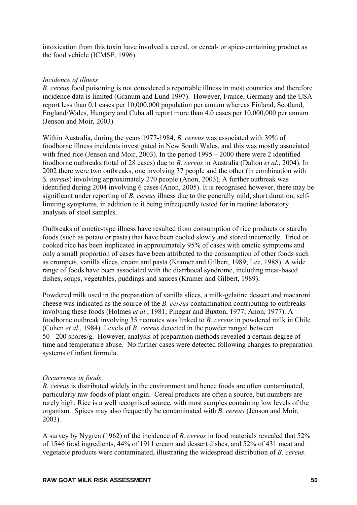intoxication from this toxin have involved a cereal, or cereal- or spice-containing product as the food vehicle (ICMSF, 1996).

#### *Incidence of illness*

*B. cereus* food poisoning is not considered a reportable illness in most countries and therefore incidence data is limited (Granum and Lund 1997). However, France, Germany and the USA report less than 0.1 cases per 10,000,000 population per annum whereas Finland, Scotland, England/Wales, Hungary and Cuba all report more than 4.0 cases per 10,000,000 per annum (Jenson and Moir, 2003).

Within Australia, during the years 1977-1984, *B. cereus* was associated with 39% of foodborne illness incidents investigated in New South Wales, and this was mostly associated with fried rice (Jenson and Moir, 2003). In the period  $1995 - 2000$  there were 2 identified foodborne outbreaks (total of 28 cases) due to *B. cereus* in Australia (Dalton *et al.*, 2004). In 2002 there were two outbreaks, one involving 37 people and the other (in combination with *S. aureus*) involving approximately 270 people (Anon, 2003). A further outbreak was identified during 2004 involving 6 cases (Anon, 2005). It is recognised however, there may be significant under reporting of *B. cereus* illness due to the generally mild, short duration, selflimiting symptoms, in addition to it being infrequently tested for in routine laboratory analyses of stool samples.

Outbreaks of emetic-type illness have resulted from consumption of rice products or starchy foods (such as potato or pasta) that have been cooled slowly and stored incorrectly. Fried or cooked rice has been implicated in approximately 95% of cases with emetic symptoms and only a small proportion of cases have been attributed to the consumption of other foods such as crumpets, vanilla slices, cream and pasta (Kramer and Gilbert, 1989; Lee, 1988). A wide range of foods have been associated with the diarrhoeal syndrome, including meat-based dishes, soups, vegetables, puddings and sauces (Kramer and Gilbert, 1989).

Powdered milk used in the preparation of vanilla slices, a milk-gelatine dessert and macaroni cheese was indicated as the source of the *B. cereus* contamination contributing to outbreaks involving these foods (Holmes *et al.*, 1981; Pinegar and Buxton, 1977; Anon, 1977). A foodborne outbreak involving 35 neonates was linked to *B. cereus* in powdered milk in Chile (Cohen *et al.*, 1984). Levels of *B. cereus* detected in the powder ranged between 50 - 200 spores/g. However, analysis of preparation methods revealed a certain degree of time and temperature abuse. No further cases were detected following changes to preparation systems of infant formula.

#### *Occurrence in foods*

*B. cereus* is distributed widely in the environment and hence foods are often contaminated, particularly raw foods of plant origin. Cereal products are often a source, but numbers are rarely high. Rice is a well recognised source, with most samples containing low levels of the organism. Spices may also frequently be contaminated with *B. cereus* (Jenson and Moir, 2003).

A survey by Nygren (1962) of the incidence of *B. cereus* in food materials revealed that 52% of 1546 food ingredients, 44% of 1911 cream and dessert dishes, and 52% of 431 meat and vegetable products were contaminated, illustrating the widespread distribution of *B. cereus*.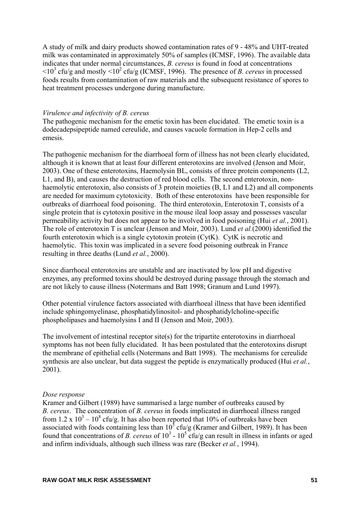A study of milk and dairy products showed contamination rates of 9 - 48% and UHT-treated milk was contaminated in approximately 50% of samples (ICMSF, 1996). The available data indicates that under normal circumstances, *B. cereus* is found in food at concentrations  $\langle 10^3 \text{ cftu/g}$  and mostly  $\langle 10^2 \text{ cftu/g}$  (ICMSF, 1996). The presence of *B. cereus* in processed foods results from contamination of raw materials and the subsequent resistance of spores to heat treatment processes undergone during manufacture.

## *Virulence and infectivity of B. cereus*

The pathogenic mechanism for the emetic toxin has been elucidated. The emetic toxin is a dodecadepsipeptide named cereulide, and causes vacuole formation in Hep-2 cells and emesis.

The pathogenic mechanism for the diarrhoeal form of illness has not been clearly elucidated, although it is known that at least four different enterotoxins are involved (Jenson and Moir, 2003). One of these enterotoxins, Haemolysin BL, consists of three protein components (L2, L1, and B), and causes the destruction of red blood cells. The second enterotoxin, nonhaemolytic enterotoxin, also consists of 3 protein moieties (B, L1 and L2) and all components are needed for maximum cytotoxicity. Both of these enterotoxins have been responsible for outbreaks of diarrhoeal food poisoning. The third enterotoxin, Enterotoxin T, consists of a single protein that is cytotoxin positive in the mouse ileal loop assay and possesses vascular permeability activity but does not appear to be involved in food poisoning (Hui *et al.*, 2001). The role of enterotoxin T is unclear (Jenson and Moir, 2003). Lund *et al.*(2000) identified the fourth enterotoxin which is a single cytotoxin protein (CytK). CytK is necrotic and haemolytic. This toxin was implicated in a severe food poisoning outbreak in France resulting in three deaths (Lund *et al.*, 2000).

Since diarrhoeal enterotoxins are unstable and are inactivated by low pH and digestive enzymes, any preformed toxins should be destroyed during passage through the stomach and are not likely to cause illness (Notermans and Batt 1998; Granum and Lund 1997).

Other potential virulence factors associated with diarrhoeal illness that have been identified include sphingomyelinase, phosphatidylinositol- and phosphatidylcholine-specific phospholipases and haemolysins I and II (Jenson and Moir, 2003).

The involvement of intestinal receptor site(s) for the tripartite enterotoxins in diarrhoeal symptoms has not been fully elucidated. It has been postulated that the enterotoxins disrupt the membrane of epithelial cells (Notermans and Batt 1998). The mechanisms for cereulide synthesis are also unclear, but data suggest the peptide is enzymatically produced (Hui *et al.*, 2001).

# *Dose response*

Kramer and Gilbert (1989) have summarised a large number of outbreaks caused by *B. cereus*. The concentration of *B. cereus* in foods implicated in diarrhoeal illness ranged from 1.2 x  $10^3 - 10^8$  cfu/g. It has also been reported that 10% of outbreaks have been associated with foods containing less than  $10^5$  cfu/g (Kramer and Gilbert, 1989). It has been found that concentrations of *B*. cereus of  $10^3 - 10^5$  cfu/g can result in illness in infants or aged and infirm individuals, although such illness was rare (Becker *et al.*, 1994).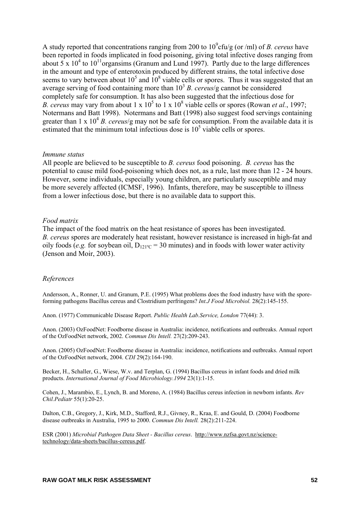A study reported that concentrations ranging from 200 to  $10^9$ cfu/g (or /ml) of *B. cereus* have been reported in foods implicated in food poisoning, giving total infective doses ranging from about  $5 \times 10^4$  to  $10^{11}$ organsims (Granum and Lund 1997). Partly due to the large differences in the amount and type of enterotoxin produced by different strains, the total infective dose seems to vary between about  $10^5$  and  $10^8$  viable cells or spores. Thus it was suggested that an average serving of food containing more than  $10<sup>3</sup> B$ . *cereus*/g cannot be considered completely safe for consumption. It has also been suggested that the infectious dose for *B. cereus* may vary from about 1 x  $10^5$  to 1 x  $10^8$  viable cells or spores (Rowan *et al.*, 1997; Notermans and Batt 1998). Notermans and Batt (1998) also suggest food servings containing greater than  $1 \times 10^4$  *B. cereus*/g may not be safe for consumption. From the available data it is estimated that the minimum total infectious dose is  $10<sup>5</sup>$  viable cells or spores.

#### *Immune status*

All people are believed to be susceptible to *B. cereus* food poisoning. *B. cereus* has the potential to cause mild food-poisoning which does not, as a rule, last more than 12 - 24 hours. However, some individuals, especially young children, are particularly susceptible and may be more severely affected (ICMSF, 1996). Infants, therefore, may be susceptible to illness from a lower infectious dose, but there is no available data to support this.

#### *Food matrix*

The impact of the food matrix on the heat resistance of spores has been investigated. *B. cereus* spores are moderately heat resistant, however resistance is increased in high-fat and oily foods (*e.g.* for soybean oil,  $D_{121^{\circ}C} = 30$  minutes) and in foods with lower water activity (Jenson and Moir, 2003).

#### *References*

Andersson, A., Ronner, U. and Granum, P.E. (1995) What problems does the food industry have with the sporeforming pathogens Bacillus cereus and Clostridium perfringens? *Int.J Food Microbiol.* 28(2):145-155.

Anon. (1977) Communicable Disease Report. *Public Health Lab.Service, London* 77(44): 3.

Anon. (2003) OzFoodNet: Foodborne disease in Australia: incidence, notifications and outbreaks. Annual report of the OzFoodNet network, 2002. *Commun Dis Intell.* 27(2):209-243.

Anon. (2005) OzFoodNet: Foodborne disease in Australia: incidence, notifications and outbreaks. Annual report of the OzFoodNet network, 2004. *CDI* 29(2):164-190.

Becker, H., Schaller, G., Wiese, W.v. and Terplan, G. (1994) Bacillus cereus in infant foods and dried milk products. *International Journal of Food Microbiology.1994* 23(1):1-15.

Cohen, J., Marambio, E., Lynch, B. and Moreno, A. (1984) Bacillus cereus infection in newborn infants. *Rev Chil.Pediatr* 55(1):20-25.

Dalton, C.B., Gregory, J., Kirk, M.D., Stafford, R.J., Givney, R., Kraa, E. and Gould, D. (2004) Foodborne disease outbreaks in Australia, 1995 to 2000. *Commun Dis Intell.* 28(2):211-224.

ESR (2001) *Microbial Pathogen Data Sheet - Bacillus cereus*. http://www.nzfsa.govt.nz/sciencetechnology/data-sheets/bacillus-cereus.pdf.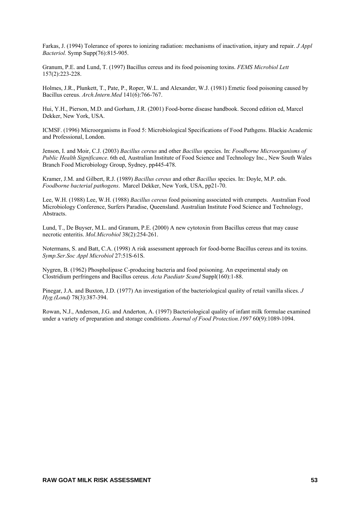Farkas, J. (1994) Tolerance of spores to ionizing radiation: mechanisms of inactivation, injury and repair. *J Appl Bacteriol.* Symp Supp(76):815-905.

Granum, P.E. and Lund, T. (1997) Bacillus cereus and its food poisoning toxins. *FEMS Microbiol Lett*  157(2):223-228.

Holmes, J.R., Plunkett, T., Pate, P., Roper, W.L. and Alexander, W.J. (1981) Emetic food poisoning caused by Bacillus cereus. *Arch.Intern.Med* 141(6):766-767.

Hui, Y.H., Pierson, M.D. and Gorham, J.R. (2001) Food-borne disease handbook. Second edition ed, Marcel Dekker, New York, USA.

ICMSF. (1996) Microorganisms in Food 5: Microbiological Specifications of Food Pathgens. Blackie Academic and Professional, London.

Jenson, I. and Moir, C.J. (2003) *Bacillus cereus* and other *Bacillus* species. In: *Foodborne Microorganisms of Public Health Significance*. 6th ed, Australian Institute of Food Science and Technology Inc., New South Wales Branch Food Microbiology Group, Sydney, pp445-478.

Kramer, J.M. and Gilbert, R.J. (1989) *Bacillus cereus* and other *Bacillus* species. In: Doyle, M.P. eds. *Foodborne bacterial pathogens*. Marcel Dekker, New York, USA, pp21-70.

Lee, W.H. (1988) Lee, W.H. (1988) *Bacillus cereus* food poisoning associated with crumpets. Australian Food Microbiology Conference, Surfers Paradise, Queensland. Australian Institute Food Science and Technology, Abstracts.

Lund, T., De Buyser, M.L. and Granum, P.E. (2000) A new cytotoxin from Bacillus cereus that may cause necrotic enteritis. *Mol.Microbiol* 38(2):254-261.

Notermans, S. and Batt, C.A. (1998) A risk assessment approach for food-borne Bacillus cereus and its toxins. *Symp.Ser.Soc Appl Microbiol* 27:51S-61S.

Nygren, B. (1962) Phospholipase C-producing bacteria and food poisoning. An experimental study on Clostridium perfringens and Bacillus cereus. *Acta Paediatr Scand* Suppl(160):1-88.

Pinegar, J.A. and Buxton, J.D. (1977) An investigation of the bacteriological quality of retail vanilla slices. *J Hyg.(Lond)* 78(3):387-394.

Rowan, N.J., Anderson, J.G. and Anderton, A. (1997) Bacteriological quality of infant milk formulae examined under a variety of preparation and storage conditions. *Journal of Food Protection.1997* 60(9):1089-1094.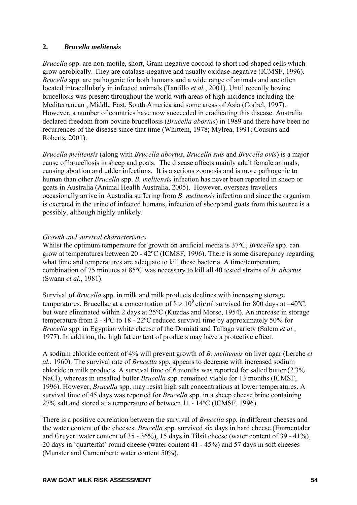# **2.** *Brucella melitensis*

*Brucella* spp. are non-motile, short, Gram-negative coccoid to short rod-shaped cells which grow aerobically. They are catalase-negative and usually oxidase-negative (ICMSF, 1996). *Brucella* spp. are pathogenic for both humans and a wide range of animals and are often located intracellularly in infected animals (Tantillo *et al.*, 2001). Until recently bovine brucellosis was present throughout the world with areas of high incidence including the Mediterranean , Middle East, South America and some areas of Asia (Corbel, 1997). However, a number of countries have now succeeded in eradicating this disease. Australia declared freedom from bovine brucellosis (*Brucella abortus*) in 1989 and there have been no recurrences of the disease since that time (Whittem, 1978; Mylrea, 1991; Cousins and Roberts, 2001).

*Brucella melitensis* (along with *Brucella abortus*, *Brucella suis* and *Brucella ovis*) is a major cause of brucellosis in sheep and goats. The disease affects mainly adult female animals, causing abortion and udder infections. It is a serious zoonosis and is more pathogenic to human than other *Brucella* spp. *B. melitensis* infection has never been reported in sheep or goats in Australia (Animal Health Australia, 2005). However, overseas travellers occasionally arrive in Australia suffering from *B. melitensis* infection and since the organism is excreted in the urine of infected humans, infection of sheep and goats from this source is a possibly, although highly unlikely.

## *Growth and survival characteristics*

Whilst the optimum temperature for growth on artificial media is 37ºC, *Brucella* spp. can grow at temperatures between 20 - 42ºC (ICMSF, 1996). There is some discrepancy regarding what time and temperatures are adequate to kill these bacteria. A time/temperature combination of 75 minutes at 85ºC was necessary to kill all 40 tested strains of *B. abortus* (Swann *et al.*, 1981).

Survival of *Brucella* spp. in milk and milk products declines with increasing storage temperatures. Brucellae at a concentration of  $8 \times 10^9$  cfu/ml survived for 800 days at -40°C, but were eliminated within 2 days at 25ºC (Kuzdas and Morse, 1954). An increase in storage temperature from 2 - 4ºC to 18 - 22ºC reduced survival time by approximately 50% for *Brucella* spp. in Egyptian white cheese of the Domiati and Tallaga variety (Salem *et al.*, 1977). In addition, the high fat content of products may have a protective effect.

A sodium chloride content of 4% will prevent growth of *B. melitensis* on liver agar (Lerche *et al.*, 1960). The survival rate of *Brucella* spp. appears to decrease with increased sodium chloride in milk products. A survival time of 6 months was reported for salted butter (2.3% NaCl), whereas in unsalted butter *Brucella* spp. remained viable for 13 months (ICMSF, 1996). However, *Brucella* spp. may resist high salt concentrations at lower temperatures. A survival time of 45 days was reported for *Brucella* spp. in a sheep cheese brine containing 27% salt and stored at a temperature of between 11 - 14ºC (ICMSF, 1996).

There is a positive correlation between the survival of *Brucella* spp. in different cheeses and the water content of the cheeses. *Brucella* spp. survived six days in hard cheese (Emmentaler and Gruyer: water content of 35 - 36%), 15 days in Tilsit cheese (water content of 39 - 41%), 20 days in 'quarterfat' round cheese (water content 41 - 45%) and 57 days in soft cheeses (Munster and Camembert: water content 50%).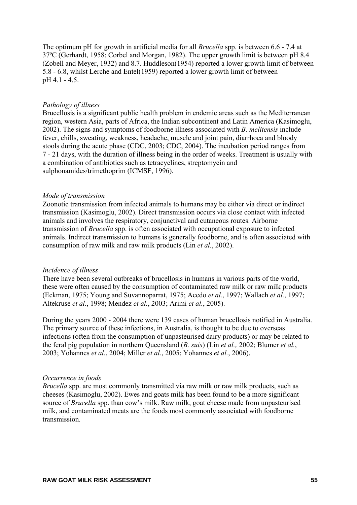The optimum pH for growth in artificial media for all *Brucella* spp. is between 6.6 - 7.4 at 37ºC (Gerhardt, 1958; Corbel and Morgan, 1982). The upper growth limit is between pH 8.4 (Zobell and Meyer, 1932) and 8.7. Huddleson(1954) reported a lower growth limit of between 5.8 - 6.8, whilst Lerche and Entel(1959) reported a lower growth limit of between pH 4.1 - 4.5.

#### *Pathology of illness*

Brucellosis is a significant public health problem in endemic areas such as the Mediterranean region, western Asia, parts of Africa, the Indian subcontinent and Latin America (Kasimoglu, 2002). The signs and symptoms of foodborne illness associated with *B. melitensis* include fever, chills, sweating, weakness, headache, muscle and joint pain, diarrhoea and bloody stools during the acute phase (CDC, 2003; CDC, 2004). The incubation period ranges from 7 - 21 days, with the duration of illness being in the order of weeks. Treatment is usually with a combination of antibiotics such as tetracyclines, streptomycin and sulphonamides/trimethoprim (ICMSF, 1996).

#### *Mode of transmission*

Zoonotic transmission from infected animals to humans may be either via direct or indirect transmission (Kasimoglu, 2002). Direct transmission occurs via close contact with infected animals and involves the respiratory, conjunctival and cutaneous routes. Airborne transmission of *Brucella* spp. is often associated with occupational exposure to infected animals. Indirect transmission to humans is generally foodborne, and is often associated with consumption of raw milk and raw milk products (Lin *et al.*, 2002).

#### *Incidence of illness*

There have been several outbreaks of brucellosis in humans in various parts of the world, these were often caused by the consumption of contaminated raw milk or raw milk products (Eckman, 1975; Young and Suvannoparrat, 1975; Acedo *et al.*, 1997; Wallach *et al.*, 1997; Altekruse *et al.*, 1998; Mendez *et al.*, 2003; Arimi *et al.*, 2005).

During the years 2000 - 2004 there were 139 cases of human brucellosis notified in Australia. The primary source of these infections, in Australia, is thought to be due to overseas infections (often from the consumption of unpasteurised dairy products) or may be related to the feral pig population in northern Queensland (*B. suis*) (Lin *et al.,* 2002; Blumer *et al.*, 2003; Yohannes *et al.*, 2004; Miller *et al.*, 2005; Yohannes *et al.*, 2006).

#### *Occurrence in foods*

*Brucella* spp. are most commonly transmitted via raw milk or raw milk products, such as cheeses (Kasimoglu, 2002). Ewes and goats milk has been found to be a more significant source of *Brucella* spp. than cow's milk. Raw milk, goat cheese made from unpasteurised milk, and contaminated meats are the foods most commonly associated with foodborne transmission.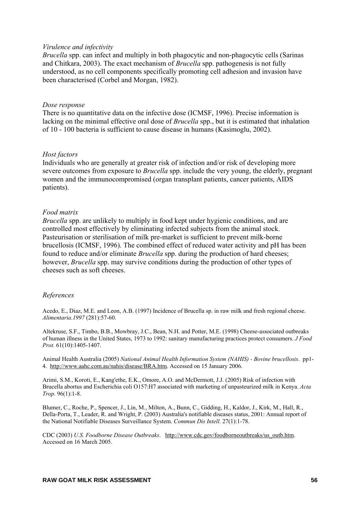#### *Virulence and infectivity*

*Brucella* spp. can infect and multiply in both phagocytic and non-phagocytic cells (Sarinas and Chitkara, 2003). The exact mechanism of *Brucella* spp. pathogenesis is not fully understood, as no cell components specifically promoting cell adhesion and invasion have been characterised (Corbel and Morgan, 1982).

#### *Dose response*

There is no quantitative data on the infective dose (ICMSF, 1996). Precise information is lacking on the minimal effective oral dose of *Brucella* spp., but it is estimated that inhalation of 10 - 100 bacteria is sufficient to cause disease in humans (Kasimoglu, 2002).

#### *Host factors*

Individuals who are generally at greater risk of infection and/or risk of developing more severe outcomes from exposure to *Brucella* spp. include the very young, the elderly, pregnant women and the immunocompromised (organ transplant patients, cancer patients, AIDS patients).

#### *Food matrix*

*Brucella* spp. are unlikely to multiply in food kept under hygienic conditions, and are controlled most effectively by eliminating infected subjects from the animal stock. Pasteurisation or sterilisation of milk pre-market is sufficient to prevent milk-borne brucellosis (ICMSF, 1996). The combined effect of reduced water activity and pH has been found to reduce and/or eliminate *Brucella* spp. during the production of hard cheeses; however, *Brucella* spp. may survive conditions during the production of other types of cheeses such as soft cheeses.

#### *References*

Acedo, E., Diaz, M.E. and Leon, A.B. (1997) Incidence of Brucella sp. in raw milk and fresh regional cheese. *Alimentaria.1997* (281):57-60.

Altekruse, S.F., Timbo, B.B., Mowbray, J.C., Bean, N.H. and Potter, M.E. (1998) Cheese-associated outbreaks of human illness in the United States, 1973 to 1992: sanitary manufacturing practices protect consumers. *J Food Prot.* 61(10):1405-1407.

Animal Health Australia (2005) *National Animal Health Information System (NAHIS) - Bovine brucellosis*. pp1- 4. http://www.aahc.com.au/nahis/disease/BRA.htm. Accessed on 15 January 2006.

Arimi, S.M., Koroti, E., Kang'ethe, E.K., Omore, A.O. and McDermott, J.J. (2005) Risk of infection with Brucella abortus and Escherichia coli O157:H7 associated with marketing of unpasteurized milk in Kenya. *Acta Trop.* 96(1):1-8.

Blumer, C., Roche, P., Spencer, J., Lin, M., Milton, A., Bunn, C., Gidding, H., Kaldor, J., Kirk, M., Hall, R., Della-Porta, T., Leader, R. and Wright, P. (2003) Australia's notifiable diseases status, 2001: Annual report of the National Notifiable Diseases Surveillance System. *Commun Dis Intell.* 27(1):1-78.

CDC (2003) *U.S. Foodborne Disease Outbreaks*. http://www.cdc.gov/foodborneoutbreaks/us\_outb.htm. Accessed on 16 March 2005.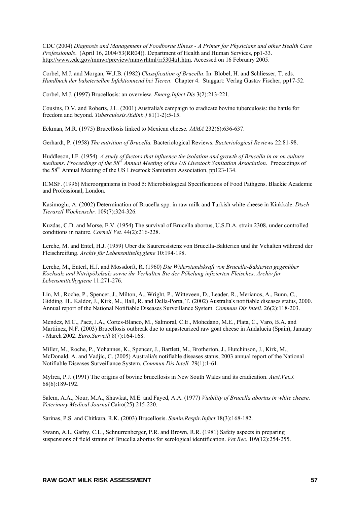CDC (2004) *Diagnosis and Management of Foodborne Illness - A Primer for Physicians and other Health Care Professionals*. (April 16, 2004/53(RR04)). Department of Health and Human Services, pp1-33. http://www.cdc.gov/mmwr/preview/mmwrhtml/rr5304a1.htm. Accessed on 16 February 2005.

Corbel, M.J. and Morgan, W.J.B. (1982) *Classification of Brucella*. In: Blobel, H. and Schliesser, T. eds. *Handbuch der baketeriellen Infektionnend bei Tieren*. Chapter 4. Stuggart: Verlag Gustav Fischer, pp17-52.

Corbel, M.J. (1997) Brucellosis: an overview. *Emerg.Infect Dis* 3(2):213-221.

Cousins, D.V. and Roberts, J.L. (2001) Australia's campaign to eradicate bovine tuberculosis: the battle for freedom and beyond. *Tuberculosis.(Edinb.)* 81(1-2):5-15.

Eckman, M.R. (1975) Brucellosis linked to Mexican cheese. *JAMA* 232(6):636-637.

Gerhardt, P. (1958) *The nutrition of Brucella.* Bacteriological Reviews. *Bacteriological Reviews* 22:81-98.

Huddleson, I.F. (1954) *A study of factors that influence the isolation and growth of Brucella in or on culture mediums*. *Proceedings of the 58th Annual Meeting of the US Livestock Sanitation Association*. Proceedings of the 58th Annual Meeting of the US Livestock Sanitation Association, pp123-134.

ICMSF. (1996) Microorganisms in Food 5: Microbiological Specifications of Food Pathgens. Blackie Academic and Professional, London.

Kasimoglu, A. (2002) Determination of Brucella spp. in raw milk and Turkish white cheese in Kinkkale. *Dtsch Tierarztl Wochenschr.* 109(7):324-326.

Kuzdas, C.D. and Morse, E.V. (1954) The survival of Brucella abortus, U.S.D.A. strain 2308, under controlled conditions in nature. *Cornell Vet.* 44(2):216-228.

Lerche, M. and Entel, H.J. (1959) Uber die Saureresistenz von Brucella-Bakterien und ihr Vehalten während der Fleischreifung. *Archiv für Lebensmittelhygiene* 10:194-198.

Lerche, M., Enterl, H.J. and Mossdorft, R. (1960) *Die Widerstandskraft von Brucella-Bakterien gegenüber Kochsalz und Nitritpökelsalz sowie ihr Verhalten Bie der Pökelung infizierten Fleisches*. *Archiv fur Lebensmittelhygiene* 11:271-276.

Lin, M., Roche, P., Spencer, J., Milton, A., Wright, P., Witteveen, D., Leader, R., Merianos, A., Bunn, C., Gidding, H., Kaldor, J., Kirk, M., Hall, R. and Della-Porta, T. (2002) Australia's notifiable diseases status, 2000. Annual report of the National Notifiable Diseases Surveillance System. *Commun Dis Intell.* 26(2):118-203.

Mendez, M.C., Paez, J.A., Cortes-Blanco, M., Salmoral, C.E., Mohedano, M.E., Plata, C., Varo, B.A. and Martiinez, N.F. (2003) Brucellosis outbreak due to unpasteurized raw goat cheese in Andalucia (Spain), January - March 2002. *Euro.Surveill* 8(7):164-168.

Miller, M., Roche, P., Yohannes, K., Spencer, J., Bartlett, M., Brotherton, J., Hutchinson, J., Kirk, M., McDonald, A. and Vadjic, C. (2005) Australia's notifiable diseases status, 2003 annual report of the National Notifiable Diseases Surveillance System. *Commun.Dis.Intell.* 29(1):1-61.

Mylrea, P.J. (1991) The origins of bovine brucellosis in New South Wales and its eradication. *Aust.Vet.J.*  68(6):189-192.

Salem, A.A., Nour, M.A., Shawkat, M.E. and Fayed, A.A. (1977) *Viability of Brucella abortus in white cheese*. *Veterinary Medical Journal* Cairo(25):215-220.

Sarinas, P.S. and Chitkara, R.K. (2003) Brucellosis. *Semin.Respir.Infect* 18(3):168-182.

Swann, A.I., Garby, C.L., Schnurrenberger, P.R. and Brown, R.R. (1981) Safety aspects in preparing suspensions of field strains of Brucella abortus for serological identification. *Vet.Rec.* 109(12):254-255.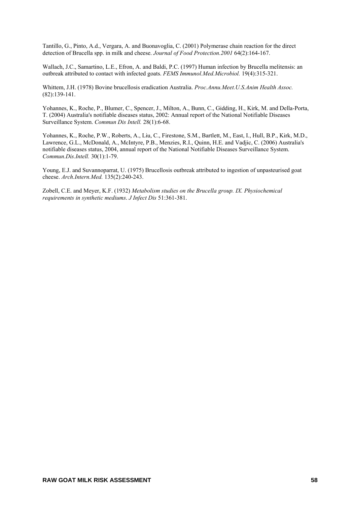Tantillo, G., Pinto, A.d., Vergara, A. and Buonavoglia, C. (2001) Polymerase chain reaction for the direct detection of Brucella spp. in milk and cheese. *Journal of Food Protection.2001* 64(2):164-167.

Wallach, J.C., Samartino, L.E., Efron, A. and Baldi, P.C. (1997) Human infection by Brucella melitensis: an outbreak attributed to contact with infected goats. *FEMS Immunol.Med.Microbiol.* 19(4):315-321.

Whittem, J.H. (1978) Bovine brucellosis eradication Australia. *Proc.Annu.Meet.U.S.Anim Health Assoc.*  (82):139-141.

Yohannes, K., Roche, P., Blumer, C., Spencer, J., Milton, A., Bunn, C., Gidding, H., Kirk, M. and Della-Porta, T. (2004) Australia's notifiable diseases status, 2002: Annual report of the National Notifiable Diseases Surveillance System. *Commun Dis Intell.* 28(1):6-68.

Yohannes, K., Roche, P.W., Roberts, A., Liu, C., Firestone, S.M., Bartlett, M., East, I., Hull, B.P., Kirk, M.D., Lawrence, G.L., McDonald, A., McIntyre, P.B., Menzies, R.I., Quinn, H.E. and Vadjic, C. (2006) Australia's notifiable diseases status, 2004, annual report of the National Notifiable Diseases Surveillance System. *Commun.Dis.Intell.* 30(1):1-79.

Young, E.J. and Suvannoparrat, U. (1975) Brucellosis outbreak attributed to ingestion of unpasteurised goat cheese. *Arch.Intern.Med.* 135(2):240-243.

Zobell, C.E. and Meyer, K.F. (1932) *Metabolism studies on the Brucella group. IX. Physiochemical requirements in synthetic mediums*. *J Infect Dis* 51:361-381.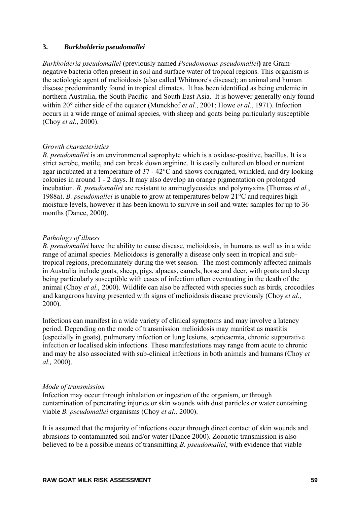## **3.** *Burkholderia pseudomallei*

*Burkholderia pseudomallei* (previously named *Pseudomonas pseudomallei***)** are Gramnegative bacteria often present in soil and surface water of tropical regions. This organism is the aetiologic agent of melioidosis (also called Whitmore's disease); an animal and human disease predominantly found in tropical climates. It has been identified as being endemic in northern Australia, the South Pacific and South East Asia. It is however generally only found within 20° either side of the equator (Munckhof *et al.*, 2001; Howe *et al.*, 1971). Infection occurs in a wide range of animal species, with sheep and goats being particularly susceptible (Choy *et al.*, 2000).

#### *Growth characteristics*

*B. pseudomallei* is an environmental saprophyte which is a oxidase-positive, bacillus. It is a strict aerobe, motile, and can break down arginine. It is easily cultured on blood or nutrient agar incubated at a temperature of 37 - 42°C and shows corrugated, wrinkled, and dry looking colonies in around 1 - 2 days. It may also develop an orange pigmentation on prolonged incubation. *B. pseudomallei* are resistant to aminoglycosides and polymyxins (Thomas *et al.*, 1988a). *B. pseudomallei* is unable to grow at temperatures below 21°C and requires high moisture levels, however it has been known to survive in soil and water samples for up to 36 months (Dance, 2000).

## *Pathology of illness*

*B. pseudomallei* have the ability to cause disease, melioidosis, in humans as well as in a wide range of animal species. Melioidosis is generally a disease only seen in tropical and subtropical regions, predominately during the wet season. The most commonly affected animals in Australia include goats, sheep, pigs, alpacas, camels, horse and deer, with goats and sheep being particularly susceptible with cases of infection often eventuating in the death of the animal (Choy *et al.,* 2000). Wildlife can also be affected with species such as birds, crocodiles and kangaroos having presented with signs of melioidosis disease previously (Choy *et al.,* 2000).

Infections can manifest in a wide variety of clinical symptoms and may involve a latency period. Depending on the mode of transmission melioidosis may manifest as mastitis (especially in goats), pulmonary infection or lung lesions, septicaemia, chronic suppurative infection or localised skin infections. These manifestations may range from acute to chronic and may be also associated with sub-clinical infections in both animals and humans (Choy *et al.,* 2000).

#### *Mode of transmission*

Infection may occur through inhalation or ingestion of the organism, or through contamination of penetrating injuries or skin wounds with dust particles or water containing viable *B. pseudomallei* organisms (Choy *et al.,* 2000).

It is assumed that the majority of infections occur through direct contact of skin wounds and abrasions to contaminated soil and/or water (Dance 2000). Zoonotic transmission is also believed to be a possible means of transmitting *B. pseudomallei*, with evidence that viable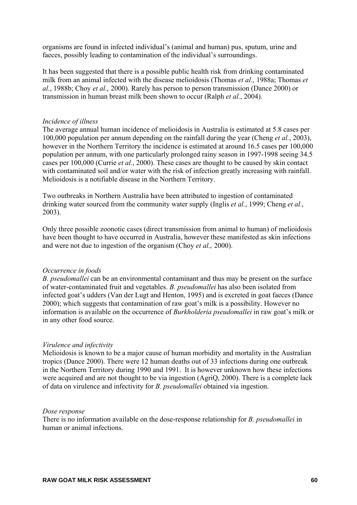organisms are found in infected individual's (animal and human) pus, sputum, urine and faeces, possibly leading to contamination of the individual's surroundings.

It has been suggested that there is a possible public health risk from drinking contaminated milk from an animal infected with the disease melioidosis (Thomas *et al.,* 1988a; Thomas *et al.*, 1988b; Choy *et al.,* 2000). Rarely has person to person transmission (Dance 2000) or transmission in human breast milk been shown to occur (Ralph *et al.*, 2004).

#### *Incidence of illness*

The average annual human incidence of melioidosis in Australia is estimated at 5.8 cases per 100,000 population per annum depending on the rainfall during the year (Cheng *et al.*, 2003), however in the Northern Territory the incidence is estimated at around 16.5 cases per 100,000 population per annum, with one particularly prolonged rainy season in 1997-1998 seeing 34.5 cases per 100,000 (Currie *et al.*, 2000). These cases are thought to be caused by skin contact with contaminated soil and/or water with the risk of infection greatly increasing with rainfall. Melioidosis is a notifiable disease in the Northern Territory.

Two outbreaks in Northern Australia have been attributed to ingestion of contaminated drinking water sourced from the community water supply (Inglis *et al.*, 1999; Cheng *et al.,* 2003).

Only three possible zoonotic cases (direct transmission from animal to human) of melioidosis have been thought to have occurred in Australia, however these manifested as skin infections and were not due to ingestion of the organism (Choy *et al.,* 2000).

#### *Occurrence in foods*

*B. pseudomallei* can be an environmental contaminant and thus may be present on the surface of water-contaminated fruit and vegetables. *B. pseudomallei* has also been isolated from infected goat's udders (Van der Lugt and Henton, 1995) and is excreted in goat faeces (Dance 2000); which suggests that contamination of raw goat's milk is a possibility. However no information is available on the occurrence of *Burkholderia pseudomallei* in raw goat's milk or in any other food source.

#### *Virulence and infectivity*

Melioidosis is known to be a major cause of human morbidity and mortality in the Australian tropics (Dance 2000). There were 12 human deaths out of 33 infections during one outbreak in the Northern Territory during 1990 and 1991. It is however unknown how these infections were acquired and are not thought to be via ingestion (AgriQ, 2000). There is a complete lack of data on virulence and infectivity for *B. pseudomallei* obtained via ingestion.

#### *Dose response*

There is no information available on the dose-response relationship for *B. pseudomallei* in human or animal infections.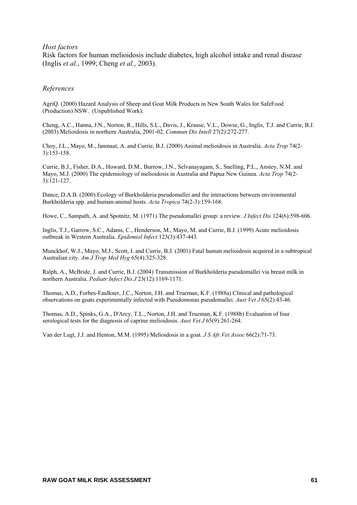#### *Host factors*

Risk factors for human melioidosis include diabetes, high alcohol intake and renal disease (Inglis *et al.*, 1999; Cheng *et al.,* 2003).

#### *References*

AgriQ. (2000) Hazard Analysis of Sheep and Goat Milk Products in New South Wales for SafeFood (Production) NSW. (Unpublished Work).

Cheng, A.C., Hanna, J.N., Norton, R., Hills, S.L., Davis, J., Krause, V.L., Dowse, G., Inglis, T.J. and Currie, B.J. (2003) Melioidosis in northern Australia, 2001-02. *Commun Dis Intell* 27(2):272-277.

Choy, J.L., Mayo, M., Janmaat, A. and Currie, B.J. (2000) Animal melioidosis in Australia. *Acta Trop* 74(2- 3):153-158.

Currie, B.J., Fisher, D.A., Howard, D.M., Burrow, J.N., Selvanayagam, S., Snelling, P.L., Anstey, N.M. and Mayo, M.J. (2000) The epidemiology of melioidosis in Australia and Papua New Guinea. *Acta Trop* 74(2- 3):121-127.

Dance, D.A.B. (2000) Ecology of Burkholderia pseudomallei and the interactions between environmental Burkholderia spp. and human-animal hosts. *Acta Tropica* 74(2-3):159-168.

Howe, C., Sampath, A. and Spotnitz, M. (1971) The pseudomallei group: a review. *J Infect Dis* 124(6):598-606.

Inglis, T.J., Garrow, S.C., Adams, C., Henderson, M., Mayo, M. and Currie, B.J. (1999) Acute melioidosis outbreak in Western Australia. *Epidemiol Infect* 123(3):437-443.

Munckhof, W.J., Mayo, M.J., Scott, I. and Currie, B.J. (2001) Fatal human melioidosis acquired in a subtropical Australian city. *Am J Trop Med Hyg* 65(4):325-328.

Ralph, A., McBride, J. and Currie, B.J. (2004) Transmission of Burkholderia pseudomallei via breast milk in northern Australia. *Pediatr Infect Dis J* 23(12):1169-1171.

Thomas, A.D., Forbes-Faulkner, J.C., Norton, J.H. and Trueman, K.F. (1988a) Clinical and pathological observations on goats experimentally infected with Pseudomonas pseudomallei. *Aust Vet J* 65(2):43-46.

Thomas, A.D., Spinks, G.A., D'Arcy, T.L., Norton, J.H. and Trueman, K.F. (1988b) Evaluation of four serological tests for the diagnosis of caprine melioidosis. *Aust Vet J* 65(9):261-264.

Van der Lugt, J.J. and Henton, M.M. (1995) Melioidosis in a goat. *J S Afr.Vet Assoc* 66(2):71-73.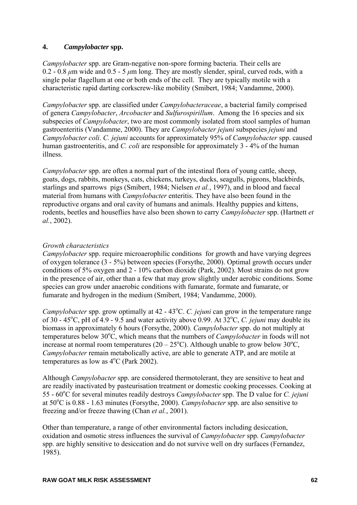# **4.** *Campylobacter* **spp.**

*Campylobacter* spp. are Gram-negative non-spore forming bacteria. Their cells are  $0.2 - 0.8 \mu m$  wide and  $0.5 - 5 \mu m$  long. They are mostly slender, spiral, curved rods, with a single polar flagellum at one or both ends of the cell. They are typically motile with a characteristic rapid darting corkscrew-like mobility (Smibert, 1984; Vandamme, 2000).

*Campylobacter* spp. are classified under *Campylobacteraceae*, a bacterial family comprised of genera *Campylobacter*, *Arcobacter* and *Sulfurospirillum*. Among the 16 species and six subspecies of *Campylobacter*, two are most commonly isolated from stool samples of human gastroenteritis (Vandamme, 2000). They are *Campylobacter jejuni* subspecies *jejuni* and *Campylobacter coli*. *C. jejuni* accounts for approximately 95% of *Campylobacter* spp. caused human gastroenteritis, and *C. coli* are responsible for approximately 3 - 4% of the human illness.

*Campylobacter* spp. are often a normal part of the intestinal flora of young cattle, sheep, goats, dogs, rabbits, monkeys, cats, chickens, turkeys, ducks, seagulls, pigeons, blackbirds, starlings and sparrows pigs (Smibert, 1984; Nielsen *et al.*, 1997), and in blood and faecal material from humans with *Campylobacter* enteritis. They have also been found in the reproductive organs and oral cavity of humans and animals. Healthy puppies and kittens, rodents, beetles and houseflies have also been shown to carry *Campylobacter* spp. (Hartnett *et al.*, 2002).

# *Growth characteristics*

*Campylobacter* spp. require microaerophilic conditions for growth and have varying degrees of oxygen tolerance (3 - 5%) between species (Forsythe, 2000). Optimal growth occurs under conditions of 5% oxygen and 2 - 10% carbon dioxide (Park, 2002). Most strains do not grow in the presence of air, other than a few that may grow slightly under aerobic conditions. Some species can grow under anaerobic conditions with fumarate, formate and fumarate, or fumarate and hydrogen in the medium (Smibert, 1984; Vandamme, 2000).

*Campylobacter* spp. grow optimally at 42 - 43<sup>o</sup>C. *C. jejuni* can grow in the temperature range of 30 - 45<sup>o</sup>C, pH of 4.9 - 9.5 and water activity above 0.99. At 32<sup>o</sup>C, *C. jejuni* may double its biomass in approximately 6 hours (Forsythe, 2000). *Campylobacter* spp. do not multiply at temperatures below 30°C, which means that the numbers of *Campylobacter* in foods will not increase at normal room temperatures ( $20 - 25^{\circ}$ C). Although unable to grow below 30<sup>°</sup>C, *Campylobacter* remain metabolically active, are able to generate ATP, and are motile at temperatures as low as  $4^{\circ}$ C (Park 2002).

Although *Campylobacter* spp. are considered thermotolerant, they are sensitive to heat and are readily inactivated by pasteurisation treatment or domestic cooking processes. Cooking at 55 - 60o C for several minutes readily destroys *Campylobacter* spp. The D value for *C. jejuni* at 50°C is 0.88 - 1.63 minutes (Forsythe, 2000). *Campylobacter* spp. are also sensitive to freezing and/or freeze thawing (Chan *et al.*, 2001).

Other than temperature, a range of other environmental factors including desiccation, oxidation and osmotic stress influences the survival of *Campylobacter* spp. *Campylobacter* spp. are highly sensitive to desiccation and do not survive well on dry surfaces (Fernandez, 1985).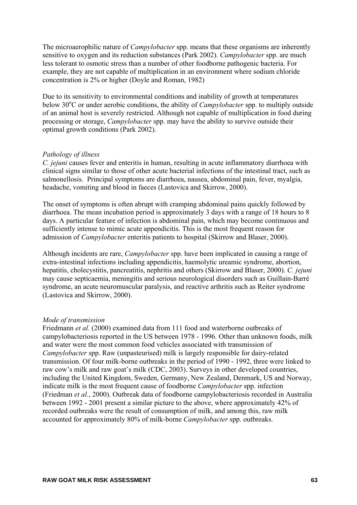The microaerophilic nature of *Campylobacter* spp. means that these organisms are inherently sensitive to oxygen and its reduction substances (Park 2002). *Campylobacter* spp. are much less tolerant to osmotic stress than a number of other foodborne pathogenic bacteria. For example, they are not capable of multiplication in an environment where sodium chloride concentration is 2% or higher (Doyle and Roman, 1982)

Due to its sensitivity to environmental conditions and inability of growth at temperatures below 30°C or under aerobic conditions, the ability of *Campylobacter* spp. to multiply outside of an animal host is severely restricted. Although not capable of multiplication in food during processing or storage, *Campylobacter* spp. may have the ability to survive outside their optimal growth conditions (Park 2002).

#### *Pathology of illness*

*C. jejuni* causes fever and enteritis in human, resulting in acute inflammatory diarrhoea with clinical signs similar to those of other acute bacterial infections of the intestinal tract, such as salmonellosis. Principal symptoms are diarrhoea, nausea, abdominal pain, fever, myalgia, headache, vomiting and blood in faeces (Lastovica and Skirrow, 2000).

The onset of symptoms is often abrupt with cramping abdominal pains quickly followed by diarrhoea. The mean incubation period is approximately 3 days with a range of 18 hours to 8 days. A particular feature of infection is abdominal pain, which may become continuous and sufficiently intense to mimic acute appendicitis. This is the most frequent reason for admission of *Campylobacter* enteritis patients to hospital (Skirrow and Blaser, 2000).

Although incidents are rare, *Campylobacter* spp. have been implicated in causing a range of extra-intestinal infections including appendicitis, haemolytic ureamic syndrome, abortion, hepatitis, cholecystitis, pancreatitis, nephritis and others (Skirrow and Blaser, 2000). *C. jejuni* may cause septicaemia, meningitis and serious neurological disorders such as Guillain-Barré syndrome, an acute neuromuscular paralysis, and reactive arthritis such as Reiter syndrome (Lastovica and Skirrow, 2000).

#### *Mode of transmission*

Friedmann *et al.* (2000) examined data from 111 food and waterborne outbreaks of campylobacteriosis reported in the US between 1978 - 1996. Other than unknown foods, milk and water were the most common food vehicles associated with transmission of *Campylobacter* spp. Raw (unpasteurised) milk is largely responsible for dairy-related transmission. Of four milk-borne outbreaks in the period of 1990 - 1992, three were linked to raw cow's milk and raw goat's milk (CDC, 2003). Surveys in other developed countries, including the United Kingdom, Sweden, Germany, New Zealand, Denmark, US and Norway, indicate milk is the most frequent cause of foodborne *Campylobacter* spp. infection (Friedman *et al.*, 2000). Outbreak data of foodborne campylobacteriosis recorded in Australia between 1992 - 2001 present a similar picture to the above, where approximately 42% of recorded outbreaks were the result of consumption of milk, and among this, raw milk accounted for approximately 80% of milk-borne *Campylobacter* spp. outbreaks.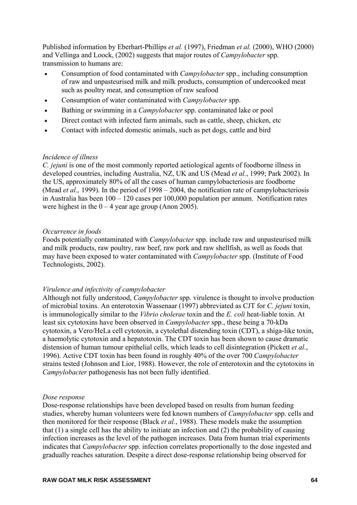Published information by Eberhart-Phillips *et al.* (1997), Friedman *et al.* (2000), WHO (2000) and Vellinga and Loock, (2002) suggests that major routes of *Campylobacter* spp. transmission to humans are:

- Consumption of food contaminated with *Campylobacter* spp., including consumption of raw and unpasteurised milk and milk products, consumption of undercooked meat such as poultry meat, and consumption of raw seafood
- Consumption of water contaminated with *Campylobacter* spp.
- Bathing or swimming in a *Campylobacter* spp. contaminated lake or pool
- Direct contact with infected farm animals, such as cattle, sheep, chicken, etc
- Contact with infected domestic animals, such as pet dogs, cattle and bird

## *Incidence of illness*

*C. jejuni* is one of the most commonly reported aetiological agents of foodborne illness in developed countries, including Australia, NZ, UK and US (Mead *et al.*, 1999; Park 2002). In the US, approximately 80% of all the cases of human campylobacteriosis are foodborne (Mead *et al.,* 1999). In the period of 1998 – 2004, the notification rate of campylobacteriosis in Australia has been 100 – 120 cases per 100,000 population per annum. Notification rates were highest in the  $0 - 4$  year age group (Anon 2005).

#### *Occurrence in foods*

Foods potentially contaminated with *Campylobacter* spp. include raw and unpasteurised milk and milk products, raw poultry, raw beef, raw pork and raw shellfish, as well as foods that may have been exposed to water contaminated with *Campylobacter* spp. (Institute of Food Technologists, 2002).

#### *Virulence and infectivity of campylobacter*

Although not fully understood, *Campylobacter* spp. virulence is thought to involve production of microbial toxins. An enterotoxin Wassenaar (1997) abbreviated as CJT for *C. jejuni* toxin, is immunologically similar to the *Vibrio cholerae* toxin and the *E. coli* heat-liable toxin. At least six cytotoxins have been observed in *Campylobacter* spp., these being a 70-kDa cytotoxin, a Vero/HeLa cell cytotoxin, a cytolethal distending toxin (CDT), a shiga-like toxin, a haemolytic cytotoxin and a hepatotoxin. The CDT toxin has been shown to cause dramatic distension of human tumour epithelial cells, which leads to cell disintegration (Pickett *et al.*, 1996). Active CDT toxin has been found in roughly 40% of the over 700 *Campylobacter* strains tested (Johnson and Lior, 1988). However, the role of enterotoxin and the cytotoxins in *Campylobacter* pathogenesis has not been fully identified.

#### *Dose response*

Dose-response relationships have been developed based on results from human feeding studies, whereby human volunteers were fed known numbers of *Campylobacter* spp. cells and then monitored for their response (Black *et al.*, 1988). These models make the assumption that (1) a single cell has the ability to initiate an infection and (2) the probability of causing infection increases as the level of the pathogen increases. Data from human trial experiments indicates that *Campylobacter* spp. infection correlates proportionally to the dose ingested and gradually reaches saturation. Despite a direct dose-response relationship being observed for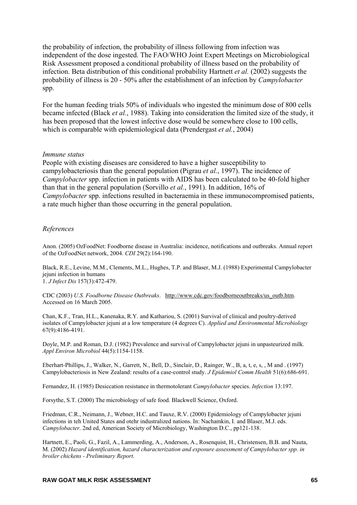the probability of infection, the probability of illness following from infection was independent of the dose ingested. The FAO/WHO Joint Expert Meetings on Microbiological Risk Assessment proposed a conditional probability of illness based on the probability of infection. Beta distribution of this conditional probability Hartnett *et al.* (2002) suggests the probability of illness is 20 - 50% after the establishment of an infection by *Campylobacter*  spp.

For the human feeding trials 50% of individuals who ingested the minimum dose of 800 cells became infected (Black *et al.*, 1988). Taking into consideration the limited size of the study, it has been proposed that the lowest infective dose would be somewhere close to 100 cells, which is comparable with epidemiological data (Prendergast *et al.*, 2004)

#### *Immune status*

People with existing diseases are considered to have a higher susceptibility to campylobacteriosis than the general population (Pigrau *et al.*, 1997). The incidence of *Campylobacter* spp. infection in patients with AIDS has been calculated to be 40-fold higher than that in the general population (Sorvillo *et al.*, 1991). In addition, 16% of *Campylobacter* spp. infections resulted in bacteraemia in these immunocompromised patients, a rate much higher than those occurring in the general population.

#### *References*

Anon. (2005) OzFoodNet: Foodborne disease in Australia: incidence, notifications and outbreaks. Annual report of the OzFoodNet network, 2004. *CDI* 29(2):164-190.

Black, R.E., Levine, M.M., Clements, M.L., Hughes, T.P. and Blaser, M.J. (1988) Experimental Campylobacter jejuni infection in humans 1. *J Infect Dis* 157(3):472-479.

CDC (2003) *U.S. Foodborne Disease Outbreaks*. http://www.cdc.gov/foodborneoutbreaks/us\_outb.htm. Accessed on 16 March 2005.

Chan, K.F., Tran, H.L., Kanenaka, R.Y. and Kathariou, S. (2001) Survival of clinical and poultry-derived isolates of Campylobacter jejuni at a low temperature (4 degrees C). *Applied and Environmental Microbiology*  67(9):4186-4191.

Doyle, M.P. and Roman, D.J. (1982) Prevalence and survival of Campylobacter jejuni in unpasteurized milk. *Appl Environ Microbiol* 44(5):1154-1158.

Eberhart-Phillips, J., Walker, N., Garrett, N., Bell, D., Sinclair, D., Rainger, W., B, a, t, e, s, , M and . (1997) Campylobacteriosis in New Zealand: results of a case-control study. *J Epidemiol Comm Health* 51(6):686-691.

Fernandez, H. (1985) Desiccation resistance in thermotolerant *Campylobacter* species. *Infection* 13:197.

Forsythe, S.T. (2000) The microbiology of safe food. Blackwell Science, Oxford.

Friedman, C.R., Neimann, J., Webner, H.C. and Tauxe, R.V. (2000) Epidemiology of Campylobacter jejuni infections in teh United States and otehr industralized nations. In: Nachamkin, I. and Blaser, M.J. eds. *Campylobacter*. 2nd ed, American Society of Microbiology, Washington D.C., pp121-138.

Hartnett, E., Paoli, G., Fazil, A., Lammerding, A., Anderson, A., Rosenquist, H., Christensen, B.B. and Nauta, M. (2002) *Hazard identification, hazard characterization and exposure assessment of Campylobacter spp. in broiler chickens - Preliminary Report*.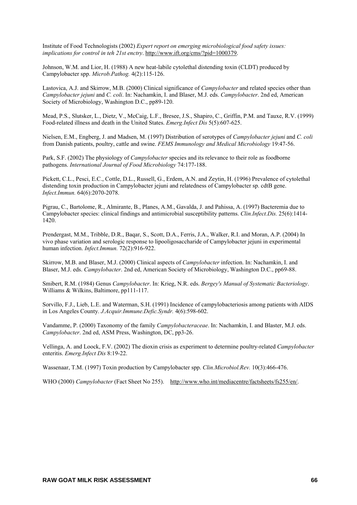Institute of Food Technologists (2002) *Expert report on emerging microbiological food safety issues: implications for control in teh 21st enctry*. http://www.ift.org/cms/?pid=1000379.

Johnson, W.M. and Lior, H. (1988) A new heat-labile cytolethal distending toxin (CLDT) produced by Campylobacter spp. *Microb.Pathog.* 4(2):115-126.

Lastovica, A.J. and Skirrow, M.B. (2000) Clinical significance of *Campylobacter* and related species other than *Campylobacter jejuni* and *C. coli*. In: Nachamkin, I. and Blaser, M.J. eds. *Campylobacter*. 2nd ed, American Society of Microbiology, Washington D.C., pp89-120.

Mead, P.S., Slutsker, L., Dietz, V., McCaig, L.F., Bresee, J.S., Shapiro, C., Griffin, P.M. and Tauxe, R.V. (1999) Food-related illness and death in the United States. *Emerg.Infect Dis* 5(5):607-625.

Nielsen, E.M., Engberg, J. and Madsen, M. (1997) Distribution of serotypes of *Campylobacter jejuni* and *C. coli* from Danish patients, poultry, cattle and swine. *FEMS Immunology and Medical Microbiology* 19:47-56.

Park, S.F. (2002) The physiology of *Campylobacter* species and its relevance to their role as foodborne pathogens. *International Journal of Food Microbiology* 74:177-188.

Pickett, C.L., Pesci, E.C., Cottle, D.L., Russell, G., Erdem, A.N. and Zeytin, H. (1996) Prevalence of cytolethal distending toxin production in Campylobacter jejuni and relatedness of Campylobacter sp. cdtB gene. *Infect.Immun.* 64(6):2070-2078.

Pigrau, C., Bartolome, R., Almirante, B., Planes, A.M., Gavalda, J. and Pahissa, A. (1997) Bacteremia due to Campylobacter species: clinical findings and antimicrobial susceptibility patterns. *Clin.Infect.Dis.* 25(6):1414- 1420.

Prendergast, M.M., Tribble, D.R., Baqar, S., Scott, D.A., Ferris, J.A., Walker, R.I. and Moran, A.P. (2004) In vivo phase variation and serologic response to lipooligosaccharide of Campylobacter jejuni in experimental human infection. *Infect.Immun.* 72(2):916-922.

Skirrow, M.B. and Blaser, M.J. (2000) Clinical aspects of *Campylobacter* infection. In: Nachamkin, I. and Blaser, M.J. eds. *Campylobacter*. 2nd ed, American Society of Microbiology, Washington D.C., pp69-88.

Smibert, R.M. (1984) Genus *Campylobacter*. In: Krieg, N.R. eds. *Bergey's Manual of Systematic Bacteriology*. Williams & Wilkins, Baltimore, pp111-117.

Sorvillo, F.J., Lieb, L.E. and Waterman, S.H. (1991) Incidence of campylobacteriosis among patients with AIDS in Los Angeles County. *J.Acquir.Immune.Defic.Syndr.* 4(6):598-602.

Vandamme, P. (2000) Taxonomy of the family *Campylobacteraceae*. In: Nachamkin, I. and Blaster, M.J. eds. *Campylobacter*. 2nd ed, ASM Press, Washington, DC, pp3-26.

Vellinga, A. and Loock, F.V. (2002) The dioxin crisis as experiment to determine poultry-related *Campylobacter* enteritis. *Emerg.Infect Dis* 8:19-22.

Wassenaar, T.M. (1997) Toxin production by Campylobacter spp. *Clin.Microbiol.Rev.* 10(3):466-476.

WHO (2000) *Campylobacter* (Fact Sheet No 255). http://www.who.int/mediacentre/factsheets/fs255/en/.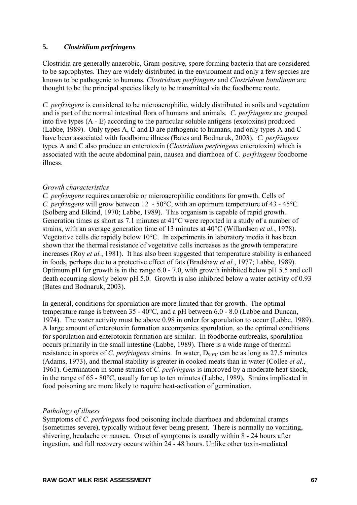# **5.** *Clostridium perfringens*

Clostridia are generally anaerobic, Gram-positive, spore forming bacteria that are considered to be saprophytes. They are widely distributed in the environment and only a few species are known to be pathogenic to humans. *Clostridium perfringens* and *Clostridium botulinum* are thought to be the principal species likely to be transmitted via the foodborne route.

*C. perfringens* is considered to be microaerophilic, widely distributed in soils and vegetation and is part of the normal intestinal flora of humans and animals. *C. perfringens* are grouped into five types (A - E) according to the particular soluble antigens (exotoxins) produced (Labbe, 1989). Only types A, C and D are pathogenic to humans, and only types A and C have been associated with foodborne illness (Bates and Bodnaruk, 2003). *C. perfringens* types A and C also produce an enterotoxin (*Clostridium perfringens* enterotoxin) which is associated with the acute abdominal pain, nausea and diarrhoea of *C. perfringens* foodborne illness.

# *Growth characteristics*

*C. perfringens* requires anaerobic or microaerophilic conditions for growth. Cells of *C. perfringens* will grow between 12 - 50°C, with an optimum temperature of 43 - 45°C (Solberg and Elkind, 1970; Labbe, 1989). This organism is capable of rapid growth. Generation times as short as 7.1 minutes at 41°C were reported in a study of a number of strains, with an average generation time of 13 minutes at 40°C (Willardsen *et al.*, 1978). Vegetative cells die rapidly below 10°C. In experiments in laboratory media it has been shown that the thermal resistance of vegetative cells increases as the growth temperature increases (Roy *et al.*, 1981). It has also been suggested that temperature stability is enhanced in foods, perhaps due to a protective effect of fats (Bradshaw *et al.*, 1977; Labbe, 1989). Optimum pH for growth is in the range 6.0 - 7.0, with growth inhibited below pH 5.5 and cell death occurring slowly below pH 5.0. Growth is also inhibited below a water activity of 0.93 (Bates and Bodnaruk, 2003).

In general, conditions for sporulation are more limited than for growth. The optimal temperature range is between 35 - 40°C, and a pH between 6.0 - 8.0 (Labbe and Duncan, 1974). The water activity must be above 0.98 in order for sporulation to occur (Labbe, 1989). A large amount of enterotoxin formation accompanies sporulation, so the optimal conditions for sporulation and enterotoxin formation are similar. In foodborne outbreaks, sporulation occurs primarily in the small intestine (Labbe, 1989). There is a wide range of thermal resistance in spores of *C. perfringens* strains. In water, D<sub>90</sub>°<sub>C</sub> can be as long as 27.5 minutes (Adams, 1973), and thermal stability is greater in cooked meats than in water (Collee *et al.*, 1961). Germination in some strains of *C. perfringens* is improved by a moderate heat shock, in the range of 65 - 80°C, usually for up to ten minutes (Labbe, 1989). Strains implicated in food poisoning are more likely to require heat-activation of germination.

## *Pathology of illness*

Symptoms of *C. perfringens* food poisoning include diarrhoea and abdominal cramps (sometimes severe), typically without fever being present. There is normally no vomiting, shivering, headache or nausea. Onset of symptoms is usually within 8 - 24 hours after ingestion, and full recovery occurs within 24 - 48 hours. Unlike other toxin-mediated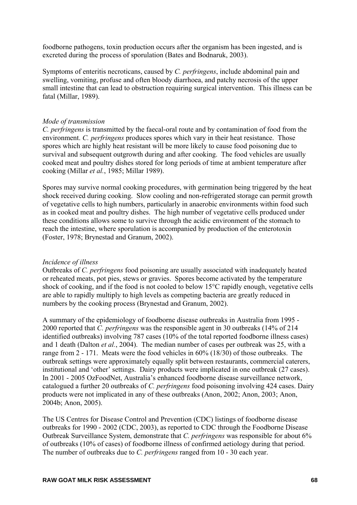foodborne pathogens, toxin production occurs after the organism has been ingested, and is excreted during the process of sporulation (Bates and Bodnaruk, 2003).

Symptoms of enteritis necroticans, caused by *C. perfringens*, include abdominal pain and swelling, vomiting, profuse and often bloody diarrhoea, and patchy necrosis of the upper small intestine that can lead to obstruction requiring surgical intervention. This illness can be fatal (Millar, 1989).

# *Mode of transmission*

*C. perfringens* is transmitted by the faecal-oral route and by contamination of food from the environment. *C. perfringens* produces spores which vary in their heat resistance. Those spores which are highly heat resistant will be more likely to cause food poisoning due to survival and subsequent outgrowth during and after cooking. The food vehicles are usually cooked meat and poultry dishes stored for long periods of time at ambient temperature after cooking (Millar *et al.*, 1985; Millar 1989).

Spores may survive normal cooking procedures, with germination being triggered by the heat shock received during cooking. Slow cooling and non-refrigerated storage can permit growth of vegetative cells to high numbers, particularly in anaerobic environments within food such as in cooked meat and poultry dishes. The high number of vegetative cells produced under these conditions allows some to survive through the acidic environment of the stomach to reach the intestine, where sporulation is accompanied by production of the enterotoxin (Foster, 1978; Brynestad and Granum, 2002).

# *Incidence of illness*

Outbreaks of *C. perfringens* food poisoning are usually associated with inadequately heated or reheated meats, pot pies, stews or gravies. Spores become activated by the temperature shock of cooking, and if the food is not cooled to below 15°C rapidly enough, vegetative cells are able to rapidly multiply to high levels as competing bacteria are greatly reduced in numbers by the cooking process (Brynestad and Granum, 2002).

A summary of the epidemiology of foodborne disease outbreaks in Australia from 1995 - 2000 reported that *C. perfringens* was the responsible agent in 30 outbreaks (14% of 214 identified outbreaks) involving 787 cases (10% of the total reported foodborne illness cases) and 1 death (Dalton *et al.*, 2004). The median number of cases per outbreak was 25, with a range from 2 - 171. Meats were the food vehicles in 60% (18/30) of those outbreaks. The outbreak settings were approximately equally split between restaurants, commercial caterers, institutional and 'other' settings. Dairy products were implicated in one outbreak (27 cases). In 2001 - 2005 OzFoodNet, Australia's enhanced foodborne disease surveillance network, catalogued a further 20 outbreaks of *C. perfringens* food poisoning involving 424 cases. Dairy products were not implicated in any of these outbreaks (Anon, 2002; Anon, 2003; Anon, 2004b; Anon, 2005).

The US Centres for Disease Control and Prevention (CDC) listings of foodborne disease outbreaks for 1990 - 2002 (CDC, 2003), as reported to CDC through the Foodborne Disease Outbreak Surveillance System, demonstrate that *C. perfringens* was responsible for about 6% of outbreaks (10% of cases) of foodborne illness of confirmed aetiology during that period. The number of outbreaks due to *C. perfringens* ranged from 10 - 30 each year.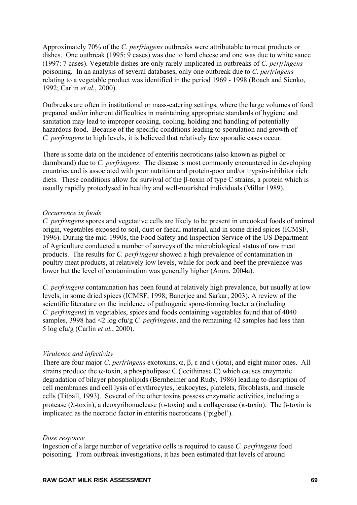Approximately 70% of the *C. perfringens* outbreaks were attributable to meat products or dishes. One outbreak (1995: 9 cases) was due to hard cheese and one was due to white sauce (1997: 7 cases). Vegetable dishes are only rarely implicated in outbreaks of *C. perfringens* poisoning. In an analysis of several databases, only one outbreak due to *C. perfringens* relating to a vegetable product was identified in the period 1969 - 1998 (Roach and Sienko, 1992; Carlin *et al.*, 2000).

Outbreaks are often in institutional or mass-catering settings, where the large volumes of food prepared and/or inherent difficulties in maintaining appropriate standards of hygiene and sanitation may lead to improper cooking, cooling, holding and handling of potentially hazardous food. Because of the specific conditions leading to sporulation and growth of *C. perfringens* to high levels, it is believed that relatively few sporadic cases occur.

There is some data on the incidence of enteritis necroticans (also known as pigbel or darmbrand) due to *C. perfringens*. The disease is most commonly encountered in developing countries and is associated with poor nutrition and protein-poor and/or trypsin-inhibitor rich diets. These conditions allow for survival of the β-toxin of type C strains, a protein which is usually rapidly proteolysed in healthy and well-nourished individuals (Millar 1989).

#### *Occurrence in foods*

*C. perfringens* spores and vegetative cells are likely to be present in uncooked foods of animal origin, vegetables exposed to soil, dust or faecal material, and in some dried spices (ICMSF, 1996). During the mid-1990s, the Food Safety and Inspection Service of the US Department of Agriculture conducted a number of surveys of the microbiological status of raw meat products. The results for *C. perfringens* showed a high prevalence of contamination in poultry meat products, at relatively low levels, while for pork and beef the prevalence was lower but the level of contamination was generally higher (Anon, 2004a).

*C. perfringens* contamination has been found at relatively high prevalence, but usually at low levels, in some dried spices (ICMSF, 1998; Banerjee and Sarkar, 2003). A review of the scientific literature on the incidence of pathogenic spore-forming bacteria (including *C. perfringens*) in vegetables, spices and foods containing vegetables found that of 4040 samples, 3998 had <2 log cfu/g *C. perfringens*, and the remaining 42 samples had less than 5 log cfu/g (Carlin *et al.*, 2000).

## *Virulence and infectivity*

There are four major *C. perfringens* exotoxins, α, β, ε and ι (iota), and eight minor ones. All strains produce the  $\alpha$ -toxin, a phospholipase C (lecithinase C) which causes enzymatic degradation of bilayer phospholipids (Bernheimer and Rudy, 1986) leading to disruption of cell membranes and cell lysis of erythrocytes, leukocytes, platelets, fibroblasts, and muscle cells (Titball, 1993). Several of the other toxins possess enzymatic activities, including a protease (λ-toxin), a deoxyribonuclease (υ-toxin) and a collagenase (κ-toxin). The β-toxin is implicated as the necrotic factor in enteritis necroticans ('pigbel').

## *Dose response*

Ingestion of a large number of vegetative cells is required to cause *C. perfringens* food poisoning. From outbreak investigations, it has been estimated that levels of around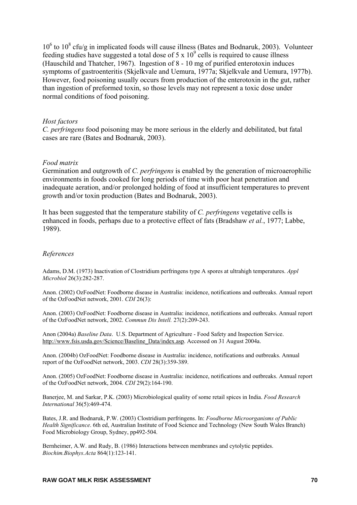10<sup>6</sup> to 10<sup>8</sup> cfu/g in implicated foods will cause illness (Bates and Bodnaruk, 2003). Volunteer feeding studies have suggested a total dose of  $5 \times 10^9$  cells is required to cause illness (Hauschild and Thatcher, 1967). Ingestion of 8 - 10 mg of purified enterotoxin induces symptoms of gastroenteritis (Skjelkvale and Uemura, 1977a; Skjelkvale and Uemura, 1977b). However, food poisoning usually occurs from production of the enterotoxin in the gut, rather than ingestion of preformed toxin, so those levels may not represent a toxic dose under normal conditions of food poisoning.

#### *Host factors*

*C. perfringens* food poisoning may be more serious in the elderly and debilitated, but fatal cases are rare (Bates and Bodnaruk, 2003).

#### *Food matrix*

Germination and outgrowth of *C. perfringens* is enabled by the generation of microaerophilic environments in foods cooked for long periods of time with poor heat penetration and inadequate aeration, and/or prolonged holding of food at insufficient temperatures to prevent growth and/or toxin production (Bates and Bodnaruk, 2003).

It has been suggested that the temperature stability of *C. perfringens* vegetative cells is enhanced in foods, perhaps due to a protective effect of fats (Bradshaw *et al.*, 1977; Labbe, 1989).

#### *References*

Adams, D.M. (1973) Inactivation of Clostridium perfringens type A spores at ultrahigh temperatures. *Appl Microbiol* 26(3):282-287.

Anon. (2002) OzFoodNet: Foodborne disease in Australia: incidence, notifications and outbreaks. Annual report of the OzFoodNet network, 2001. *CDI* 26(3):

Anon. (2003) OzFoodNet: Foodborne disease in Australia: incidence, notifications and outbreaks. Annual report of the OzFoodNet network, 2002. *Commun Dis Intell.* 27(2):209-243.

Anon (2004a) *Baseline Data*. U.S. Department of Agriculture - Food Safety and Inspection Service. http://www.fsis.usda.gov/Science/Baseline\_Data/index.asp. Accessed on 31 August 2004a.

Anon. (2004b) OzFoodNet: Foodborne disease in Australia: incidence, notifications and outbreaks. Annual report of the OzFoodNet network, 2003. *CDI* 28(3):359-389.

Anon. (2005) OzFoodNet: Foodborne disease in Australia: incidence, notifications and outbreaks. Annual report of the OzFoodNet network, 2004. *CDI* 29(2):164-190.

Banerjee, M. and Sarkar, P.K. (2003) Microbiological quality of some retail spices in India. *Food Research International* 36(5):469-474.

Bates, J.R. and Bodnaruk, P.W. (2003) Clostridium perfringens. In: *Foodborne Microorganisms of Public Health Significance*. 6th ed, Australian Institute of Food Science and Technology (New South Wales Branch) Food Microbiology Group, Sydney, pp492-504.

Bernheimer, A.W. and Rudy, B. (1986) Interactions between membranes and cytolytic peptides. *Biochim.Biophys.Acta* 864(1):123-141.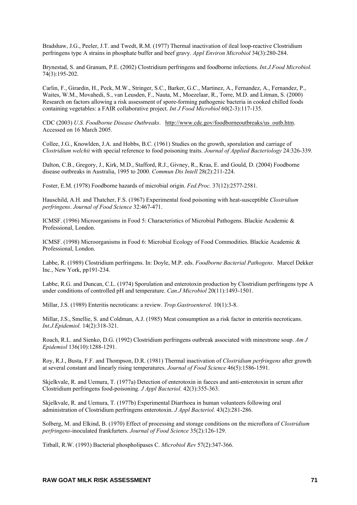Bradshaw, J.G., Peeler, J.T. and Twedt, R.M. (1977) Thermal inactivation of ileal loop-reactive Clostridium perfringens type A strains in phosphate buffer and beef gravy. *Appl Environ Microbiol* 34(3):280-284.

Brynestad, S. and Granum, P.E. (2002) Clostridium perfringens and foodborne infections. *Int.J.Food Microbiol.*  74(3):195-202.

Carlin, F., Girardin, H., Peck, M.W., Stringer, S.C., Barker, G.C., Martinez, A., Fernandez, A., Fernandez, P., Waites, W.M., Movahedi, S., van Leusden, F., Nauta, M., Moezelaar, R., Torre, M.D. and Litman, S. (2000) Research on factors allowing a risk assessment of spore-forming pathogenic bacteria in cooked chilled foods containing vegetables: a FAIR collaborative project. *Int J Food Microbiol* 60(2-3):117-135.

CDC (2003) *U.S. Foodborne Disease Outbreaks*. http://www.cdc.gov/foodborneoutbreaks/us\_outb.htm. Accessed on 16 March 2005.

Collee, J.G., Knowlden, J.A. and Hobbs, B.C. (1961) Studies on the growth, sporulation and carriage of *Clostridium welchii* with special reference to food poisoning traits. *Journal of Applied Bacteriology* 24:326-339.

Dalton, C.B., Gregory, J., Kirk, M.D., Stafford, R.J., Givney, R., Kraa, E. and Gould, D. (2004) Foodborne disease outbreaks in Australia, 1995 to 2000. *Commun Dis Intell* 28(2):211-224.

Foster, E.M. (1978) Foodborne hazards of microbial origin. *Fed.Proc.* 37(12):2577-2581.

Hauschild, A.H. and Thatcher, F.S. (1967) Experimental food poisoning with heat-susceptible *Clostridium perfringens*. *Journal of Food Science* 32:467-471.

ICMSF. (1996) Microorganisms in Food 5: Characteristics of Microbial Pathogens. Blackie Academic & Professional, London.

ICMSF. (1998) Microorganisms in Food 6: Microbial Ecology of Food Commodities. Blackie Academic & Professional, London.

Labbe, R. (1989) Clostridium perfringens. In: Doyle, M.P. eds. *Foodborne Bacterial Pathogens*. Marcel Dekker Inc., New York, pp191-234.

Labbe, R.G. and Duncan, C.L. (1974) Sporulation and enterotoxin production by Clostridium perfringens type A under conditions of controlled pH and temperature. *Can.J Microbiol* 20(11):1493-1501.

Millar, J.S. (1989) Enteritis necroticans: a review. *Trop.Gastroenterol.* 10(1):3-8.

Millar, J.S., Smellie, S. and Coldman, A.J. (1985) Meat consumption as a risk factor in enteritis necroticans. *Int.J.Epidemiol.* 14(2):318-321.

Roach, R.L. and Sienko, D.G. (1992) Clostridium perfringens outbreak associated with minestrone soup. *Am J Epidemiol* 136(10):1288-1291.

Roy, R.J., Busta, F.F. and Thompson, D.R. (1981) Thermal inactivation of *Clostridium perfringens* after growth at several constant and linearly rising temperatures. *Journal of Food Science* 46(5):1586-1591.

Skjelkvale, R. and Uemura, T. (1977a) Detection of enterotoxin in faeces and anti-enterotoxin in serum after Clostridium perfringens food-poisoning. *J Appl Bacteriol.* 42(3):355-363.

Skjelkvale, R. and Uemura, T. (1977b) Experimental Diarrhoea in human volunteers following oral administration of Clostridium perfringens enterotoxin. *J Appl Bacteriol.* 43(2):281-286.

Solberg, M. and Elkind, B. (1970) Effect of processing and storage conditions on the microflora of *Clostridium perfringens*-inoculated frankfurters. *Journal of Food Science* 35(2):126-129.

Titball, R.W. (1993) Bacterial phospholipases C. *Microbiol Rev* 57(2):347-366.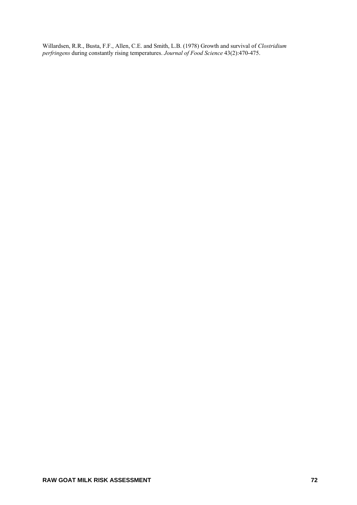Willardsen, R.R., Busta, F.F., Allen, C.E. and Smith, L.B. (1978) Growth and survival of *Clostridium perfringens* during constantly rising temperatures. *Journal of Food Science* 43(2):470-475.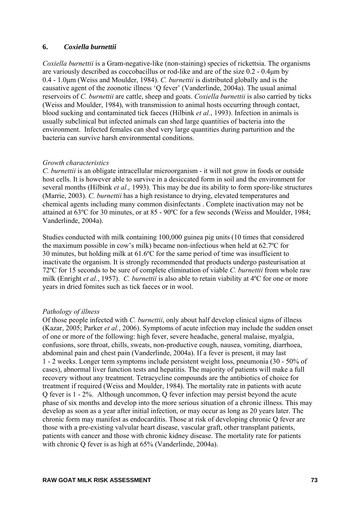# **6.** *Coxiella burnettii*

*Coxiella burnettii* is a Gram-negative-like (non-staining) species of rickettsia. The organisms are variously described as coccobacillus or rod-like and are of the size 0.2 - 0.4μm by 0.4 - 1.0μm (Weiss and Moulder, 1984). *C. burnettii* is distributed globally and is the causative agent of the zoonotic illness 'Q fever' (Vanderlinde, 2004a). The usual animal reservoirs of *C. burnettii* are cattle, sheep and goats. *Coxiella burnettii* is also carried by ticks (Weiss and Moulder, 1984), with transmission to animal hosts occurring through contact, blood sucking and contaminated tick faeces (Hilbink *et al.*, 1993). Infection in animals is usually subclinical but infected animals can shed large quantities of bacteria into the environment. Infected females can shed very large quantities during parturition and the bacteria can survive harsh environmental conditions.

## *Growth characteristics*

*C. burnettii* is an obligate intracellular microorganism - it will not grow in foods or outside host cells. It is however able to survive in a desiccated form in soil and the environment for several months (Hilbink *et al.,* 1993). This may be due its ability to form spore-like structures (Marrie, 2003). *C. burnettii* has a high resistance to drying, elevated temperatures and chemical agents including many common disinfectants . Complete inactivation may not be attained at 63ºC for 30 minutes, or at 85 - 90ºC for a few seconds (Weiss and Moulder, 1984; Vanderlinde, 2004a).

Studies conducted with milk containing 100,000 guinea pig units (10 times that considered the maximum possible in cow's milk) became non-infectious when held at 62.7ºC for 30 minutes, but holding milk at 61.6ºC for the same period of time was insufficient to inactivate the organism. It is strongly recommended that products undergo pasteurisation at 72ºC for 15 seconds to be sure of complete elimination of viable *C. burnettii* from whole raw milk (Enright *et al.*, 1957). *C. burnettii* is also able to retain viability at 4ºC for one or more years in dried fomites such as tick faeces or in wool.

## *Pathology of illness*

Of those people infected with *C. burnettii*, only about half develop clinical signs of illness (Kazar, 2005; Parker *et al.*, 2006). Symptoms of acute infection may include the sudden onset of one or more of the following: high fever, severe headache, general malaise, myalgia, confusions, sore throat, chills, sweats, non-productive cough, nausea, vomiting, diarrhoea, abdominal pain and chest pain (Vanderlinde, 2004a). If a fever is present, it may last 1 - 2 weeks. Longer term symptoms include persistent weight loss, pneumonia (30 - 50% of cases), abnormal liver function tests and hepatitis. The majority of patients will make a full recovery without any treatment. Tetracycline compounds are the antibiotics of choice for treatment if required (Weiss and Moulder, 1984). The mortality rate in patients with acute Q fever is 1 - 2%. Although uncommon, Q fever infection may persist beyond the acute phase of six months and develop into the more serious situation of a chronic illness. This may develop as soon as a year after initial infection, or may occur as long as 20 years later. The chronic form may manifest as endocarditis. Those at risk of developing chronic Q fever are those with a pre-existing valvular heart disease, vascular graft, other transplant patients, patients with cancer and those with chronic kidney disease. The mortality rate for patients with chronic O fever is as high at 65% (Vanderlinde, 2004a).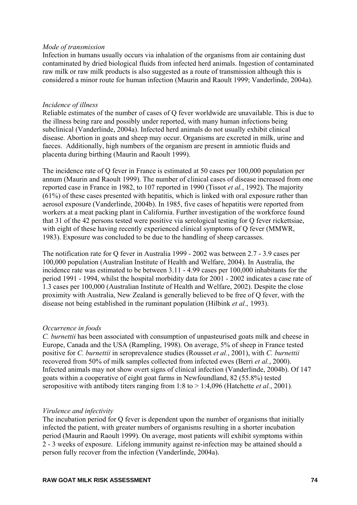#### *Mode of transmission*

Infection in humans usually occurs via inhalation of the organisms from air containing dust contaminated by dried biological fluids from infected herd animals. Ingestion of contaminated raw milk or raw milk products is also suggested as a route of transmission although this is considered a minor route for human infection (Maurin and Raoult 1999; Vanderlinde, 2004a).

## *Incidence of illness*

Reliable estimates of the number of cases of Q fever worldwide are unavailable. This is due to the illness being rare and possibly under reported, with many human infections being subclinical (Vanderlinde, 2004a). Infected herd animals do not usually exhibit clinical disease. Abortion in goats and sheep may occur. Organisms are excreted in milk, urine and faeces. Additionally, high numbers of the organism are present in amniotic fluids and placenta during birthing (Maurin and Raoult 1999).

The incidence rate of Q fever in France is estimated at 50 cases per 100,000 population per annum (Maurin and Raoult 1999). The number of clinical cases of disease increased from one reported case in France in 1982, to 107 reported in 1990 (Tissot *et al.*, 1992). The majority (61%) of these cases presented with hepatitis, which is linked with oral exposure rather than aerosol exposure (Vanderlinde, 2004b). In 1985, five cases of hepatitis were reported from workers at a meat packing plant in California. Further investigation of the workforce found that 31 of the 42 persons tested were positive via serological testing for Q fever rickettsiae, with eight of these having recently experienced clinical symptoms of Q fever (MMWR, 1983). Exposure was concluded to be due to the handling of sheep carcasses.

The notification rate for Q fever in Australia 1999 - 2002 was between 2.7 - 3.9 cases per 100,000 population (Australian Institute of Health and Welfare, 2004). In Australia, the incidence rate was estimated to be between 3.11 - 4.99 cases per 100,000 inhabitants for the period 1991 - 1994, whilst the hospital morbidity data for 2001 - 2002 indicates a case rate of 1.3 cases per 100,000 (Australian Institute of Health and Welfare, 2002). Despite the close proximity with Australia, New Zealand is generally believed to be free of Q fever, with the disease not being established in the ruminant population (Hilbink *et al.,* 1993).

## *Occurrence in foods*

*C. burnettii* has been associated with consumption of unpasteurised goats milk and cheese in Europe, Canada and the USA (Rampling, 1998). On average, 5% of sheep in France tested positive for *C. burnettii* in seroprevalence studies (Rousset *et al.*, 2001), with *C. burnettii* recovered from 50% of milk samples collected from infected ewes (Berri *et al.*, 2000). Infected animals may not show overt signs of clinical infection (Vanderlinde, 2004b). Of 147 goats within a cooperative of eight goat farms in Newfoundland, 82 (55.8%) tested seropositive with antibody titers ranging from 1:8 to > 1:4,096 (Hatchette *et al.*, 2001)*.*

## *Virulence and infectivity*

The incubation period for Q fever is dependent upon the number of organisms that initially infected the patient, with greater numbers of organisms resulting in a shorter incubation period (Maurin and Raoult 1999). On average, most patients will exhibit symptoms within 2 - 3 weeks of exposure. Lifelong immunity against re-infection may be attained should a person fully recover from the infection (Vanderlinde, 2004a).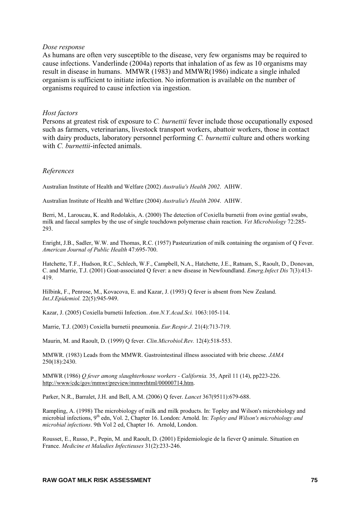#### *Dose response*

As humans are often very susceptible to the disease, very few organisms may be required to cause infections. Vanderlinde (2004a) reports that inhalation of as few as 10 organisms may result in disease in humans. MMWR (1983) and MMWR(1986) indicate a single inhaled organism is sufficient to initiate infection. No information is available on the number of organisms required to cause infection via ingestion.

#### *Host factors*

Persons at greatest risk of exposure to *C. burnettii* fever include those occupationally exposed such as farmers, veterinarians, livestock transport workers, abattoir workers, those in contact with dairy products, laboratory personnel performing *C. burnettii* culture and others working with *C. burnettii*-infected animals.

## *References*

Australian Institute of Health and Welfare (2002) *Australia's Health 2002*. AIHW.

Australian Institute of Health and Welfare (2004) *Australia's Health 2004*. AIHW.

Berri, M., Laroucau, K. and Rodolakis, A. (2000) The detection of Coxiella burnetii from ovine gential swabs, milk and faecal samples by the use of single touchdown polymerase chain reaction. *Vet Microbiology* 72:285- 293.

Enright, J.B., Sadler, W.W. and Thomas, R.C. (1957) Pasteurization of milk containing the organism of Q Fever. *American Journal of Public Health* 47:695-700.

Hatchette, T.F., Hudson, R.C., Schlech, W.F., Campbell, N.A., Hatchette, J.E., Ratnam, S., Raoult, D., Donovan, C. and Marrie, T.J. (2001) Goat-associated Q fever: a new disease in Newfoundland. *Emerg.Infect Dis* 7(3):413- 419.

Hilbink, F., Penrose, M., Kovacova, E. and Kazar, J. (1993) Q fever is absent from New Zealand. *Int.J.Epidemiol.* 22(5):945-949.

Kazar, J. (2005) Coxiella burnetii Infection. *Ann.N.Y.Acad.Sci.* 1063:105-114.

Marrie, T.J. (2003) Coxiella burnetii pneumonia. *Eur.Respir.J.* 21(4):713-719.

Maurin, M. and Raoult, D. (1999) Q fever. *Clin.Microbiol.Rev.* 12(4):518-553.

MMWR. (1983) Leads from the MMWR. Gastrointestinal illness associated with brie cheese. *JAMA*  250(18):2430.

MMWR (1986) *Q fever among slaughterhouse workers - California.* 35, April 11 (14), pp223-226. http://www/cdc/gov/mmwr/preview/mmwrhtml/00000714.htm.

Parker, N.R., Barralet, J.H. and Bell, A.M. (2006) Q fever. *Lancet* 367(9511):679-688.

Rampling, A. (1998) The microbiology of milk and milk products. In: Topley and Wilson's microbiology and microbial infections, 9th edn, Vol. 2, Chapter 16. London: Arnold. In: *Topley and Wilson's microbiology and microbial infections*. 9th Vol 2 ed, Chapter 16. Arnold, London.

Rousset, E., Russo, P., Pepin, M. and Raoult, D. (2001) Epidemiologie de la fiever Q animale. Situation en France. *Medicine et Maladies Infectieuses* 31(2):233-246.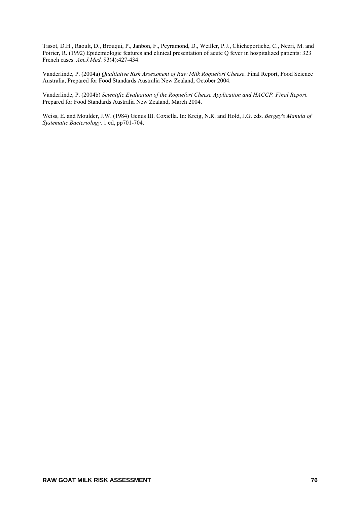Tissot, D.H., Raoult, D., Brouqui, P., Janbon, F., Peyramond, D., Weiller, P.J., Chicheportiche, C., Nezri, M. and Poirier, R. (1992) Epidemiologic features and clinical presentation of acute Q fever in hospitalized patients: 323 French cases. *Am.J.Med.* 93(4):427-434.

Vanderlinde, P. (2004a) *Qualitative Risk Assessment of Raw Milk Roquefort Cheese*. Final Report, Food Science Australia, Prepared for Food Standards Australia New Zealand, October 2004.

Vanderlinde, P. (2004b) *Scientific Evaluation of the Roquefort Cheese Application and HACCP. Final Report.* Prepared for Food Standards Australia New Zealand, March 2004.

Weiss, E. and Moulder, J.W. (1984) Genus III. Coxiella. In: Kreig, N.R. and Hold, J.G. eds. *Bergey's Manula of Systematic Bacteriology*. 1 ed, pp701-704.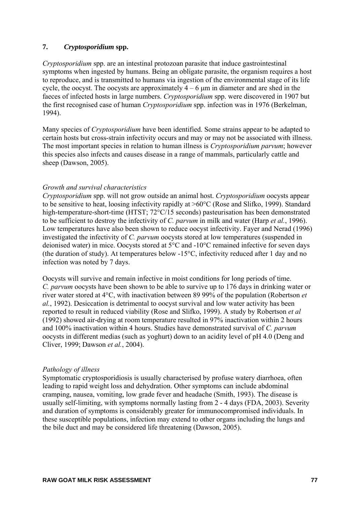# **7.** *Cryptosporidium* **spp.**

*Cryptosporidium* spp. are an intestinal protozoan parasite that induce gastrointestinal symptoms when ingested by humans. Being an obligate parasite, the organism requires a host to reproduce, and is transmitted to humans via ingestion of the environmental stage of its life cycle, the oocyst. The oocysts are approximately  $4 - 6 \mu m$  in diameter and are shed in the faeces of infected hosts in large numbers. *Cryptosporidium* spp. were discovered in 1907 but the first recognised case of human *Cryptosporidium* spp. infection was in 1976 (Berkelman, 1994).

Many species of *Cryptosporidium* have been identified. Some strains appear to be adapted to certain hosts but cross-strain infectivity occurs and may or may not be associated with illness. The most important species in relation to human illness is *Cryptosporidium parvum*; however this species also infects and causes disease in a range of mammals, particularly cattle and sheep (Dawson, 2005).

# *Growth and survival characteristics*

*Cryptosporidium* spp. will not grow outside an animal host. *Cryptosporidium* oocysts appear to be sensitive to heat, loosing infectivity rapidly at >60°C (Rose and Slifko, 1999). Standard high-temperature-short-time (HTST; 72°C/15 seconds) pasteurisation has been demonstrated to be sufficient to destroy the infectivity of *C. parvum* in milk and water (Harp *et al.*, 1996). Low temperatures have also been shown to reduce oocyst infectivity. Fayer and Nerad (1996) investigated the infectivity of *C. parvum* oocysts stored at low temperatures (suspended in deionised water) in mice. Oocysts stored at 5°C and -10°C remained infective for seven days (the duration of study). At temperatures below -15°C, infectivity reduced after 1 day and no infection was noted by 7 days.

Oocysts will survive and remain infective in moist conditions for long periods of time. *C. parvum* oocysts have been shown to be able to survive up to 176 days in drinking water or river water stored at 4°C, with inactivation between 89 99% of the population (Robertson *et al.*, 1992). Desiccation is detrimental to oocyst survival and low water activity has been reported to result in reduced viability (Rose and Slifko, 1999). A study by Robertson *et al* (1992) showed air-drying at room temperature resulted in 97% inactivation within 2 hours and 100% inactivation within 4 hours. Studies have demonstrated survival of *C. parvum* oocysts in different medias (such as yoghurt) down to an acidity level of pH 4.0 (Deng and Cliver, 1999; Dawson *et al.*, 2004).

## *Pathology of illness*

Symptomatic cryptosporidiosis is usually characterised by profuse watery diarrhoea, often leading to rapid weight loss and dehydration. Other symptoms can include abdominal cramping, nausea, vomiting, low grade fever and headache (Smith, 1993). The disease is usually self-limiting, with symptoms normally lasting from 2 - 4 days (FDA, 2003). Severity and duration of symptoms is considerably greater for immunocompromised individuals. In these susceptible populations, infection may extend to other organs including the lungs and the bile duct and may be considered life threatening (Dawson, 2005).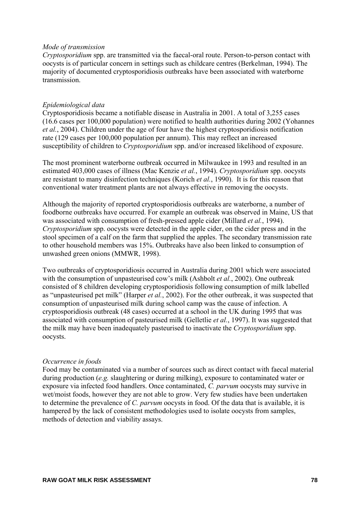#### *Mode of transmission*

*Cryptosporidium* spp. are transmitted via the faecal-oral route. Person-to-person contact with oocysts is of particular concern in settings such as childcare centres (Berkelman, 1994). The majority of documented cryptosporidiosis outbreaks have been associated with waterborne transmission.

# *Epidemiological data*

Cryptosporidiosis became a notifiable disease in Australia in 2001. A total of 3,255 cases (16.6 cases per 100,000 population) were notified to health authorities during 2002 (Yohannes *et al.*, 2004). Children under the age of four have the highest cryptosporidiosis notification rate (129 cases per 100,000 population per annum). This may reflect an increased susceptibility of children to *Cryptosporidium* spp. and/or increased likelihood of exposure.

The most prominent waterborne outbreak occurred in Milwaukee in 1993 and resulted in an estimated 403,000 cases of illness (Mac Kenzie *et al.*, 1994). *Cryptosporidium* spp. oocysts are resistant to many disinfection techniques (Korich *et al.*, 1990). It is for this reason that conventional water treatment plants are not always effective in removing the oocysts.

Although the majority of reported cryptosporidiosis outbreaks are waterborne, a number of foodborne outbreaks have occurred. For example an outbreak was observed in Maine, US that was associated with consumption of fresh-pressed apple cider (Millard *et al.*, 1994). *Cryptosporidium* spp. oocysts were detected in the apple cider, on the cider press and in the stool specimen of a calf on the farm that supplied the apples. The secondary transmission rate to other household members was 15%. Outbreaks have also been linked to consumption of unwashed green onions (MMWR, 1998).

Two outbreaks of cryptosporidiosis occurred in Australia during 2001 which were associated with the consumption of unpasteurised cow's milk (Ashbolt *et al.*, 2002). One outbreak consisted of 8 children developing cryptosporidiosis following consumption of milk labelled as "unpasteurised pet milk" (Harper *et al.*, 2002). For the other outbreak, it was suspected that consumption of unpasteurised milk during school camp was the cause of infection. A cryptosporidiosis outbreak (48 cases) occurred at a school in the UK during 1995 that was associated with consumption of pasteurised milk (Gelletlie *et al.*, 1997). It was suggested that the milk may have been inadequately pasteurised to inactivate the *Cryptosporidium* spp. oocysts.

#### *Occurrence in foods*

Food may be contaminated via a number of sources such as direct contact with faecal material during production (*e.g.* slaughtering or during milking), exposure to contaminated water or exposure via infected food handlers. Once contaminated, *C. parvum* oocysts may survive in wet/moist foods, however they are not able to grow. Very few studies have been undertaken to determine the prevalence of *C. parvum* oocysts in food. Of the data that is available, it is hampered by the lack of consistent methodologies used to isolate oocysts from samples, methods of detection and viability assays.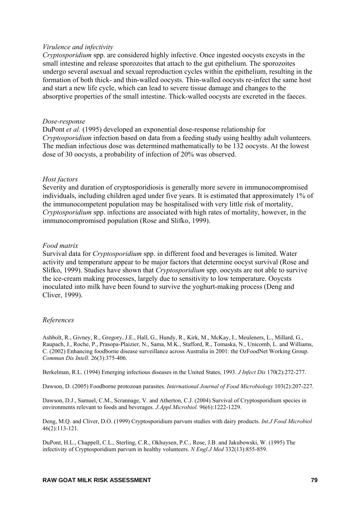#### *Virulence and infectivity*

*Cryptosporidium* spp. are considered highly infective. Once ingested oocysts excysts in the small intestine and release sporozoites that attach to the gut epithelium. The sporozoites undergo several asexual and sexual reproduction cycles within the epithelium, resulting in the formation of both thick- and thin-walled oocysts. Thin-walled oocysts re-infect the same host and start a new life cycle, which can lead to severe tissue damage and changes to the absorptive properties of the small intestine. Thick-walled oocysts are excreted in the faeces.

#### *Dose-response*

DuPont *et al.* (1995) developed an exponential dose-response relationship for *Cryptosporidium* infection based on data from a feeding study using healthy adult volunteers. The median infectious dose was determined mathematically to be 132 oocysts. At the lowest dose of 30 oocysts, a probability of infection of 20% was observed.

#### *Host factors*

Severity and duration of cryptosporidiosis is generally more severe in immunocompromised individuals, including children aged under five years. It is estimated that approximately 1% of the immunocompetent population may be hospitalised with very little risk of mortality, *Cryptosporidium* spp. infections are associated with high rates of mortality, however, in the immunocompromised population (Rose and Slifko, 1999).

#### *Food matrix*

Survival data for *Cryptosporidium* spp. in different food and beverages is limited. Water activity and temperature appear to be major factors that determine oocyst survival (Rose and Slifko, 1999). Studies have shown that *Cryptosporidium* spp. oocysts are not able to survive the ice-cream making processes, largely due to sensitivity to low temperature. Ooycsts inoculated into milk have been found to survive the yoghurt-making process (Deng and Cliver, 1999).

#### *References*

Ashbolt, R., Givney, R., Gregory, J.E., Hall, G., Hundy, R., Kirk, M., McKay, I., Meuleners, L., Millard, G., Raupach, J., Roche, P., Prasopa-Plaizier, N., Sama, M.K., Stafford, R., Tomaska, N., Unicomb, L. and Williams, C. (2002) Enhancing foodborne disease surveillance across Australia in 2001: the OzFoodNet Working Group. *Commun Dis Intell.* 26(3):375-406.

Berkelman, R.L. (1994) Emerging infectious diseases in the United States, 1993. *J Infect Dis* 170(2):272-277.

Dawson, D. (2005) Foodborne protozoan parasites. *International Journal of Food Microbiology* 103(2):207-227.

Dawson, D.J., Samuel, C.M., Scrannage, V. and Atherton, C.J. (2004) Survival of Cryptosporidium species in environments relevant to foods and beverages. *J.Appl.Microbiol.* 96(6):1222-1229.

Deng, M.Q. and Cliver, D.O. (1999) Cryptosporidium parvum studies with dairy products. *Int.J Food Microbiol*  46(2):113-121.

DuPont, H.L., Chappell, C.L., Sterling, C.R., Okhuysen, P.C., Rose, J.B. and Jakubowski, W. (1995) The infectivity of Cryptosporidium parvum in healthy volunteers. *N Engl.J Med* 332(13):855-859.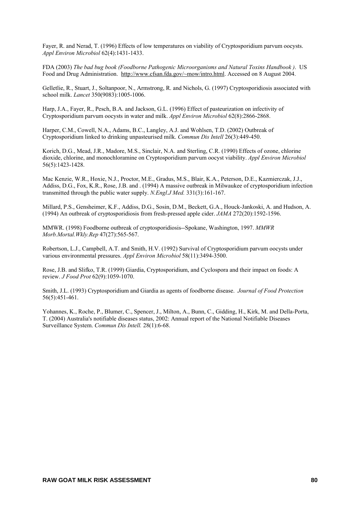Fayer, R. and Nerad, T. (1996) Effects of low temperatures on viability of Cryptosporidium parvum oocysts. *Appl Environ Microbiol* 62(4):1431-1433.

FDA (2003) *The bad bug book (Foodborne Pathogenic Microorganisms and Natural Toxins Handbook )*. US Food and Drug Administration. http://www.cfsan.fda.gov/~mow/intro.html. Accessed on 8 August 2004.

Gelletlie, R., Stuart, J., Soltanpoor, N., Armstrong, R. and Nichols, G. (1997) Cryptosporidiosis associated with school milk. *Lancet* 350(9083):1005-1006.

Harp, J.A., Fayer, R., Pesch, B.A. and Jackson, G.L. (1996) Effect of pasteurization on infectivity of Cryptosporidium parvum oocysts in water and milk. *Appl Environ Microbiol* 62(8):2866-2868.

Harper, C.M., Cowell, N.A., Adams, B.C., Langley, A.J. and Wohlsen, T.D. (2002) Outbreak of Cryptosporidium linked to drinking unpasteurised milk. *Commun Dis Intell* 26(3):449-450.

Korich, D.G., Mead, J.R., Madore, M.S., Sinclair, N.A. and Sterling, C.R. (1990) Effects of ozone, chlorine dioxide, chlorine, and monochloramine on Cryptosporidium parvum oocyst viability. *Appl Environ Microbiol*  56(5):1423-1428.

Mac Kenzie, W.R., Hoxie, N.J., Proctor, M.E., Gradus, M.S., Blair, K.A., Peterson, D.E., Kazmierczak, J.J., Addiss, D.G., Fox, K.R., Rose, J.B. and . (1994) A massive outbreak in Milwaukee of cryptosporidium infection transmitted through the public water supply. *N.Engl.J Med.* 331(3):161-167.

Millard, P.S., Gensheimer, K.F., Addiss, D.G., Sosin, D.M., Beckett, G.A., Houck-Jankoski, A. and Hudson, A. (1994) An outbreak of cryptosporidiosis from fresh-pressed apple cider. *JAMA* 272(20):1592-1596.

MMWR. (1998) Foodborne outbreak of cryptosporidiosis--Spokane, Washington, 1997. *MMWR Morb.Mortal.Wkly.Rep* 47(27):565-567.

Robertson, L.J., Campbell, A.T. and Smith, H.V. (1992) Survival of Cryptosporidium parvum oocysts under various environmental pressures. *Appl Environ Microbiol* 58(11):3494-3500.

Rose, J.B. and Slifko, T.R. (1999) Giardia, Cryptosporidium, and Cyclospora and their impact on foods: A review. *J Food Prot* 62(9):1059-1070.

Smith, J.L. (1993) Cryptosporidium and Giardia as agents of foodborne disease. *Journal of Food Protection*  56(5):451-461.

Yohannes, K., Roche, P., Blumer, C., Spencer, J., Milton, A., Bunn, C., Gidding, H., Kirk, M. and Della-Porta, T. (2004) Australia's notifiable diseases status, 2002: Annual report of the National Notifiable Diseases Surveillance System. *Commun Dis Intell.* 28(1):6-68.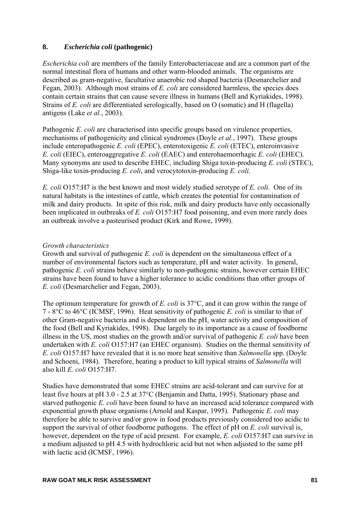# **8.** *Escherichia coli* **(pathogenic)**

*Escherichia coli* are members of the family Enterobacteriaceae and are a common part of the normal intestinal flora of humans and other warm-blooded animals. The organisms are described as gram-negative, facultative anaerobic rod shaped bacteria (Desmarchelier and Fegan, 2003). Although most strains of *E. coli* are considered harmless, the species does contain certain strains that can cause severe illness in humans (Bell and Kyriakides, 1998). Strains of *E. coli* are differentiated serologically, based on O (somatic) and H (flagella) antigens (Lake *et al.*, 2003).

Pathogenic *E. coli* are characterised into specific groups based on virulence properties. mechanisms of pathogenicity and clinical syndromes (Doyle *et al.*, 1997). These groups include enteropathogenic *E. coli* (EPEC), enterotoxigenic *E. coli* (ETEC), enteroinvasive *E. coli* (EIEC), enteroaggregative *E. coli* (EAEC) and enterohaemorrhagic *E. coli* (EHEC). Many synonyms are used to describe EHEC, including Shiga toxin-producing *E. coli* (STEC), Shiga-like toxin-producing *E. coli*, and verocytotoxin-producing *E. coli*.

*E. coli* O157:H7 is the best known and most widely studied serotype of *E. coli.* One of its natural habitats is the intestines of cattle, which creates the potential for contamination of milk and dairy products. In spite of this risk, milk and dairy products have only occasionally been implicated in outbreaks of *E. coli* O157:H7 food poisoning, and even more rarely does an outbreak involve a pasteurised product (Kirk and Rowe, 1999).

# *Growth characteristics*

Growth and survival of pathogenic *E. coli* is dependent on the simultaneous effect of a number of environmental factors such as temperature, pH and water activity. In general, pathogenic *E. coli* strains behave similarly to non-pathogenic strains, however certain EHEC strains have been found to have a higher tolerance to acidic conditions than other groups of *E. coli* (Desmarchelier and Fegan, 2003).

The optimum temperature for growth of *E. coli* is 37°C, and it can grow within the range of 7 - 8°C to 46°C (ICMSF, 1996). Heat sensitivity of pathogenic *E. coli* is similar to that of other Gram-negative bacteria and is dependent on the pH, water activity and composition of the food (Bell and Kyriakides, 1998). Due largely to its importance as a cause of foodborne illness in the US, most studies on the growth and/or survival of pathogenic *E. coli* have been undertaken with *E. coli* O157:H7 (an EHEC organism). Studies on the thermal sensitivity of *E. coli* O157:H7 have revealed that it is no more heat sensitive than *Salmonella* spp. (Doyle and Schoeni, 1984). Therefore, heating a product to kill typical strains of *Salmonella* will also kill *E. coli* O157:H7.

Studies have demonstrated that some EHEC strains are acid-tolerant and can survive for at least five hours at pH 3.0 - 2.5 at 37°C (Benjamin and Datta, 1995). Stationary phase and starved pathogenic *E. coli* have been found to have an increased acid tolerance compared with exponential growth phase organisms (Arnold and Kaspar, 1995). Pathogenic *E. coli* may therefore be able to survive and/or grow in food products previously considered too acidic to support the survival of other foodborne pathogens. The effect of pH on *E. coli* survival is, however, dependent on the type of acid present. For example, *E. coli* O157:H7 can survive in a medium adjusted to pH 4.5 with hydrochloric acid but not when adjusted to the same pH with lactic acid (ICMSF, 1996).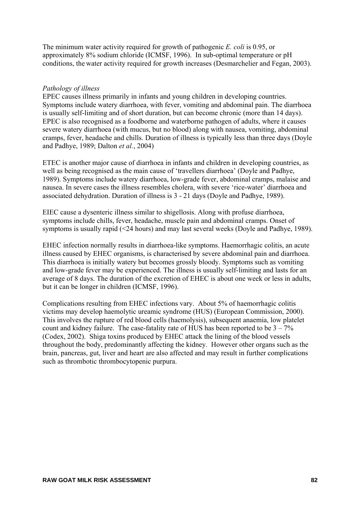The minimum water activity required for growth of pathogenic *E. coli* is 0.95, or approximately 8% sodium chloride (ICMSF, 1996). In sub-optimal temperature or pH conditions, the water activity required for growth increases (Desmarchelier and Fegan, 2003).

# *Pathology of illness*

EPEC causes illness primarily in infants and young children in developing countries. Symptoms include watery diarrhoea, with fever, vomiting and abdominal pain. The diarrhoea is usually self-limiting and of short duration, but can become chronic (more than 14 days). EPEC is also recognised as a foodborne and waterborne pathogen of adults, where it causes severe watery diarrhoea (with mucus, but no blood) along with nausea, vomiting, abdominal cramps, fever, headache and chills. Duration of illness is typically less than three days (Doyle and Padhye, 1989; Dalton *et al.*, 2004)

ETEC is another major cause of diarrhoea in infants and children in developing countries, as well as being recognised as the main cause of 'travellers diarrhoea' (Doyle and Padhye, 1989). Symptoms include watery diarrhoea, low-grade fever, abdominal cramps, malaise and nausea. In severe cases the illness resembles cholera, with severe 'rice-water' diarrhoea and associated dehydration. Duration of illness is 3 - 21 days (Doyle and Padhye, 1989).

EIEC cause a dysenteric illness similar to shigellosis. Along with profuse diarrhoea, symptoms include chills, fever, headache, muscle pain and abdominal cramps. Onset of symptoms is usually rapid (<24 hours) and may last several weeks (Doyle and Padhye, 1989).

EHEC infection normally results in diarrhoea-like symptoms. Haemorrhagic colitis, an acute illness caused by EHEC organisms, is characterised by severe abdominal pain and diarrhoea. This diarrhoea is initially watery but becomes grossly bloody. Symptoms such as vomiting and low-grade fever may be experienced. The illness is usually self-limiting and lasts for an average of 8 days. The duration of the excretion of EHEC is about one week or less in adults, but it can be longer in children (ICMSF, 1996).

Complications resulting from EHEC infections vary. About 5% of haemorrhagic colitis victims may develop haemolytic ureamic syndrome (HUS) (European Commission, 2000). This involves the rupture of red blood cells (haemolysis), subsequent anaemia, low platelet count and kidney failure. The case-fatality rate of HUS has been reported to be  $3 - 7\%$ (Codex, 2002). Shiga toxins produced by EHEC attack the lining of the blood vessels throughout the body, predominantly affecting the kidney. However other organs such as the brain, pancreas, gut, liver and heart are also affected and may result in further complications such as thrombotic thrombocytopenic purpura.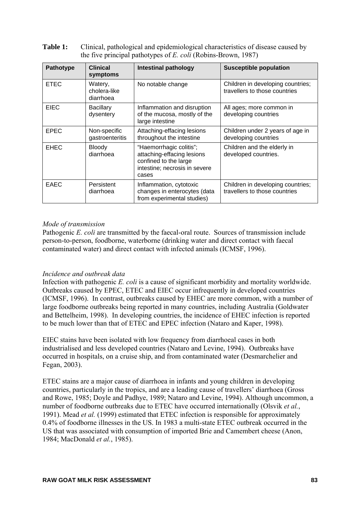| <b>Table 1:</b> | Clinical, pathological and epidemiological characteristics of disease caused by |  |  |
|-----------------|---------------------------------------------------------------------------------|--|--|
|                 | the five principal pathotypes of <i>E. coli</i> (Robins-Brown, 1987)            |  |  |

| Pathotype   | <b>Clinical</b><br>symptoms          | <b>Intestinal pathology</b>                                                                                              | <b>Susceptible population</b>                                      |
|-------------|--------------------------------------|--------------------------------------------------------------------------------------------------------------------------|--------------------------------------------------------------------|
| <b>ETEC</b> | Watery,<br>cholera-like<br>diarrhoea | No notable change                                                                                                        | Children in developing countries;<br>travellers to those countries |
| <b>EIEC</b> | <b>Bacillary</b><br>dysentery        | Inflammation and disruption<br>of the mucosa, mostly of the<br>large intestine                                           | All ages; more common in<br>developing countries                   |
| <b>EPEC</b> | Non-specific<br>gastroenteritis      | Attaching-effacing lesions<br>throughout the intestine                                                                   | Children under 2 years of age in<br>developing countries           |
| <b>EHEC</b> | <b>Bloody</b><br>diarrhoea           | "Haemorrhagic colitis";<br>attaching-effacing lesions<br>confined to the large<br>intestine; necrosis in severe<br>cases | Children and the elderly in<br>developed countries.                |
| <b>EAEC</b> | Persistent<br>diarrhoea              | Inflammation, cytotoxic<br>changes in enterocytes (data<br>from experimental studies)                                    | Children in developing countries;<br>travellers to those countries |

# *Mode of transmission*

Pathogenic *E. coli* are transmitted by the faecal-oral route. Sources of transmission include person-to-person, foodborne, waterborne (drinking water and direct contact with faecal contaminated water) and direct contact with infected animals (ICMSF, 1996).

## *Incidence and outbreak data*

Infection with pathogenic *E. coli* is a cause of significant morbidity and mortality worldwide. Outbreaks caused by EPEC, ETEC and EIEC occur infrequently in developed countries (ICMSF, 1996). In contrast, outbreaks caused by EHEC are more common, with a number of large foodborne outbreaks being reported in many countries, including Australia (Goldwater and Bettelheim, 1998). In developing countries, the incidence of EHEC infection is reported to be much lower than that of ETEC and EPEC infection (Nataro and Kaper, 1998).

EIEC stains have been isolated with low frequency from diarrhoeal cases in both industrialised and less developed countries (Nataro and Levine, 1994). Outbreaks have occurred in hospitals, on a cruise ship, and from contaminated water (Desmarchelier and Fegan, 2003).

ETEC stains are a major cause of diarrhoea in infants and young children in developing countries, particularly in the tropics, and are a leading cause of travellers' diarrhoea (Gross and Rowe, 1985; Doyle and Padhye, 1989; Nataro and Levine, 1994). Although uncommon, a number of foodborne outbreaks due to ETEC have occurred internationally (Olsvik *et al.*, 1991). Mead *et al.* (1999) estimated that ETEC infection is responsible for approximately 0.4% of foodborne illnesses in the US. In 1983 a multi-state ETEC outbreak occurred in the US that was associated with consumption of imported Brie and Camembert cheese (Anon, 1984; MacDonald *et al.*, 1985).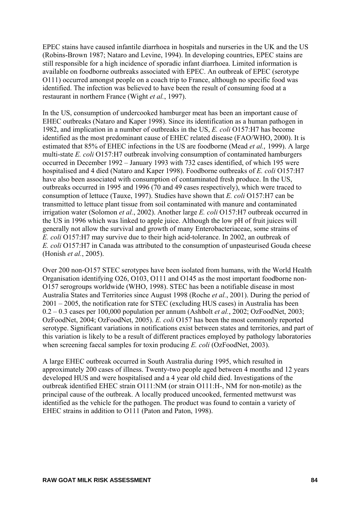EPEC stains have caused infantile diarrhoea in hospitals and nurseries in the UK and the US (Robins-Brown 1987; Nataro and Levine, 1994). In developing countries, EPEC stains are still responsible for a high incidence of sporadic infant diarrhoea. Limited information is available on foodborne outbreaks associated with EPEC. An outbreak of EPEC (serotype O111) occurred amongst people on a coach trip to France, although no specific food was identified. The infection was believed to have been the result of consuming food at a restaurant in northern France (Wight *et al.*, 1997).

In the US, consumption of undercooked hamburger meat has been an important cause of EHEC outbreaks (Nataro and Kaper 1998). Since its identification as a human pathogen in 1982, and implication in a number of outbreaks in the US, *E. coli* O157:H7 has become identified as the most predominant cause of EHEC related disease (FAO/WHO, 2000). It is estimated that 85% of EHEC infections in the US are foodborne (Mead *et al.,* 1999). A large multi-state *E. coli* O157:H7 outbreak involving consumption of contaminated hamburgers occurred in December 1992 – January 1993 with 732 cases identified, of which 195 were hospitalised and 4 died (Nataro and Kaper 1998). Foodborne outbreaks of *E. coli* O157:H7 have also been associated with consumption of contaminated fresh produce. In the US, outbreaks occurred in 1995 and 1996 (70 and 49 cases respectively), which were traced to consumption of lettuce (Tauxe, 1997). Studies have shown that *E. coli* O157:H7 can be transmitted to lettuce plant tissue from soil contaminated with manure and contaminated irrigation water (Solomon *et al.*, 2002). Another large *E. coli* O157:H7 outbreak occurred in the US in 1996 which was linked to apple juice. Although the low pH of fruit juices will generally not allow the survival and growth of many Enterobacteriaceae, some strains of *E. coli* O157:H7 may survive due to their high acid-tolerance. In 2002, an outbreak of *E. coli* O157:H7 in Canada was attributed to the consumption of unpasteurised Gouda cheese (Honish *et al.*, 2005).

Over 200 non-O157 STEC serotypes have been isolated from humans, with the World Health Organisation identifying O26, O103, O111 and O145 as the most important foodborne non-O157 serogroups worldwide (WHO, 1998). STEC has been a notifiable disease in most Australia States and Territories since August 1998 (Roche *et al.*, 2001). During the period of 2001 – 2005, the notification rate for STEC (excluding HUS cases) in Australia has been 0.2 – 0.3 cases per 100,000 population per annum (Ashbolt *et al.*, 2002; OzFoodNet, 2003; OzFoodNet, 2004; OzFoodNet, 2005). *E. coli* O157 has been the most commonly reported serotype. Significant variations in notifications exist between states and territories, and part of this variation is likely to be a result of different practices employed by pathology laboratories when screening faecal samples for toxin producing *E. coli* (OzFoodNet, 2003).

A large EHEC outbreak occurred in South Australia during 1995, which resulted in approximately 200 cases of illness. Twenty-two people aged between 4 months and 12 years developed HUS and were hospitalised and a 4 year old child died. Investigations of the outbreak identified EHEC strain O111:NM (or strain O111:H-, NM for non-motile) as the principal cause of the outbreak. A locally produced uncooked, fermented mettwurst was identified as the vehicle for the pathogen. The product was found to contain a variety of EHEC strains in addition to O111 (Paton and Paton, 1998).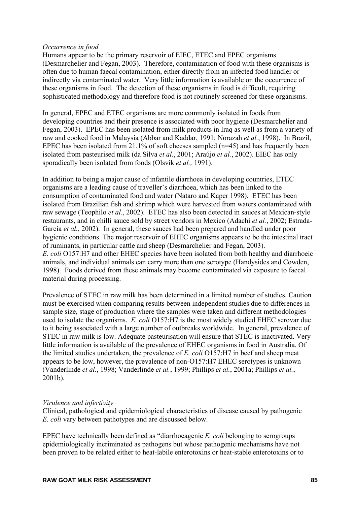## *Occurrence in food*

Humans appear to be the primary reservoir of EIEC, ETEC and EPEC organisms (Desmarchelier and Fegan, 2003). Therefore, contamination of food with these organisms is often due to human faecal contamination, either directly from an infected food handler or indirectly via contaminated water. Very little information is available on the occurrence of these organisms in food. The detection of these organisms in food is difficult, requiring sophisticated methodology and therefore food is not routinely screened for these organisms.

In general, EPEC and ETEC organisms are more commonly isolated in foods from developing countries and their presence is associated with poor hygiene (Desmarchelier and Fegan, 2003). EPEC has been isolated from milk products in Iraq as well as from a variety of raw and cooked food in Malaysia (Abbar and Kaddar, 1991; Norazah *et al.*, 1998). In Brazil, EPEC has been isolated from 21.1% of soft cheeses sampled  $(n=45)$  and has frequently been isolated from pasteurised milk (da Silva *et al.*, 2001; Araújo *et al.*, 2002). EIEC has only sporadically been isolated from foods (Olsvik *et al.,* 1991).

In addition to being a major cause of infantile diarrhoea in developing countries, ETEC organisms are a leading cause of traveller's diarrhoea, which has been linked to the consumption of contaminated food and water (Nataro and Kaper 1998). ETEC has been isolated from Brazilian fish and shrimp which were harvested from waters contaminated with raw sewage (Teophilo *et al.*, 2002). ETEC has also been detected in sauces at Mexican-style restaurants, and in chilli sauce sold by street vendors in Mexico (Adachi *et al.*, 2002; Estrada-Garcia *et al.*, 2002). In general, these sauces had been prepared and handled under poor hygienic conditions. The major reservoir of EHEC organisms appears to be the intestinal tract of ruminants, in particular cattle and sheep (Desmarchelier and Fegan, 2003). *E. coli* O157:H7 and other EHEC species have been isolated from both healthy and diarrhoeic animals, and individual animals can carry more than one serotype (Handysides and Cowden, 1998). Foods derived from these animals may become contaminated via exposure to faecal material during processing.

Prevalence of STEC in raw milk has been determined in a limited number of studies. Caution must be exercised when comparing results between independent studies due to differences in sample size, stage of production where the samples were taken and different methodologies used to isolate the organisms. *E. coli* O157:H7 is the most widely studied EHEC serovar due to it being associated with a large number of outbreaks worldwide. In general, prevalence of STEC in raw milk is low. Adequate pasteurisation will ensure that STEC is inactivated. Very little information is available of the prevalence of EHEC organisms in food in Australia. Of the limited studies undertaken, the prevalence of *E. coli* O157:H7 in beef and sheep meat appears to be low, however, the prevalence of non-O157:H7 EHEC serotypes is unknown (Vanderlinde *et al.*, 1998; Vanderlinde *et al.*, 1999; Phillips *et al.*, 2001a; Phillips *et al.*, 2001b).

## *Virulence and infectivity*

Clinical, pathological and epidemiological characteristics of disease caused by pathogenic *E. coli* vary between pathotypes and are discussed below.

EPEC have technically been defined as "diarrhoeagenic *E. coli* belonging to serogroups epidemiologically incriminated as pathogens but whose pathogenic mechanisms have not been proven to be related either to heat-labile enterotoxins or heat-stable enterotoxins or to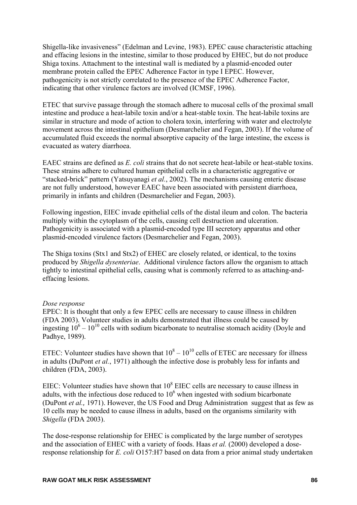Shigella-like invasiveness" (Edelman and Levine, 1983). EPEC cause characteristic attaching and effacing lesions in the intestine, similar to those produced by EHEC, but do not produce Shiga toxins. Attachment to the intestinal wall is mediated by a plasmid-encoded outer membrane protein called the EPEC Adherence Factor in type I EPEC. However, pathogenicity is not strictly correlated to the presence of the EPEC Adherence Factor, indicating that other virulence factors are involved (ICMSF, 1996).

ETEC that survive passage through the stomach adhere to mucosal cells of the proximal small intestine and produce a heat-labile toxin and/or a heat-stable toxin. The heat-labile toxins are similar in structure and mode of action to cholera toxin, interfering with water and electrolyte movement across the intestinal epithelium (Desmarchelier and Fegan, 2003). If the volume of accumulated fluid exceeds the normal absorptive capacity of the large intestine, the excess is evacuated as watery diarrhoea.

EAEC strains are defined as *E. coli* strains that do not secrete heat-labile or heat-stable toxins. These strains adhere to cultured human epithelial cells in a characteristic aggregative or "stacked-brick" pattern (Yatsuyanagi *et al.*, 2002). The mechanisms causing enteric disease are not fully understood, however EAEC have been associated with persistent diarrhoea, primarily in infants and children (Desmarchelier and Fegan, 2003).

Following ingestion, EIEC invade epithelial cells of the distal ileum and colon. The bacteria multiply within the cytoplasm of the cells, causing cell destruction and ulceration. Pathogenicity is associated with a plasmid-encoded type III secretory apparatus and other plasmid-encoded virulence factors (Desmarchelier and Fegan, 2003).

The Shiga toxins (Stx1 and Stx2) of EHEC are closely related, or identical, to the toxins produced by *Shigella dysenteriae*. Additional virulence factors allow the organism to attach tightly to intestinal epithelial cells, causing what is commonly referred to as attaching-andeffacing lesions.

## *Dose response*

EPEC: It is thought that only a few EPEC cells are necessary to cause illness in children (FDA 2003). Volunteer studies in adults demonstrated that illness could be caused by ingesting  $10^6 - 10^{10}$  cells with sodium bicarbonate to neutralise stomach acidity (Doyle and Padhye, 1989).

ETEC: Volunteer studies have shown that  $10^8 - 10^{10}$  cells of ETEC are necessary for illness in adults (DuPont *et al.*, 1971) although the infective dose is probably less for infants and children (FDA, 2003).

EIEC: Volunteer studies have shown that  $10<sup>8</sup>$  EIEC cells are necessary to cause illness in adults, with the infectious dose reduced to  $10<sup>6</sup>$  when ingested with sodium bicarbonate (DuPont *et al.,* 1971). However, the US Food and Drug Administration suggest that as few as 10 cells may be needed to cause illness in adults, based on the organisms similarity with *Shigella* (FDA 2003).

The dose-response relationship for EHEC is complicated by the large number of serotypes and the association of EHEC with a variety of foods. Haas *et al.* (2000) developed a doseresponse relationship for *E. coli* O157:H7 based on data from a prior animal study undertaken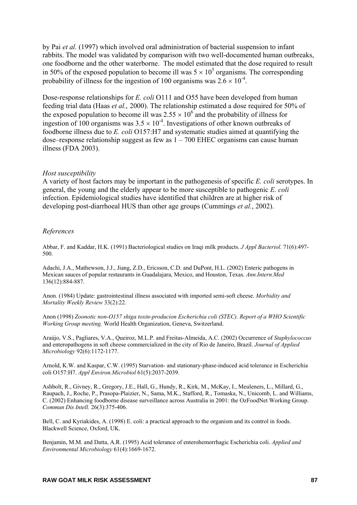by Pai *et al.* (1997) which involved oral administration of bacterial suspension to infant rabbits. The model was validated by comparison with two well-documented human outbreaks, one foodborne and the other waterborne. The model estimated that the dose required to result in 50% of the exposed population to become ill was  $5 \times 10^5$  organisms. The corresponding probability of illness for the ingestion of 100 organisms was  $2.6 \times 10^{-4}$ .

Dose-response relationships for *E. coli* O111 and O55 have been developed from human feeding trial data (Haas *et al.,* 2000). The relationship estimated a dose required for 50% of the exposed population to become ill was  $2.55 \times 10^6$  and the probability of illness for ingestion of 100 organisms was  $3.5 \times 10^{-4}$ . Investigations of other known outbreaks of foodborne illness due to *E. coli* O157:H7 and systematic studies aimed at quantifying the dose–response relationship suggest as few as  $1 - 700$  EHEC organisms can cause human illness (FDA 2003).

## *Host susceptibility*

A variety of host factors may be important in the pathogenesis of specific *E. coli* serotypes. In general, the young and the elderly appear to be more susceptible to pathogenic *E. coli* infection. Epidemiological studies have identified that children are at higher risk of developing post-diarrhoeal HUS than other age groups (Cummings *et al.*, 2002).

## *References*

Abbar, F. and Kaddar, H.K. (1991) Bacteriological studies on Iraqi milk products. *J Appl Bacteriol.* 71(6):497- 500.

Adachi, J.A., Mathewson, J.J., Jiang, Z.D., Ericsson, C.D. and DuPont, H.L. (2002) Enteric pathogens in Mexican sauces of popular restaurants in Guadalajara, Mexico, and Houston, Texas. *Ann.Intern.Med*  136(12):884-887.

Anon. (1984) Update: gastrointestinal illness associated with imported semi-soft cheese. *Morbidity and Mortality Weekly Review* 33(2):22.

Anon (1998) *Zoonotic non-O157 shiga toxin-producion Escherichia coli (STEC). Report of a WHO Scientific Working Group meeting.* World Health Organization, Geneva, Switzerland.

Araújo, V.S., Pagliares, V.A., Queiroz, M.L.P. and Freitas-Almeida, A.C. (2002) Occurrence of *Staphylococcus* and enteropathogens in soft cheese commercialized in the city of Rio de Janeiro, Brazil. *Journal of Applied Microbiology* 92(6):1172-1177.

Arnold, K.W. and Kaspar, C.W. (1995) Starvation- and stationary-phase-induced acid tolerance in Escherichia coli O157:H7. *Appl Environ.Microbiol* 61(5):2037-2039.

Ashbolt, R., Givney, R., Gregory, J.E., Hall, G., Hundy, R., Kirk, M., McKay, I., Meuleners, L., Millard, G., Raupach, J., Roche, P., Prasopa-Plaizier, N., Sama, M.K., Stafford, R., Tomaska, N., Unicomb, L. and Williams, C. (2002) Enhancing foodborne disease surveillance across Australia in 2001: the OzFoodNet Working Group. *Commun Dis Intell.* 26(3):375-406.

Bell, C. and Kyriakides, A. (1998) E. coli: a practical approach to the organism and its control in foods. Blackwell Science, Oxford, UK.

Benjamin, M.M. and Datta, A.R. (1995) Acid tolerance of enterohemorrhagic Escherichia coli. *Applied and Environmental Microbiology* 61(4):1669-1672.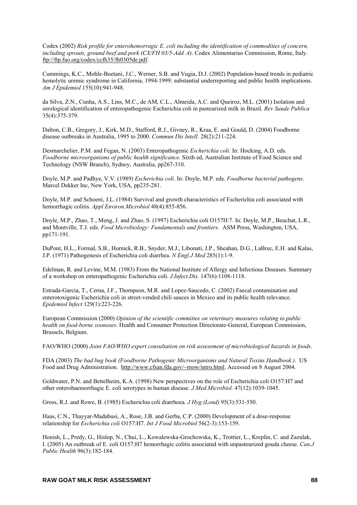Codex (2002) *Risk profile for enterohemorragic E. coli including the identification of commodities of concern, including sprouts, ground beef and pork (CX/FH 03/5-Add .4)*. Codex Alimentarius Commission, Rome, Italy. ftp://ftp.fao.org/codex/ccfh35/fh0305de.pdf.

Cummings, K.C., Mohle-Boetani, J.C., Werner, S.B. and Vugia, D.J. (2002) Population-based trends in pediatric hemolytic uremic syndrome in California, 1994-1999: substantial underreporting and public health implications. *Am J Epidemiol* 155(10):941-948.

da Silva, Z.N., Cunha, A.S., Lins, M.C., de AM, C.L., Almeida, A.C. and Queiroz, M.L. (2001) Isolation and serological identification of enteropathogenic Escherichia coli in pasteurized milk in Brazil. *Rev Saude Publica*  35(4):375-379.

Dalton, C.B., Gregory, J., Kirk, M.D., Stafford, R.J., Givney, R., Kraa, E. and Gould, D. (2004) Foodborne disease outbreaks in Australia, 1995 to 2000. *Commun Dis Intell.* 28(2):211-224.

Desmarchelier, P.M. and Fegan, N. (2003) Enteropathogenic *Escherichia coli*. In: Hocking, A.D. eds. *Foodborne microorganisms of public health significance*. Sixth ed, Australian Institute of Food Science and Technology (NSW Branch), Sydney, Australia, pp267-310.

Doyle, M.P. and Padhye, V.V. (1989) *Escherichia coli*. In: Doyle, M.P. eds. *Foodborne bacterial pathogens*. Marcel Dekker Inc, New York, USA, pp235-281.

Doyle, M.P. and Schoeni, J.L. (1984) Survival and growth characteristics of Escherichia coli associated with hemorrhagic colitis. *Appl Environ.Microbiol* 48(4):855-856.

Doyle, M.P., Zhao, T., Meng, J. and Zhao, S. (1997) Escherichia coli O157H:7. In: Doyle, M.P., Beuchat, L.R., and Montville, T.J. eds. *Food Microbiology: Fundamentals and frontiers*. ASM Press, Washington, USA, pp171-191.

DuPont, H.L., Formal, S.B., Hornick, R.B., Snyder, M.J., Libonati, J.P., Sheahan, D.G., LaBrec, E.H. and Kalas, J.P. (1971) Pathogenesis of Escherichia coli diarrhea. *N Engl.J Med* 285(1):1-9.

Edelman, R. and Levine, M.M. (1983) From the National Institute of Allergy and Infectious Diseases. Summary of a workshop on enteropathogenic Escherichia coli. *J.Infect.Dis.* 147(6):1108-1118.

Estrada-Garcia, T., Cerna, J.F., Thompson, M.R. and Lopez-Saucedo, C. (2002) Faecal contamination and enterotoxigenic Escherichia coli in street-vended chili sauces in Mexico and its public health relevance. *Epidemiol Infect* 129(1):223-226.

European Commission (2000) *Opinion of the scientific committee on veterinary measures relating to public health on food-borne zoonoses*. Health and Consumer Protection Directorate-General, European Commission, Brussels, Belgium.

FAO/WHO (2000) *Joint FAO/WHO expert consultation on risk assessment of microbiological hazards in foods*.

FDA (2003) *The bad bug book (Foodborne Pathogenic Microorganisms and Natural Toxins Handbook )*. US Food and Drug Administration. http://www.cfsan.fda.gov/~mow/intro.html. Accessed on 8 August 2004.

Goldwater, P.N. and Bettelheim, K.A. (1998) New perspectives on the role of Escherichia coli O157:H7 and other enterohaemorrhagic E. coli serotypes in human disease. *J.Med.Microbiol.* 47(12):1039-1045.

Gross, R.J. and Rowe, B. (1985) Escherichia coli diarrhoea. *J Hyg.(Lond)* 95(3):531-550.

Haas, C.N., Thayyar-Madabusi, A., Rose, J.B. and Gerba, C.P. (2000) Development of a dose-response relationship for *Escherichia coli* O157:H7. *Int J Food Microbiol* 56(2-3):153-159.

Honish, L., Predy, G., Hislop, N., Chui, L., Kowalewska-Grochowska, K., Trottier, L., Kreplin, C. and Zazulak, I. (2005) An outbreak of E. coli O157:H7 hemorrhagic colitis associated with unpasteurized gouda cheese. *Can.J Public Health* 96(3):182-184.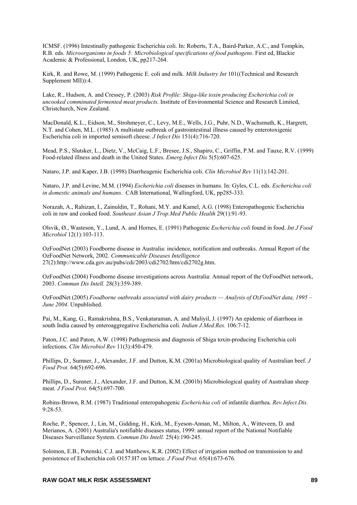ICMSF. (1996) Intestinally pathogenic Escherichia coli. In: Roberts, T.A., Baird-Parker, A.C., and Tompkin, R.B. eds. *Microorganisms in foods 5: Microbiological specifications of food pathogens*. First ed, Blackie Academic & Professional, London, UK, pp217-264.

Kirk, R. and Rowe, M. (1999) Pathogenic E. coli and milk. *Milk Industry Int* 101((Technical and Research Supplement MII)):4.

Lake, R., Hudson, A. and Cressey, P. (2003) *Risk Profile: Shiga-like toxin producing Escherichia coli in uncooked comminuted fermented meat products*. Institute of Environmental Science and Research Limited, Christchurch, New Zealand.

MacDonald, K.L., Eidson, M., Strohmeyer, C., Levy, M.E., Wells, J.G., Puhr, N.D., Wachsmuth, K., Hargrett, N.T. and Cohen, M.L. (1985) A multistate outbreak of gastrointestinal illness caused by enterotoxigenic Escherichia coli in imported semisoft cheese. *J Infect Dis* 151(4):716-720.

Mead, P.S., Slutsker, L., Dietz, V., McCaig, L.F., Bresee, J.S., Shapiro, C., Griffin, P.M. and Tauxe, R.V. (1999) Food-related illness and death in the United States. *Emerg.Infect Dis* 5(5):607-625.

Nataro, J.P. and Kaper, J.B. (1998) Diarrheagenic Escherichia coli. *Clin Microbiol Rev* 11(1):142-201.

Nataro, J.P. and Levine, M.M. (1994) *Escherichia coli* diseases in humans. In: Gyles, C.L. eds. *Escherichia coli in domestic animals and humans*. CAB International, Wallingford, UK, pp285-333.

Norazah, A., Rahizan, I., Zainuldin, T., Rohani, M.Y. and Kamel, A.G. (1998) Enteropathogenic Escherichia coli in raw and cooked food. *Southeast Asian J Trop.Med Public Health* 29(1):91-93.

Olsvik, Ø., Wasteson, Y., Lund, A. and Hornes, E. (1991) Pathogenic *Escherichia coli* found in food. *Int J Food Microbiol* 12(1):103-113.

OzFoodNet (2003) Foodborne disease in Australia: incidence, notification and outbreaks. Annual Report of the OzFoodNet Network, 2002. *Communicable Diseases Intelligence*  27(2):http://www.cda.gov.au/pubs/cdi/2003/cdi2702/htm/cdi2702g.htm.

OzFoodNet (2004) Foodborne disease investigations across Australia: Annual report of the OzFoodNet network, 2003. *Commun Dis Intell.* 28(3):359-389.

OzFoodNet (2005) *Foodborne outbreaks associated with dairy products — Analysis of OzFoodNet data, 1995 – June 2004*. Unpublished.

Pai, M., Kang, G., Ramakrishna, B.S., Venkataraman, A. and Muliyil, J. (1997) An epidemic of diarrhoea in south India caused by enteroaggregative Escherichia coli. *Indian J.Med.Res.* 106:7-12.

Paton, J.C. and Paton, A.W. (1998) Pathogenesis and diagnosis of Shiga toxin-producing Escherichia coli infections. *Clin Microbiol Rev* 11(3):450-479.

Phillips, D., Sumner, J., Alexander, J.F. and Dutton, K.M. (2001a) Microbiological quality of Australian beef. *J Food Prot.* 64(5):692-696.

Phillips, D., Sumner, J., Alexander, J.F. and Dutton, K.M. (2001b) Microbiological quality of Australian sheep meat. *J Food Prot.* 64(5):697-700.

Robins-Brown, R.M. (1987) Traditional enteropahogenic *Escherichia coli* of infantile diarrhea. *Rev.Infect.Dis.*  9:28-53.

Roche, P., Spencer, J., Lin, M., Gidding, H., Kirk, M., Eyeson-Annan, M., Milton, A., Witteveen, D. and Merianos, A. (2001) Australia's notifiable diseases status, 1999: annual report of the National Notifiable Diseases Surveillance System. *Commun Dis Intell.* 25(4):190-245.

Solomon, E.B., Potenski, C.J. and Matthews, K.R. (2002) Effect of irrigation method on transmission to and persistence of Escherichia coli O157:H7 on lettuce. *J Food Prot.* 65(4):673-676.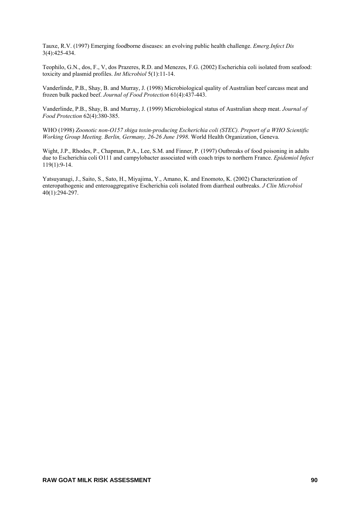Tauxe, R.V. (1997) Emerging foodborne diseases: an evolving public health challenge. *Emerg.Infect Dis*  3(4):425-434.

Teophilo, G.N., dos, F., V, dos Prazeres, R.D. and Menezes, F.G. (2002) Escherichia coli isolated from seafood: toxicity and plasmid profiles. *Int Microbiol* 5(1):11-14.

Vanderlinde, P.B., Shay, B. and Murray, J. (1998) Microbiological quality of Australian beef carcass meat and frozen bulk packed beef. *Journal of Food Protection* 61(4):437-443.

Vanderlinde, P.B., Shay, B. and Murray, J. (1999) Microbiological status of Australian sheep meat. *Journal of Food Protection* 62(4):380-385.

WHO (1998) *Zoonotic non-O157 shiga toxin-producing Escherichia coli (STEC). Preport of a WHO Scientific Working Group Meeting. Berlin, Germany, 26-26 June 1998*. World Health Organization, Geneva.

Wight, J.P., Rhodes, P., Chapman, P.A., Lee, S.M. and Finner, P. (1997) Outbreaks of food poisoning in adults due to Escherichia coli O111 and campylobacter associated with coach trips to northern France. *Epidemiol Infect*  119(1):9-14.

Yatsuyanagi, J., Saito, S., Sato, H., Miyajima, Y., Amano, K. and Enomoto, K. (2002) Characterization of enteropathogenic and enteroaggregative Escherichia coli isolated from diarrheal outbreaks. *J Clin Microbiol*  40(1):294-297.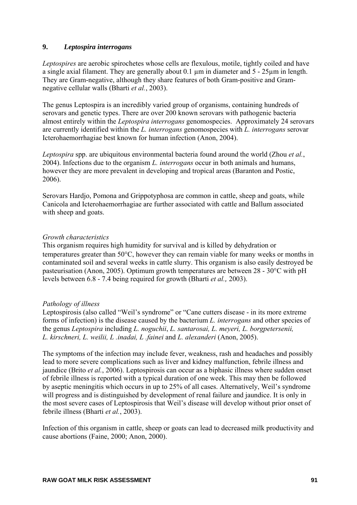# **9.** *Leptospira interrogans*

*Leptospires* are aerobic spirochetes whose cells are flexulous, motile, tightly coiled and have a single axial filament. They are generally about 0.1 µm in diameter and 5 - 25µm in length. They are Gram-negative, although they share features of both Gram-positive and Gramnegative cellular walls (Bharti *et al.*, 2003).

The genus Leptospira is an incredibly varied group of organisms, containing hundreds of serovars and genetic types. There are over 200 known serovars with pathogenic bacteria almost entirely within the *Leptospira interrogans* genomospecies. Approximately 24 serovars are currently identified within the *L. interrogans* genomospecies with *L. interrogans* serovar Icterohaemorrhagiae best known for human infection (Anon, 2004).

*Leptospira* spp. are ubiquitous environmental bacteria found around the world (Zhou *et al.*, 2004). Infections due to the organism *L. interrogans* occur in both animals and humans, however they are more prevalent in developing and tropical areas (Baranton and Postic, 2006).

Serovars Hardjo, Pomona and Grippotyphosa are common in cattle, sheep and goats, while Canicola and Icterohaemorrhagiae are further associated with cattle and Ballum associated with sheep and goats.

## *Growth characteristics*

This organism requires high humidity for survival and is killed by dehydration or temperatures greater than 50°C, however they can remain viable for many weeks or months in contaminated soil and several weeks in cattle slurry. This organism is also easily destroyed be pasteurisation (Anon, 2005). Optimum growth temperatures are between 28 - 30°C with pH levels between 6.8 - 7.4 being required for growth (Bharti *et al.,* 2003).

## *Pathology of illness*

Leptospirosis (also called "Weil's syndrome" or "Cane cutters disease - in its more extreme forms of infection) is the disease caused by the bacterium *L. interrogans* and other species of the genus *Leptospira* including *L. noguchii*, *L. santarosai, L. meyeri, L. borgpetersenii, L. kirschneri, L. weilii, L .inadai, L .fainei* and *L. alexanderi* (Anon, 2005).

The symptoms of the infection may include fever, weakness, rash and headaches and possibly lead to more severe complications such as liver and kidney malfunction, febrile illness and jaundice (Brito *et al.*, 2006). Leptospirosis can occur as a biphasic illness where sudden onset of febrile illness is reported with a typical duration of one week. This may then be followed by aseptic meningitis which occurs in up to 25% of all cases. Alternatively, Weil's syndrome will progress and is distinguished by development of renal failure and jaundice. It is only in the most severe cases of Leptospirosis that Weil's disease will develop without prior onset of febrile illness (Bharti *et al.*, 2003).

Infection of this organism in cattle, sheep or goats can lead to decreased milk productivity and cause abortions (Faine, 2000; Anon, 2000).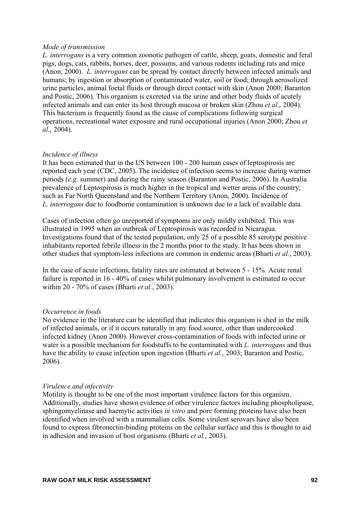#### *Mode of transmission*

*L. interrogans* is a very common zoonotic pathogen of cattle, sheep, goats, domestic and feral pigs, dogs, cats, rabbits, horses, deer, possums, and various rodents including rats and mice (Anon, 2000). *L. interrogans* can be spread by contact directly between infected animals and humans; by ingestion or absorption of contaminated water, soil or food; through aerosolized urine particles, animal foetal fluids or through direct contact with skin (Anon 2000; Baranton and Postic, 2006). This organism is excreted via the urine and other body fluids of acutely infected animals and can enter its host through mucosa or broken skin (Zhou *et al.,* 2004). This bacterium is frequently found as the cause of complications following surgical operations, recreational water exposure and rural occupational injuries (Anon 2000; Zhou *et al.,* 2004).

#### *Incidence of illness*

It has been estimated that in the US between 100 - 200 human cases of leptospirosis are reported each year (CDC, 2005). The incidence of infection seems to increase during warmer periods (*e.g.* summer) and during the rainy season (Baranton and Postic, 2006). In Australia prevalence of Leptospirosis is much higher in the tropical and wetter areas of the country, such as Far North Queensland and the Northern Territory (Anon, 2000). Incidence of *L. interrogans* due to foodborne contamination is unknown due to a lack of available data.

Cases of infection often go unreported if symptoms are only mildly exhibited. This was illustrated in 1995 when an outbreak of Leptospirosis was recorded in Nicaragua. Investigations found that of the tested population, only 25 of a possible 85 serotype positive inhabitants reported febrile illness in the 2 months prior to the study. It has been shown in other studies that symptom-less infections are common in endemic areas (Bharti *et al.*, 2003).

In the case of acute infections, fatality rates are estimated at between 5 - 15%. Acute renal failure is reported in 16 - 40% of cases whilst pulmonary involvement is estimated to occur within 20 - 70% of cases (Bharti *et al.*, 2003).

## *Occurrence in foods*

No evidence in the literature can be identified that indicates this organism is shed in the milk of infected animals, or if it occurs naturally in any food source, other than undercooked infected kidney (Anon 2000). However cross-contamination of foods with infected urine or water is a possible mechanism for foodstuffs to be contaminated with *L. interrogans* and thus have the ability to cause infection upon ingestion (Bharti *et al.,* 2003; Baranton and Postic, 2006)*.* 

## *Virulence and infectivity*

Motility is thought to be one of the most important virulence factors for this organism. Additionally, studies have shown evidence of other virulence factors including phospholipase, sphingomyelinase and haemytic activities *in vitro* and pore forming proteins have also been identified when involved with a mammalian cells. Some virulent serovars have also been found to express fibronectin-binding proteins on the cellular surface and this is thought to aid in adhesion and invasion of host organisms (Bharti *et al.*, 2003).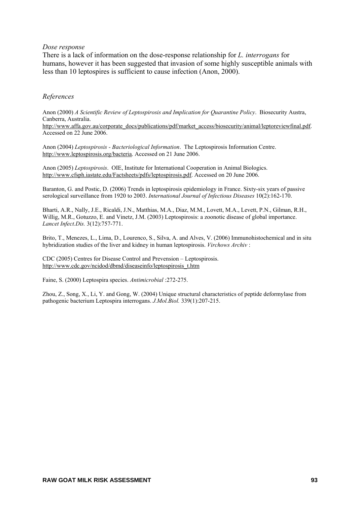#### *Dose response*

There is a lack of information on the dose-response relationship for *L. interrogans* for humans, however it has been suggested that invasion of some highly susceptible animals with less than 10 leptospires is sufficient to cause infection (Anon, 2000).

#### *References*

Anon (2000) *A Scientific Review of Leptospirosis and Implication for Quarantine Policy*. Biosecurity Austra, Canberra, Australia.

http://www.affa.gov.au/corporate\_docs/publications/pdf/market\_access/biosecurity/animal/leptoreviewfinal.pdf. Accessed on 22 June 2006.

Anon (2004) *Leptospirosis - Bacteriological Information*. The Leptospirosis Information Centre. http://www.leptospirosis.org/bacteria. Accessed on 21 June 2006.

Anon (2005) *Leptospirosis*. OIE, Institute for International Cooperation in Animal Biologics. http://www.cfsph.iastate.edu/Factsheets/pdfs/leptospirosis.pdf. Accessed on 20 June 2006.

Baranton, G. and Postic, D. (2006) Trends in leptospirosis epidemiology in France. Sixty-six years of passive serological surveillance from 1920 to 2003. *International Journal of Infectious Diseases* 10(2):162-170.

Bharti, A.R., Nally, J.E., Ricaldi, J.N., Matthias, M.A., Diaz, M.M., Lovett, M.A., Levett, P.N., Gilman, R.H., Willig, M.R., Gotuzzo, E. and Vinetz, J.M. (2003) Leptospirosis: a zoonotic disease of global importance. *Lancet Infect.Dis.* 3(12):757-771.

Brito, T., Menezes, L., Lima, D., Lourenco, S., Silva, A. and Alves, V. (2006) Immunohistochemical and in situ hybridization studies of the liver and kidney in human leptospirosis. *Virchows Archiv* :

CDC (2005) Centres for Disease Control and Prevension – Leptospirosis. http://www.cdc.gov/ncidod/dbmd/diseaseinfo/leptospirosis\_t.htm

Faine, S. (2000) Leptospira species. *Antimicrobial* :272-275.

Zhou, Z., Song, X., Li, Y. and Gong, W. (2004) Unique structural characteristics of peptide deformylase from pathogenic bacterium Leptospira interrogans. *J.Mol.Biol.* 339(1):207-215.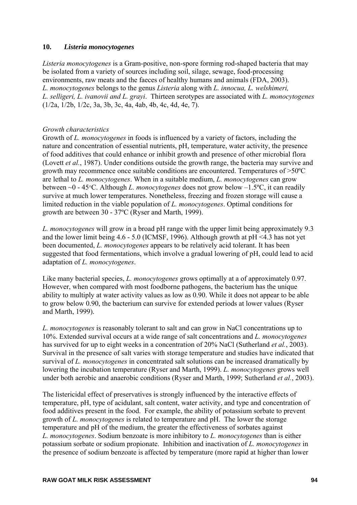# **10.** *Listeria monocytogenes*

*Listeria monocytogenes* is a Gram-positive, non-spore forming rod-shaped bacteria that may be isolated from a variety of sources including soil, silage, sewage, food-processing environments, raw meats and the faeces of healthy humans and animals (FDA, 2003). *L. monocytogenes* belongs to the genus *Listeria* along with *L. innocua, L. welshimeri, L. selligeri, L. ivanovii and L. grayi*. Thirteen serotypes are associated with *L. monocytogenes* (1/2a, 1/2b, 1/2c, 3a, 3b, 3c, 4a, 4ab, 4b, 4c, 4d, 4e, 7).

# *Growth characteristics*

Growth of *L. monocytogenes* in foods is influenced by a variety of factors, including the nature and concentration of essential nutrients, pH, temperature, water activity, the presence of food additives that could enhance or inhibit growth and presence of other microbial flora (Lovett *et al.*, 1987). Under conditions outside the growth range, the bacteria may survive and growth may recommence once suitable conditions are encountered. Temperatures of >50ºC are lethal to *L. monocytogenes*. When in a suitable medium, *L. monocytogenes* can grow between ~0 - 45°C. Although *L. monocytogenes* does not grow below –1.5ºC, it can readily survive at much lower temperatures. Nonetheless, freezing and frozen storage will cause a limited reduction in the viable population of *L. monocytogenes*. Optimal conditions for growth are between 30 - 37ºC (Ryser and Marth, 1999).

*L. monocytogenes* will grow in a broad pH range with the upper limit being approximately 9.3 and the lower limit being 4.6 - 5.0 (ICMSF, 1996). Although growth at pH <4.3 has not yet been documented, *L. monocytogenes* appears to be relatively acid tolerant. It has been suggested that food fermentations, which involve a gradual lowering of pH, could lead to acid adaptation of *L. monocytogenes*.

Like many bacterial species, *L. monocytogenes* grows optimally at a of approximately 0.97. However, when compared with most foodborne pathogens, the bacterium has the unique ability to multiply at water activity values as low as 0.90. While it does not appear to be able to grow below 0.90, the bacterium can survive for extended periods at lower values (Ryser and Marth, 1999).

*L. monocytogenes* is reasonably tolerant to salt and can grow in NaCl concentrations up to 10%. Extended survival occurs at a wide range of salt concentrations and *L. monocytogenes* has survived for up to eight weeks in a concentration of 20% NaCl (Sutherland *et al.*, 2003). Survival in the presence of salt varies with storage temperature and studies have indicated that survival of *L. monocytogenes* in concentrated salt solutions can be increased dramatically by lowering the incubation temperature (Ryser and Marth, 1999). *L. monocytogenes* grows well under both aerobic and anaerobic conditions (Ryser and Marth, 1999; Sutherland *et al.*, 2003).

The listericidal effect of preservatives is strongly influenced by the interactive effects of temperature, pH, type of acidulant, salt content, water activity, and type and concentration of food additives present in the food. For example, the ability of potassium sorbate to prevent growth of *L. monocytogenes* is related to temperature and pH. The lower the storage temperature and pH of the medium, the greater the effectiveness of sorbates against *L. monocytogenes*. Sodium benzoate is more inhibitory to *L. monocytogenes* than is either potassium sorbate or sodium propionate. Inhibition and inactivation of *L. monocytogenes* in the presence of sodium benzoate is affected by temperature (more rapid at higher than lower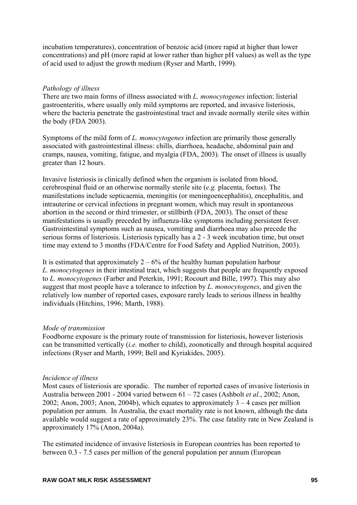incubation temperatures), concentration of benzoic acid (more rapid at higher than lower concentrations) and pH (more rapid at lower rather than higher pH values) as well as the type of acid used to adjust the growth medium (Ryser and Marth, 1999).

#### *Pathology of illness*

There are two main forms of illness associated with *L. monocytogenes* infection: listerial gastroenteritis, where usually only mild symptoms are reported, and invasive listeriosis, where the bacteria penetrate the gastrointestinal tract and invade normally sterile sites within the body (FDA 2003).

Symptoms of the mild form of *L. monocytogenes* infection are primarily those generally associated with gastrointestinal illness: chills, diarrhoea, headache, abdominal pain and cramps, nausea, vomiting, fatigue, and myalgia (FDA, 2003). The onset of illness is usually greater than 12 hours.

Invasive listeriosis is clinically defined when the organism is isolated from blood, cerebrospinal fluid or an otherwise normally sterile site (*e.g.* placenta, foetus). The manifestations include septicaemia, meningitis (or meningoencephalitis), encephalitis, and intrauterine or cervical infections in pregnant women, which may result in spontaneous abortion in the second or third trimester, or stillbirth (FDA, 2003). The onset of these manifestations is usually preceded by influenza-like symptoms including persistent fever. Gastrointestinal symptoms such as nausea, vomiting and diarrhoea may also precede the serious forms of listeriosis. Listeriosis typically has a 2 - 3 week incubation time, but onset time may extend to 3 months (FDA/Centre for Food Safety and Applied Nutrition, 2003).

It is estimated that approximately  $2 - 6\%$  of the healthy human population harbour *L. monocytogenes* in their intestinal tract, which suggests that people are frequently exposed to *L. monocytogenes* (Farber and Peterkin, 1991; Rocourt and Bille, 1997). This may also suggest that most people have a tolerance to infection by *L. monocytogenes*, and given the relatively low number of reported cases, exposure rarely leads to serious illness in healthy individuals (Hitchins, 1996; Marth, 1988).

#### *Mode of transmission*

Foodborne exposure is the primary route of transmission for listeriosis, however listeriosis can be transmitted vertically (*i.e.* mother to child), zoonotically and through hospital acquired infections (Ryser and Marth, 1999; Bell and Kyriakides, 2005).

#### *Incidence of illness*

Most cases of listeriosis are sporadic. The number of reported cases of invasive listeriosis in Australia between 2001 - 2004 varied between 61 – 72 cases (Ashbolt *et al.*, 2002; Anon, 2002; Anon, 2003; Anon, 2004b), which equates to approximately  $3 - 4$  cases per million population per annum. In Australia, the exact mortality rate is not known, although the data available would suggest a rate of approximately 23%. The case fatality rate in New Zealand is approximately 17% (Anon, 2004a).

The estimated incidence of invasive listeriosis in European countries has been reported to between 0.3 - 7.5 cases per million of the general population per annum (European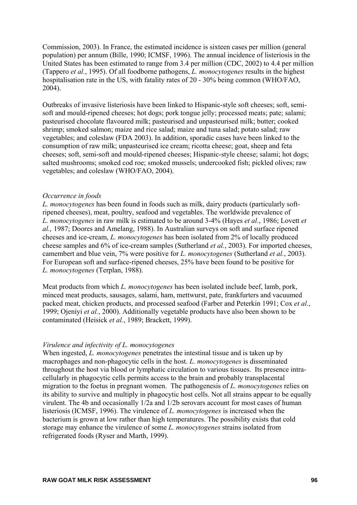Commission, 2003). In France, the estimated incidence is sixteen cases per million (general population) per annum (Bille, 1990; ICMSF, 1996). The annual incidence of listeriosis in the United States has been estimated to range from 3.4 per million (CDC, 2002) to 4.4 per million (Tappero *et al.*, 1995). Of all foodborne pathogens, *L. monocytogenes* results in the highest hospitalisation rate in the US, with fatality rates of 20 - 30% being common (WHO/FAO, 2004).

Outbreaks of invasive listeriosis have been linked to Hispanic-style soft cheeses; soft, semisoft and mould-ripened cheeses; hot dogs; pork tongue jelly; processed meats; pate; salami; pasteurised chocolate flavoured milk; pasteurised and unpasteurised milk; butter; cooked shrimp; smoked salmon; maize and rice salad; maize and tuna salad; potato salad; raw vegetables; and coleslaw (FDA 2003). In addition, sporadic cases have been linked to the consumption of raw milk; unpasteurised ice cream; ricotta cheese; goat, sheep and feta cheeses; soft, semi-soft and mould-ripened cheeses; Hispanic-style cheese; salami; hot dogs; salted mushrooms; smoked cod roe; smoked mussels; undercooked fish; pickled olives; raw vegetables; and coleslaw (WHO/FAO, 2004).

#### *Occurrence in foods*

*L. monocytogenes* has been found in foods such as milk, dairy products (particularly softripened cheeses), meat, poultry, seafood and vegetables. The worldwide prevalence of *L. monocytogenes* in raw milk is estimated to be around 3-4% (Hayes *et al.*, 1986; Lovett *et al.,* 1987; Doores and Amelang, 1988). In Australian surveys on soft and surface ripened cheeses and ice-cream, *L. monocytogenes* has been isolated from 2% of locally produced cheese samples and 6% of ice-cream samples (Sutherland *et al.*, 2003). For imported cheeses, camembert and blue vein, 7% were positive for *L. monocytogenes* (Sutherland *et al.*, 2003). For European soft and surface-ripened cheeses, 25% have been found to be positive for *L. monocytogenes* (Terplan, 1988).

Meat products from which *L. monocytogenes* has been isolated include beef, lamb, pork, minced meat products, sausages, salami, ham, mettwurst, pate, frankfurters and vacuumed packed meat, chicken products, and processed seafood (Farber and Peterkin 1991; Cox *et al.*, 1999; Ojeniyi *et al.*, 2000). Additionally vegetable products have also been shown to be contaminated (Heisick *et al.*, 1989; Brackett, 1999).

## *Virulence and infectivity of L. monocytogenes*

When ingested, *L. monocytogenes* penetrates the intestinal tissue and is taken up by macrophages and non-phagocytic cells in the host. *L. monocytogenes* is disseminated throughout the host via blood or lymphatic circulation to various tissues. Its presence intracellularly in phagocytic cells permits access to the brain and probably transplacental migration to the foetus in pregnant women. The pathogenesis of *L. monocytogenes* relies on its ability to survive and multiply in phagocytic host cells. Not all strains appear to be equally virulent. The 4b and occasionally 1/2a and 1/2b serovars account for most cases of human listeriosis (ICMSF, 1996). The virulence of *L. monocytogenes* is increased when the bacterium is grown at low rather than high temperatures. The possibility exists that cold storage may enhance the virulence of some *L. monocytogenes* strains isolated from refrigerated foods (Ryser and Marth, 1999).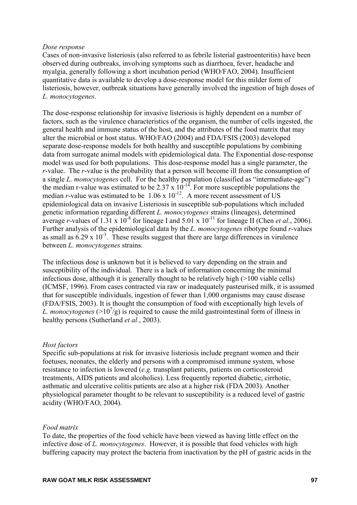#### *Dose response*

Cases of non-invasive listeriosis (also referred to as febrile listerial gastroenteritis) have been observed during outbreaks, involving symptoms such as diarrhoea, fever, headache and myalgia, generally following a short incubation period (WHO/FAO, 2004). Insufficient quantitative data is available to develop a dose-response model for this milder form of listeriosis, however, outbreak situations have generally involved the ingestion of high doses of *L. monocytogenes*.

The dose-response relationship for invasive listeriosis is highly dependent on a number of factors, such as the virulence characteristics of the organism, the number of cells ingested, the general health and immune status of the host, and the attributes of the food matrix that may alter the microbial or host status. WHO/FAO (2004) and FDA/FSIS (2003) developed separate dose-response models for both healthy and susceptible populations by combining data from surrogate animal models with epidemiological data. The Exponential dose-response model was used for both populations. This dose-response model has a single parameter, the *r*-value. The *r*-value is the probability that a person will become ill from the consumption of a single *L. monocytogenes* cell. For the healthy population (classified as "intermediate-age") the median r-value was estimated to be 2.37 x  $10^{-14}$ . For more susceptible populations the median *r*-value was estimated to be  $1.06 \times 10^{-12}$ . A more recent assessment of US epidemiological data on invasive Listeriosis in susceptible sub-populations which included genetic information regarding different *L. monocytogenes* strains (lineages), determined average *r*-values of 1.31 x  $10^{-8}$  for lineage I and 5.01 x  $10^{-11}$  for lineage II (Chen *et al.*, 2006). Further analysis of the epidemiological data by the *L. monocytogenes* ribotype found *r*-values as small as  $6.29 \times 10^{-3}$ . These results suggest that there are large differences in virulence between *L. monocytogenes* strains.

The infectious dose is unknown but it is believed to vary depending on the strain and susceptibility of the individual. There is a lack of information concerning the minimal infectious dose, although it is generally thought to be relatively high (>100 viable cells) (ICMSF, 1996). From cases contracted via raw or inadequately pasteurised milk, it is assumed that for susceptible individuals, ingestion of fewer than 1,000 organisms may cause disease (FDA/FSIS, 2003). It is thought the consumption of food with exceptionally high levels of L. monocytogenes  $(>10^7/g)$  is required to cause the mild gastrointestinal form of illness in healthy persons (Sutherland *et al.*, 2003).

## *Host factors*

Specific sub-populations at risk for invasive listeriosis include pregnant women and their foetuses, neonates, the elderly and persons with a compromised immune system, whose resistance to infection is lowered (*e.g.* transplant patients, patients on corticosteroid treatments, AIDS patients and alcoholics). Less frequently reported diabetic, cirrhotic, asthmatic and ulcerative colitis patients are also at a higher risk (FDA 2003). Another physiological parameter thought to be relevant to susceptibility is a reduced level of gastric acidity (WHO/FAO, 2004).

## *Food matrix*

To date, the properties of the food vehicle have been viewed as having little effect on the infective dose of *L. monocytogenes*. However, it is possible that food vehicles with high buffering capacity may protect the bacteria from inactivation by the pH of gastric acids in the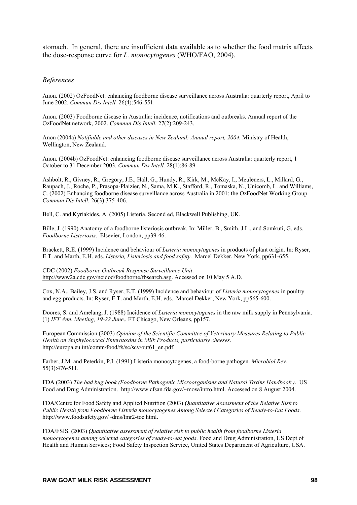stomach. In general, there are insufficient data available as to whether the food matrix affects the dose-response curve for *L. monocytogenes* (WHO/FAO, 2004).

#### *References*

Anon. (2002) OzFoodNet: enhancing foodborne disease surveillance across Australia: quarterly report, April to June 2002. *Commun Dis Intell.* 26(4):546-551.

Anon. (2003) Foodborne disease in Australia: incidence, notifications and outbreaks. Annual report of the OzFoodNet network, 2002. *Commun Dis Intell.* 27(2):209-243.

Anon (2004a) *Notifiable and other diseases in New Zealand: Annual report, 2004.* Ministry of Health, Wellington, New Zealand.

Anon. (2004b) OzFoodNet: enhancing foodborne disease surveillance across Australia: quarterly report, 1 October to 31 December 2003. *Commun Dis Intell.* 28(1):86-89.

Ashbolt, R., Givney, R., Gregory, J.E., Hall, G., Hundy, R., Kirk, M., McKay, I., Meuleners, L., Millard, G., Raupach, J., Roche, P., Prasopa-Plaizier, N., Sama, M.K., Stafford, R., Tomaska, N., Unicomb, L. and Williams, C. (2002) Enhancing foodborne disease surveillance across Australia in 2001: the OzFoodNet Working Group. *Commun Dis Intell.* 26(3):375-406.

Bell, C. and Kyriakides, A. (2005) Listeria. Second ed, Blackwell Publishing, UK.

Bille, J. (1990) Anatomy of a foodborne listeriosis outbreak. In: Miller, B., Smith, J.L., and Somkuti, G. eds. *Foodborne Listeriosis*. Elsevier, London, pp39-46.

Brackett, R.E. (1999) Incidence and behaviour of *Listeria monocytogenes* in products of plant origin. In: Ryser, E.T. and Marth, E.H. eds. *Listeria, Listeriosis and food safety*. Marcel Dekker, New York, pp631-655.

CDC (2002) *Foodborne Outbreak Response Surveillance Unit*. http://www2a.cdc.gov/ncidod/foodborne/fbsearch.asp. Accessed on 10 May 5 A.D.

Cox, N.A., Bailey, J.S. and Ryser, E.T. (1999) Incidence and behaviour of *Listeria monocytogenes* in poultry and egg products. In: Ryser, E.T. and Marth, E.H. eds. Marcel Dekker, New York, pp565-600.

Doores, S. and Amelang, J. (1988) Incidence of *Listeria monocytogenes* in the raw milk supply in Pennsylvania. (1) *IFT Ann. Meeting, 19-22 June*., FT Chicago, New Orleans, pp157.

European Commission (2003) *Opinion of the Scientific Committee of Veterinary Measures Relating to Public Health on Staphylococcal Enterotoxins in Milk Products, particularly cheeses*. http://europa.eu.int/comm/food/fs/sc/scv/out61\_en.pdf.

Farber, J.M. and Peterkin, P.I. (1991) Listeria monocytogenes, a food-borne pathogen. *Microbiol.Rev.*  55(3):476-511.

FDA (2003) *The bad bug book (Foodborne Pathogenic Microorganisms and Natural Toxins Handbook )*. US Food and Drug Administration. http://www.cfsan.fda.gov/~mow/intro.html. Accessed on 8 August 2004.

FDA/Centre for Food Safety and Applied Nutrition (2003) *Quantitative Assessment of the Relative Risk to Public Health from Foodborne Listeria monocytogenes Among Selected Categories of Ready-to-Eat Foods*. http://www.foodsafety.gov/~dms/lmr2-toc.html.

FDA/FSIS. (2003) *Quantitative assessment of relative risk to public health from foodborne Listeria monocytogenes among selected categories of ready-to-eat foods*. Food and Drug Administration, US Dept of Health and Human Services; Food Safety Inspection Service, United States Department of Agriculture, USA.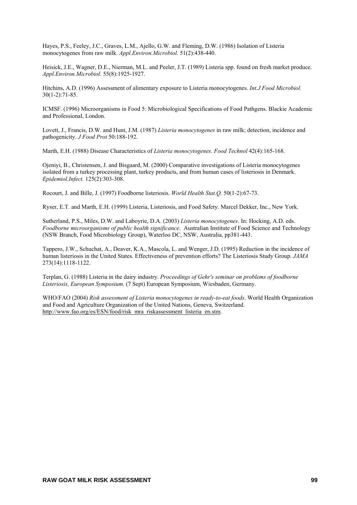Hayes, P.S., Feeley, J.C., Graves, L.M., Ajello, G.W. and Fleming, D.W. (1986) Isolation of Listeria monocytogenes from raw milk. *Appl.Environ.Microbiol.* 51(2):438-440.

Heisick, J.E., Wagner, D.E., Nierman, M.L. and Peeler, J.T. (1989) Listeria spp. found on fresh market produce. *Appl.Environ.Microbiol.* 55(8):1925-1927.

Hitchins, A.D. (1996) Assessment of alimentary exposure to Listeria monocytogenes. *Int.J Food Microbiol.*  30(1-2):71-85.

ICMSF. (1996) Microorganisms in Food 5: Microbiological Specifications of Food Pathgens. Blackie Academic and Professional, London.

Lovett, J., Francis, D.W. and Hunt, J.M. (1987) *Listeria monocytogenes* in raw milk; detection, incidence and pathogenicity. *J Food Prot* 50:188-192.

Marth, E.H. (1988) Disease Characteristics of *Listeria monocytogenes*. *Food Technol* 42(4):165-168.

Ojeniyi, B., Christensen, J. and Bisgaard, M. (2000) Comparative investigations of Listeria monocytogenes isolated from a turkey processing plant, turkey products, and from human cases of listeriosis in Denmark. *Epidemiol.Infect.* 125(2):303-308.

Rocourt, J. and Bille, J. (1997) Foodborne listeriosis. *World Health Stat.Q.* 50(1-2):67-73.

Ryser, E.T. and Marth, E.H. (1999) Listeria, Listeriosis, and Food Safety. Marcel Dekker, Inc., New York.

Sutherland, P.S., Miles, D.W. and Laboyrie, D.A. (2003) *Listeria monocytogenes*. In: Hocking, A.D. eds. *Foodborne microorganisms of public health significance*. Australian Institute of Food Science and Technology (NSW Branch, Food Microbiology Group), Waterloo DC, NSW, Australia, pp381-443.

Tappero, J.W., Schuchat, A., Deaver, K.A., Mascola, L. and Wenger, J.D. (1995) Reduction in the incidence of human listeriosis in the United States. Effectiveness of prevention efforts? The Listeriosis Study Group. *JAMA*  273(14):1118-1122.

Terplan, G. (1988) Listeria in the dairy industry. *Proceedings of Gehr's seminar on problems of foodborne Listeriosis, European Symposium*. (7 Sept) European Symposium, Wiesbaden, Germany.

WHO/FAO (2004) *Risk assessment of Listeria monocytogenes in ready-to-eat foods*. World Health Organization and Food and Agriculture Organization of the United Nations, Geneva, Switzerland. http://www.fao.org/es/ESN/food/risk\_mra\_riskassessment\_listeria\_en.stm.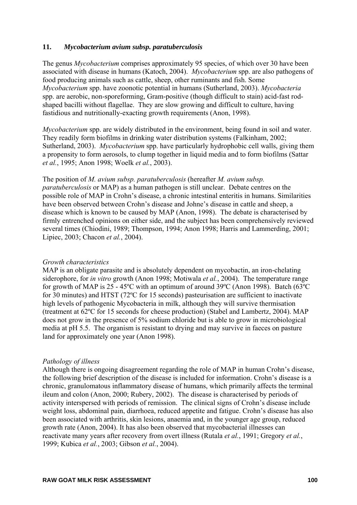# **11.** *Mycobacterium avium subsp. paratuberculosis*

The genus *Mycobacterium* comprises approximately 95 species, of which over 30 have been associated with disease in humans (Katoch, 2004). *Mycobacterium* spp. are also pathogens of food producing animals such as cattle, sheep, other ruminants and fish. Some *Mycobacterium* spp. have zoonotic potential in humans (Sutherland, 2003). *Mycobacteria* spp. are aerobic, non-sporeforming, Gram-positive (though difficult to stain) acid-fast rodshaped bacilli without flagellae. They are slow growing and difficult to culture, having fastidious and nutritionally-exacting growth requirements (Anon, 1998).

*Mycobacterium* spp. are widely distributed in the environment, being found in soil and water. They readily form biofilms in drinking water distribution systems (Falkinham, 2002; Sutherland, 2003). *Mycobacterium* spp. have particularly hydrophobic cell walls, giving them a propensity to form aerosols, to clump together in liquid media and to form biofilms (Sattar *et al.*, 1995; Anon 1998; Woelk *et al.*, 2003).

## The position of *M. avium subsp. paratuberculosis* (hereafter *M. avium subsp.*

*paratuberculosis* or MAP) as a human pathogen is still unclear. Debate centres on the possible role of MAP in Crohn's disease, a chronic intestinal enteritis in humans. Similarities have been observed between Crohn's disease and Johne's disease in cattle and sheep, a disease which is known to be caused by MAP (Anon, 1998). The debate is characterised by firmly entrenched opinions on either side, and the subject has been comprehensively reviewed several times (Chiodini, 1989; Thompson, 1994; Anon 1998; Harris and Lammerding, 2001; Lipiec, 2003; Chacon *et al.*, 2004).

## *Growth characteristics*

MAP is an obligate parasite and is absolutely dependent on mycobactin, an iron-chelating siderophore, for *in vitro* growth (Anon 1998; Motiwala *et al.*, 2004). The temperature range for growth of MAP is 25 - 45ºC with an optimum of around 39ºC (Anon 1998). Batch (63ºC for 30 minutes) and HTST (72ºC for 15 seconds) pasteurisation are sufficient to inactivate high levels of pathogenic Mycobacteria in milk, although they will survive thermisation (treatment at 62ºC for 15 seconds for cheese production) (Stabel and Lambertz, 2004). MAP does not grow in the presence of 5% sodium chloride but is able to grow in microbiological media at pH 5.5. The organism is resistant to drying and may survive in faeces on pasture land for approximately one year (Anon 1998).

## *Pathology of illness*

Although there is ongoing disagreement regarding the role of MAP in human Crohn's disease, the following brief description of the disease is included for information. Crohn's disease is a chronic, granulomatous inflammatory disease of humans, which primarily affects the terminal ileum and colon (Anon, 2000; Rubery, 2002). The disease is characterised by periods of activity interspersed with periods of remission. The clinical signs of Crohn's disease include weight loss, abdominal pain, diarrhoea, reduced appetite and fatigue. Crohn's disease has also been associated with arthritis, skin lesions, anaemia and, in the younger age group, reduced growth rate (Anon, 2004). It has also been observed that mycobacterial illnesses can reactivate many years after recovery from overt illness (Rutala *et al.*, 1991; Gregory *et al.*, 1999; Kubica *et al.*, 2003; Gibson *et al.*, 2004).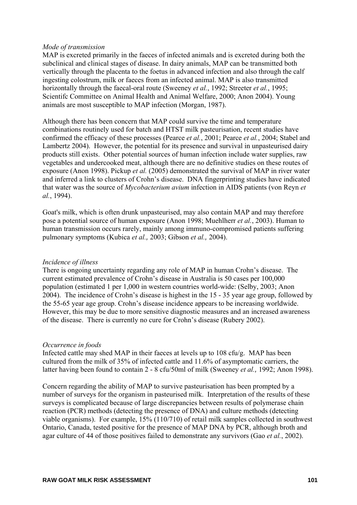#### *Mode of transmission*

MAP is excreted primarily in the faeces of infected animals and is excreted during both the subclinical and clinical stages of disease. In dairy animals, MAP can be transmitted both vertically through the placenta to the foetus in advanced infection and also through the calf ingesting colostrum, milk or faeces from an infected animal. MAP is also transmitted horizontally through the faecal-oral route (Sweeney *et al.*, 1992; Streeter *et al.*, 1995; Scientifc Committee on Animal Health and Animal Welfare, 2000; Anon 2004). Young animals are most susceptible to MAP infection (Morgan, 1987).

Although there has been concern that MAP could survive the time and temperature combinations routinely used for batch and HTST milk pasteurisation, recent studies have confirmed the efficacy of these processes (Pearce *et al.*, 2001; Pearce *et al.*, 2004; Stabel and Lambertz 2004). However, the potential for its presence and survival in unpasteurised dairy products still exists. Other potential sources of human infection include water supplies, raw vegetables and undercooked meat, although there are no definitive studies on these routes of exposure (Anon 1998). Pickup *et al.* (2005) demonstrated the survival of MAP in river water and inferred a link to clusters of Crohn's disease. DNA fingerprinting studies have indicated that water was the source of *Mycobacterium avium* infection in AIDS patients (von Reyn *et al.*, 1994).

Goat's milk, which is often drunk unpasteurised, may also contain MAP and may therefore pose a potential source of human exposure (Anon 1998; Muehlherr *et al.*, 2003). Human to human transmission occurs rarely, mainly among immuno-compromised patients suffering pulmonary symptoms (Kubica *et al.,* 2003; Gibson *et al.,* 2004).

## *Incidence of illness*

There is ongoing uncertainty regarding any role of MAP in human Crohn's disease. The current estimated prevalence of Crohn's disease in Australia is 50 cases per 100,000 population (estimated 1 per 1,000 in western countries world-wide: (Selby, 2003; Anon 2004). The incidence of Crohn's disease is highest in the 15 - 35 year age group, followed by the 55-65 year age group. Crohn's disease incidence appears to be increasing worldwide. However, this may be due to more sensitive diagnostic measures and an increased awareness of the disease. There is currently no cure for Crohn's disease (Rubery 2002).

## *Occurrence in foods*

Infected cattle may shed MAP in their faeces at levels up to 108 cfu/g. MAP has been cultured from the milk of 35% of infected cattle and 11.6% of asymptomatic carriers, the latter having been found to contain 2 - 8 cfu/50ml of milk (Sweeney *et al.,* 1992; Anon 1998).

Concern regarding the ability of MAP to survive pasteurisation has been prompted by a number of surveys for the organism in pasteurised milk. Interpretation of the results of these surveys is complicated because of large discrepancies between results of polymerase chain reaction (PCR) methods (detecting the presence of DNA) and culture methods (detecting viable organisms). For example, 15% (110/710) of retail milk samples collected in southwest Ontario, Canada, tested positive for the presence of MAP DNA by PCR, although broth and agar culture of 44 of those positives failed to demonstrate any survivors (Gao *et al.*, 2002).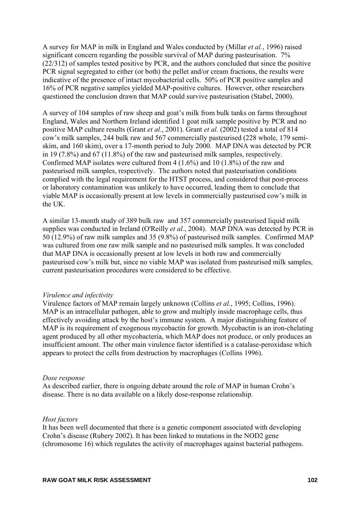A survey for MAP in milk in England and Wales conducted by (Millar *et al.*, 1996) raised significant concern regarding the possible survival of MAP during pasteurisation. 7% (22/312) of samples tested positive by PCR, and the authors concluded that since the positive PCR signal segregated to either (or both) the pellet and/or cream fractions, the results were indicative of the presence of intact mycobacterial cells. 50% of PCR positive samples and 16% of PCR negative samples yielded MAP-positive cultures. However, other researchers questioned the conclusion drawn that MAP could survive pasteurisation (Stabel, 2000).

A survey of 104 samples of raw sheep and goat's milk from bulk tanks on farms throughout England, Wales and Northern Ireland identified 1 goat milk sample positive by PCR and no positive MAP culture results (Grant *et al.*, 2001). Grant *et al.* (2002) tested a total of 814 cow's milk samples, 244 bulk raw and 567 commercially pasteurised (228 whole, 179 semiskim, and 160 skim), over a 17-month period to July 2000. MAP DNA was detected by PCR in 19 (7.8%) and 67 (11.8%) of the raw and pasteurised milk samples, respectively. Confirmed MAP isolates were cultured from 4 (1.6%) and 10 (1.8%) of the raw and pasteurised milk samples, respectively. The authors noted that pasteurisation conditions complied with the legal requirement for the HTST process, and considered that post-process or laboratory contamination was unlikely to have occurred, leading them to conclude that viable MAP is occasionally present at low levels in commercially pasteurised cow's milk in the UK.

A similar 13-month study of 389 bulk raw and 357 commercially pasteurised liquid milk supplies was conducted in Ireland (O'Reilly *et al.*, 2004). MAP DNA was detected by PCR in 50 (12.9%) of raw milk samples and 35 (9.8%) of pasteurised milk samples. Confirmed MAP was cultured from one raw milk sample and no pasteurised milk samples. It was concluded that MAP DNA is occasionally present at low levels in both raw and commercially pasteurised cow's milk but, since no viable MAP was isolated from pasteurised milk samples, current pasteurisation procedures were considered to be effective.

## *Virulence and infectivity*

Virulence factors of MAP remain largely unknown (Collins *et al.*, 1995; Collins, 1996). MAP is an intracellular pathogen, able to grow and multiply inside macrophage cells, thus effectively avoiding attack by the host's immune system. A major distinguishing feature of MAP is its requirement of exogenous mycobactin for growth. Mycobactin is an iron-chelating agent produced by all other mycobacteria, which MAP does not produce, or only produces an insufficient amount. The other main virulence factor identified is a catalase-peroxidase which appears to protect the cells from destruction by macrophages (Collins 1996).

## *Dose response*

As described earlier, there is ongoing debate around the role of MAP in human Crohn's disease. There is no data available on a likely dose-response relationship.

#### *Host factors*

It has been well documented that there is a genetic component associated with developing Crohn's disease (Rubery 2002). It has been linked to mutations in the NOD2 gene (chromosome 16) which regulates the activity of macrophages against bacterial pathogens.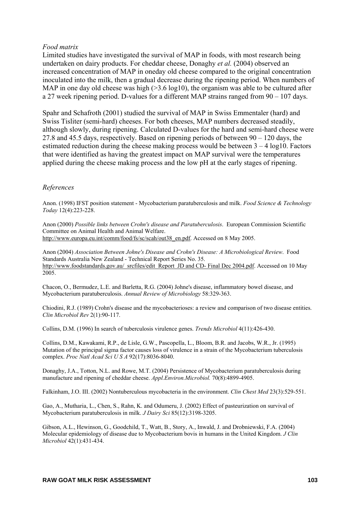## *Food matrix*

Limited studies have investigated the survival of MAP in foods, with most research being undertaken on dairy products. For cheddar cheese, Donaghy *et al.* (2004) observed an increased concentration of MAP in oneday old cheese compared to the original concentration inoculated into the milk, then a gradual decrease during the ripening period. When numbers of MAP in one day old cheese was high  $(>3.6 \log 10)$ , the organism was able to be cultured after a 27 week ripening period. D-values for a different MAP strains ranged from 90 – 107 days.

Spahr and Schafroth (2001) studied the survival of MAP in Swiss Emmentaler (hard) and Swiss Tisliter (semi-hard) cheeses. For both cheeses, MAP numbers decreased steadily, although slowly, during ripening. Calculated D-values for the hard and semi-hard cheese were 27.8 and 45.5 days, respectively. Based on ripening periods of between 90 – 120 days, the estimated reduction during the cheese making process would be between  $3 - 4 \log 10$ . Factors that were identified as having the greatest impact on MAP survival were the temperatures applied during the cheese making process and the low pH at the early stages of ripening.

#### *References*

Anon. (1998) IFST position statement - Mycobacterium paratuberculosis and milk. *Food Science & Technology Today* 12(4):223-228.

Anon (2000) *Possible links between Crohn's disease and Paratuberculosis*. European Commission Scientific Committee on Animal Health and Animal Welfare. http://www.europa.eu.int/comm/food/fs/sc/scah/out38\_en.pdf. Accessed on 8 May 2005.

Anon (2004) *Association Between Johne's Disease and Crohn's Disease: A Microbiological Review*. Food Standards Australia New Zealand - Technical Report Series No. 35. http://www.foodstandards.gov.au/\_srcfiles/edit\_Report\_JD and CD- Final Dec 2004.pdf. Accessed on 10 May 2005.

Chacon, O., Bermudez, L.E. and Barletta, R.G. (2004) Johne's disease, inflammatory bowel disease, and Mycobacterium paratuberculosis. *Annual Review of Microbiology* 58:329-363.

Chiodini, R.J. (1989) Crohn's disease and the mycobacterioses: a review and comparison of two disease entities. *Clin Microbiol Rev* 2(1):90-117.

Collins, D.M. (1996) In search of tuberculosis virulence genes. *Trends Microbiol* 4(11):426-430.

Collins, D.M., Kawakami, R.P., de Lisle, G.W., Pascopella, L., Bloom, B.R. and Jacobs, W.R., Jr. (1995) Mutation of the principal sigma factor causes loss of virulence in a strain of the Mycobacterium tuberculosis complex. *Proc Natl Acad Sci U S A* 92(17):8036-8040.

Donaghy, J.A., Totton, N.L. and Rowe, M.T. (2004) Persistence of Mycobacterium paratuberculosis during manufacture and ripening of cheddar cheese. *Appl.Environ.Microbiol.* 70(8):4899-4905.

Falkinham, J.O. III. (2002) Nontuberculous mycobacteria in the environment. *Clin Chest Med* 23(3):529-551.

Gao, A., Mutharia, L., Chen, S., Rahn, K. and Odumeru, J. (2002) Effect of pasteurization on survival of Mycobacterium paratuberculosis in milk. *J Dairy Sci* 85(12):3198-3205.

Gibson, A.L., Hewinson, G., Goodchild, T., Watt, B., Story, A., Inwald, J. and Drobniewski, F.A. (2004) Molecular epidemiology of disease due to Mycobacterium bovis in humans in the United Kingdom. *J Clin Microbiol* 42(1):431-434.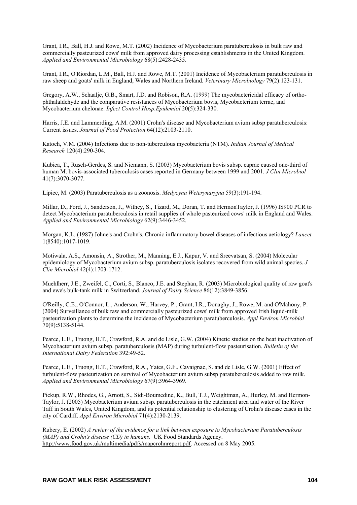Grant, I.R., Ball, H.J. and Rowe, M.T. (2002) Incidence of Mycobacterium paratuberculosis in bulk raw and commercially pasteurized cows' milk from approved dairy processing establishments in the United Kingdom. *Applied and Environmental Microbiology* 68(5):2428-2435.

Grant, I.R., O'Riordan, L.M., Ball, H.J. and Rowe, M.T. (2001) Incidence of Mycobacterium paratuberculosis in raw sheep and goats' milk in England, Wales and Northern Ireland. *Veterinary Microbiology* 79(2):123-131.

Gregory, A.W., Schaalje, G.B., Smart, J.D. and Robison, R.A. (1999) The mycobactericidal efficacy of orthophthalaldehyde and the comparative resistances of Mycobacterium bovis, Mycobacterium terrae, and Mycobacterium chelonae. *Infect Control Hosp.Epidemiol* 20(5):324-330.

Harris, J.E. and Lammerding, A.M. (2001) Crohn's disease and Mycobacterium avium subsp paratuberculosis: Current issues. *Journal of Food Protection* 64(12):2103-2110.

Katoch, V.M. (2004) Infections due to non-tuberculous mycobacteria (NTM). *Indian Journal of Medical Research* 120(4):290-304.

Kubica, T., Rusch-Gerdes, S. and Niemann, S. (2003) Mycobacterium bovis subsp. caprae caused one-third of human M. bovis-associated tuberculosis cases reported in Germany between 1999 and 2001. *J Clin Microbiol*  41(7):3070-3077.

Lipiec, M. (2003) Paratuberculosis as a zoonosis. *Medycyna Weterynaryjna* 59(3):191-194.

Millar, D., Ford, J., Sanderson, J., Withey, S., Tizard, M., Doran, T. and HermonTaylor, J. (1996) IS900 PCR to detect Mycobacterium paratuberculosis in retail supplies of whole pasteurized cows' milk in England and Wales. *Applied and Environmental Microbiology* 62(9):3446-3452.

Morgan, K.L. (1987) Johne's and Crohn's. Chronic inflammatory bowel diseases of infectious aetiology? *Lancet*  1(8540):1017-1019.

Motiwala, A.S., Amonsin, A., Strother, M., Manning, E.J., Kapur, V. and Sreevatsan, S. (2004) Molecular epidemiology of Mycobacterium avium subsp. paratuberculosis isolates recovered from wild animal species. *J Clin Microbiol* 42(4):1703-1712.

Muehlherr, J.E., Zweifel, C., Corti, S., Blanco, J.E. and Stephan, R. (2003) Microbiological quality of raw goat's and ewe's bulk-tank milk in Switzerland. *Journal of Dairy Science* 86(12):3849-3856.

O'Reilly, C.E., O'Connor, L., Anderson, W., Harvey, P., Grant, I.R., Donaghy, J., Rowe, M. and O'Mahony, P. (2004) Surveillance of bulk raw and commercially pasteurized cows' milk from approved Irish liquid-milk pasteurization plants to determine the incidence of Mycobacterium paratuberculosis. *Appl Environ Microbiol*  70(9):5138-5144.

Pearce, L.E., Truong, H.T., Crawford, R.A. and de Lisle, G.W. (2004) Kinetic studies on the heat inactivation of Mycobacterium avium subsp. paratuberculosis (MAP) during turbulent-flow pasteurisation. *Bulletin of the International Dairy Federation* 392:49-52.

Pearce, L.E., Truong, H.T., Crawford, R.A., Yates, G.F., Cavaignac, S. and de Lisle, G.W. (2001) Effect of turbulent-flow pasteurization on survival of Mycobacterium avium subsp paratuberculosis added to raw milk. *Applied and Environmental Microbiology* 67(9):3964-3969.

Pickup, R.W., Rhodes, G., Arnott, S., Sidi-Boumedine, K., Bull, T.J., Weightman, A., Hurley, M. and Hermon-Taylor, J. (2005) Mycobacterium avium subsp. paratuberculosis in the catchment area and water of the River Taff in South Wales, United Kingdom, and its potential relationship to clustering of Crohn's disease cases in the city of Cardiff. *Appl Environ Microbiol* 71(4):2130-2139.

Rubery, E. (2002) *A review of the evidence for a link between exposure to Mycobacterium Paratuberculosis (MAP) and Crohn's disease (CD) in humans*. UK Food Standards Agency. http://www.food.gov.uk/multimedia/pdfs/mapcrohnreport.pdf. Accessed on 8 May 2005.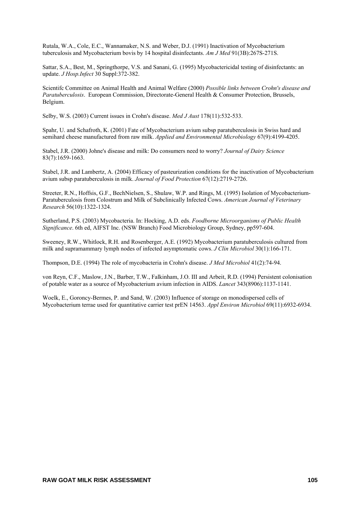Rutala, W.A., Cole, E.C., Wannamaker, N.S. and Weber, D.J. (1991) Inactivation of Mycobacterium tuberculosis and Mycobacterium bovis by 14 hospital disinfectants. *Am J Med* 91(3B):267S-271S.

Sattar, S.A., Best, M., Springthorpe, V.S. and Sanani, G. (1995) Mycobactericidal testing of disinfectants: an update. *J Hosp.Infect* 30 Suppl:372-382.

Scientifc Committee on Animal Health and Animal Welfare (2000) *Possible links between Crohn's disease and Paratuberculosis*. European Commission, Directorate-General Health & Consumer Protection, Brussels, Belgium.

Selby, W.S. (2003) Current issues in Crohn's disease. *Med J Aust* 178(11):532-533.

Spahr, U. and Schafroth, K. (2001) Fate of Mycobacterium avium subsp paratuberculosis in Swiss hard and semihard cheese manufactured from raw milk. *Applied and Environmental Microbiology* 67(9):4199-4205.

Stabel, J.R. (2000) Johne's disease and milk: Do consumers need to worry? *Journal of Dairy Science*  83(7):1659-1663.

Stabel, J.R. and Lambertz, A. (2004) Efficacy of pasteurization conditions for the inactivation of Mycobacterium avium subsp paratuberculosis in milk. *Journal of Food Protection* 67(12):2719-2726.

Streeter, R.N., Hoffsis, G.F., BechNielsen, S., Shulaw, W.P. and Rings, M. (1995) Isolation of Mycobacterium-Paratuberculosis from Colostrum and Milk of Subclinically Infected Cows. *American Journal of Veterinary Research* 56(10):1322-1324.

Sutherland, P.S. (2003) Mycobacteria. In: Hocking, A.D. eds. *Foodborne Microorganisms of Public Health Significance*. 6th ed, AIFST Inc. (NSW Branch) Food Microbiology Group, Sydney, pp597-604.

Sweeney, R.W., Whitlock, R.H. and Rosenberger, A.E. (1992) Mycobacterium paratuberculosis cultured from milk and supramammary lymph nodes of infected asymptomatic cows. *J Clin Microbiol* 30(1):166-171.

Thompson, D.E. (1994) The role of mycobacteria in Crohn's disease. *J Med Microbiol* 41(2):74-94.

von Reyn, C.F., Maslow, J.N., Barber, T.W., Falkinham, J.O. III and Arbeit, R.D. (1994) Persistent colonisation of potable water as a source of Mycobacterium avium infection in AIDS. *Lancet* 343(8906):1137-1141.

Woelk, E., Goroncy-Bermes, P. and Sand, W. (2003) Influence of storage on monodispersed cells of Mycobacterium terrae used for quantitative carrier test prEN 14563. *Appl Environ Microbiol* 69(11):6932-6934.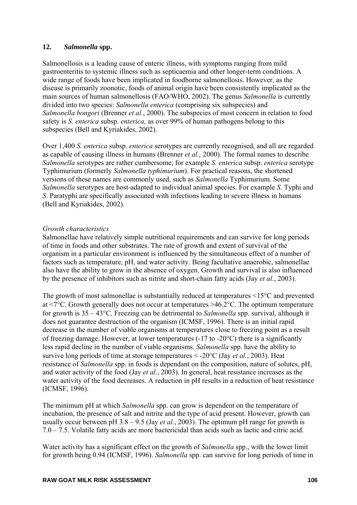## **12.** *Salmonella* **spp.**

Salmonellosis is a leading cause of enteric illness, with symptoms ranging from mild gastroenteritis to systemic illness such as septicaemia and other longer-term conditions. A wide range of foods have been implicated in foodborne salmonellosis. However, as the disease is primarily zoonotic, foods of animal origin have been consistently implicated as the main sources of human salmonellosis (FAO/WHO, 2002). The genus *Salmonella* is currently divided into two species: *Salmonella enterica* (comprising six subspecies) and *Salmonella bongori* (Brenner *et al.*, 2000). The subspecies of most concern in relation to food safety is *S. enterica* subsp. *enterica,* as over 99% of human pathogens belong to this subspecies (Bell and Kyriakides, 2002).

Over 1,400 *S. enterica* subsp. *enterica* serotypes are currently recognised, and all are regarded as capable of causing illness in humans (Brenner *et al.,* 2000). The formal names to describe *Salmonella* serotypes are rather cumbersome, for example *S. enterica* subsp. *enterica* serotype Typhimurium (formerly *Salmonella typhimurium*). For practical reasons, the shortened versions of these names are commonly used, such as *Salmonella* Typhimurium. Some *Salmonella* serotypes are host-adapted to individual animal species. For example *S*. Typhi and *S*. Paratyphi are specifically associated with infections leading to severe illness in humans (Bell and Kyriakides, 2002).

## *Growth characteristics*

Salmonellae have relatively simple nutritional requirements and can survive for long periods of time in foods and other substrates. The rate of growth and extent of survival of the organism in a particular environment is influenced by the simultaneous effect of a number of factors such as temperature, pH, and water activity. Being facultative anaerobic, salmonellae also have the ability to grow in the absence of oxygen. Growth and survival is also influenced by the presence of inhibitors such as nitrite and short-chain fatty acids (Jay *et al.*, 2003).

The growth of most salmonellae is substantially reduced at temperatures <15°C and prevented at <7°C. Growth generally does not occur at temperatures >46.2°C. The optimum temperature for growth is 35 – 43°C. Freezing can be detrimental to *Salmonella* spp. survival, although it does not guarantee destruction of the organism (ICMSF, 1996). There is an initial rapid decrease in the number of viable organisms at temperatures close to freezing point as a result of freezing damage. However, at lower temperatures (-17 to -20°C) there is a significantly less rapid decline in the number of viable organisms. *Salmonella* spp. have the ability to survive long periods of time at storage temperatures < -20°C (Jay *et al.*, 2003). Heat resistance of *Salmonella* spp. in foods is dependant on the composition, nature of solutes, pH, and water activity of the food (Jay *et al.*, 2003). In general, heat resistance increases as the water activity of the food decreases. A reduction in pH results in a reduction of heat resistance (ICMSF, 1996).

The minimum pH at which *Salmonella* spp. can grow is dependent on the temperature of incubation, the presence of salt and nitrite and the type of acid present. However, growth can usually occur between pH  $3.8 - 9.5$  (Jay *et al.*, 2003). The optimum pH range for growth is 7.0 – 7.5. Volatile fatty acids are more bactericidal than acids such as lactic and citric acid.

Water activity has a significant effect on the growth of *Salmonella* spp., with the lower limit for growth being 0.94 (ICMSF, 1996). *Salmonella* spp. can survive for long periods of time in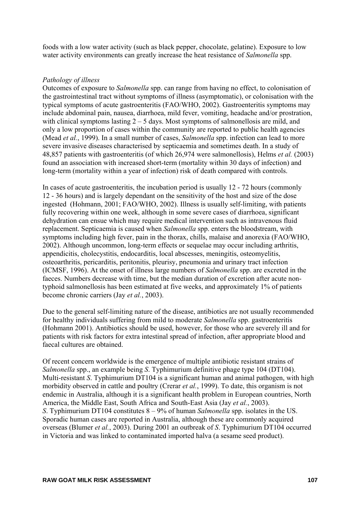foods with a low water activity (such as black pepper, chocolate, gelatine). Exposure to low water activity environments can greatly increase the heat resistance of *Salmonella* spp.

## *Pathology of illness*

Outcomes of exposure to *Salmonella* spp. can range from having no effect, to colonisation of the gastrointestinal tract without symptoms of illness (asymptomatic), or colonisation with the typical symptoms of acute gastroenteritis (FAO/WHO, 2002). Gastroenteritis symptoms may include abdominal pain, nausea, diarrhoea, mild fever, vomiting, headache and/or prostration, with clinical symptoms lasting  $2 - 5$  days. Most symptoms of salmonellosis are mild, and only a low proportion of cases within the community are reported to public health agencies (Mead *et al.*, 1999). In a small number of cases, *Salmonella* spp. infection can lead to more severe invasive diseases characterised by septicaemia and sometimes death. In a study of 48,857 patients with gastroenteritis (of which 26,974 were salmonellosis), Helms *et al.* (2003) found an association with increased short-term (mortality within 30 days of infection) and long-term (mortality within a year of infection) risk of death compared with controls.

In cases of acute gastroenteritis, the incubation period is usually 12 - 72 hours (commonly 12 - 36 hours) and is largely dependant on the sensitivity of the host and size of the dose ingested (Hohmann, 2001; FAO/WHO, 2002). Illness is usually self-limiting, with patients fully recovering within one week, although in some severe cases of diarrhoea, significant dehydration can ensue which may require medical intervention such as intravenous fluid replacement. Septicaemia is caused when *Salmonella* spp. enters the bloodstream, with symptoms including high fever, pain in the thorax, chills, malaise and anorexia (FAO/WHO, 2002). Although uncommon, long-term effects or sequelae may occur including arthritis, appendicitis, cholecystitis, endocarditis, local abscesses, meningitis, osteomyelitis, osteoarthritis, pericarditis, peritonitis, pleurisy, pneumonia and urinary tract infection (ICMSF, 1996). At the onset of illness large numbers of *Salmonella* spp. are excreted in the faeces. Numbers decrease with time, but the median duration of excretion after acute nontyphoid salmonellosis has been estimated at five weeks, and approximately 1% of patients become chronic carriers (Jay *et al.*, 2003).

Due to the general self-limiting nature of the disease, antibiotics are not usually recommended for healthy individuals suffering from mild to moderate *Salmonella* spp. gastroenteritis (Hohmann 2001). Antibiotics should be used, however, for those who are severely ill and for patients with risk factors for extra intestinal spread of infection, after appropriate blood and faecal cultures are obtained.

Of recent concern worldwide is the emergence of multiple antibiotic resistant strains of *Salmonella* spp., an example being *S*. Typhimurium definitive phage type 104 (DT104). Multi-resistant *S*. Typhimurium DT104 is a significant human and animal pathogen, with high morbidity observed in cattle and poultry (Crerar *et al.*, 1999). To date, this organism is not endemic in Australia, although it is a significant health problem in European countries, North America, the Middle East, South Africa and South-East Asia (Jay *et al.*, 2003). *S*. Typhimurium DT104 constitutes 8 – 9% of human *Salmonella* spp. isolates in the US. Sporadic human cases are reported in Australia, although these are commonly acquired overseas (Blumer *et al.*, 2003). During 2001 an outbreak of *S*. Typhimurium DT104 occurred in Victoria and was linked to contaminated imported halva (a sesame seed product).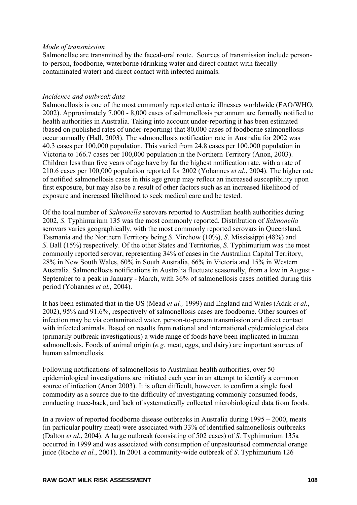#### *Mode of transmission*

Salmonellae are transmitted by the faecal-oral route. Sources of transmission include personto-person, foodborne, waterborne (drinking water and direct contact with faecally contaminated water) and direct contact with infected animals.

#### *Incidence and outbreak data*

Salmonellosis is one of the most commonly reported enteric illnesses worldwide (FAO/WHO, 2002). Approximately 7,000 - 8,000 cases of salmonellosis per annum are formally notified to health authorities in Australia. Taking into account under-reporting it has been estimated (based on published rates of under-reporting) that 80,000 cases of foodborne salmonellosis occur annually (Hall, 2003). The salmonellosis notification rate in Australia for 2002 was 40.3 cases per 100,000 population. This varied from 24.8 cases per 100,000 population in Victoria to 166.7 cases per 100,000 population in the Northern Territory (Anon, 2003). Children less than five years of age have by far the highest notification rate, with a rate of 210.6 cases per 100,000 population reported for 2002 (Yohannes *et al.*, 2004). The higher rate of notified salmonellosis cases in this age group may reflect an increased susceptibility upon first exposure, but may also be a result of other factors such as an increased likelihood of exposure and increased likelihood to seek medical care and be tested.

Of the total number of *Salmonella* serovars reported to Australian health authorities during 2002, *S*. Typhimurium 135 was the most commonly reported. Distribution of *Salmonella* serovars varies geographically, with the most commonly reported serovars in Queensland, Tasmania and the Northern Territory being *S*. Virchow (10%), *S*. Mississippi (48%) and *S*. Ball (15%) respectively. Of the other States and Territories, *S*. Typhimurium was the most commonly reported serovar, representing 34% of cases in the Australian Capital Territory, 28% in New South Wales, 60% in South Australia, 66% in Victoria and 15% in Western Australia. Salmonellosis notifications in Australia fluctuate seasonally, from a low in August - September to a peak in January - March, with 36% of salmonellosis cases notified during this period (Yohannes *et al.,* 2004).

It has been estimated that in the US (Mead *et al.,* 1999) and England and Wales (Adak *et al.*, 2002), 95% and 91.6%, respectively of salmonellosis cases are foodborne. Other sources of infection may be via contaminated water, person-to-person transmission and direct contact with infected animals. Based on results from national and international epidemiological data (primarily outbreak investigations) a wide range of foods have been implicated in human salmonellosis. Foods of animal origin (*e.g.* meat, eggs, and dairy) are important sources of human salmonellosis.

Following notifications of salmonellosis to Australian health authorities, over 50 epidemiological investigations are initiated each year in an attempt to identify a common source of infection (Anon 2003). It is often difficult, however, to confirm a single food commodity as a source due to the difficulty of investigating commonly consumed foods, conducting trace-back, and lack of systematically collected microbiological data from foods.

In a review of reported foodborne disease outbreaks in Australia during 1995 – 2000, meats (in particular poultry meat) were associated with 33% of identified salmonellosis outbreaks (Dalton *et al.*, 2004). A large outbreak (consisting of 502 cases) of *S*. Typhimurium 135a occurred in 1999 and was associated with consumption of unpasteurised commercial orange juice (Roche *et al.*, 2001). In 2001 a community-wide outbreak of *S*. Typhimurium 126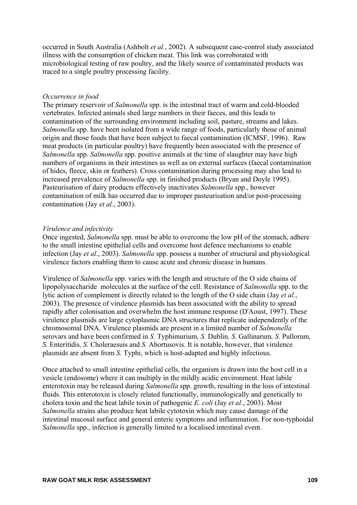occurred in South Australia (Ashbolt *et al.*, 2002). A subsequent case-control study associated illness with the consumption of chicken meat. This link was corroborated with microbiological testing of raw poultry, and the likely source of contaminated products was traced to a single poultry processing facility.

#### *Occurrence in food*

The primary reservoir of *Salmonella* spp. is the intestinal tract of warm and cold-blooded vertebrates. Infected animals shed large numbers in their faeces, and this leads to contamination of the surrounding environment including soil, pasture, streams and lakes. *Salmonella* spp. have been isolated from a wide range of foods, particularly those of animal origin and those foods that have been subject to faecal contamination (ICMSF, 1996). Raw meat products (in particular poultry) have frequently been associated with the presence of *Salmonella* spp. *Salmonella* spp. positive animals at the time of slaughter may have high numbers of organisms in their intestines as well as on external surfaces (faecal contamination of hides, fleece, skin or feathers). Cross contamination during processing may also lead to increased prevalence of *Salmonella* spp. in finished products (Bryan and Doyle 1995). Pasteurisation of dairy products effectively inactivates *Salmonella* spp., however contamination of milk has occurred due to improper pasteurisation and/or post-processing contamination (Jay *et al.*, 2003).

#### *Virulence and infectivity*

Once ingested, *Salmonella* spp. must be able to overcome the low pH of the stomach, adhere to the small intestine epithelial cells and overcome host defence mechanisms to enable infection (Jay *et al.*, 2003). *Salmonella* spp. possess a number of structural and physiological virulence factors enabling them to cause acute and chronic disease in humans.

Virulence of *Salmonella* spp. varies with the length and structure of the O side chains of lipopolysaccharide molecules at the surface of the cell. Resistance of *Salmonella* spp. to the lytic action of complement is directly related to the length of the O side chain (Jay *et al.*, 2003). The presence of virulence plasmids has been associated with the ability to spread rapidly after colonisation and overwhelm the host immune response (D'Aoust, 1997). These virulence plasmids are large cytoplasmic DNA structures that replicate independently of the chromosomal DNA. Virulence plasmids are present in a limited number of *Salmonella* serovars and have been confirmed in *S.* Typhimurium*, S.* Dublin*, S.* Gallinarum*, S.* Pullorum*, S.* Enteritidis*, S.* Choleraesuis and *S.* Abortusovis. It is notable, however, that virulence plasmids are absent from *S*. Typhi, which is host-adapted and highly infectious.

Once attached to small intestine epithelial cells, the organism is drawn into the host cell in a vesicle (endosome) where it can multiply in the mildly acidic environment. Heat labile enterotoxin may be released during *Salmonella* spp. growth, resulting in the loss of intestinal fluids. This enterotoxin is closely related functionally, immunologically and genetically to cholera toxin and the heat labile toxin of pathogenic *E. coli* (Jay *et al.*, 2003). Most *Salmonella* strains also produce heat labile cytotoxin which may cause damage of the intestinal mucosal surface and general enteric symptoms and inflammation. For non-typhoidal *Salmonella* spp., infection is generally limited to a localised intestinal event.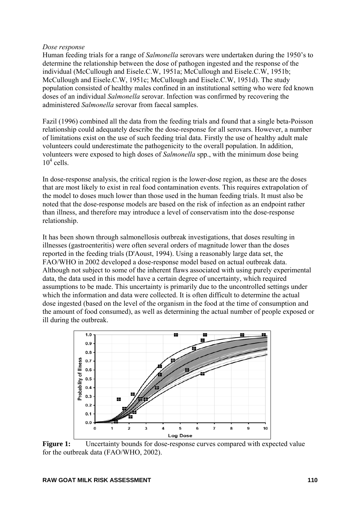#### *Dose response*

Human feeding trials for a range of *Salmonella* serovars were undertaken during the 1950's to determine the relationship between the dose of pathogen ingested and the response of the individual (McCullough and Eisele.C.W, 1951a; McCullough and Eisele.C.W, 1951b; McCullough and Eisele.C.W, 1951c; McCullough and Eisele.C.W, 1951d). The study population consisted of healthy males confined in an institutional setting who were fed known doses of an individual *Salmonella* serovar. Infection was confirmed by recovering the administered *Salmonella* serovar from faecal samples.

Fazil (1996) combined all the data from the feeding trials and found that a single beta-Poisson relationship could adequately describe the dose-response for all serovars. However, a number of limitations exist on the use of such feeding trial data. Firstly the use of healthy adult male volunteers could underestimate the pathogenicity to the overall population. In addition, volunteers were exposed to high doses of *Salmonella* spp., with the minimum dose being  $10^4$  cells.

In dose-response analysis, the critical region is the lower-dose region, as these are the doses that are most likely to exist in real food contamination events. This requires extrapolation of the model to doses much lower than those used in the human feeding trials. It must also be noted that the dose-response models are based on the risk of infection as an endpoint rather than illness, and therefore may introduce a level of conservatism into the dose-response relationship.

It has been shown through salmonellosis outbreak investigations, that doses resulting in illnesses (gastroenteritis) were often several orders of magnitude lower than the doses reported in the feeding trials (D'Aoust, 1994). Using a reasonably large data set, the FAO/WHO in 2002 developed a dose-response model based on actual outbreak data. Although not subject to some of the inherent flaws associated with using purely experimental data, the data used in this model have a certain degree of uncertainty, which required assumptions to be made. This uncertainty is primarily due to the uncontrolled settings under which the information and data were collected. It is often difficult to determine the actual dose ingested (based on the level of the organism in the food at the time of consumption and the amount of food consumed), as well as determining the actual number of people exposed or ill during the outbreak.



**Figure 1:** Uncertainty bounds for dose-response curves compared with expected value for the outbreak data (FAO/WHO, 2002).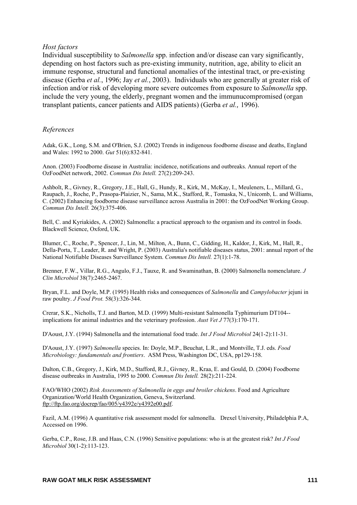#### *Host factors*

Individual susceptibility to *Salmonella* spp. infection and/or disease can vary significantly, depending on host factors such as pre-existing immunity, nutrition, age, ability to elicit an immune response, structural and functional anomalies of the intestinal tract, or pre-existing disease (Gerba *et al.*, 1996; Jay *et al.*, 2003). Individuals who are generally at greater risk of infection and/or risk of developing more severe outcomes from exposure to *Salmonella* spp. include the very young, the elderly, pregnant women and the immunucompromised (organ transplant patients, cancer patients and AIDS patients) (Gerba *et al.,* 1996).

#### *References*

Adak, G.K., Long, S.M. and O'Brien, S.J. (2002) Trends in indigenous foodborne disease and deaths, England and Wales: 1992 to 2000. *Gut* 51(6):832-841.

Anon. (2003) Foodborne disease in Australia: incidence, notifications and outbreaks. Annual report of the OzFoodNet network, 2002. *Commun Dis Intell.* 27(2):209-243.

Ashbolt, R., Givney, R., Gregory, J.E., Hall, G., Hundy, R., Kirk, M., McKay, I., Meuleners, L., Millard, G., Raupach, J., Roche, P., Prasopa-Plaizier, N., Sama, M.K., Stafford, R., Tomaska, N., Unicomb, L. and Williams, C. (2002) Enhancing foodborne disease surveillance across Australia in 2001: the OzFoodNet Working Group. *Commun Dis Intell.* 26(3):375-406.

Bell, C. and Kyriakides, A. (2002) Salmonella: a practical approach to the organism and its control in foods. Blackwell Science, Oxford, UK.

Blumer, C., Roche, P., Spencer, J., Lin, M., Milton, A., Bunn, C., Gidding, H., Kaldor, J., Kirk, M., Hall, R., Della-Porta, T., Leader, R. and Wright, P. (2003) Australia's notifiable diseases status, 2001: annual report of the National Notifiable Diseases Surveillance System. *Commun Dis Intell.* 27(1):1-78.

Brenner, F.W., Villar, R.G., Angulo, F.J., Tauxe, R. and Swaminathan, B. (2000) Salmonella nomenclature. *J Clin Microbiol* 38(7):2465-2467.

Bryan, F.L. and Doyle, M.P. (1995) Health risks and consequences of *Salmonella* and *Campylobacter* jejuni in raw poultry. *J Food Prot.* 58(3):326-344.

Crerar, S.K., Nicholls, T.J. and Barton, M.D. (1999) Multi-resistant Salmonella Typhimurium DT104- implications for animal industries and the veterinary profession. *Aust Vet J* 77(3):170-171.

D'Aoust, J.Y. (1994) Salmonella and the international food trade. *Int J Food Microbiol* 24(1-2):11-31.

D'Aoust, J.Y. (1997) *Salmonella* species. In: Doyle, M.P., Beuchat, L.R., and Montville, T.J. eds. *Food Microbiology: fundamentals and frontiers*. ASM Press, Washington DC, USA, pp129-158.

Dalton, C.B., Gregory, J., Kirk, M.D., Stafford, R.J., Givney, R., Kraa, E. and Gould, D. (2004) Foodborne disease outbreaks in Australia, 1995 to 2000. *Commun Dis Intell.* 28(2):211-224.

FAO/WHO (2002) *Risk Assessments of Salmonella in eggs and broiler chickens*. Food and Agriculture Organization/World Health Organization, Geneva, Switzerland. ftp://ftp.fao.org/docrep/fao/005/y4392e/y4392e00.pdf.

Fazil, A.M. (1996) A quantitative risk assessment model for salmonella. Drexel University, Philadelphia P.A, Accessed on 1996.

Gerba, C.P., Rose, J.B. and Haas, C.N. (1996) Sensitive populations: who is at the greatest risk? *Int J Food Microbiol* 30(1-2):113-123.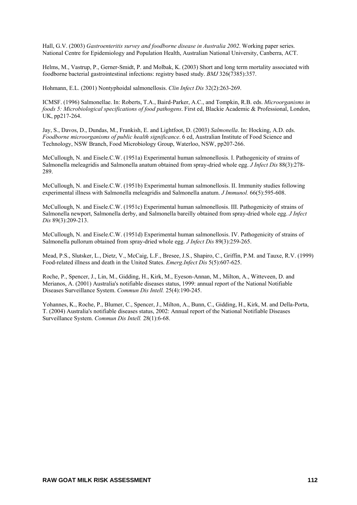Hall, G.V. (2003) *Gastroenteritis survey and foodborne disease in Australia 2002*. Working paper series. National Centre for Epidemiology and Population Health, Australian National University, Canberra, ACT.

Helms, M., Vastrup, P., Gerner-Smidt, P. and Molbak, K. (2003) Short and long term mortality associated with foodborne bacterial gastrointestinal infections: registry based study. *BMJ* 326(7385):357.

Hohmann, E.L. (2001) Nontyphoidal salmonellosis. *Clin Infect Dis* 32(2):263-269.

ICMSF. (1996) Salmonellae. In: Roberts, T.A., Baird-Parker, A.C., and Tompkin, R.B. eds. *Microorganisms in foods 5: Microbiological specifications of food pathogens*. First ed, Blackie Academic & Professional, London, UK, pp217-264.

Jay, S., Davos, D., Dundas, M., Frankish, E. and Lightfoot, D. (2003) *Salmonella*. In: Hocking, A.D. eds. *Foodborne microorganisms of public health significance*. 6 ed, Australian Institute of Food Science and Technology, NSW Branch, Food Microbiology Group, Waterloo, NSW, pp207-266.

McCullough, N. and Eisele.C.W. (1951a) Experimental human salmonellosis. I. Pathogenicity of strains of Salmonella meleagridis and Salmonella anatum obtained from spray-dried whole egg. *J Infect Dis* 88(3):278- 289.

McCullough, N. and Eisele.C.W. (1951b) Experimental human salmonellosis. II. Immunity studies following experimental illness with Salmonella meleagridis and Salmonella anatum. *J Immunol.* 66(5):595-608.

McCullough, N. and Eisele.C.W. (1951c) Experimental human salmonellosis. III. Pathogenicity of strains of Salmonella newport, Salmonella derby, and Salmonella bareilly obtained from spray-dried whole egg. *J Infect Dis* 89(3):209-213.

McCullough, N. and Eisele.C.W. (1951d) Experimental human salmonellosis. IV. Pathogenicity of strains of Salmonella pullorum obtained from spray-dried whole egg. *J Infect Dis* 89(3):259-265.

Mead, P.S., Slutsker, L., Dietz, V., McCaig, L.F., Bresee, J.S., Shapiro, C., Griffin, P.M. and Tauxe, R.V. (1999) Food-related illness and death in the United States. *Emerg.Infect Dis* 5(5):607-625.

Roche, P., Spencer, J., Lin, M., Gidding, H., Kirk, M., Eyeson-Annan, M., Milton, A., Witteveen, D. and Merianos, A. (2001) Australia's notifiable diseases status, 1999: annual report of the National Notifiable Diseases Surveillance System. *Commun Dis Intell.* 25(4):190-245.

Yohannes, K., Roche, P., Blumer, C., Spencer, J., Milton, A., Bunn, C., Gidding, H., Kirk, M. and Della-Porta, T. (2004) Australia's notifiable diseases status, 2002: Annual report of the National Notifiable Diseases Surveillance System. *Commun Dis Intell.* 28(1):6-68.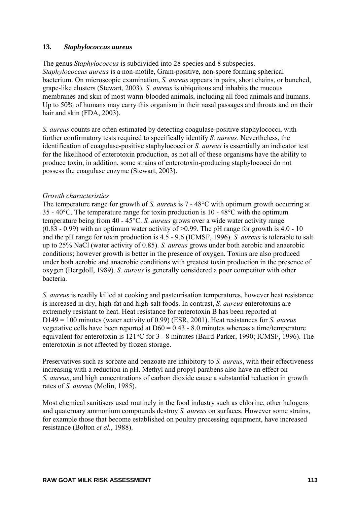## **13.** *Staphylococcus aureus*

The genus *Staphylococcus* is subdivided into 28 species and 8 subspecies. *Staphylococcus aureus* is a non-motile, Gram-positive, non-spore forming spherical bacterium. On microscopic examination, *S. aureus* appears in pairs, short chains, or bunched, grape-like clusters (Stewart, 2003). *S*. *aureus* is ubiquitous and inhabits the mucous membranes and skin of most warm-blooded animals, including all food animals and humans. Up to 50% of humans may carry this organism in their nasal passages and throats and on their hair and skin (FDA, 2003).

*S. aureus* counts are often estimated by detecting coagulase-positive staphylococci, with further confirmatory tests required to specifically identify *S. aureus*. Nevertheless, the identification of coagulase-positive staphylococci or *S. aureus* is essentially an indicator test for the likelihood of enterotoxin production, as not all of these organisms have the ability to produce toxin, in addition, some strains of enterotoxin-producing staphylococci do not possess the coagulase enzyme (Stewart, 2003).

## *Growth characteristics*

The temperature range for growth of *S. aureus* is 7 - 48°C with optimum growth occurring at 35 - 40°C. The temperature range for toxin production is 10 - 48°C with the optimum temperature being from 40 - 45°C. *S. aureus* grows over a wide water activity range  $(0.83 - 0.99)$  with an optimum water activity of  $> 0.99$ . The pH range for growth is 4.0 - 10 and the pH range for toxin production is 4.5 - 9.6 (ICMSF, 1996). *S. aureus* is tolerable to salt up to 25% NaCl (water activity of 0.85). *S. aureus* grows under both aerobic and anaerobic conditions; however growth is better in the presence of oxygen. Toxins are also produced under both aerobic and anaerobic conditions with greatest toxin production in the presence of oxygen (Bergdoll, 1989). *S. aureus* is generally considered a poor competitor with other bacteria.

*S. aureus* is readily killed at cooking and pasteurisation temperatures, however heat resistance is increased in dry, high-fat and high-salt foods. In contrast, *S. aureus* enterotoxins are extremely resistant to heat. Heat resistance for enterotoxin B has been reported at D149 = 100 minutes (water activity of 0.99) (ESR, 2001). Heat resistances for *S. aureus* vegetative cells have been reported at  $D60 = 0.43 - 8.0$  minutes whereas a time/temperature equivalent for enterotoxin is 121°C for 3 - 8 minutes (Baird-Parker, 1990; ICMSF, 1996). The enterotoxin is not affected by frozen storage.

Preservatives such as sorbate and benzoate are inhibitory to *S. aureus*, with their effectiveness increasing with a reduction in pH. Methyl and propyl parabens also have an effect on *S. aureus*, and high concentrations of carbon dioxide cause a substantial reduction in growth rates of *S. aureus* (Molin, 1985).

Most chemical sanitisers used routinely in the food industry such as chlorine, other halogens and quaternary ammonium compounds destroy *S. aureus* on surfaces. However some strains, for example those that become established on poultry processing equipment, have increased resistance (Bolton *et al.*, 1988).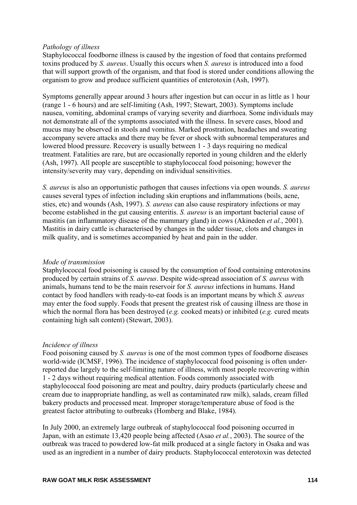## *Pathology of illness*

Staphylococcal foodborne illness is caused by the ingestion of food that contains preformed toxins produced by *S. aureus*. Usually this occurs when *S. aureus* is introduced into a food that will support growth of the organism, and that food is stored under conditions allowing the organism to grow and produce sufficient quantities of enterotoxin (Ash, 1997).

Symptoms generally appear around 3 hours after ingestion but can occur in as little as 1 hour (range 1 - 6 hours) and are self-limiting (Ash, 1997; Stewart, 2003). Symptoms include nausea, vomiting, abdominal cramps of varying severity and diarrhoea. Some individuals may not demonstrate all of the symptoms associated with the illness. In severe cases, blood and mucus may be observed in stools and vomitus. Marked prostration, headaches and sweating accompany severe attacks and there may be fever or shock with subnormal temperatures and lowered blood pressure. Recovery is usually between 1 - 3 days requiring no medical treatment. Fatalities are rare, but are occasionally reported in young children and the elderly (Ash, 1997). All people are susceptible to staphylococcal food poisoning; however the intensity/severity may vary, depending on individual sensitivities.

*S. aureus* is also an opportunistic pathogen that causes infections via open wounds. *S. aureus* causes several types of infection including skin eruptions and inflammations (boils, acne, sties, etc) and wounds (Ash, 1997). *S. aureus* can also cause respiratory infections or may become established in the gut causing enteritis. *S. aureus* is an important bacterial cause of mastitis (an inflammatory disease of the mammary gland) in cows (Akineden *et al.*, 2001). Mastitis in dairy cattle is characterised by changes in the udder tissue, clots and changes in milk quality, and is sometimes accompanied by heat and pain in the udder.

## *Mode of transmission*

Staphylococcal food poisoning is caused by the consumption of food containing enterotoxins produced by certain strains of *S. aureus*. Despite wide-spread association of *S. aureus* with animals, humans tend to be the main reservoir for *S. aureus* infections in humans. Hand contact by food handlers with ready-to-eat foods is an important means by which *S. aureus* may enter the food supply. Foods that present the greatest risk of causing illness are those in which the normal flora has been destroyed (*e.g.* cooked meats) or inhibited (*e.g.* cured meats containing high salt content) (Stewart, 2003).

## *Incidence of illness*

Food poisoning caused by *S. aureus* is one of the most common types of foodborne diseases world-wide (ICMSF, 1996). The incidence of staphylococcal food poisoning is often underreported due largely to the self-limiting nature of illness, with most people recovering within 1 - 2 days without requiring medical attention. Foods commonly associated with staphylococcal food poisoning are meat and poultry, dairy products (particularly cheese and cream due to inappropriate handling, as well as contaminated raw milk), salads, cream filled bakery products and processed meat. Improper storage/temperature abuse of food is the greatest factor attributing to outbreaks (Homberg and Blake, 1984).

In July 2000, an extremely large outbreak of staphylococcal food poisoning occurred in Japan, with an estimate 13,420 people being affected (Asao *et al.*, 2003). The source of the outbreak was traced to powdered low-fat milk produced at a single factory in Osaka and was used as an ingredient in a number of dairy products. Staphylococcal enterotoxin was detected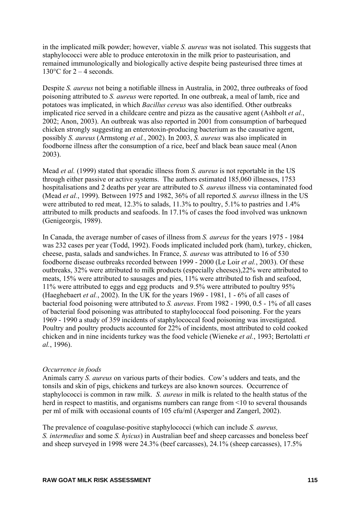in the implicated milk powder; however, viable *S. aureus* was not isolated. This suggests that staphylococci were able to produce enterotoxin in the milk prior to pasteurisation, and remained immunologically and biologically active despite being pasteurised three times at 130 $\degree$ C for 2 – 4 seconds.

Despite *S. aureus* not being a notifiable illness in Australia, in 2002, three outbreaks of food poisoning attributed to *S. aureus* were reported. In one outbreak, a meal of lamb, rice and potatoes was implicated, in which *Bacillus cereus* was also identified. Other outbreaks implicated rice served in a childcare centre and pizza as the causative agent (Ashbolt *et al.*, 2002; Anon, 2003). An outbreak was also reported in 2001 from consumption of barbequed chicken strongly suggesting an enterotoxin-producing bacterium as the causative agent, possibly *S. aureus* (Armstong *et al.*, 2002). In 2003, *S. aureus* was also implicated in foodborne illness after the consumption of a rice, beef and black bean sauce meal (Anon 2003).

Mead *et al.* (1999) stated that sporadic illness from *S. aureus* is not reportable in the US through either passive or active systems. The authors estimated 185,060 illnesses, 1753 hospitalisations and 2 deaths per year are attributed to *S. aureus* illness via contaminated food (Mead *et al.*, 1999). Between 1975 and 1982, 36% of all reported *S. aureus* illness in the US were attributed to red meat, 12.3% to salads, 11.3% to poultry, 5.1% to pastries and 1.4% attributed to milk products and seafoods. In 17.1% of cases the food involved was unknown (Genigeorgis, 1989).

In Canada, the average number of cases of illness from *S. aureus* for the years 1975 - 1984 was 232 cases per year (Todd, 1992). Foods implicated included pork (ham), turkey, chicken, cheese, pasta, salads and sandwiches. In France, *S. aureus* was attributed to 16 of 530 foodborne disease outbreaks recorded between 1999 - 2000 (Le Loir *et al.*, 2003). Of these outbreaks, 32% were attributed to milk products (especially cheeses),22% were attributed to meats, 15% were attributed to sausages and pies, 11% were attributed to fish and seafood, 11% were attributed to eggs and egg products and 9.5% were attributed to poultry 95% (Haeghebaert *et al.*, 2002). In the UK for the years 1969 - 1981, 1 - 6% of all cases of bacterial food poisoning were attributed to *S. aureus*. From 1982 - 1990, 0.5 - 1% of all cases of bacterial food poisoning was attributed to staphylococcal food poisoning. For the years 1969 - 1990 a study of 359 incidents of staphylococcal food poisoning was investigated. Poultry and poultry products accounted for 22% of incidents, most attributed to cold cooked chicken and in nine incidents turkey was the food vehicle (Wieneke *et al.*, 1993; Bertolatti *et al.*, 1996).

## *Occurrence in foods*

Animals carry *S. aureus* on various parts of their bodies. Cow's udders and teats, and the tonsils and skin of pigs, chickens and turkeys are also known sources. Occurrence of staphylococci is common in raw milk. *S. aureus* in milk is related to the health status of the herd in respect to mastitis, and organisms numbers can range from <10 to several thousands per ml of milk with occasional counts of 105 cfu/ml (Asperger and Zangerl, 2002).

The prevalence of coagulase-positive staphylococci (which can include *S. aureus, S. intermedius* and some *S. hyicus*) in Australian beef and sheep carcasses and boneless beef and sheep surveyed in 1998 were 24.3% (beef carcasses), 24.1% (sheep carcasses), 17.5%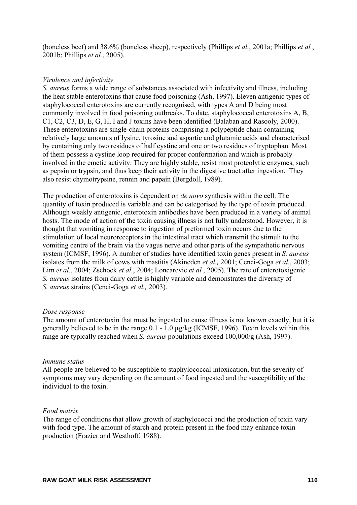(boneless beef) and 38.6% (boneless sheep), respectively (Phillips *et al.*, 2001a; Phillips *et al.*, 2001b; Phillips *et al.*, 2005).

#### *Virulence and infectivity*

*S. aureus* forms a wide range of substances associated with infectivity and illness, including the heat stable enterotoxins that cause food poisoning (Ash, 1997). Eleven antigenic types of staphylococcal enterotoxins are currently recognised, with types A and D being most commonly involved in food poisoning outbreaks. To date, staphylococcal enterotoxins A, B, C1, C2, C3, D, E, G, H, I and J toxins have been identified (Balaban and Rasooly, 2000). These enterotoxins are single-chain proteins comprising a polypeptide chain containing relatively large amounts of lysine, tyrosine and aspartic and glutamic acids and characterised by containing only two residues of half cystine and one or two residues of tryptophan. Most of them possess a cystine loop required for proper conformation and which is probably involved in the emetic activity. They are highly stable, resist most proteolytic enzymes, such as pepsin or trypsin, and thus keep their activity in the digestive tract after ingestion. They also resist chymotrypsine, rennin and papain (Bergdoll, 1989).

The production of enterotoxins is dependent on *de novo* synthesis within the cell. The quantity of toxin produced is variable and can be categorised by the type of toxin produced. Although weakly antigenic, enterotoxin antibodies have been produced in a variety of animal hosts. The mode of action of the toxin causing illness is not fully understood. However, it is thought that vomiting in response to ingestion of preformed toxin occurs due to the stimulation of local neuroreceptors in the intestinal tract which transmit the stimuli to the vomiting centre of the brain via the vagus nerve and other parts of the sympathetic nervous system (ICMSF, 1996). A number of studies have identified toxin genes present in *S. aureus* isolates from the milk of cows with mastitis (Akineden *et al.,* 2001; Cenci-Goga *et al.*, 2003; Lim *et al.*, 2004; Zschock *et al.*, 2004; Loncarevic *et al.*, 2005). The rate of enterotoxigenic *S. aureus* isolates from dairy cattle is highly variable and demonstrates the diversity of *S. aureus* strains (Cenci-Goga *et al.,* 2003).

#### *Dose response*

The amount of enterotoxin that must be ingested to cause illness is not known exactly, but it is generally believed to be in the range 0.1 - 1.0 µg/kg (ICMSF, 1996). Toxin levels within this range are typically reached when *S. aureus* populations exceed 100,000/g (Ash, 1997).

## *Immune status*

All people are believed to be susceptible to staphylococcal intoxication, but the severity of symptoms may vary depending on the amount of food ingested and the susceptibility of the individual to the toxin.

## *Food matrix*

The range of conditions that allow growth of staphylococci and the production of toxin vary with food type. The amount of starch and protein present in the food may enhance toxin production (Frazier and Westhoff, 1988).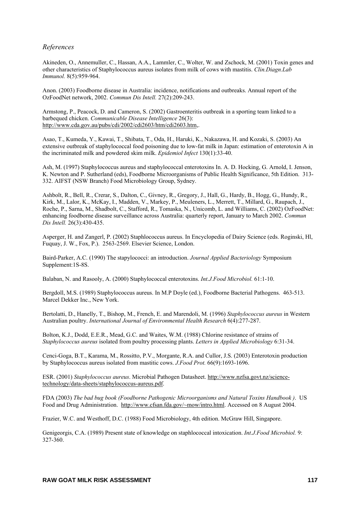#### *References*

Akineden, O., Annemuller, C., Hassan, A.A., Lammler, C., Wolter, W. and Zschock, M. (2001) Toxin genes and other characteristics of Staphylococcus aureus isolates from milk of cows with mastitis. *Clin.Diagn.Lab Immunol.* 8(5):959-964.

Anon. (2003) Foodborne disease in Australia: incidence, notifications and outbreaks. Annual report of the OzFoodNet network, 2002. *Commun Dis Intell.* 27(2):209-243.

Armstong, P., Peacock, D. and Cameron, S. (2002) Gastroenteritis outbreak in a sporting team linked to a barbequed chicken. *Communicable Disease Intelligence* 26(3): http://www.cda.gov.au/pubs/cdi/2002/cdi2603/htm/cdi2603.htm,.

Asao, T., Kumeda, Y., Kawai, T., Shibata, T., Oda, H., Haruki, K., Nakazawa, H. and Kozaki, S. (2003) An extensive outbreak of staphylococcal food poisoning due to low-fat milk in Japan: estimation of enterotoxin A in the incriminated milk and powdered skim milk. *Epidemiol Infect* 130(1):33-40.

Ash, M. (1997) Staphylococcus aureus and staphylococcal enterotoxins In. A. D. Hocking, G. Arnold, I. Jenson, K. Newton and P. Sutherland (eds), Foodborne Microorganisms of Public Health Significance, 5th Edition. 313- 332. AIFST (NSW Branch) Food Microbiology Group, Sydney.

Ashbolt, R., Bell, R., Crerar, S., Dalton, C., Givney, R., Gregory, J., Hall, G., Hardy, B., Hogg, G., Hundy, R., Kirk, M., Lalor, K., McKay, I., Madden, V., Markey, P., Meuleners, L., Merrett, T., Millard, G., Raupach, J., Roche, P., Sarna, M., Shadbolt, C., Stafford, R., Tomaska, N., Unicomb, L. and Williams, C. (2002) OzFoodNet: enhancing foodborne disease surveillance across Australia: quarterly report, January to March 2002. *Commun Dis Intell.* 26(3):430-435.

Asperger, H. and Zangerl, P. (2002) Staphlococcus aureus. In Encyclopedia of Dairy Science (eds. Roginski, Hl, Fuquay, J. W., Fox, P.). 2563-2569. Elsevier Science, London.

Baird-Parker, A.C. (1990) The stapylococci: an introduction. *Journal Applied Bacteriology* Symposium Supplement:1S-8S.

Balaban, N. and Rasooly, A. (2000) Staphylococcal enterotoxins. *Int.J.Food Microbiol.* 61:1-10.

Bergdoll, M.S. (1989) Staphylococcus aureus. In M.P Doyle (ed.), Foodborne Bacterial Pathogens. 463-513. Marcel Dekker Inc., New York.

Bertolatti, D., Hanelly, T., Bishop, M., French, E. and Marendoli, M. (1996) *Staphylococcus aureus* in Western Australian poultry. *International Journal of Environmental Health Research* 6(4):277-287.

Bolton, K.J., Dodd, E.E.R., Mead, G.C. and Waites, W.M. (1988) Chlorine resistance of strains of *Staphylococcus aureus* isolated from poultry processing plants. *Letters in Applied Microbiology* 6:31-34.

Cenci-Goga, B.T., Karama, M., Rossitto, P.V., Morgante, R.A. and Cullor, J.S. (2003) Enterotoxin production by Staphylococcus aureus isolated from mastitic cows. *J.Food Prot.* 66(9):1693-1696.

ESR. (2001) *Staphylococcus aureus*. Microbial Pathogen Datasheet. http://www.nzfsa.govt.nz/sciencetechnology/data-sheets/staphylococcus-aureus.pdf.

FDA (2003) *The bad bug book (Foodborne Pathogenic Microorganisms and Natural Toxins Handbook )*. US Food and Drug Administration. http://www.cfsan.fda.gov/~mow/intro.html. Accessed on 8 August 2004.

Frazier, W.C. and Westhoff, D.C. (1988) Food Microbiology, 4th edition. McGraw Hill, Singapore.

Genigeorgis, C.A. (1989) Present state of knowledge on staphlococcal intoxication. *Int.J.Food Microbiol.* 9: 327-360.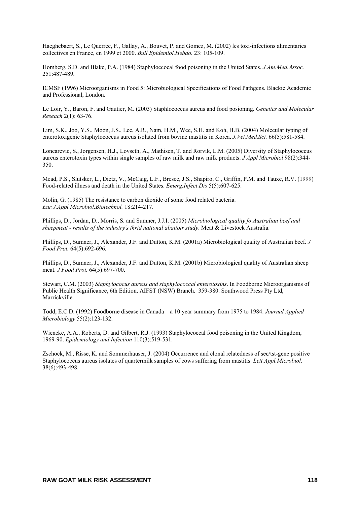Haeghebaert, S., Le Querrec, F., Gallay, A., Bouvet, P. and Gomez, M. (2002) les toxi-infections alimentaries collectives en France, en 1999 et 2000. *Bull.Epidemiol.Hebdo.* 23: 105-109.

Homberg, S.D. and Blake, P.A. (1984) Staphyloccocal food poisoning in the United States. *J.Am.Med.Assoc.*  251:487-489.

ICMSF (1996) Microorganisms in Food 5: Microbiological Specifications of Food Pathgens. Blackie Academic and Professional, London.

Le Loir, Y., Baron, F. and Gautier, M. (2003) Staphlococcus aureus and food posioning. *Genetics and Molecular Reseach* 2(1): 63-76.

Lim, S.K., Joo, Y.S., Moon, J.S., Lee, A.R., Nam, H.M., Wee, S.H. and Koh, H.B. (2004) Molecular typing of enterotoxigenic Staphylococcus aureus isolated from bovine mastitis in Korea. *J.Vet.Med.Sci.* 66(5):581-584.

Loncarevic, S., Jorgensen, H.J., Lovseth, A., Mathisen, T. and Rorvik, L.M. (2005) Diversity of Staphylococcus aureus enterotoxin types within single samples of raw milk and raw milk products. *J Appl Microbiol* 98(2):344- 350.

Mead, P.S., Slutsker, L., Dietz, V., McCaig, L.F., Bresee, J.S., Shapiro, C., Griffin, P.M. and Tauxe, R.V. (1999) Food-related illness and death in the United States. *Emerg.Infect Dis* 5(5):607-625.

Molin, G. (1985) The resistance to carbon dioxide of some food related bacteria. *Eur.J.Appl.Microbiol.Biotechnol.* 18:214-217.

Phillips, D., Jordan, D., Morris, S. and Sumner, J.J.I. (2005) *Microbiological quality fo Australian beef and sheepmeat - results of the industry's thrid national abattoir study*. Meat & Livestock Australia.

Phillips, D., Sumner, J., Alexander, J.F. and Dutton, K.M. (2001a) Microbiological quality of Australian beef. *J Food Prot.* 64(5):692-696.

Phillips, D., Sumner, J., Alexander, J.F. and Dutton, K.M. (2001b) Microbiological quality of Australian sheep meat. *J Food Prot.* 64(5):697-700.

Stewart, C.M. (2003) *Staphylococus aureus and staphylococcal enterotoxins*. In Foodborne Microorganisms of Public Health Significance, 6th Edition, AIFST (NSW) Branch. 359-380. Southwood Press Pty Ltd, Marrickville.

Todd, E.C.D. (1992) Foodborne disease in Canada – a 10 year summary from 1975 to 1984. *Journal Applied Microbiology* 55(2):123-132.

Wieneke, A.A., Roberts, D. and Gilbert, R.J. (1993) Staphylococcal food poisoning in the United Kingdom, 1969-90. *Epidemiology and Infection* 110(3):519-531.

Zschock, M., Risse, K. and Sommerhauser, J. (2004) Occurrence and clonal relatedness of sec/tst-gene positive Staphylococcus aureus isolates of quartermilk samples of cows suffering from mastitis. *Lett.Appl.Microbiol.*  38(6):493-498.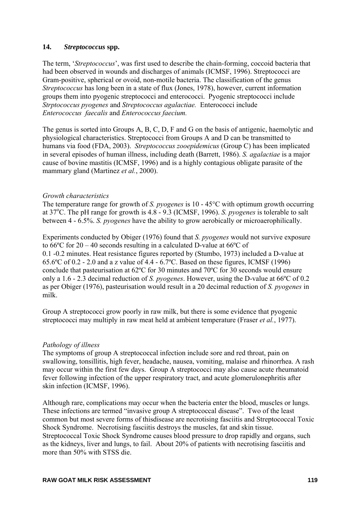## **14.** *Streptococcus* **spp.**

The term, '*Streptococcus*', was first used to describe the chain-forming, coccoid bacteria that had been observed in wounds and discharges of animals (ICMSF, 1996). Streptococci are Gram-positive, spherical or ovoid, non-motile bacteria. The classification of the genus *Streptococcus* has long been in a state of flux (Jones, 1978), however, current information groups them into pyogenic streptococci and enterococci. Pyogenic streptococci include *Strptococcus pyogenes* and *Streptococcus agalactiae.* Enterococci include *Enterococcus faecalis* and *Enterococcus faecium.*

The genus is sorted into Groups A, B, C, D, F and G on the basis of antigenic, haemolytic and physiological characteristics. Streptococci from Groups A and D can be transmitted to humans via food (FDA, 2003). *Streptococcus zooepidemicus* (Group C) has been implicated in several episodes of human illness, including death (Barrett, 1986). *S. agalactiae* is a major cause of bovine mastitis (ICMSF, 1996) and is a highly contagious obligate parasite of the mammary gland (Martinez *et al.*, 2000).

## *Growth characteristics*

The temperature range for growth of *S. pyogenes* is 10 - 45°C with optimum growth occurring at 37<sup>o</sup> C. The pH range for growth is 4.8 - 9.3 (ICMSF, 1996). *S. pyogenes* is tolerable to salt between 4 - 6.5%. *S. pyogenes* have the ability to grow aerobically or microaerophilically.

Experiments conducted by Obiger (1976) found that *S. pyogenes* would not survive exposure to  $66^{\circ}$ C for  $20 - 40$  seconds resulting in a calculated D-value at  $66^{\circ}$ C of 0.1 -0.2 minutes. Heat resistance figures reported by (Stumbo, 1973) included a D-value at  $65.6^{\circ}$ C of 0.2 - 2.0 and a z value of 4.4 - 6.7 $^{\circ}$ C. Based on these figures, ICMSF (1996) conclude that pasteurisation at 62ºC for 30 minutes and 70ºC for 30 seconds would ensure only a 1.6 - 2.3 decimal reduction of *S. pyogenes*. However, using the D-value at 66ºC of 0.2 as per Obiger (1976), pasteurisation would result in a 20 decimal reduction of *S. pyogenes* in milk.

Group A streptococci grow poorly in raw milk, but there is some evidence that pyogenic streptococci may multiply in raw meat held at ambient temperature (Fraser *et al.*, 1977).

## *Pathology of illness*

The symptoms of group A streptococcal infection include sore and red throat, pain on swallowing, tonsillitis, high fever, headache, nausea, vomiting, malaise and rhinorrhea. A rash may occur within the first few days. Group A streptococci may also cause acute rheumatoid fever following infection of the upper respiratory tract, and acute glomerulonephritis after skin infection (ICMSF, 1996).

Although rare, complications may occur when the bacteria enter the blood, muscles or lungs. These infections are termed "invasive group A streptococcal disease". Two of the least common but most severe forms of thisdisease are necrotising fasciitis and Streptococcal Toxic Shock Syndrome. Necrotising fasciitis destroys the muscles, fat and skin tissue. Streptococcal Toxic Shock Syndrome causes blood pressure to drop rapidly and organs, such as the kidneys, liver and lungs, to fail. About 20% of patients with necrotising fasciitis and more than 50% with STSS die.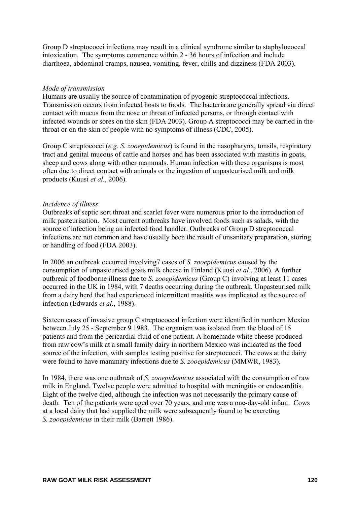Group D streptococci infections may result in a clinical syndrome similar to staphylococcal intoxication. The symptoms commence within 2 - 36 hours of infection and include diarrhoea, abdominal cramps, nausea, vomiting, fever, chills and dizziness (FDA 2003).

## *Mode of transmission*

Humans are usually the source of contamination of pyogenic streptococcal infections. Transmission occurs from infected hosts to foods. The bacteria are generally spread via direct contact with mucus from the nose or throat of infected persons, or through contact with infected wounds or sores on the skin (FDA 2003). Group A streptococci may be carried in the throat or on the skin of people with no symptoms of illness (CDC, 2005).

Group C streptococci (*e.g. S. zooepidemicus*) is found in the nasopharynx, tonsils, respiratory tract and genital mucous of cattle and horses and has been associated with mastitis in goats, sheep and cows along with other mammals. Human infection with these organisms is most often due to direct contact with animals or the ingestion of unpasteurised milk and milk products (Kuusi *et al.*, 2006).

## *Incidence of illness*

Outbreaks of septic sort throat and scarlet fever were numerous prior to the introduction of milk pasteurisation. Most current outbreaks have involved foods such as salads, with the source of infection being an infected food handler. Outbreaks of Group D streptococcal infections are not common and have usually been the result of unsanitary preparation, storing or handling of food (FDA 2003).

In 2006 an outbreak occurred involving7 cases of *S. zooepidemicus* caused by the consumption of unpasteurised goats milk cheese in Finland (Kuusi *et al.*, 2006). A further outbreak of foodborne illness due to *S. zooepidemicus* (Group C) involving at least 11 cases occurred in the UK in 1984, with 7 deaths occurring during the outbreak. Unpasteurised milk from a dairy herd that had experienced intermittent mastitis was implicated as the source of infection (Edwards *et al.*, 1988).

Sixteen cases of invasive group C streptococcal infection were identified in northern Mexico between July 25 - September 9 1983. The organism was isolated from the blood of 15 patients and from the pericardial fluid of one patient. A homemade white cheese produced from raw cow's milk at a small family dairy in northern Mexico was indicated as the food source of the infection, with samples testing positive for streptococci. The cows at the dairy were found to have mammary infections due to *S. zooepidemicus* (MMWR, 1983).

In 1984, there was one outbreak of *S. zooepidemicus* associated with the consumption of raw milk in England. Twelve people were admitted to hospital with meningitis or endocarditis. Eight of the twelve died, although the infection was not necessarily the primary cause of death. Ten of the patients were aged over 70 years, and one was a one-day-old infant. Cows at a local dairy that had supplied the milk were subsequently found to be excreting *S. zooepidemicus* in their milk (Barrett 1986).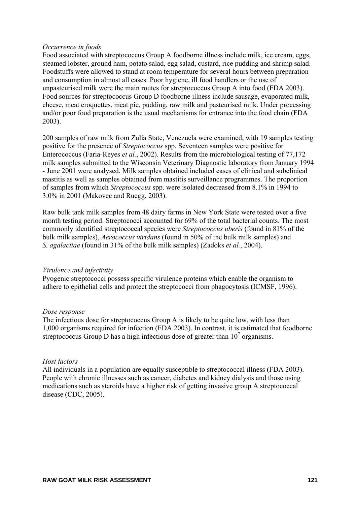#### *Occurrence in foods*

Food associated with streptococcus Group A foodborne illness include milk, ice cream, eggs, steamed lobster, ground ham, potato salad, egg salad, custard, rice pudding and shrimp salad. Foodstuffs were allowed to stand at room temperature for several hours between preparation and consumption in almost all cases. Poor hygiene, ill food handlers or the use of unpasteurised milk were the main routes for streptococcus Group A into food (FDA 2003). Food sources for streptococcus Group D foodborne illness include sausage, evaporated milk, cheese, meat croquettes, meat pie, pudding, raw milk and pasteurised milk. Under processing and/or poor food preparation is the usual mechanisms for entrance into the food chain (FDA 2003).

200 samples of raw milk from Zulia State, Venezuela were examined, with 19 samples testing positive for the presence of *Streptococcus* spp. Seventeen samples were positive for Enterococcus (Faria-Reyes *et al.*, 2002). Results from the microbiological testing of 77,172 milk samples submitted to the Wisconsin Veterinary Diagnostic laboratory from January 1994 - June 2001 were analysed. Milk samples obtained included cases of clinical and subclinical mastitis as well as samples obtained from mastitis surveillance programmes. The proportion of samples from which *Streptococcus* spp. were isolated decreased from 8.1% in 1994 to 3.0% in 2001 (Makovec and Ruegg, 2003).

Raw bulk tank milk samples from 48 dairy farms in New York State were tested over a five month testing period. Streptococci accounted for 69% of the total bacterial counts. The most commonly identified streptococcal species were *Streptococcus uberis* (found in 81% of the bulk milk samples), *Aerococcus viridans* (found in 50% of the bulk milk samples) and *S. agalactiae* (found in 31% of the bulk milk samples) (Zadoks *et al.*, 2004).

#### *Virulence and infectivity*

Pyogenic streptococci possess specific virulence proteins which enable the organism to adhere to epithelial cells and protect the streptococci from phagocytosis (ICMSF, 1996).

## *Dose response*

The infectious dose for streptococcus Group A is likely to be quite low, with less than 1,000 organisms required for infection (FDA 2003). In contrast, it is estimated that foodborne streptococcus Group D has a high infectious dose of greater than  $10^7$  organisms.

## *Host factors*

All individuals in a population are equally susceptible to streptococcal illness (FDA 2003). People with chronic illnesses such as cancer, diabetes and kidney dialysis and those using medications such as steroids have a higher risk of getting invasive group A streptococcal disease (CDC, 2005).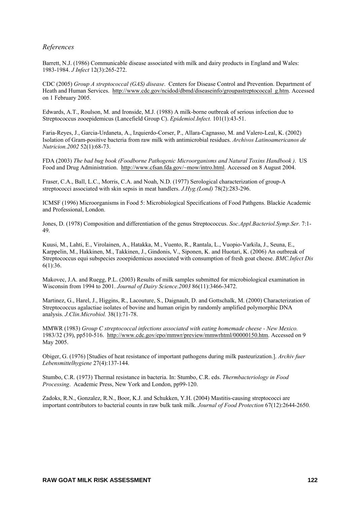#### *References*

Barrett, N.J. (1986) Communicable disease associated with milk and dairy products in England and Wales: 1983-1984. *J Infect* 12(3):265-272.

CDC (2005) *Group A streptococcal (GAS) disease*. Centers for Disease Control and Prevention. Department of Heath and Human Services. http://www.cdc.gov/ncidod/dbmd/diseaseinfo/groupastreptococcal\_g.htm. Accessed on 1 February 2005.

Edwards, A.T., Roulson, M. and Ironside, M.J. (1988) A milk-borne outbreak of serious infection due to Streptococcus zooepidemicus (Lancefield Group C). *Epidemiol.Infect.* 101(1):43-51.

Faria-Reyes, J., Garcia-Urdaneta, A., Izquierdo-Corser, P., Allara-Cagnasso, M. and Valero-Leal, K. (2002) Isolation of Gram-positive bacteria from raw milk with antimicrobial residues. *Archivos Latinoamericanos de Nutricion.2002* 52(1):68-73.

FDA (2003) *The bad bug book (Foodborne Pathogenic Microorganisms and Natural Toxins Handbook )*. US Food and Drug Administration. http://www.cfsan.fda.gov/~mow/intro.html. Accessed on 8 August 2004.

Fraser, C.A., Ball, L.C., Morris, C.A. and Noah, N.D. (1977) Serological characterization of group-A streptococci associated with skin sepsis in meat handlers. *J.Hyg.(Lond)* 78(2):283-296.

ICMSF (1996) Microorganisms in Food 5: Microbiological Specifications of Food Pathgens. Blackie Academic and Professional, London.

Jones, D. (1978) Composition and differentiation of the genus Streptococcus. *Soc.Appl.Bacteriol.Symp.Ser.* 7:1- 49.

Kuusi, M., Lahti, E., Virolainen, A., Hatakka, M., Vuento, R., Rantala, L., Vuopio-Varkila, J., Seuna, E., Karppelin, M., Hakkinen, M., Takkinen, J., Gindonis, V., Siponen, K. and Huotari, K. (2006) An outbreak of Streptococcus equi subspecies zooepidemicus associated with consumption of fresh goat cheese. *BMC.Infect Dis*  6(1):36.

Makovec, J.A. and Ruegg, P.L. (2003) Results of milk samples submitted for microbiological examination in Wisconsin from 1994 to 2001. *Journal of Dairy Science.2003* 86(11):3466-3472.

Martinez, G., Harel, J., Higgins, R., Lacouture, S., Daignault, D. and Gottschalk, M. (2000) Characterization of Streptococcus agalactiae isolates of bovine and human origin by randomly amplified polymorphic DNA analysis. *J.Clin.Microbiol.* 38(1):71-78.

MMWR (1983) *Group C streptococcal infections associated with eating homemade cheese - New Mexico.* 1983/32 (39), pp510-516. http://www.cdc.gov/epo/mmwr/preview/mmwrhtml/00000150.htm. Accessed on 9 May 2005.

Obiger, G. (1976) [Studies of heat resistance of important pathogens during milk pasteurization.]. *Archiv fuer Lebensmittelhygiene* 27(4):137-144.

Stumbo, C.R. (1973) Thermal resistance in bacteria. In: Stumbo, C.R. eds. *Thermbacteriology in Food Processing*. Academic Press, New York and London, pp99-120.

Zadoks, R.N., Gonzalez, R.N., Boor, K.J. and Schukken, Y.H. (2004) Mastitis-causing streptococci are important contributors to bacterial counts in raw bulk tank milk. *Journal of Food Protection* 67(12):2644-2650.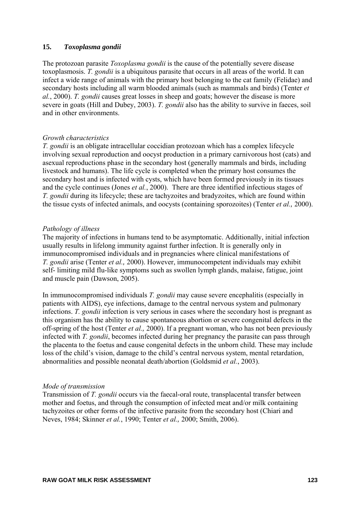## **15.** *Toxoplasma gondii*

The protozoan parasite *Toxoplasma gondii* is the cause of the potentially severe disease toxoplasmosis. *T. gondii* is a ubiquitous parasite that occurs in all areas of the world. It can infect a wide range of animals with the primary host belonging to the cat family (Felidae) and secondary hosts including all warm blooded animals (such as mammals and birds) (Tenter *et al.*, 2000). *T. gondii* causes great losses in sheep and goats; however the disease is more severe in goats (Hill and Dubey, 2003). *T. gondii* also has the ability to survive in faeces, soil and in other environments.

## *Growth characteristics*

*T. gondii* is an obligate intracellular coccidian protozoan which has a complex lifecycle involving sexual reproduction and oocyst production in a primary carnivorous host (cats) and asexual reproductions phase in the secondary host (generally mammals and birds, including livestock and humans). The life cycle is completed when the primary host consumes the secondary host and is infected with cysts, which have been formed previously in its tissues and the cycle continues (Jones *et al.*, 2000).There are three identified infectious stages of *T. gondii* during its lifecycle; these are tachyzoites and bradyzoites, which are found within the tissue cysts of infected animals, and oocysts (containing sporozoites) (Tenter *et al.,* 2000).

## *Pathology of illness*

The majority of infections in humans tend to be asymptomatic. Additionally, initial infection usually results in lifelong immunity against further infection. It is generally only in immunocompromised individuals and in pregnancies where clinical manifestations of *T. gondii* arise (Tenter *et al.,* 2000). However, immunocompetent individuals may exhibit self- limiting mild flu-like symptoms such as swollen lymph glands, malaise, fatigue, joint and muscle pain (Dawson, 2005).

In immunocompromised individuals *T. gondii* may cause severe encephalitis (especially in patients with AIDS), eye infections, damage to the central nervous system and pulmonary infections. *T. gondii* infection is very serious in cases where the secondary host is pregnant as this organism has the ability to cause spontaneous abortion or severe congenital defects in the off-spring of the host (Tenter *et al.,* 2000). If a pregnant woman, who has not been previously infected with *T. gondii*, becomes infected during her pregnancy the parasite can pass through the placenta to the foetus and cause congenital defects in the unborn child. These may include loss of the child's vision, damage to the child's central nervous system, mental retardation, abnormalities and possible neonatal death/abortion (Goldsmid *et al.*, 2003).

## *Mode of transmission*

Transmission of *T. gondii* occurs via the faecal-oral route, transplacental transfer between mother and foetus, and through the consumption of infected meat and/or milk containing tachyzoites or other forms of the infective parasite from the secondary host (Chiari and Neves, 1984; Skinner *et al.*, 1990; Tenter *et al.,* 2000; Smith, 2006).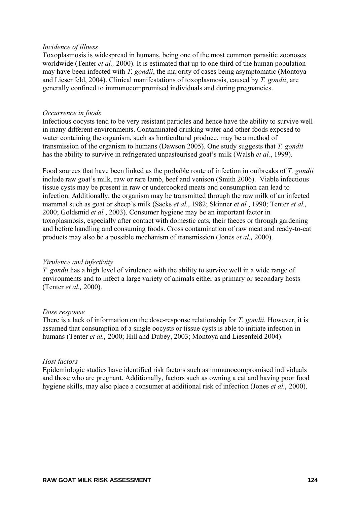#### *Incidence of illness*

Toxoplasmosis is widespread in humans, being one of the most common parasitic zoonoses worldwide (Tenter *et al.,* 2000). It is estimated that up to one third of the human population may have been infected with *T. gondii*, the majority of cases being asymptomatic (Montoya and Liesenfeld, 2004). Clinical manifestations of toxoplasmosis, caused by *T. gondii*, are generally confined to immunocompromised individuals and during pregnancies.

#### *Occurrence in foods*

Infectious oocysts tend to be very resistant particles and hence have the ability to survive well in many different environments. Contaminated drinking water and other foods exposed to water containing the organism, such as horticultural produce, may be a method of transmission of the organism to humans (Dawson 2005). One study suggests that *T. gondii* has the ability to survive in refrigerated unpasteurised goat's milk (Walsh *et al.*, 1999).

Food sources that have been linked as the probable route of infection in outbreaks of *T. gondii*  include raw goat's milk, raw or rare lamb, beef and venison (Smith 2006). Viable infectious tissue cysts may be present in raw or undercooked meats and consumption can lead to infection. Additionally, the organism may be transmitted through the raw milk of an infected mammal such as goat or sheep's milk (Sacks *et al.*, 1982; Skinner *et al.*, 1990; Tenter *et al.,* 2000; Goldsmid *et al.*, 2003). Consumer hygiene may be an important factor in toxoplasmosis, especially after contact with domestic cats, their faeces or through gardening and before handling and consuming foods. Cross contamination of raw meat and ready-to-eat products may also be a possible mechanism of transmission (Jones *et al.,* 2000).

## *Virulence and infectivity*

*T. gondii* has a high level of virulence with the ability to survive well in a wide range of environments and to infect a large variety of animals either as primary or secondary hosts (Tenter *et al.,* 2000).

#### *Dose response*

There is a lack of information on the dose-response relationship for *T. gondii.* However, it is assumed that consumption of a single oocysts or tissue cysts is able to initiate infection in humans (Tenter *et al.,* 2000; Hill and Dubey, 2003; Montoya and Liesenfeld 2004).

## *Host factors*

Epidemiologic studies have identified risk factors such as immunocompromised individuals and those who are pregnant. Additionally, factors such as owning a cat and having poor food hygiene skills, may also place a consumer at additional risk of infection (Jones *et al.,* 2000).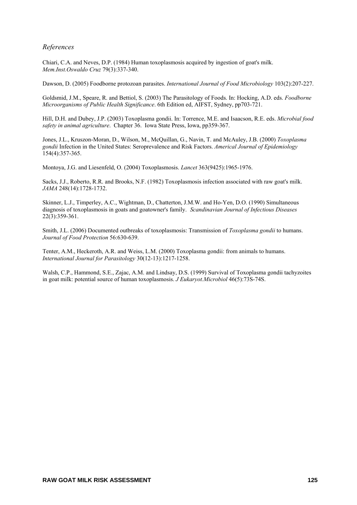#### *References*

Chiari, C.A. and Neves, D.P. (1984) Human toxoplasmosis acquired by ingestion of goat's milk. *Mem.Inst.Oswaldo Cruz* 79(3):337-340.

Dawson, D. (2005) Foodborne protozoan parasites. *International Journal of Food Microbiology* 103(2):207-227.

Goldsmid, J.M., Speare, R. and Bettiol, S. (2003) The Parasitology of Foods. In: Hocking, A.D. eds. *Foodborne Microorganisms of Public Health Significance*. 6th Edition ed, AIFST, Sydney, pp703-721.

Hill, D.H. and Dubey, J.P. (2003) Toxoplasma gondii. In: Torrence, M.E. and Isaacson, R.E. eds. *Microbial food safety in animal agriculture*. Chapter 36. Iowa State Press, Iowa, pp359-367.

Jones, J.L., Kruszon-Moran, D., Wilson, M., McQuillan, G., Navin, T. and McAuley, J.B. (2000) *Toxoplasma gondii* Infection in the United States: Seroprevalence and Risk Factors. *Americal Journal of Epidemiology*  154(4):357-365.

Montoya, J.G. and Liesenfeld, O. (2004) Toxoplasmosis. *Lancet* 363(9425):1965-1976.

Sacks, J.J., Roberto, R.R. and Brooks, N.F. (1982) Toxoplasmosis infection associated with raw goat's milk. *JAMA* 248(14):1728-1732.

Skinner, L.J., Timperley, A.C., Wightman, D., Chatterton, J.M.W. and Ho-Yen, D.O. (1990) Simultaneous diagnosis of toxoplasmosis in goats and goatowner's family. *Scandinavian Journal of Infectious Diseases*  22(3):359-361.

Smith, J.L. (2006) Documented outbreaks of toxoplasmosis: Transmission of *Toxoplasma gondii* to humans. *Journal of Food Protection* 56:630-639.

Tenter, A.M., Heckeroth, A.R. and Weiss, L.M. (2000) Toxoplasma gondii: from animals to humans. *International Journal for Parasitology* 30(12-13):1217-1258.

Walsh, C.P., Hammond, S.E., Zajac, A.M. and Lindsay, D.S. (1999) Survival of Toxoplasma gondii tachyzoites in goat milk: potential source of human toxoplasmosis. *J Eukaryot.Microbiol* 46(5):73S-74S.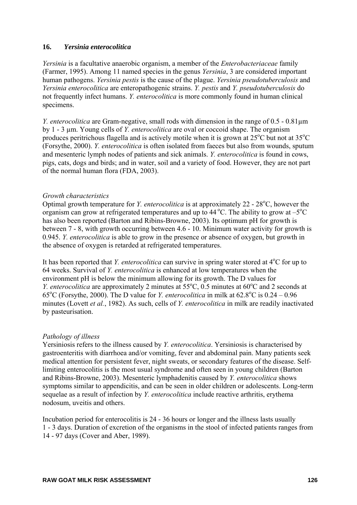## **16.** *Yersinia enterocolitica*

*Yersinia* is a facultative anaerobic organism, a member of the *Enterobacteriaceae* family (Farmer, 1995). Among 11 named species in the genus *Yersinia*, 3 are considered important human pathogens. *Yersinia pestis* is the cause of the plague. *Yersinia pseudotuberculosis* and *Yersinia enterocolitica* are enteropathogenic strains. *Y. pestis* and *Y. pseudotuberculosis* do not frequently infect humans. *Y. enterocolitica* is more commonly found in human clinical specimens.

*Y. enterocolitica* are Gram-negative, small rods with dimension in the range of  $0.5 - 0.81 \mu m$ by 1 - 3 µm. Young cells of *Y. enterocolitica* are oval or coccoid shape. The organism produces peritrichous flagella and is actively motile when it is grown at  $25^{\circ}$ C but not at  $35^{\circ}$ C (Forsythe, 2000). *Y. enterocolitica* is often isolated from faeces but also from wounds, sputum and mesenteric lymph nodes of patients and sick animals. *Y. enterocolitica* is found in cows, pigs, cats, dogs and birds; and in water, soil and a variety of food. However, they are not part of the normal human flora (FDA, 2003).

## *Growth characteristics*

Optimal growth temperature for *Y. enterocolitica* is at approximately 22 - 28<sup>°</sup>C, however the organism can grow at refrigerated temperatures and up to 44 °C. The ability to grow at  $-5^{\circ}$ C has also been reported (Barton and Ribins-Browne, 2003). Its optimum pH for growth is between 7 - 8, with growth occurring between 4.6 - 10. Minimum water activity for growth is 0.945. *Y. enterocolitica* is able to grow in the presence or absence of oxygen, but growth in the absence of oxygen is retarded at refrigerated temperatures.

It has been reported that *Y. enterocolitica* can survive in spring water stored at 4<sup>o</sup>C for up to 64 weeks. Survival of *Y. enterocolitica* is enhanced at low temperatures when the environment pH is below the minimum allowing for its growth. The D values for *Y. enterocolitica* are approximately 2 minutes at 55°C, 0.5 minutes at 60°C and 2 seconds at 65<sup>o</sup>C (Forsythe, 2000). The D value for *Y. enterocolitica* in milk at  $62.8$ <sup>o</sup>C is  $0.24 - 0.96$ minutes (Lovett *et al.*, 1982). As such, cells of *Y. enterocolitica* in milk are readily inactivated by pasteurisation.

## *Pathology of illness*

Yersiniosis refers to the illness caused by *Y. enterocolitica*. Yersiniosis is characterised by gastroenteritis with diarrhoea and/or vomiting, fever and abdominal pain. Many patients seek medical attention for persistent fever, night sweats, or secondary features of the disease. Selflimiting enterocolitis is the most usual syndrome and often seen in young children (Barton and Ribins-Browne, 2003). Mesenteric lymphadenitis caused by *Y. enterocolitica* shows symptoms similar to appendicitis, and can be seen in older children or adolescents. Long-term sequelae as a result of infection by *Y. enterocolitica* include reactive arthritis, erythema nodosum, uveitis and others.

Incubation period for enterocolitis is 24 - 36 hours or longer and the illness lasts usually 1 - 3 days. Duration of excretion of the organisms in the stool of infected patients ranges from 14 - 97 days (Cover and Aber, 1989).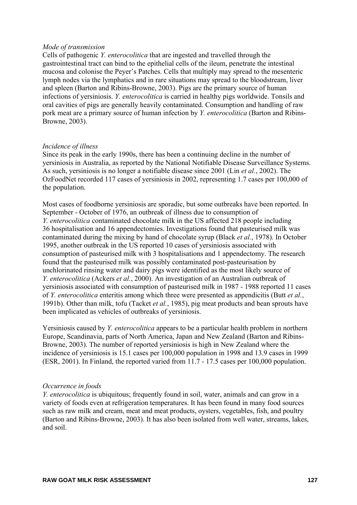#### *Mode of transmission*

Cells of pathogenic *Y. enterocolitica* that are ingested and travelled through the gastrointestinal tract can bind to the epithelial cells of the ileum, penetrate the intestinal mucosa and colonise the Peyer's Patches. Cells that multiply may spread to the mesenteric lymph nodes via the lymphatics and in rare situations may spread to the bloodstream, liver and spleen (Barton and Ribins-Browne, 2003). Pigs are the primary source of human infections of yersiniosis. *Y. enterocolitica* is carried in healthy pigs worldwide. Tonsils and oral cavities of pigs are generally heavily contaminated. Consumption and handling of raw pork meat are a primary source of human infection by *Y. enterocolitica* (Barton and Ribins-Browne, 2003).

## *Incidence of illness*

Since its peak in the early 1990s, there has been a continuing decline in the number of yersiniosis in Australia, as reported by the National Notifiable Disease Surveillance Systems. As such, yersiniosis is no longer a notifiable disease since 2001 (Lin *et al.*, 2002). The OzFoodNet recorded 117 cases of yersiniosis in 2002, representing 1.7 cases per 100,000 of the population.

Most cases of foodborne yersiniosis are sporadic, but some outbreaks have been reported. In September - October of 1976, an outbreak of illness due to consumption of *Y. enterocolitica* contaminated chocolate milk in the US affected 218 people including 36 hospitalisation and 16 appendectomies. Investigations found that pasteurised milk was contaminated during the mixing by hand of chocolate syrup (Black *et al.*, 1978). In October 1995, another outbreak in the US reported 10 cases of yersiniosis associated with consumption of pasteurised milk with 3 hospitalisations and 1 appendectomy. The research found that the pasteurised milk was possibly contaminated post-pasteurisation by unchlorinated rinsing water and dairy pigs were identified as the most likely source of *Y. enterocolitica* (Ackers *et al.*, 2000). An investigation of an Australian outbreak of yersiniosis associated with consumption of pasteurised milk in 1987 - 1988 reported 11 cases of *Y. enterocolitica* enteritis among which three were presented as appendicitis (Butt *et al.*, 1991b). Other than milk, tofu (Tacket *et al.*, 1985), pig meat products and bean sprouts have been implicated as vehicles of outbreaks of yersiniosis.

Yersiniosis caused by *Y. enterocolitica* appears to be a particular health problem in northern Europe, Scandinavia, parts of North America, Japan and New Zealand (Barton and Ribins-Browne, 2003). The number of reported yersiniosis is high in New Zealand where the incidence of yersiniosis is 15.1 cases per 100,000 population in 1998 and 13.9 cases in 1999 (ESR, 2001). In Finland, the reported varied from 11.7 - 17.5 cases per 100,000 population.

#### *Occurrence in foods*

*Y. enterocolitica* is ubiquitous; frequently found in soil, water, animals and can grow in a variety of foods even at refrigeration temperatures. It has been found in many food sources such as raw milk and cream, meat and meat products, oysters, vegetables, fish, and poultry (Barton and Ribins-Browne, 2003). It has also been isolated from well water, streams, lakes, and soil.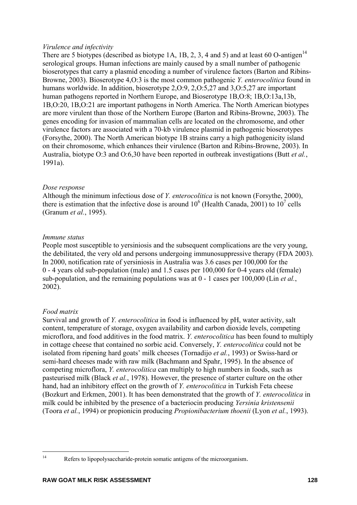## *Virulence and infectivity*

There are 5 biotypes (described as biotype 1A, 1B, 2, 3, 4 and 5) and at least 60 O-antigen<sup>14</sup> serological groups. Human infections are mainly caused by a small number of pathogenic bioserotypes that carry a plasmid encoding a number of virulence factors (Barton and Ribins-Browne, 2003). Bioserotype 4,O:3 is the most common pathogenic *Y. enterocolitica* found in humans worldwide. In addition, bioserotype 2, O.9, 2, O.5, 27 and 3, O.5, 27 are important human pathogens reported in Northern Europe, and Bioserotype 1B,O:8; 1B,O:13a,13b, 1B,O:20, 1B,O:21 are important pathogens in North America. The North American biotypes are more virulent than those of the Northern Europe (Barton and Ribins-Browne, 2003). The genes encoding for invasion of mammalian cells are located on the chromosome, and other virulence factors are associated with a 70-kb virulence plasmid in pathogenic bioserotypes (Forsythe, 2000). The North American biotype 1B strains carry a high pathogenicity island on their chromosome, which enhances their virulence (Barton and Ribins-Browne, 2003). In Australia, biotype O:3 and O:6,30 have been reported in outbreak investigations (Butt *et al.*, 1991a).

## *Dose response*

Although the minimum infectious dose of *Y. enterocolitica* is not known (Forsythe, 2000), there is estimation that the infective dose is around  $10^6$  (Health Canada, 2001) to  $10^7$  cells (Granum *et al.*, 1995).

## *Immune status*

People most susceptible to yersiniosis and the subsequent complications are the very young, the debilitated, the very old and persons undergoing immunosuppressive therapy (FDA 2003). In 2000, notification rate of yersiniosis in Australia was 3.6 cases per 100,000 for the 0 - 4 years old sub-population (male) and 1.5 cases per 100,000 for 0-4 years old (female) sub-population, and the remaining populations was at 0 - 1 cases per 100,000 (Lin *et al.*, 2002).

## *Food matrix*

Survival and growth of *Y. enterocolitica* in food is influenced by pH, water activity, salt content, temperature of storage, oxygen availability and carbon dioxide levels, competing microflora, and food additives in the food matrix. *Y. enterocolitica* has been found to multiply in cottage cheese that contained no sorbic acid. Conversely, *Y. enterocolitica* could not be isolated from ripening hard goats' milk cheeses (Tornadijo *et al.*, 1993) or Swiss-hard or semi-hard cheeses made with raw milk (Bachmann and Spahr, 1995). In the absence of competing microflora, *Y. enterocolitica* can multiply to high numbers in foods, such as pasteurised milk (Black *et al.*, 1978). However, the presence of starter culture on the other hand, had an inhibitory effect on the growth of *Y. enterocolitica* in Turkish Feta cheese (Bozkurt and Erkmen, 2001). It has been demonstrated that the growth of *Y. enterocolitica* in milk could be inhibited by the presence of a bacteriocin producing *Yersinia kristensenii* (Toora *et al.*, 1994) or propionicin producing *Propionibacterium thoenii* (Lyon *et al.*, 1993).

 $14$ 

Refers to lipopolysaccharide-protein somatic antigens of the microorganism.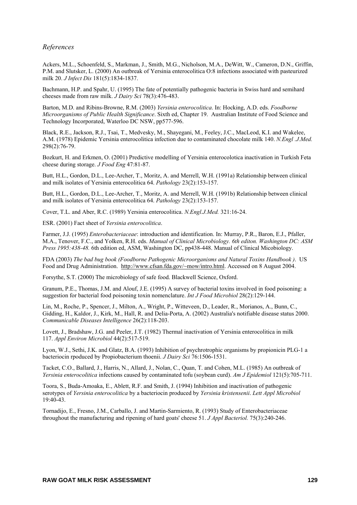#### *References*

Ackers, M.L., Schoenfeld, S., Markman, J., Smith, M.G., Nicholson, M.A., DeWitt, W., Cameron, D.N., Griffin, P.M. and Slutsker, L. (2000) An outbreak of Yersinia enterocolitica O:8 infections associated with pasteurized milk 20. *J Infect Dis* 181(5):1834-1837.

Bachmann, H.P. and Spahr, U. (1995) The fate of potentially pathogenic bacteria in Swiss hard and semihard cheeses made from raw milk. *J Dairy Sci* 78(3):476-483.

Barton, M.D. and Ribins-Browne, R.M. (2003) *Yersinia enterocolitica*. In: Hocking, A.D. eds. *Foodborne Microorganisms of Public Health Significance*. Sixth ed, Chapter 19. Australian Institute of Food Science and Technology Incorporated, Waterloo DC NSW, pp577-596.

Black, R.E., Jackson, R.J., Tsai, T., Medvesky, M., Shayegani, M., Feeley, J.C., MacLeod, K.I. and Wakelee, A.M. (1978) Epidemic Yersinia enterocolitica infection due to contaminated chocolate milk 140. *N.Engl .J.Med.*  298(2):76-79.

Bozkurt, H. and Erkmen, O. (2001) Predictive modelling of Yersinia enterocolotica inactivation in Turkish Feta cheese during storage. *J Food Eng* 47:81-87.

Butt, H.L., Gordon, D.L., Lee-Archer, T., Moritz, A. and Merrell, W.H. (1991a) Relationship between clinical and milk isolates of Yersinia enterocolitica 64. *Pathology* 23(2):153-157.

Butt, H.L., Gordon, D.L., Lee-Archer, T., Moritz, A. and Merrell, W.H. (1991b) Relationship between clinical and milk isolates of Yersinia enterocolitica 64. *Pathology* 23(2):153-157.

Cover, T.L. and Aber, R.C. (1989) Yersinia enterocolitica. *N.Engl.J.Med.* 321:16-24.

ESR. (2001) Fact sheet of *Yersinia enterocolitica*.

Farmer, J.J. (1995) *Enterobacteriaceae*: introduction and identification. In: Murray, P.R., Baron, E.J., Pfaller, M.A., Tenover, F.C., and Yolken, R.H. eds. *Manual of Clinical Microbiology. 6th editon. Washington DC: ASM Press 1995:438-48.* 6th edition ed, ASM, Washington DC, pp438-448. Manual of Clinical Micobiology.

FDA (2003) *The bad bug book (Foodborne Pathogenic Microorganisms and Natural Toxins Handbook )*. US Food and Drug Administration. http://www.cfsan.fda.gov/~mow/intro.html. Accessed on 8 August 2004.

Forsythe, S.T. (2000) The microbiology of safe food. Blackwell Science, Oxford.

Granum, P.E., Thomas, J.M. and Alouf, J.E. (1995) A survey of bacterial toxins involved in food poisoning: a suggestion for bacterial food poisoning toxin nomenclature. *Int J Food Microbiol* 28(2):129-144.

Lin, M., Roche, P., Spencer, J., Milton, A., Wright, P., Witteveen, D., Leader, R., Morianos, A., Bunn, C., Gidding, H., Kaldor, J., Kirk, M., Hall, R. and Delia-Porta, A. (2002) Australia's notifiable disease status 2000. *Communicable Diseases Intelligence* 26(2):118-203.

Lovett, J., Bradshaw, J.G. and Peeler, J.T. (1982) Thermal inactivation of Yersinia enterocolitica in milk 117. *Appl Environ Microbiol* 44(2):517-519.

Lyon, W.J., Sethi, J.K. and Glatz, B.A. (1993) Inhibition of psychrotrophic organisms by propionicin PLG-1 a bacteriocin rpoduced by Propiobacterium thoenii. *J Dairy Sci* 76:1506-1531.

Tacket, C.O., Ballard, J., Harris, N., Allard, J., Nolan, C., Quan, T. and Cohen, M.L. (1985) An outbreak of *Yersinia enterocolitica* infections caused by contaminated tofu (soybean curd). *Am J Epidemiol* 121(5):705-711.

Toora, S., Buda-Amoaka, E., Ablett, R.F. and Smith, J. (1994) Inhibition and inactivation of pathogenic serotypes of *Yersinia enterocolitica* by a bacteriocin produced by *Yersinia kristensenii*. *Lett Appl Microbiol*  19:40-43.

Tornadijo, E., Fresno, J.M., Carballo, J. and Martin-Sarmiento, R. (1993) Study of Enterobacteriaceae throughout the manufacturing and ripening of hard goats' cheese 51. *J Appl Bacteriol.* 75(3):240-246.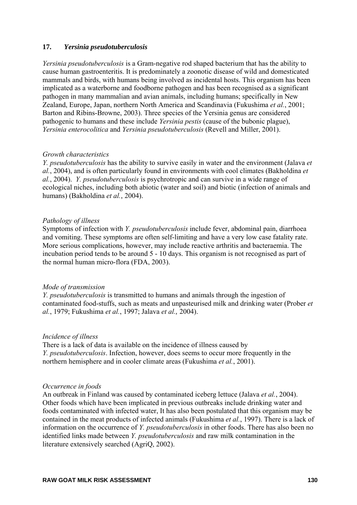## **17.** *Yersinia pseudotuberculosis*

*Yersinia pseudotuberculosis* is a Gram-negative rod shaped bacterium that has the ability to cause human gastroenteritis. It is predominately a zoonotic disease of wild and domesticated mammals and birds, with humans being involved as incidental hosts. This organism has been implicated as a waterborne and foodborne pathogen and has been recognised as a significant pathogen in many mammalian and avian animals, including humans; specifically in New Zealand, Europe, Japan, northern North America and Scandinavia (Fukushima *et al.*, 2001; Barton and Ribins-Browne, 2003). Three species of the Yersinia genus are considered pathogenic to humans and these include *Yersinia pestis* (cause of the bubonic plague), *Yersinia enterocolitica* and *Yersinia pseudotuberculosis* (Revell and Miller, 2001).

#### *Growth characteristics*

*Y. pseudotuberculosis* has the ability to survive easily in water and the environment (Jalava *et al.*, 2004), and is often particularly found in environments with cool climates (Bakholdina *et al.*, 2004). *Y. pseudotuberculosis* is psychrotropic and can survive in a wide range of ecological niches, including both abiotic (water and soil) and biotic (infection of animals and humans) (Bakholdina *et al.*, 2004).

#### *Pathology of illness*

Symptoms of infection with *Y. pseudotuberculosis* include fever, abdominal pain, diarrhoea and vomiting. These symptoms are often self-limiting and have a very low case fatality rate. More serious complications, however, may include reactive arthritis and bacteraemia. The incubation period tends to be around 5 - 10 days. This organism is not recognised as part of the normal human micro-flora (FDA, 2003).

## *Mode of transmission*

*Y. pseudotuberculosis* is transmitted to humans and animals through the ingestion of contaminated food-stuffs, such as meats and unpasteurised milk and drinking water (Prober *et al.*, 1979; Fukushima *et al.*, 1997; Jalava *et al.,* 2004).

#### *Incidence of illness*

There is a lack of data is available on the incidence of illness caused by *Y. pseudotuberculosis.* Infection, however, does seems to occur more frequently in the northern hemisphere and in cooler climate areas (Fukushima *et al.*, 2001).

#### *Occurrence in foods*

An outbreak in Finland was caused by contaminated iceberg lettuce (Jalava *et al.*, 2004). Other foods which have been implicated in previous outbreaks include drinking water and foods contaminated with infected water, It has also been postulated that this organism may be contained in the meat products of infected animals (Fukushima *et al.*, 1997). There is a lack of information on the occurrence of *Y. pseudotuberculosis* in other foods. There has also been no identified links made between *Y. pseudotuberculosis* and raw milk contamination in the literature extensively searched (AgriQ, 2002).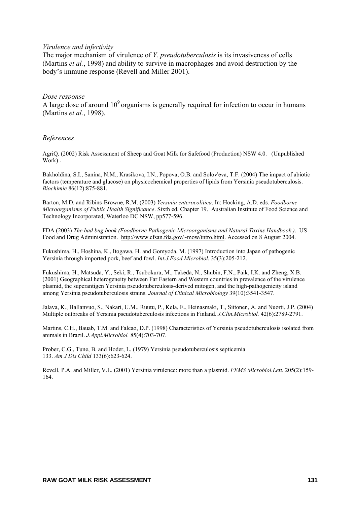#### *Virulence and infectivity*

The major mechanism of virulence of *Y. pseudotuberculosis* is its invasiveness of cells (Martins *et al.*, 1998) and ability to survive in macrophages and avoid destruction by the body's immune response (Revell and Miller 2001).

#### *Dose response*

A large dose of around  $10<sup>9</sup>$  organisms is generally required for infection to occur in humans (Martins *et al.*, 1998).

#### *References*

AgriQ. (2002) Risk Assessment of Sheep and Goat Milk for Safefood (Production) NSW 4.0. (Unpublished Work) .

Bakholdina, S.I., Sanina, N.M., Krasikova, I.N., Popova, O.B. and Solov'eva, T.F. (2004) The impact of abiotic factors (temperature and glucose) on physicochemical properties of lipids from Yersinia pseudotuberculosis. *Biochimie* 86(12):875-881.

Barton, M.D. and Ribins-Browne, R.M. (2003) *Yersinia enterocolitica*. In: Hocking, A.D. eds. *Foodborne Microorganisms of Public Health Significance*. Sixth ed, Chapter 19. Australian Institute of Food Science and Technology Incorporated, Waterloo DC NSW, pp577-596.

FDA (2003) *The bad bug book (Foodborne Pathogenic Microorganisms and Natural Toxins Handbook )*. US Food and Drug Administration. http://www.cfsan.fda.gov/~mow/intro.html. Accessed on 8 August 2004.

Fukushima, H., Hoshina, K., Itogawa, H. and Gomyoda, M. (1997) Introduction into Japan of pathogenic Yersinia through imported pork, beef and fowl. *Int.J.Food Microbiol.* 35(3):205-212.

Fukushima, H., Matsuda, Y., Seki, R., Tsubokura, M., Takeda, N., Shubin, F.N., Paik, I.K. and Zheng, X.B. (2001) Geographical heterogeneity between Far Eastern and Western countries in prevalence of the virulence plasmid, the superantigen Yersinia pseudotuberculosis-derived mitogen, and the high-pathogenicity island among Yersinia pseudotuberculosis strains. *Journal of Clinical Microbiology* 39(10):3541-3547.

Jalava, K., Hallanvuo, S., Nakari, U.M., Ruutu, P., Kela, E., Heinasmaki, T., Siitonen, A. and Nuorti, J.P. (2004) Multiple outbreaks of Yersinia pseudotuberculosis infections in Finland. *J.Clin.Microbiol.* 42(6):2789-2791.

Martins, C.H., Bauab, T.M. and Falcao, D.P. (1998) Characteristics of Yersinia pseudotuberculosis isolated from animals in Brazil. *J.Appl.Microbiol.* 85(4):703-707.

Prober, C.G., Tune, B. and Hoder, L. (1979) Yersinia pseudotuberculosis septicemia 133. *Am J Dis Child* 133(6):623-624.

Revell, P.A. and Miller, V.L. (2001) Yersinia virulence: more than a plasmid. *FEMS Microbiol.Lett.* 205(2):159- 164.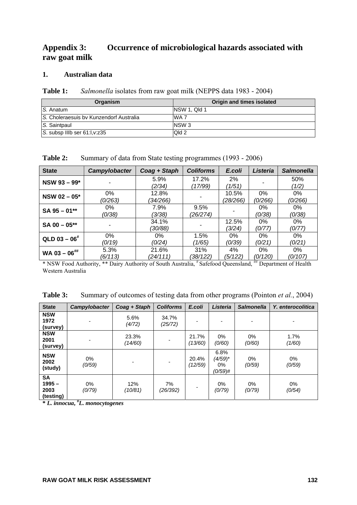# **Appendix 3: Occurrence of microbiological hazards associated with raw goat milk**

#### **1. Australian data**

**Table 1:** *Salmonella* isolates from raw goat milk (NEPPS data 1983 - 2004)

| Organism                                | Origin and times isolated |
|-----------------------------------------|---------------------------|
| S. Anatum                               | INSW 1. Qld 1             |
| S. Choleraesuis by Kunzendorf Australia | WA <sub>7</sub>           |
| S. Saintpaul                            | <b>NSW3</b>               |
| S. subsp IIIb ser 61:I, v: z 35         | Qld 2                     |

**Table 2:** Summary of data from State testing programmes (1993 - 2006)

| <b>State</b>      | Campylobacter   | Coag + Staph      | <b>Coliforms</b> | E.coli            | Listeria         | <b>Salmonella</b> |
|-------------------|-----------------|-------------------|------------------|-------------------|------------------|-------------------|
| $NSW 93 - 99*$    |                 | 5.9%<br>(2/34)    | 17.2%<br>(17/99) | 2%<br>(1/51)      |                  | 50%<br>(1/2)      |
| NSW 02 $-05$ *    | 0%<br>(0/263)   | 12.8%<br>(34/266) |                  | 10.5%<br>(28/266) | $0\%$<br>(0/266) | $0\%$<br>(0/266)  |
| $SA 95 - 01***$   | 0%<br>(0/38)    | 7.9%<br>(3/38)    | 9.5%<br>(26/274) |                   | $0\%$<br>(0/38)  | 0%<br>(0/38)      |
| $SA$ 00 $-$ 05**  |                 | 34.1%<br>(30/88)  |                  | 12.5%<br>(3/24)   | 0%<br>(0/77)     | $0\%$<br>(0/77)   |
| $QLD 03 - 06$ #   | $0\%$<br>(0/19) | $0\%$<br>(0/24)   | 1.5%<br>(1/65)   | $0\%$<br>(0/39)   | $0\%$<br>(0/21)  | 0%<br>(0/21)      |
| WA 03 $-06^{***}$ | 5.3%<br>(6/113) | 21.6%<br>(24/111) | 31%<br>(38/122)  | $4\%$<br>(5/122)  | 0%<br>(0/120)    | $0\%$<br>(0/107)  |

\* NSW Food Authority, \*\* Dairy Authority of South Australia, # Safefood Queensland, ## Department of Health Western Australia

| Table 3: |  |  | Summary of outcomes of testing data from other programs (Pointon <i>et al.</i> , 2004) |  |
|----------|--|--|----------------------------------------------------------------------------------------|--|
|          |  |  |                                                                                        |  |

| <b>State</b>                               | <b>Campylobacter</b> | Coag + Staph     | <b>Coliforms</b> | E.coli           | Listeria                            | <b>Salmonella</b> | Y. enterocolitica |
|--------------------------------------------|----------------------|------------------|------------------|------------------|-------------------------------------|-------------------|-------------------|
| <b>NSW</b><br>1972<br>(survey)             |                      | 5.6%<br>(4/72)   | 34.7%<br>(25/72) |                  |                                     |                   |                   |
| <b>NSW</b><br>2001<br>(survey)             |                      | 23.3%<br>(14/60) |                  | 21.7%<br>(13/60) | $0\%$<br>(0/60)                     | 0%<br>(0/60)      | 1.7%<br>(1/60)    |
| <b>NSW</b><br>2002<br>(study)              | 0%<br>(0/59)         |                  |                  | 20.4%<br>(12/59) | 6.8%<br>$(4/59)^*$<br>0%<br>(0/59)# | 0%<br>(0/59)      | $0\%$<br>(0/59)   |
| <b>SA</b><br>$1995 -$<br>2003<br>(testing) | 0%<br>(0/79)         | 12%<br>(10/81)   | 7%<br>(26/392)   |                  | $0\%$<br>(0/79)                     | $0\%$<br>(0/79)   | $0\%$<br>(0/54)   |

**\*** *L. innocua***, #** *L. monocytogenes*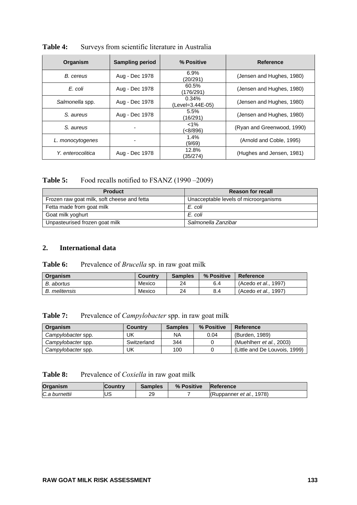| Organism          | <b>Sampling period</b> | % Positive                | <b>Reference</b>           |
|-------------------|------------------------|---------------------------|----------------------------|
| B. cereus         | Aug - Dec 1978         | 6.9%<br>(20/291)          | (Jensen and Hughes, 1980)  |
| E. coli           | Aug - Dec 1978         | 60.5%<br>(176/291)        | (Jensen and Hughes, 1980)  |
| Salmonella spp.   | Aug - Dec 1978         | 0.34%<br>(Level=3.44E-05) | (Jensen and Hughes, 1980)  |
| S. aureus         | Aug - Dec 1978         | 5.5%<br>(16/291)          | (Jensen and Hughes, 1980)  |
| S. aureus         |                        | $< 1\%$<br>(<8/896)       | (Ryan and Greenwood, 1990) |
| L. monocytogenes  |                        | 1.4%<br>(9/69)            | (Arnold and Coble, 1995)   |
| Y. enterocolitica | Aug - Dec 1978         | 12.8%<br>(35/274)         | (Hughes and Jensen, 1981)  |

**Table 4:** Surveys from scientific literature in Australia

Table 5: Food recalls notified to FSANZ (1990 – 2009)

| <b>Product</b>                              | <b>Reason for recall</b>              |
|---------------------------------------------|---------------------------------------|
| Frozen raw goat milk, soft cheese and fetta | Unacceptable levels of microorganisms |
| Fetta made from goat milk                   | E. coli                               |
| Goat milk yoghurt                           | E. coli                               |
| Unpasteurised frozen goat milk              | Salmonella Zanzibar                   |

## **2. International data**

Table 6: Prevalence of *Brucella* sp. in raw goat milk

| <b>Organism</b>      | Country | <b>Samples</b> | % Positive | Reference                    |
|----------------------|---------|----------------|------------|------------------------------|
| B. abortus           | Mexico  | 24             | 6.4        | (Acedo <i>et al.</i> , 1997) |
| <b>B.</b> melitensis | Mexico  | 24             | 8.4        | (Acedo <i>et al.</i> , 1997) |

**Table 7:** Prevalence of *Campylobacter* spp. in raw goat milk

| Organism           | <b>Country</b> | <b>Samples</b> | % Positive | Reference                     |
|--------------------|----------------|----------------|------------|-------------------------------|
| Campylobacter spp. | UK             | ΝA             | 0.04       | (Burden, 1989)                |
| Campylobacter spp. | Switzerland    | 344            |            | (Muehlherr et al., 2003)      |
| Campylobacter spp. | UK             | 100            |            | (Little and De Louvois, 1999) |

## **Table 8:** Prevalence of *Coxiella* in raw goat milk

| Organism      | lCountrv | <b>Samples</b> | % Positive | <b>Reference</b>                 |
|---------------|----------|----------------|------------|----------------------------------|
| C.a burnettii | บร       | 29             |            | (Ruppanner <i>et al.</i> , 1978) |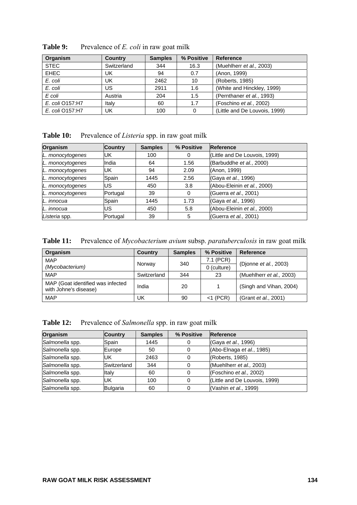| Organism        | Country     | <b>Samples</b> | % Positive | <b>Reference</b>              |
|-----------------|-------------|----------------|------------|-------------------------------|
| <b>STEC</b>     | Switzerland | 344            | 16.3       | (Muehlherr et al., 2003)      |
| <b>EHEC</b>     | UK          | 94             | 0.7        | (Anon, 1999)                  |
| E. coli         | UK          | 2462           | 10         | (Roberts, 1985)               |
| E. coli         | US          | 2911           | 1.6        | (White and Hinckley, 1999)    |
| E coli          | Austria     | 204            | 1.5        | (Pernthaner et al., 1993)     |
| E. coli 0157:H7 | Italy       | 60             | 1.7        | (Foschino et al., 2002)       |
| E. coli 0157:H7 | UK          | 100            | 0          | (Little and De Louvois, 1999) |

**Table 9:** Prevalence of *E. coli* in raw goat milk

**Table 10:** Prevalence of *Listeria* spp. in raw goat milk

| Organism         | <b>Country</b> | <b>Samples</b> | % Positive | <b>Reference</b>              |
|------------------|----------------|----------------|------------|-------------------------------|
| L. monocytogenes | UΚ             | 100            | O          | (Little and De Louvois, 1999) |
| L. monocytogenes | India          | 64             | 1.56       | (Barbuddhe et al., 2000)      |
| L. monocytogenes | UΚ             | 94             | 2.09       | (Anon, 1999)                  |
| L. monocytogenes | Spain          | 1445           | 2.56       | (Gaya et al., 1996)           |
| L. monocytogenes | US             | 450            | 3.8        | (Abou-Eleinin et al., 2000)   |
| L. monocytogenes | Portugal       | 39             | 0          | (Guerra et al., 2001)         |
| L. innocua       | Spain          | 1445           | 1.73       | (Gaya et al., 1996)           |
| L. innocua       | US             | 450            | 5.8        | (Abou-Eleinin et al., 2000)   |
| Listeria spp.    | Portugal       | 39             | 5          | (Guerra et al., 2001)         |

**Table 11:** Prevalence of *Mycobacterium avium* subsp. *paratuberculosis* in raw goat milk

| Organism                                                   | <b>Country</b> | <b>Samples</b> | % Positive  | Reference                |
|------------------------------------------------------------|----------------|----------------|-------------|--------------------------|
| MAP                                                        | Norway         | 340            | 7.1 (PCR)   | (Dionne et al., 2003)    |
| (Mycobacterium)                                            |                |                | 0 (culture) |                          |
| <b>MAP</b>                                                 | Switzerland    | 344            | 23          | (Muehlherr et al., 2003) |
| MAP (Goat identified was infected<br>with Johne's disease) | India          | 20             |             | (Singh and Vihan, 2004)  |
| <b>MAP</b>                                                 | UK             | 90             | $<$ 1 (PCR) | (Grant et al., 2001)     |

|  | <b>Table 12:</b> Prevalence of Salmonella spp. in raw goat milk |  |
|--|-----------------------------------------------------------------|--|
|--|-----------------------------------------------------------------|--|

| Organism        | <b>Country</b>  | <b>Samples</b> | % Positive | <b>Reference</b>              |
|-----------------|-----------------|----------------|------------|-------------------------------|
| Salmonella spp. | Spain           | 1445           |            | (Gaya et al., 1996)           |
| Salmonella spp. | Europe          | 50             |            | (Abo-Elnaga et al., 1985)     |
| Salmonella spp. | IUК             | 2463           |            | (Roberts, 1985)               |
| Salmonella spp. | Switzerland     | 344            |            | (Muehlherr et al., 2003)      |
| Salmonella spp. | Italy           | 60             |            | (Foschino et al., 2002)       |
| Salmonella spp. | IUК             | 100            |            | (Little and De Louvois, 1999) |
| Salmonella spp. | <b>Bulgaria</b> | 60             |            | (Vashin et al., 1999)         |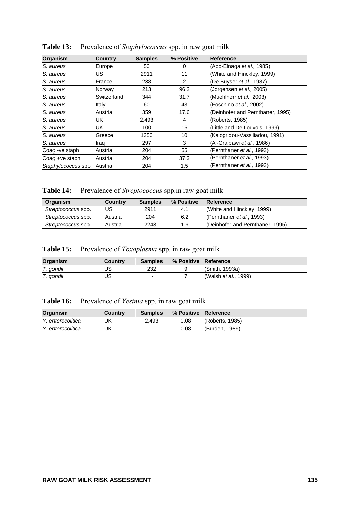| Organism            | <b>Country</b> | <b>Samples</b> | % Positive     | <b>Reference</b>                 |
|---------------------|----------------|----------------|----------------|----------------------------------|
| S. aureus           | Europe         | 50             | 0              | (Abo-Elnaga et al., 1985)        |
| S. aureus           | lUS.           | 2911           | 11             | (White and Hinckley, 1999)       |
| S. aureus           | lFrance        | 238            | $\overline{2}$ | (De Buyser et al., 1987)         |
| S. aureus           | Norway         | 213            | 96.2           | (Jorgensen et al., 2005)         |
| S. aureus           | Switzerland    | 344            | 31.7           | (Muehlherr et al., 2003)         |
| S. aureus           | Italy          | 60             | 43             | (Foschino et al., 2002)          |
| S. aureus           | Austria        | 359            | 17.6           | (Deinhofer and Pernthaner, 1995) |
| S. aureus           | UK.            | 2,493          | 4              | (Roberts, 1985)                  |
| S. aureus           | UK.            | 100            | 15             | (Little and De Louvois, 1999)    |
| S. aureus           | Greece         | 1350           | 10             | (Kalogridou-Vassiliadou, 1991)   |
| S. aureus           | Iraq           | 297            | 3              | (Al-Graibawi et al., 1986)       |
| Coag -ve staph      | Austria        | 204            | 55             | (Pernthaner et al., 1993)        |
| Coag +ve staph      | Austria        | 204            | 37.3           | (Pernthaner et al., 1993)        |
| Staphylococcus spp. | Austria        | 204            | 1.5            | (Pernthaner et al., 1993)        |

**Table 13:** Prevalence of *Staphylococcus* spp. in raw goat milk

**Table 14:** Prevalence of *Streptococcus* spp.in raw goat milk

| Organism<br>Country |         | <b>Samples</b> | % Positive | Reference                        |
|---------------------|---------|----------------|------------|----------------------------------|
| Streptococcus spp.  | US      | 2911           | 4.1        | (White and Hinckley, 1999)       |
| Streptococcus spp.  | Austria | 204            | 6.2        | (Pernthaner et al., 1993)        |
| Streptococcus spp.  | Austria | 2243           | 1.6        | (Deinhofer and Pernthaner, 1995) |

**Table 15:** Prevalence of *Toxoplasma* spp. in raw goat milk

| Organism    | <b>Country</b> | <b>Samples</b> | % Positive Reference |                      |
|-------------|----------------|----------------|----------------------|----------------------|
| $T.$ gondii | บร             | 232            |                      | (Smith, 1993a)       |
| $T.$ gondii | บร             |                |                      | (Walsh et al., 1999) |

**Table 16:** Prevalence of *Yesinia* spp. in raw goat milk

| Organism          | <b>Country</b> | <b>Samples</b> | % Positive Reference |                 |
|-------------------|----------------|----------------|----------------------|-----------------|
| Y. enterocolitica | IUК            | 2.493          | 0.08                 | (Roberts, 1985) |
| Y. enterocolitica | ΙUΚ            |                | 0.08                 | (Burden, 1989)  |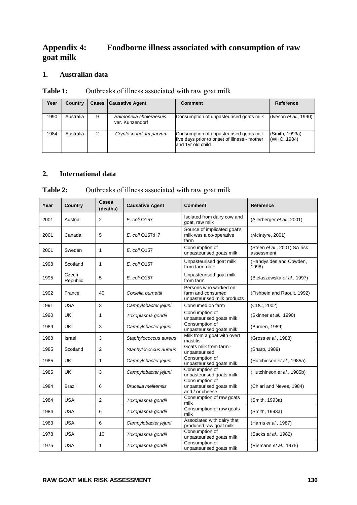# **Appendix 4: Foodborne illness associated with consumption of raw goat milk**

## **1. Australian data**

| Outbreaks of illness associated with raw goat milk<br>Table 1: |
|----------------------------------------------------------------|
|----------------------------------------------------------------|

| Year | Country   | <b>Cases</b> | <b>Causative Agent</b>                     | <b>Comment</b>                                                                                               | Reference                     |
|------|-----------|--------------|--------------------------------------------|--------------------------------------------------------------------------------------------------------------|-------------------------------|
| 1990 | Australia | 9            | Salmonella choleraesuis<br>var. Kunzendorf | Consumption of unpasteurised goats milk                                                                      | (Iveson <i>et al.</i> , 1990) |
| 1984 | Australia | 2            | Cryptosporidium parvum                     | Consumption of unpasteurised goats milk<br>five days prior to onset of illness - mother<br>and 1yr old child | (Smith, 1993a)<br>(WHO, 1984) |

## **2. International data**

| Year | <b>Country</b>    | <b>Cases</b><br>(deaths) | <b>Causative Agent</b><br><b>Comment</b> |                                                                           | Reference                                  |
|------|-------------------|--------------------------|------------------------------------------|---------------------------------------------------------------------------|--------------------------------------------|
| 2001 | Austria           | $\overline{2}$           | E. coli 0157                             | Isolated from dairy cow and<br>goat, raw milk                             | (Allerberger et al., 2001)                 |
| 2001 | Canada            | 5                        | E. coli 0157:H7                          | Source of implicated goat's<br>milk was a co-operative<br>farm            | (McIntyre, 2001)                           |
| 2001 | Sweden            | $\mathbf{1}$             | E. coli 0157                             | Consumption of<br>unpasteurised goats milk                                | (Steen et al., 2001) SA risk<br>assessment |
| 1998 | Scotland          | $\mathbf{1}$             | E. coli 0157                             | Unpasteurised goat milk<br>from farm gate                                 | (Handysides and Cowden,<br>1998)           |
| 1995 | Czech<br>Republic | 5                        | E. coli 0157                             | Unpasteurised goat milk<br>from farm                                      | (Bielaszewska et al., 1997)                |
| 1992 | France            | 40                       | Coxiella burnettii                       | Persons who worked on<br>farm and consumed<br>unpasteurised milk products | (Fishbein and Raoult, 1992)                |
| 1991 | <b>USA</b>        | 3                        | Campylobacter jejuni                     | Consumed on farm                                                          | (CDC, 2002)                                |
| 1990 | UK                | 1                        | Toxoplasma gondii                        | Consumption of<br>unpasteurised goats milk                                | (Skinner et al., 1990)                     |
| 1989 | UK                | 3                        | Campylobacter jejuni                     | Consumption of<br>unpasteurised goats milk                                | (Burden, 1989)                             |
| 1988 | Israel            | 3                        | Staphylococcus aureus                    | Milk from a goat with overt<br>mastitis                                   | (Gross et al., 1988)                       |
| 1985 | Scotland          | 2                        | Staphylococcus aureus                    | Goats milk from farm -<br>unpasteurised                                   | (Sharp, 1989)                              |
| 1985 | <b>UK</b>         | 1                        | Campylobacter jejuni                     | Consumption of<br>unpasteurised goats milk                                | (Hutchinson et al., 1985a)                 |
| 1985 | UK                | 3                        | Campylobacter jejuni                     | Consumption of<br>unpasteurised goats milk                                | (Hutchinson et al., 1985b)                 |
| 1984 | Brazil            | 6                        | <b>Brucella melitensis</b>               | Consumption of<br>unpasteurised goats milk<br>and / or cheese             | (Chiari and Neves, 1984)                   |
| 1984 | <b>USA</b>        | $\overline{2}$           | Toxoplasma gondii                        | Consumption of raw goats<br>milk                                          | (Smith, 1993a)                             |
| 1984 | <b>USA</b>        | 6                        | Toxoplasma gondii                        | Consumption of raw goats<br>milk                                          | (Smith, 1993a)                             |
| 1983 | <b>USA</b>        | 6                        | Campylobacter jejuni                     | Associated with dairy that<br>produced raw goat milk                      | (Harris et al., 1987)                      |
| 1978 | <b>USA</b>        | 10                       | Toxoplasma gondii                        | Consumption of<br>unpasteurised goats milk                                | (Sacks et al., 1982)                       |
| 1975 | <b>USA</b>        | 1                        | Toxoplasma gondii                        | Consumption of<br>unpasteurised goats milk                                | (Riemann et al., 1975)                     |

Table 2: Outbreaks of illness associated with raw goat milk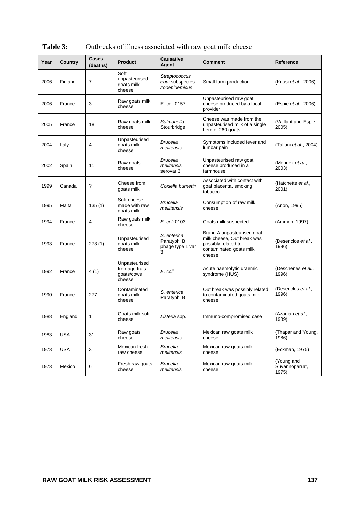| Year | Country    | Cases<br>(deaths) | <b>Product</b>                                         | Causative<br>Agent                                  | <b>Comment</b>                                                                                                       | Reference                             |
|------|------------|-------------------|--------------------------------------------------------|-----------------------------------------------------|----------------------------------------------------------------------------------------------------------------------|---------------------------------------|
| 2006 | Finland    | 7                 | Soft<br>unpasteurised<br>goats milk<br>cheese          | Streptococcus<br>equi subspecies<br>zooepidemicus   | Small farm production                                                                                                | (Kuusi et al., 2006)                  |
| 2006 | France     | 3                 | Raw goats milk<br>cheese                               | E. coli 0157                                        | Unpasteurised raw goat<br>cheese produced by a local<br>provider                                                     | (Espie <i>et al.</i> , 2006)          |
| 2005 | France     | 18                | Raw goats milk<br>cheese                               | Salmonella<br>Stourbridge                           | Cheese was made from the<br>unpasteurised milk of a single<br>herd of 260 goats                                      | (Vaillant and Espie,<br>2005)         |
| 2004 | Italy      | 4                 | Unpasteurised<br>goats milk<br>cheese                  | Brucella<br>melitensis                              | Symptoms included fever and<br>lumbar pain                                                                           | (Taliani et al., 2004)                |
| 2002 | Spain      | 11                | Raw goats<br>cheese                                    | Brucella<br>melitensis<br>serovar <sub>3</sub>      | Unpasteurised raw goat<br>cheese produced in a<br>farmhouse                                                          | (Mendez et al.,<br>2003)              |
| 1999 | Canada     | ?                 | Cheese from<br>goats milk                              | Coxiella burnettii                                  | Associated with contact with<br>goat placenta, smoking<br>tobacco                                                    | (Hatchette et al.,<br>2001)           |
| 1995 | Malta      | 135(1)            | Soft cheese<br>made with raw<br>goats milk             | Brucella<br>mellitensis                             | Consumption of raw milk<br>cheese                                                                                    | (Anon, 1995)                          |
| 1994 | France     | 4                 | Raw goats milk<br>cheese                               | E. coli 0103                                        | Goats milk suspected                                                                                                 | (Ammon, 1997)                         |
| 1993 | France     | 273(1)            | Unpasteurised<br>goats milk<br>cheese                  | S. enterica<br>Paratyphi B<br>phage type 1 var<br>3 | Brand A unpasteurised goat<br>milk cheese, Out break was<br>possibly related to<br>contaminated goats milk<br>cheese | (Desenclos et al.,<br>1996)           |
| 1992 | France     | 4(1)              | Unpasteurised<br>fromage frais<br>goats/cows<br>cheese | E. coli                                             | Acute haemolytic uraemic<br>syndrome (HUS)                                                                           | (Deschenes et al.,<br>1996)           |
| 1990 | France     | 277               | Contaminated<br>goats milk<br>cheese                   | S. enterica<br>Paratyphi B                          | Out break was possibly related<br>to contaminated goats milk<br>cheese                                               | (Desenclos et al.,<br>1996)           |
| 1988 | England    | 1                 | Goats milk soft<br>cheese                              | Listeria spp.                                       | Immuno-compromised case                                                                                              | (Azadian et al.,<br>1989)             |
| 1983 | <b>USA</b> | 31                | Raw goats<br>cheese                                    | <b>Brucella</b><br>melitensis                       | Mexican raw goats milk<br>cheese                                                                                     | (Thapar and Young,<br>1986)           |
| 1973 | <b>USA</b> | 3                 | Mexican fresh<br>raw cheese                            | <b>Brucella</b><br>melitensis                       | Mexican raw goats milk<br>cheese                                                                                     | (Eckman, 1975)                        |
| 1973 | Mexico     | 6                 | Fresh raw goats<br>cheese                              | <b>Brucella</b><br>melitensis                       | Mexican raw goats milk<br>cheese                                                                                     | (Young and<br>Suvannoparrat,<br>1975) |

| Table 3: | Outbreaks of illness associated with raw goat milk cheese |  |
|----------|-----------------------------------------------------------|--|
|          |                                                           |  |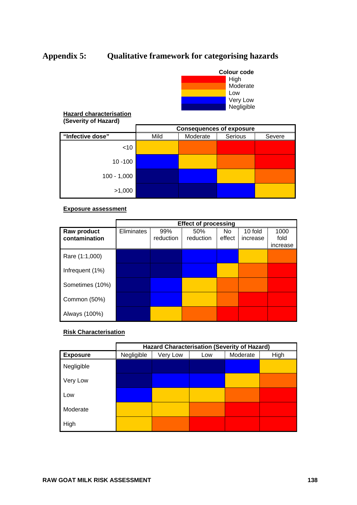# **Appendix 5: Qualitative framework for categorising hazards**



#### **Hazard characterisation (Severity of Hazard)**

| $\mathbf{v}$     | <b>Consequences of exposure</b> |          |         |        |  |  |
|------------------|---------------------------------|----------|---------|--------|--|--|
| "Infective dose" | Mild                            | Moderate | Serious | Severe |  |  |
| $<$ 10           |                                 |          |         |        |  |  |
| $10 - 100$       |                                 |          |         |        |  |  |
| $100 - 1,000$    |                                 |          |         |        |  |  |
| >1,000           |                                 |          |         |        |  |  |

## **Exposure assessment**

|                              | <b>Effect of processing</b> |           |                  |               |          |              |  |  |
|------------------------------|-----------------------------|-----------|------------------|---------------|----------|--------------|--|--|
| Raw product<br>contamination | Eliminates                  | 99%       | 50%<br>reduction | No.<br>effect | 10 fold  | 1000<br>fold |  |  |
|                              |                             | reduction |                  |               | increase | increase     |  |  |
| Rare (1:1,000)               |                             |           |                  |               |          |              |  |  |
| Infrequent (1%)              |                             |           |                  |               |          |              |  |  |
| Sometimes (10%)              |                             |           |                  |               |          |              |  |  |
| Common (50%)                 |                             |           |                  |               |          |              |  |  |
| Always (100%)                |                             |           |                  |               |          |              |  |  |

## **Risk Characterisation**

|                 | <b>Hazard Characterisation (Severity of Hazard)</b> |          |     |          |      |  |  |  |  |
|-----------------|-----------------------------------------------------|----------|-----|----------|------|--|--|--|--|
| <b>Exposure</b> | Negligible                                          | Very Low | Low | Moderate | High |  |  |  |  |
| Negligible      |                                                     |          |     |          |      |  |  |  |  |
| Very Low        |                                                     |          |     |          |      |  |  |  |  |
| Low             |                                                     |          |     |          |      |  |  |  |  |
| Moderate        |                                                     |          |     |          |      |  |  |  |  |
| High            |                                                     |          |     |          |      |  |  |  |  |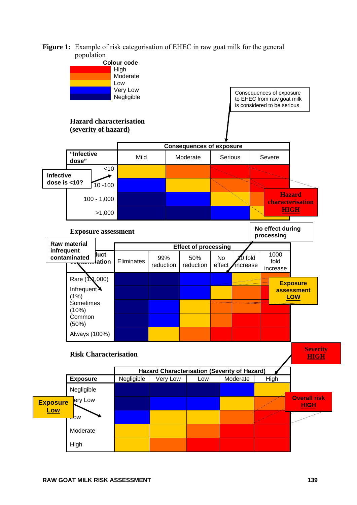**Figure 1:** Example of risk categorisation of EHEC in raw goat milk for the general population

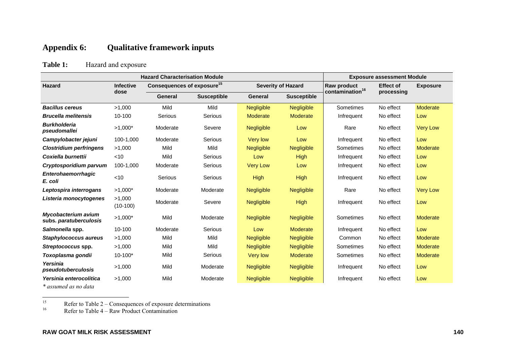# **Appendix 6: Qualitative framework inputs**

# Table 1: Hazard and exposure

| <b>Hazard Characterisation Module</b>         |                      |                                              |                    | <b>Exposure assessment Module</b> |                           |                             |                  |                 |
|-----------------------------------------------|----------------------|----------------------------------------------|--------------------|-----------------------------------|---------------------------|-----------------------------|------------------|-----------------|
| <b>Hazard</b>                                 | <b>Infective</b>     | <b>Consequences of exposure<sup>15</sup></b> |                    |                                   | <b>Severity of Hazard</b> |                             | <b>Effect of</b> | <b>Exposure</b> |
|                                               | dose                 | General                                      | <b>Susceptible</b> | <b>General</b>                    | <b>Susceptible</b>        | contamination <sup>16</sup> | processing       |                 |
| <b>Bacillus cereus</b>                        | >1.000               | Mild                                         | Mild               | <b>Negligible</b>                 | Negligible                | Sometimes                   | No effect        | Moderate        |
| <b>Brucella melitensis</b>                    | 10-100               | Serious                                      | Serious            | Moderate                          | <b>Moderate</b>           | Infrequent                  | No effect        | Low             |
| <b>Burkholderia</b><br>pseudomallei           | $>1,000*$            | Moderate                                     | Severe             | <b>Negligible</b>                 | Low                       | Rare                        | No effect        | <b>Very Low</b> |
| Campylobacter jejuni                          | 100-1,000            | Moderate                                     | Serious            | Very low                          | Low                       | Infrequent                  | No effect        | Low             |
| <b>Clostridium perfringens</b>                | >1,000               | Mild                                         | Mild               | <b>Negligible</b>                 | Negligible                | Sometimes                   | No effect        | Moderate        |
| Coxiella burnettii                            | < 10                 | Mild                                         | Serious            | Low                               | High                      | Infrequent                  | No effect        | Low             |
| Cryptosporidium parvum                        | 100-1.000            | Moderate                                     | Serious            | <b>Very Low</b>                   | Low                       | Infrequent                  | No effect        | Low             |
| Enterohaemorrhagic<br>E. coli                 | $<$ 10               | Serious                                      | Serious            | High                              | High                      | Infrequent                  | No effect        | Low             |
| Leptospira interrogans                        | $>1,000*$            | Moderate                                     | Moderate           | <b>Negligible</b>                 | <b>Negligible</b>         | Rare                        | No effect        | <b>Very Low</b> |
| Listeria monocytogenes                        | >1,000<br>$(10-100)$ | Moderate                                     | Severe             | <b>Negligible</b>                 | High                      | Infrequent                  | No effect        | Low             |
| Mycobacterium avium<br>subs. paratuberculosis | $>1,000*$            | Mild                                         | Moderate           | <b>Negligible</b>                 | <b>Negligible</b>         | Sometimes                   | No effect        | Moderate        |
| Salmonella spp.                               | 10-100               | Moderate                                     | Serious            | Low                               | <b>Moderate</b>           | Infrequent                  | No effect        | Low             |
| Staphylococcus aureus                         | >1,000               | Mild                                         | Mild               | <b>Negligible</b>                 | Negligible                | Common                      | No effect        | Moderate        |
| Streptococcus spp.                            | >1,000               | Mild                                         | Mild               | <b>Negligible</b>                 | Negligible                | Sometimes                   | No effect        | Moderate        |
| Toxoplasma gondii                             | $10 - 100*$          | Mild                                         | Serious            | Very low                          | <b>Moderate</b>           | Sometimes                   | No effect        | Moderate        |
| Yersinia<br>pseudotuberculosis                | >1,000               | Mild                                         | Moderate           | <b>Negligible</b>                 | <b>Negligible</b>         | Infrequent                  | No effect        | Low             |
| Yersinia enterocolitica                       | >1,000               | Mild                                         | Moderate           | <b>Negligible</b>                 | Negligible                | Infrequent                  | No effect        | Low             |

*\* assumed as no data* 

<sup>15</sup> Refer to Table 2 – Consequences of exposure determinations

 $^{16}$  Refer to Table 4 – Raw Product Contamination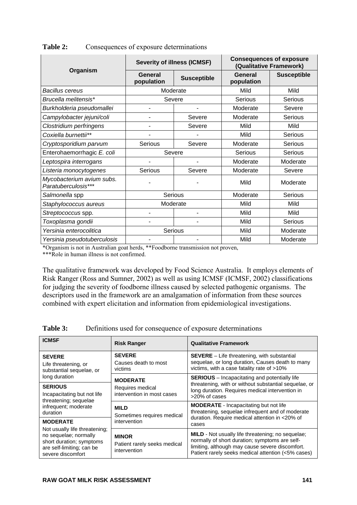|                                                  |                       | <b>Severity of illness (ICMSF)</b> | <b>Consequences of exposure</b><br>(Qualitative Framework) |                    |  |
|--------------------------------------------------|-----------------------|------------------------------------|------------------------------------------------------------|--------------------|--|
| Organism                                         | General<br>population | <b>Susceptible</b>                 | General<br>population                                      | <b>Susceptible</b> |  |
| Bacillus cereus                                  |                       | Moderate                           | Mild                                                       | Mild               |  |
| Brucella melitensis*                             |                       | Severe                             | Serious                                                    | Serious            |  |
| Burkholderia pseudomallei                        |                       |                                    | Moderate                                                   | Severe             |  |
| Campylobacter jejuni/coli                        |                       | Severe                             | Moderate                                                   | Serious            |  |
| Clostridium perfringens                          | $\blacksquare$        | Severe                             | Mild                                                       | Mild               |  |
| Coxiella burnettii**                             |                       |                                    | Mild                                                       | Serious            |  |
| Cryptosporidium parvum                           | Serious               | Severe                             | Moderate                                                   | Serious            |  |
| Enterohaemorrhagic E. coli                       |                       | Severe                             | Serious                                                    | Serious            |  |
| Leptospira interrogans                           | ۳                     | ۰                                  | Moderate                                                   | Moderate           |  |
| Listeria monocytogenes                           | Serious               | Severe                             | Moderate                                                   | Severe             |  |
| Mycobacterium avium subs.<br>Paratuberculosis*** |                       |                                    | Mild                                                       | Moderate           |  |
| Salmonella spp                                   | Serious               |                                    | Moderate                                                   | Serious            |  |
| Staphylococcus aureus                            | Moderate              |                                    | Mild                                                       | Mild               |  |
| Streptococcus spp.                               |                       | ۰                                  | Mild                                                       | Mild               |  |
| Toxoplasma gondii                                | $\blacksquare$        |                                    | Mild                                                       | Serious            |  |
| Yersinia enterocolitica<br>Serious               |                       |                                    | Mild                                                       | Moderate           |  |
| Yersinia pseudotuberculosis                      |                       |                                    | Mild                                                       | Moderate           |  |

#### **Table 2:** Consequences of exposure determinations

\*Organism is not in Australian goat herds, \*\*Foodborne transmission not proven, \*\*\*Role in human illness is not confirmed.

The qualitative framework was developed by Food Science Australia. It employs elements of Risk Ranger (Ross and Sumner, 2002) as well as using ICMSF (ICMSF, 2002) classifications for judging the severity of foodborne illness caused by selected pathogenic organisms. The descriptors used in the framework are an amalgamation of information from these sources combined with expert elicitation and information from epidemiological investigations.

| Table 3: |  |  | Definitions used for consequence of exposure determinations |
|----------|--|--|-------------------------------------------------------------|
|          |  |  |                                                             |

| <b>ICMSF</b>                                                                                                                         | <b>Risk Ranger</b>                                                | <b>Qualitative Framework</b>                                                                                                                                                                                        |
|--------------------------------------------------------------------------------------------------------------------------------------|-------------------------------------------------------------------|---------------------------------------------------------------------------------------------------------------------------------------------------------------------------------------------------------------------|
| <b>SEVERE</b><br>Life threatening, or<br>substantial sequelae, or                                                                    | <b>SEVERE</b><br>Causes death to most<br>victims                  | <b>SEVERE</b> – Life threatening, with substantial<br>sequelae, or long duration, Causes death to many<br>victims, with a case fatality rate of >10%                                                                |
| long duration<br><b>SERIOUS</b><br>Incapacitating but not life                                                                       | <b>MODERATE</b><br>Requires medical<br>intervention in most cases | <b>SERIOUS</b> - Incapacitating and potentially life<br>threatening, with or without substantial sequelae, or<br>long duration. Requires medical intervention in<br>>20% of cases                                   |
| threatening; sequelae<br>infrequent; moderate<br>duration<br><b>MODERATE</b>                                                         | <b>MILD</b><br>Sometimes requires medical<br>intervention         | <b>MODERATE</b> - Incapacitating but not life<br>threatening, sequelae infrequent and of moderate<br>duration. Require medical attention in <20% of<br>cases                                                        |
| Not usually life threatening;<br>no sequelae; normally<br>short duration; symptoms<br>are self-limiting; can be<br>severe discomfort | <b>MINOR</b><br>Patient rarely seeks medical<br>intervention      | <b>MILD</b> - Not usually life threatening; no sequelae;<br>normally of short duration; symptoms are self-<br>limiting, although may cause severe discomfort.<br>Patient rarely seeks medical attention (<5% cases) |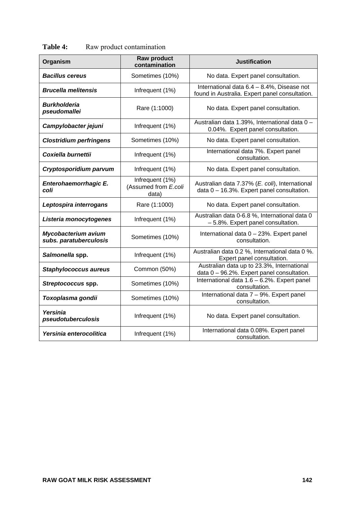| Organism                                      | Raw product<br>contamination                     | <b>Justification</b>                                                                         |
|-----------------------------------------------|--------------------------------------------------|----------------------------------------------------------------------------------------------|
| <b>Bacillus cereus</b>                        | Sometimes (10%)                                  | No data. Expert panel consultation.                                                          |
| <b>Brucella melitensis</b>                    | Infrequent (1%)                                  | International data 6.4 - 8.4%, Disease not<br>found in Australia. Expert panel consultation. |
| <b>Burkholderia</b><br>pseudomallei           | Rare (1:1000)                                    | No data. Expert panel consultation.                                                          |
| Campylobacter jejuni                          | Infrequent (1%)                                  | Australian data 1.39%, International data 0 -<br>0.04%. Expert panel consultation.           |
| <b>Clostridium perfringens</b>                | Sometimes (10%)                                  | No data. Expert panel consultation.                                                          |
| Coxiella burnettii                            | Infrequent (1%)                                  | International data 7%. Expert panel<br>consultation.                                         |
| Cryptosporidium parvum                        | Infrequent (1%)                                  | No data. Expert panel consultation.                                                          |
| Enterohaemorrhagic E.<br>coli                 | Infrequent (1%)<br>(Assumed from E.coli<br>data) | Australian data 7.37% (E. coli), International<br>data 0 - 16.3%. Expert panel consultation. |
| Leptospira interrogans                        | Rare (1:1000)                                    | No data. Expert panel consultation.                                                          |
| Listeria monocytogenes                        | Infrequent (1%)                                  | Australian data 0-6.8 %, International data 0<br>- 5.8%. Expert panel consultation.          |
| Mycobacterium avium<br>subs. paratuberculosis | Sometimes (10%)                                  | International data 0 - 23%. Expert panel<br>consultation.                                    |
| Salmonella spp.                               | Infrequent (1%)                                  | Australian data 0.2 %, International data 0 %.<br>Expert panel consultation.                 |
| <b>Staphylococcus aureus</b>                  | Common (50%)                                     | Australian data up to 23.3%, International<br>data 0 - 96.2%. Expert panel consultation.     |
| Streptococcus spp.                            | Sometimes (10%)                                  | International data 1.6 - 6.2%. Expert panel<br>consultation.                                 |
| Toxoplasma gondii                             | Sometimes (10%)                                  | International data 7 - 9%. Expert panel<br>consultation.                                     |
| Yersinia<br>pseudotuberculosis                | Infrequent (1%)                                  | No data. Expert panel consultation.                                                          |
| Yersinia enterocolitica                       | Infrequent (1%)                                  | International data 0.08%. Expert panel<br>consultation.                                      |

# Table 4: Raw product contamination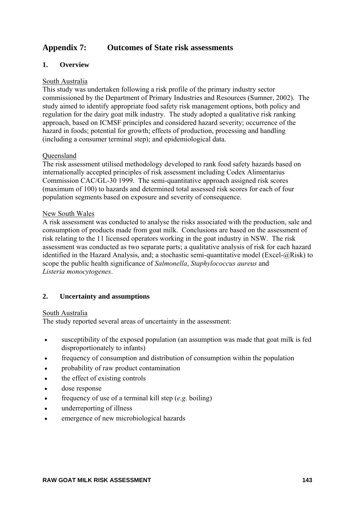# **Appendix 7: Outcomes of State risk assessments**

# **1. Overview**

#### South Australia

This study was undertaken following a risk profile of the primary industry sector commissioned by the Department of Primary Industries and Resources (Sumner, 2002). The study aimed to identify appropriate food safety risk management options, both policy and regulation for the dairy goat milk industry. The study adopted a qualitative risk ranking approach, based on ICMSF principles and considered hazard severity; occurrence of the hazard in foods; potential for growth; effects of production, processing and handling (including a consumer terminal step); and epidemiological data.

#### **Oueensland**

The risk assessment utilised methodology developed to rank food safety hazards based on internationally accepted principles of risk assessment including Codex Alimentarius Commission CAC/GL-30 1999. The semi-quantitative approach assigned risk scores (maximum of 100) to hazards and determined total assessed risk scores for each of four population segments based on exposure and severity of consequence.

#### New South Wales

A risk assessment was conducted to analyse the risks associated with the production, sale and consumption of products made from goat milk. Conclusions are based on the assessment of risk relating to the 11 licensed operators working in the goat industry in NSW. The risk assessment was conducted as two separate parts; a qualitative analysis of risk for each hazard identified in the Hazard Analysis, and; a stochastic semi-quantitative model (Excel-@Risk) to scope the public health significance of *Salmonella*, *Staphylococcus aureus* and *Listeria monocytogenes*.

# **2. Uncertainty and assumptions**

# South Australia

The study reported several areas of uncertainty in the assessment:

- susceptibility of the exposed population (an assumption was made that goat milk is fed disproportionately to infants)
- frequency of consumption and distribution of consumption within the population
- probability of raw product contamination
- the effect of existing controls
- dose response
- frequency of use of a terminal kill step (*e.g.* boiling)
- underreporting of illness
- emergence of new microbiological hazards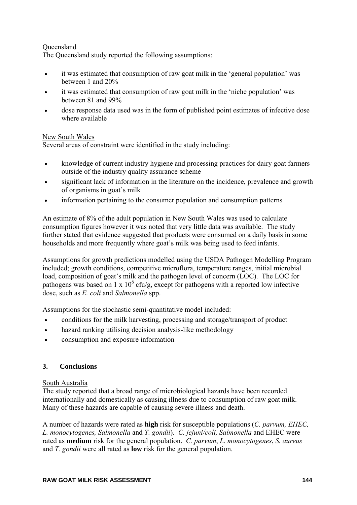# **Oueensland**

The Queensland study reported the following assumptions:

- it was estimated that consumption of raw goat milk in the 'general population' was between 1 and 20%
- it was estimated that consumption of raw goat milk in the 'niche population' was between 81 and 99%
- dose response data used was in the form of published point estimates of infective dose where available

#### New South Wales

Several areas of constraint were identified in the study including:

- knowledge of current industry hygiene and processing practices for dairy goat farmers outside of the industry quality assurance scheme
- significant lack of information in the literature on the incidence, prevalence and growth of organisms in goat's milk
- information pertaining to the consumer population and consumption patterns

An estimate of 8% of the adult population in New South Wales was used to calculate consumption figures however it was noted that very little data was available. The study further stated that evidence suggested that products were consumed on a daily basis in some households and more frequently where goat's milk was being used to feed infants.

Assumptions for growth predictions modelled using the USDA Pathogen Modelling Program included; growth conditions, competitive microflora, temperature ranges, initial microbial load, composition of goat's milk and the pathogen level of concern (LOC). The LOC for pathogens was based on 1 x  $10^6$  cfu/g, except for pathogens with a reported low infective dose, such as *E. coli* and *Salmonella* spp.

Assumptions for the stochastic semi-quantitative model included:

- conditions for the milk harvesting, processing and storage/transport of product
- hazard ranking utilising decision analysis-like methodology
- consumption and exposure information

# **3. Conclusions**

#### South Australia

The study reported that a broad range of microbiological hazards have been recorded internationally and domestically as causing illness due to consumption of raw goat milk. Many of these hazards are capable of causing severe illness and death.

A number of hazards were rated as **high** risk for susceptible populations (*C. parvum, EHEC, L. monocytogenes, Salmonella* and *T. gondii*). *C. jejuni/coli, Salmonella* and EHEC were rated as **medium** risk for the general population. *C. parvum*, *L. monocytogenes*, *S. aureus* and *T. gondii* were all rated as **low** risk for the general population.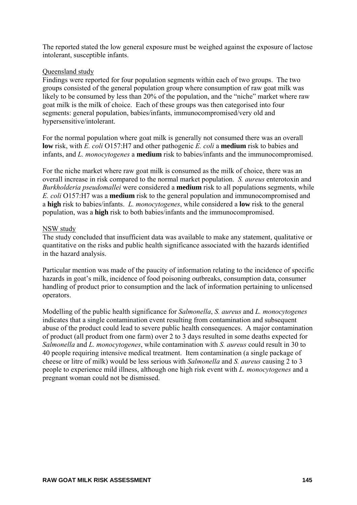The reported stated the low general exposure must be weighed against the exposure of lactose intolerant, susceptible infants.

#### Queensland study

Findings were reported for four population segments within each of two groups. The two groups consisted of the general population group where consumption of raw goat milk was likely to be consumed by less than 20% of the population, and the "niche" market where raw goat milk is the milk of choice. Each of these groups was then categorised into four segments: general population, babies/infants, immunocompromised/very old and hypersensitive/intolerant.

For the normal population where goat milk is generally not consumed there was an overall **low** risk, with *E. coli* O157:H7 and other pathogenic *E. coli* a **medium** risk to babies and infants, and *L. monocytogenes* a **medium** risk to babies/infants and the immunocompromised.

For the niche market where raw goat milk is consumed as the milk of choice, there was an overall increase in risk compared to the normal market population. *S. aureus* enterotoxin and *Burkholderia pseudomallei* were considered a **medium** risk to all populations segments, while *E. coli* O157:H7 was a **medium** risk to the general population and immunocompromised and a **high** risk to babies/infants. *L. monocytogenes*, while considered a **low** risk to the general population, was a **high** risk to both babies/infants and the immunocompromised.

#### NSW study

The study concluded that insufficient data was available to make any statement, qualitative or quantitative on the risks and public health significance associated with the hazards identified in the hazard analysis.

Particular mention was made of the paucity of information relating to the incidence of specific hazards in goat's milk, incidence of food poisoning outbreaks, consumption data, consumer handling of product prior to consumption and the lack of information pertaining to unlicensed operators.

Modelling of the public health significance for *Salmonella*, *S. aureus* and *L. monocytogenes* indicates that a single contamination event resulting from contamination and subsequent abuse of the product could lead to severe public health consequences. A major contamination of product (all product from one farm) over 2 to 3 days resulted in some deaths expected for *Salmonella* and *L. monocytogenes*, while contamination with *S. aureus* could result in 30 to 40 people requiring intensive medical treatment. Item contamination (a single package of cheese or litre of milk) would be less serious with *Salmonella* and *S. aureus* causing 2 to 3 people to experience mild illness, although one high risk event with *L. monocytogenes* and a pregnant woman could not be dismissed.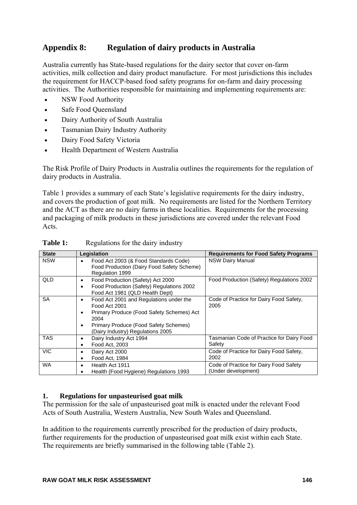# **Appendix 8: Regulation of dairy products in Australia**

Australia currently has State-based regulations for the dairy sector that cover on-farm activities, milk collection and dairy product manufacture. For most jurisdictions this includes the requirement for HACCP-based food safety programs for on-farm and dairy processing activities. The Authorities responsible for maintaining and implementing requirements are:

- NSW Food Authority
- Safe Food Queensland
- Dairy Authority of South Australia
- Tasmanian Dairy Industry Authority
- Dairy Food Safety Victoria
- Health Department of Western Australia

The Risk Profile of Dairy Products in Australia outlines the requirements for the regulation of dairy products in Australia.

Table 1 provides a summary of each State's legislative requirements for the dairy industry, and covers the production of goat milk. No requirements are listed for the Northern Territory and the ACT as there are no dairy farms in these localities. Requirements for the processing and packaging of milk products in these jurisdictions are covered under the relevant Food Acts.

| <b>State</b> | Legislation                                                                                                 | <b>Requirements for Food Safety Programs</b>    |
|--------------|-------------------------------------------------------------------------------------------------------------|-------------------------------------------------|
| <b>NSW</b>   | Food Act 2003 (& Food Standards Code)<br>٠<br>Food Production (Dairy Food Safety Scheme)<br>Regulation 1999 | <b>NSW Dairy Manual</b>                         |
| QLD          | Food Production (Safety) Act 2000<br>$\bullet$<br>Food Production (Safety) Regulations 2002<br>$\bullet$    | Food Production (Safety) Regulations 2002       |
|              | Food Act 1981 (QLD Health Dept)                                                                             |                                                 |
| <b>SA</b>    | Food Act 2001 and Regulations under the<br>$\bullet$<br>Food Act 2001                                       | Code of Practice for Dairy Food Safety,<br>2005 |
|              | Primary Produce (Food Safety Schemes) Act<br>٠<br>2004                                                      |                                                 |
|              | Primary Produce (Food Safety Schemes)<br>$\bullet$<br>(Dairy Industry) Regulations 2005                     |                                                 |
| <b>TAS</b>   | Dairy Industry Act 1994<br>$\bullet$                                                                        | Tasmanian Code of Practice for Dairy Food       |
|              | Food Act, 2003<br>٠                                                                                         | Safety                                          |
| <b>VIC</b>   | Dairy Act 2000<br>$\bullet$                                                                                 | Code of Practice for Dairy Food Safety,         |
|              | Food Act, 1984<br>$\bullet$                                                                                 | 2002                                            |
| <b>WA</b>    | Health Act 1911<br>$\bullet$                                                                                | Code of Practice for Dairy Food Safety          |
|              | Health (Food Hygiene) Regulations 1993                                                                      | (Under development)                             |

**Table 1:** Regulations for the dairy industry

# **1. Regulations for unpasteurised goat milk**

The permission for the sale of unpasteurised goat milk is enacted under the relevant Food Acts of South Australia, Western Australia, New South Wales and Queensland.

In addition to the requirements currently prescribed for the production of dairy products, further requirements for the production of unpasteurised goat milk exist within each State. The requirements are briefly summarised in the following table (Table 2).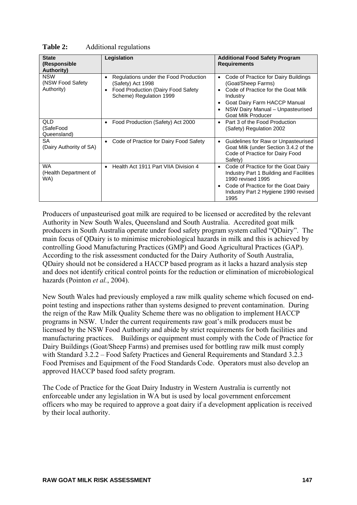| <b>State</b><br>(Responsible<br><b>Authority)</b> | Legislation                                                                                                                              | <b>Additional Food Safety Program</b><br><b>Requirements</b>                                                                                                                                                                            |
|---------------------------------------------------|------------------------------------------------------------------------------------------------------------------------------------------|-----------------------------------------------------------------------------------------------------------------------------------------------------------------------------------------------------------------------------------------|
| <b>NSW</b><br>(NSW Food Safety)<br>Authority)     | Regulations under the Food Production<br>(Safety) Act 1998<br>Food Production (Dairy Food Safety<br>$\bullet$<br>Scheme) Regulation 1999 | Code of Practice for Dairy Buildings<br>$\bullet$<br>(Goat/Sheep Farms)<br>Code of Practice for the Goat Milk<br>$\bullet$<br>Industry<br>Goat Dairy Farm HACCP Manual<br>NSW Dairy Manual - Unpasteurised<br><b>Goat Milk Producer</b> |
| QLD<br>(SafeFood<br>Queensland)                   | Food Production (Safety) Act 2000                                                                                                        | Part 3 of the Food Production<br>$\bullet$<br>(Safety) Regulation 2002                                                                                                                                                                  |
| SA<br>(Dairy Authority of SA)                     | Code of Practice for Dairy Food Safety<br>$\bullet$                                                                                      | Guidelines for Raw or Unpasteurised<br>$\bullet$<br>Goat Milk (under Section 3.4.2 of the<br>Code of Practice for Dairy Food<br>Safety)                                                                                                 |
| <b>WA</b><br>(Health Department of<br>WA)         | Health Act 1911 Part VIIA Division 4<br>$\bullet$                                                                                        | Code of Practice for the Goat Dairy<br>$\bullet$<br>Industry Part 1 Building and Facilities<br>1990 revised 1995<br>Code of Practice for the Goat Dairy<br>٠<br>Industry Part 2 Hygiene 1990 revised<br>1995                            |

| Table 2: | Additional regulations |  |
|----------|------------------------|--|
|          |                        |  |

Producers of unpasteurised goat milk are required to be licensed or accredited by the relevant Authority in New South Wales, Queensland and South Australia. Accredited goat milk producers in South Australia operate under food safety program system called "QDairy". The main focus of QDairy is to minimise microbiological hazards in milk and this is achieved by controlling Good Manufacturing Practices (GMP) and Good Agricultural Practices (GAP). According to the risk assessment conducted for the Dairy Authority of South Australia, QDairy should not be considered a HACCP based program as it lacks a hazard analysis step and does not identify critical control points for the reduction or elimination of microbiological hazards (Pointon *et al.*, 2004).

New South Wales had previously employed a raw milk quality scheme which focused on endpoint testing and inspections rather than systems designed to prevent contamination. During the reign of the Raw Milk Quality Scheme there was no obligation to implement HACCP programs in NSW. Under the current requirements raw goat's milk producers must be licensed by the NSW Food Authority and abide by strict requirements for both facilities and manufacturing practices. Buildings or equipment must comply with the Code of Practice for Dairy Buildings (Goat/Sheep Farms) and premises used for bottling raw milk must comply with Standard 3.2.2 – Food Safety Practices and General Requirements and Standard 3.2.3 Food Premises and Equipment of the Food Standards Code. Operators must also develop an approved HACCP based food safety program.

The Code of Practice for the Goat Dairy Industry in Western Australia is currently not enforceable under any legislation in WA but is used by local government enforcement officers who may be required to approve a goat dairy if a development application is received by their local authority.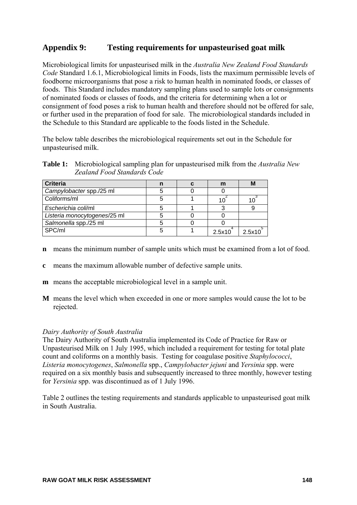# **Appendix 9: Testing requirements for unpasteurised goat milk**

Microbiological limits for unpasteurised milk in the *Australia New Zealand Food Standards Code* Standard 1.6.1, Microbiological limits in Foods, lists the maximum permissible levels of foodborne microorganisms that pose a risk to human health in nominated foods, or classes of foods. This Standard includes mandatory sampling plans used to sample lots or consignments of nominated foods or classes of foods, and the criteria for determining when a lot or consignment of food poses a risk to human health and therefore should not be offered for sale, or further used in the preparation of food for sale. The microbiological standards included in the Schedule to this Standard are applicable to the foods listed in the Schedule.

The below table describes the microbiological requirements set out in the Schedule for unpasteurised milk.

**Table 1:** Microbiological sampling plan for unpasteurised milk from the *Australia New Zealand Food Standards Code*

| <b>Criteria</b>              |  | m      |        |
|------------------------------|--|--------|--------|
| Campylobacter spp./25 ml     |  |        |        |
| Coliforms/ml                 |  |        |        |
| Escherichia coli/ml          |  |        |        |
| Listeria monocytogenes/25 ml |  |        |        |
| Salmonella spp./25 ml        |  |        |        |
| SPC/ml                       |  | 2.5x10 | 2.5x10 |

- **n** means the minimum number of sample units which must be examined from a lot of food.
- **c** means the maximum allowable number of defective sample units.
- **m** means the acceptable microbiological level in a sample unit.
- **M** means the level which when exceeded in one or more samples would cause the lot to be rejected.

#### *Dairy Authority of South Australia*

The Dairy Authority of South Australia implemented its Code of Practice for Raw or Unpasteurised Milk on 1 July 1995, which included a requirement for testing for total plate count and coliforms on a monthly basis. Testing for coagulase positive *Staphylococci*, *Listeria monocytogenes*, *Salmonella* spp., *Campylobacter jejuni* and *Yersinia* spp. were required on a six monthly basis and subsequently increased to three monthly, however testing for *Yersinia* spp. was discontinued as of 1 July 1996.

Table 2 outlines the testing requirements and standards applicable to unpasteurised goat milk in South Australia.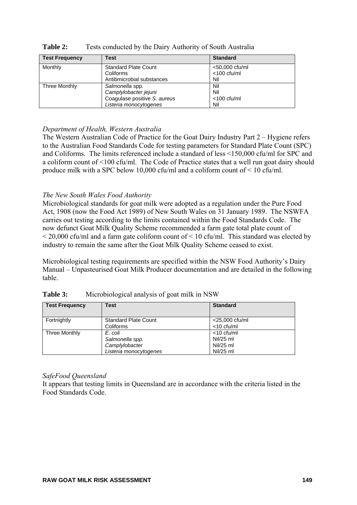| <b>Test Frequency</b> | <b>Test</b>                  | <b>Standard</b> |
|-----------------------|------------------------------|-----------------|
| Monthly               | <b>Standard Plate Count</b>  | <50,000 cfu/ml  |
|                       | Coliforms                    | $<$ 100 cfu/ml  |
|                       | Antibmicrobial substances    | Nil             |
| Three Monthly         | Salmonella spp.              | Nil             |
|                       | Camplylobacter jejuni        | Nil             |
|                       | Coagulase positive S. aureus | $<$ 100 cfu/ml  |
|                       | Listeria monocytogenes       | Nil             |

**Table 2:** Tests conducted by the Dairy Authority of South Australia

# *Department of Health, Western Australia*

The Western Australian Code of Practice for the Goat Dairy Industry Part 2 – Hygiene refers to the Australian Food Standards Code for testing parameters for Standard Plate Count (SPC) and Coliforms. The limits referenced include a standard of less <150,000 cfu/ml for SPC and a coliform count of <100 cfu/ml. The Code of Practice states that a well run goat dairy should produce milk with a SPC below 10,000 cfu/ml and a coliform count of < 10 cfu/ml.

# *The New South Wales Food Authority*

Microbiological standards for goat milk were adopted as a regulation under the Pure Food Act, 1908 (now the Food Act 1989) of New South Wales on 31 January 1989. The NSWFA carries out testing according to the limits contained within the Food Standards Code. The now defunct Goat Milk Quality Scheme recommended a farm gate total plate count of  $\leq$  20,000 cfu/ml and a farm gate coliform count of  $\leq$  10 cfu/ml. This standard was elected by industry to remain the same after the Goat Milk Quality Scheme ceased to exist.

Microbiological testing requirements are specified within the NSW Food Authority's Dairy Manual – Unpasteurised Goat Milk Producer documentation and are detailed in the following table.

| <b>Test Frequency</b> | Test                        | <b>Standard</b> |
|-----------------------|-----------------------------|-----------------|
| Fortnightly           | <b>Standard Plate Count</b> | <25,000 cfu/ml  |
|                       | Coliforms                   | $<$ 10 cfu/ml   |
| Three Monthly         | E. coli                     | $<$ 10 cfu/ml   |
|                       | Salmonella spp.             | $NiI/25$ ml     |
|                       | Camplylobacter              | Nil/25 ml       |
|                       | Listeria monocytogenes      | Nil/25 ml       |

**Table 3:** Microbiological analysis of goat milk in NSW

# *SafeFood Queensland*

It appears that testing limits in Queensland are in accordance with the criteria listed in the Food Standards Code.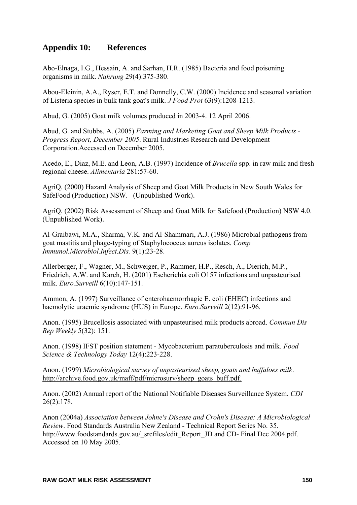# **Appendix 10: References**

Abo-Elnaga, I.G., Hessain, A. and Sarhan, H.R. (1985) Bacteria and food poisoning organisms in milk. *Nahrung* 29(4):375-380.

Abou-Eleinin, A.A., Ryser, E.T. and Donnelly, C.W. (2000) Incidence and seasonal variation of Listeria species in bulk tank goat's milk. *J Food Prot* 63(9):1208-1213.

Abud, G. (2005) Goat milk volumes produced in 2003-4. 12 April 2006.

Abud, G. and Stubbs, A. (2005) *Farming and Marketing Goat and Sheep Milk Products - Progress Report, December 2005*. Rural Industries Research and Development Corporation.Accessed on December 2005.

Acedo, E., Diaz, M.E. and Leon, A.B. (1997) Incidence of *Brucella* spp. in raw milk and fresh regional cheese. *Alimentaria* 281:57-60.

AgriQ. (2000) Hazard Analysis of Sheep and Goat Milk Products in New South Wales for SafeFood (Production) NSW. (Unpublished Work).

AgriQ. (2002) Risk Assessment of Sheep and Goat Milk for Safefood (Production) NSW 4.0. (Unpublished Work).

Al-Graibawi, M.A., Sharma, V.K. and Al-Shammari, A.J. (1986) Microbial pathogens from goat mastitis and phage-typing of Staphylococcus aureus isolates. *Comp Immunol.Microbiol.Infect.Dis.* 9(1):23-28.

Allerberger, F., Wagner, M., Schweiger, P., Rammer, H.P., Resch, A., Dierich, M.P., Friedrich, A.W. and Karch, H. (2001) Escherichia coli O157 infections and unpasteurised milk. *Euro.Surveill* 6(10):147-151.

Ammon, A. (1997) Surveillance of enterohaemorrhagic E. coli (EHEC) infections and haemolytic uraemic syndrome (HUS) in Europe. *Euro.Surveill* 2(12):91-96.

Anon. (1995) Brucellosis associated with unpasteurised milk products abroad. *Commun Dis Rep Weekly* 5(32): 151.

Anon. (1998) IFST position statement - Mycobacterium paratuberculosis and milk. *Food Science & Technology Today* 12(4):223-228.

Anon. (1999) *Microbiological survey of unpasteurised sheep, goats and buffaloes milk*. http://archive.food.gov.uk/maff/pdf/microsurv/sheep\_goats\_buff.pdf.

Anon. (2002) Annual report of the National Notifiable Diseases Surveillance System. *CDI*  26(2):178.

Anon (2004a) *Association between Johne's Disease and Crohn's Disease: A Microbiological Review*. Food Standards Australia New Zealand - Technical Report Series No. 35. http://www.foodstandards.gov.au/\_srcfiles/edit\_Report\_JD and CD- Final Dec 2004.pdf. Accessed on 10 May 2005.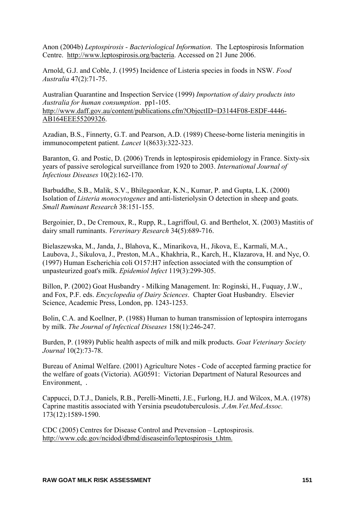Anon (2004b) *Leptospirosis - Bacteriological Information*. The Leptospirosis Information Centre. http://www.leptospirosis.org/bacteria. Accessed on 21 June 2006.

Arnold, G.J. and Coble, J. (1995) Incidence of Listeria species in foods in NSW. *Food Australia* 47(2):71-75.

Australian Quarantine and Inspection Service (1999) *Importation of dairy products into Australia for human consumption*. pp1-105. http://www.daff.gov.au/content/publications.cfm?ObjectID=D3144F08-E8DF-4446- AB164EEE55209326.

Azadian, B.S., Finnerty, G.T. and Pearson, A.D. (1989) Cheese-borne listeria meningitis in immunocompetent patient. *Lancet* 1(8633):322-323.

Baranton, G. and Postic, D. (2006) Trends in leptospirosis epidemiology in France. Sixty-six years of passive serological surveillance from 1920 to 2003. *International Journal of Infectious Diseases* 10(2):162-170.

Barbuddhe, S.B., Malik, S.V., Bhilegaonkar, K.N., Kumar, P. and Gupta, L.K. (2000) Isolation of *Listeria monocytogenes* and anti-listeriolysin O detection in sheep and goats. *Small Ruminant Research* 38:151-155.

Bergoinier, D., De Cremoux, R., Rupp, R., Lagriffoul, G. and Berthelot, X. (2003) Mastitis of dairy small ruminants. *Vererinary Research* 34(5):689-716.

Bielaszewska, M., Janda, J., Blahova, K., Minarikova, H., Jikova, E., Karmali, M.A., Laubova, J., Sikulova, J., Preston, M.A., Khakhria, R., Karch, H., Klazarova, H. and Nyc, O. (1997) Human Escherichia coli O157:H7 infection associated with the consumption of unpasteurized goat's milk. *Epidemiol Infect* 119(3):299-305.

Billon, P. (2002) Goat Husbandry - Milking Management. In: Roginski, H., Fuquay, J.W., and Fox, P.F. eds. *Encyclopedia of Dairy Sciences*. Chapter Goat Husbandry. Elsevier Science, Academic Press, London, pp. 1243-1253.

Bolin, C.A. and Koellner, P. (1988) Human to human transmission of leptospira interrogans by milk. *The Journal of Infectical Diseases* 158(1):246-247.

Burden, P. (1989) Public health aspects of milk and milk products. *Goat Veterinary Society Journal* 10(2):73-78.

Bureau of Animal Welfare. (2001) Agriculture Notes - Code of accepted farming practice for the welfare of goats (Victoria). AG0591: Victorian Department of Natural Resources and Environment, .

Cappucci, D.T.J., Daniels, R.B., Perelli-Minetti, J.E., Furlong, H.J. and Wilcox, M.A. (1978) Caprine mastitis associated with Yersinia pseudotuberculosis. *J.Am.Vet.Med.Assoc.*  173(12):1589-1590.

CDC (2005) Centres for Disease Control and Prevension – Leptospirosis. http://www.cdc.gov/ncidod/dbmd/diseaseinfo/leptospirosis\_t.htm.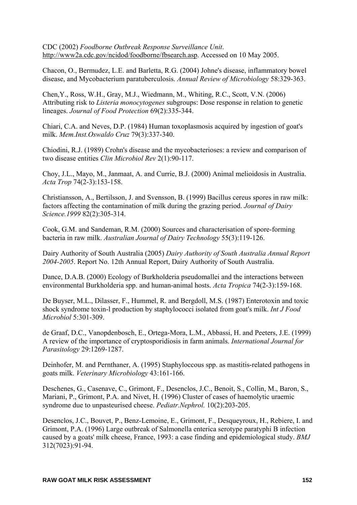CDC (2002) *Foodborne Outbreak Response Surveillance Unit*. http://www2a.cdc.gov/ncidod/foodborne/fbsearch.asp. Accessed on 10 May 2005.

Chacon, O., Bermudez, L.E. and Barletta, R.G. (2004) Johne's disease, inflammatory bowel disease, and Mycobacterium paratuberculosis. *Annual Review of Microbiology* 58:329-363.

Chen,Y., Ross, W.H., Gray, M.J., Wiedmann, M., Whiting, R.C., Scott, V.N. (2006) Attributing risk to *Listeria monocytogenes* subgroups: Dose response in relation to genetic lineages. *Journal of Food Protection* 69(2):335-344.

Chiari, C.A. and Neves, D.P. (1984) Human toxoplasmosis acquired by ingestion of goat's milk. *Mem.Inst.Oswaldo Cruz* 79(3):337-340.

Chiodini, R.J. (1989) Crohn's disease and the mycobacterioses: a review and comparison of two disease entities *Clin Microbiol Rev* 2(1):90-117.

Choy, J.L., Mayo, M., Janmaat, A. and Currie, B.J. (2000) Animal melioidosis in Australia. *Acta Trop* 74(2-3):153-158.

Christiansson, A., Bertilsson, J. and Svensson, B. (1999) Bacillus cereus spores in raw milk: factors affecting the contamination of milk during the grazing period. *Journal of Dairy Science.1999* 82(2):305-314.

Cook, G.M. and Sandeman, R.M. (2000) Sources and characterisation of spore-forming bacteria in raw milk. *Australian Journal of Dairy Technology* 55(3):119-126.

Dairy Authority of South Australia (2005) *Dairy Authority of South Australia Annual Report 2004-2005*. Report No. 12th Annual Report, Dairy Authority of South Australia.

Dance, D.A.B. (2000) Ecology of Burkholderia pseudomallei and the interactions between environmental Burkholderia spp. and human-animal hosts. *Acta Tropica* 74(2-3):159-168.

De Buyser, M.L., Dilasser, F., Hummel, R. and Bergdoll, M.S. (1987) Enterotoxin and toxic shock syndrome toxin-l production by staphylococci isolated from goat's milk. *Int J Food Microbiol* 5:301-309.

de Graaf, D.C., Vanopdenbosch, E., Ortega-Mora, L.M., Abbassi, H. and Peeters, J.E. (1999) A review of the importance of cryptosporidiosis in farm animals. *International Journal for Parasitology* 29:1269-1287.

Deinhofer, M. and Pernthaner, A. (1995) Staphyloccous spp. as mastitis-related pathogens in goats milk. *Veterinary Microbiology* 43:161-166.

Deschenes, G., Casenave, C., Grimont, F., Desenclos, J.C., Benoit, S., Collin, M., Baron, S., Mariani, P., Grimont, P.A. and Nivet, H. (1996) Cluster of cases of haemolytic uraemic syndrome due to unpasteurised cheese. *Pediatr.Nephrol.* 10(2):203-205.

Desenclos, J.C., Bouvet, P., Benz-Lemoine, E., Grimont, F., Desqueyroux, H., Rebiere, I. and Grimont, P.A. (1996) Large outbreak of Salmonella enterica serotype paratyphi B infection caused by a goats' milk cheese, France, 1993: a case finding and epidemiological study. *BMJ*  312(7023):91-94.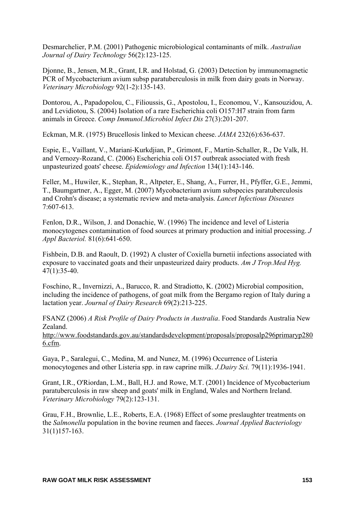Desmarchelier, P.M. (2001) Pathogenic microbiological contaminants of milk. *Australian Journal of Dairy Technology* 56(2):123-125.

Djonne, B., Jensen, M.R., Grant, I.R. and Holstad, G. (2003) Detection by immunomagnetic PCR of Mycobacterium avium subsp paratuberculosis in milk from dairy goats in Norway. *Veterinary Microbiology* 92(1-2):135-143.

Dontorou, A., Papadopolou, C., Filioussis, G., Apostolou, I., Economou, V., Kansouzidou, A. and Levidiotou, S. (2004) Isolation of a rare Escherichia coli O157:H7 strain from farm animals in Greece. *Comp Immunol.Microbiol Infect Dis* 27(3):201-207.

Eckman, M.R. (1975) Brucellosis linked to Mexican cheese. *JAMA* 232(6):636-637.

Espie, E., Vaillant, V., Mariani-Kurkdjian, P., Grimont, F., Martin-Schaller, R., De Valk, H. and Vernozy-Rozand, C. (2006) Escherichia coli O157 outbreak associated with fresh unpasteurized goats' cheese. *Epidemiology and Infection* 134(1):143-146.

Feller, M., Huwiler, K., Stephan, R., Altpeter, E., Shang, A., Furrer, H., Pfyffer, G.E., Jemmi, T., Baumgartner, A., Egger, M. (2007) Mycobacterium avium subspecies paratuberculosis and Crohn's disease; a systematic review and meta-analysis. *Lancet Infectious Diseases* 7:607-613.

Fenlon, D.R., Wilson, J. and Donachie, W. (1996) The incidence and level of Listeria monocytogenes contamination of food sources at primary production and initial processing. *J Appl Bacteriol.* 81(6):641-650.

Fishbein, D.B. and Raoult, D. (1992) A cluster of Coxiella burnetii infections associated with exposure to vaccinated goats and their unpasteurized dairy products. *Am J Trop.Med Hyg.*  47(1):35-40.

Foschino, R., Invernizzi, A., Barucco, R. and Stradiotto, K. (2002) Microbial composition, including the incidence of pathogens, of goat milk from the Bergamo region of Italy during a lactation year. *Journal of Dairy Research* 69(2):213-225.

FSANZ (2006) *A Risk Profile of Dairy Products in Australia*. Food Standards Australia New Zealand.

http://www.foodstandards.gov.au/standardsdevelopment/proposals/proposalp296primaryp280 6.cfm.

Gaya, P., Saralegui, C., Medina, M. and Nunez, M. (1996) Occurrence of Listeria monocytogenes and other Listeria spp. in raw caprine milk. *J.Dairy Sci.* 79(11):1936-1941.

Grant, I.R., O'Riordan, L.M., Ball, H.J. and Rowe, M.T. (2001) Incidence of Mycobacterium paratuberculosis in raw sheep and goats' milk in England, Wales and Northern Ireland. *Veterinary Microbiology* 79(2):123-131.

Grau, F.H., Brownlie, L.E., Roberts, E.A. (1968) Effect of some preslaughter treatments on the *Salmonella* population in the bovine reumen and faeces. *Journal Applied Bacteriology* 31(1)157-163.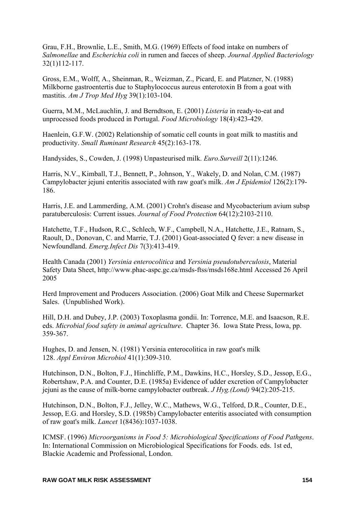Grau, F.H., Brownlie, L.E., Smith, M.G. (1969) Effects of food intake on numbers of *Salmonellae* and *Escherichia coli* in rumen and faeces of sheep. *Journal Applied Bacteriology*  32(1)112-117.

Gross, E.M., Wolff, A., Sheinman, R., Weizman, Z., Picard, E. and Platzner, N. (1988) Milkborne gastroentertis due to Staphylococcus aureus enterotoxin B from a goat with mastitis. *Am J Trop Med Hyg* 39(1):103-104.

Guerra, M.M., McLauchlin, J. and Berndtson, E. (2001) *Listeria* in ready-to-eat and unprocessed foods produced in Portugal. *Food Microbiology* 18(4):423-429.

Haenlein, G.F.W. (2002) Relationship of somatic cell counts in goat milk to mastitis and productivity. *Small Ruminant Research* 45(2):163-178.

Handysides, S., Cowden, J. (1998) Unpasteurised milk. *Euro.Surveill* 2(11):1246.

Harris, N.V., Kimball, T.J., Bennett, P., Johnson, Y., Wakely, D. and Nolan, C.M. (1987) Campylobacter jejuni enteritis associated with raw goat's milk. *Am J Epidemiol* 126(2):179- 186.

Harris, J.E. and Lammerding, A.M. (2001) Crohn's disease and Mycobacterium avium subsp paratuberculosis: Current issues. *Journal of Food Protection* 64(12):2103-2110.

Hatchette, T.F., Hudson, R.C., Schlech, W.F., Campbell, N.A., Hatchette, J.E., Ratnam, S., Raoult, D., Donovan, C. and Marrie, T.J. (2001) Goat-associated Q fever: a new disease in Newfoundland. *Emerg.Infect Dis* 7(3):413-419.

Health Canada (2001) *Yersinia enterocolitica* and *Yersinia pseudotuberculosis*, Material Safety Data Sheet, http://www.phac-aspc.gc.ca/msds-ftss/msds168e.html Accessed 26 April 2005

Herd Improvement and Producers Association. (2006) Goat Milk and Cheese Supermarket Sales. (Unpublished Work).

Hill, D.H. and Dubey, J.P. (2003) Toxoplasma gondii. In: Torrence, M.E. and Isaacson, R.E. eds. *Microbial food safety in animal agriculture*. Chapter 36. Iowa State Press, Iowa, pp. 359-367.

Hughes, D. and Jensen, N. (1981) Yersinia enterocolitica in raw goat's milk 128. *Appl Environ Microbiol* 41(1):309-310.

Hutchinson, D.N., Bolton, F.J., Hinchliffe, P.M., Dawkins, H.C., Horsley, S.D., Jessop, E.G., Robertshaw, P.A. and Counter, D.E. (1985a) Evidence of udder excretion of Campylobacter jejuni as the cause of milk-borne campylobacter outbreak. *J Hyg.(Lond)* 94(2):205-215.

Hutchinson, D.N., Bolton, F.J., Jelley, W.C., Mathews, W.G., Telford, D.R., Counter, D.E., Jessop, E.G. and Horsley, S.D. (1985b) Campylobacter enteritis associated with consumption of raw goat's milk. *Lancet* 1(8436):1037-1038.

ICMSF. (1996) *Microorganisms in Food 5: Microbiological Specifications of Food Pathgens*. In: International Commission on Microbiological Specifications for Foods. eds. 1st ed, Blackie Academic and Professional, London.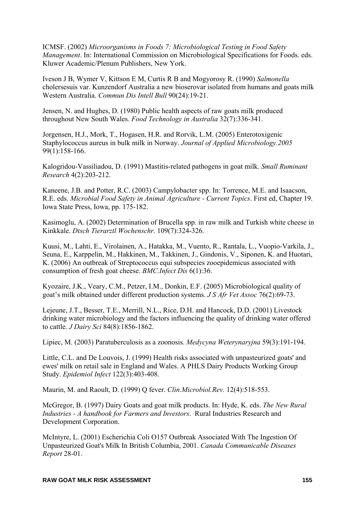ICMSF. (2002) *Microorganisms in Foods 7: Microbiological Testing in Food Safety Management*. In: International Commission on Microbiological Specifications for Foods. eds. Kluwer Academic/Plenum Publishers, New York.

Iveson J B, Wymer V, Kittson E M, Curtis R B and Mogyorosy R. (1990) *Salmonella* cholersesuis var. Kunzendorf Australia a new bioserovar isolated from humans and goats milk Western Australia. *Commun Dis Intell Bull* 90(24):19-21.

Jensen, N. and Hughes, D. (1980) Public health aspects of raw goats milk produced throughout New South Wales. *Food Technology in Australia* 32(7):336-341.

Jorgensen, H.J., Mork, T., Hogasen, H.R. and Rorvik, L.M. (2005) Enterotoxigenic Staphylococcus aureus in bulk milk in Norway. *Journal of Applied Microbiology.2005*  99(1):158-166.

Kalogridou-Vassiliadou, D. (1991) Mastitis-related pathogens in goat milk. *Small Ruminant Research* 4(2):203-212.

Kaneene, J.B. and Potter, R.C. (2003) Campylobacter spp. In: Torrence, M.E. and Isaacson, R.E. eds. *Microbial Food Safety in Animal Agriculture - Current Topics*. First ed, Chapter 19. Iowa State Press, Iowa, pp. 175-182.

Kasimoglu, A. (2002) Determination of Brucella spp. in raw milk and Turkish white cheese in Kinkkale. *Dtsch Tierarztl Wochenschr.* 109(7):324-326.

Kuusi, M., Lahti, E., Virolainen, A., Hatakka, M., Vuento, R., Rantala, L., Vuopio-Varkila, J., Seuna, E., Karppelin, M., Hakkinen, M., Takkinen, J., Gindonis, V., Siponen, K. and Huotari, K. (2006) An outbreak of Streptococcus equi subspecies zooepidemicus associated with consumption of fresh goat cheese. *BMC.Infect Dis* 6(1):36.

Kyozaire, J.K., Veary, C.M., Petzer, I.M., Donkin, E.F. (2005) Microbiological quality of goat's milk obtained under different production systems. *J S Afr Vet Assoc* 76(2):69-73.

Lejeune, J.T., Besser, T.E., Merrill, N.L., Rice, D.H. and Hancock, D.D. (2001) Livestock drinking water microbiology and the factors influencing the quality of drinking water offered to cattle. *J Dairy Sci* 84(8):1856-1862.

Lipiec, M. (2003) Paratuberculosis as a zoonosis. *Medycyna Weterynaryjna* 59(3):191-194.

Little, C.L. and De Louvois, J. (1999) Health risks associated with unpasteurized goats' and ewes' milk on retail sale in England and Wales. A PHLS Dairy Products Working Group Study. *Epidemiol Infect* 122(3):403-408.

Maurin, M. and Raoult, D. (1999) Q fever. *Clin.Microbiol.Rev.* 12(4):518-553.

McGregor, B. (1997) Dairy Goats and goat milk products. In: Hyde, K. eds. *The New Rural Industries - A handbook for Farmers and Investors*. Rural Industries Research and Development Corporation.

McIntyre, L. (2001) Escherichia Coli O157 Outbreak Associated With The Ingestion Of Unpasteurized Goat's Milk In British Columbia, 2001. *Canada Communicable Diseases Report* 28-01.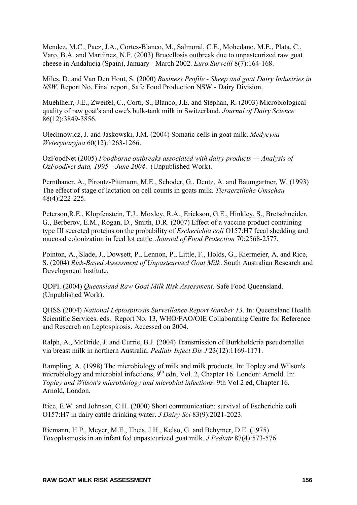Mendez, M.C., Paez, J.A., Cortes-Blanco, M., Salmoral, C.E., Mohedano, M.E., Plata, C., Varo, B.A. and Martiinez, N.F. (2003) Brucellosis outbreak due to unpasteurized raw goat cheese in Andalucia (Spain), January - March 2002. *Euro.Surveill* 8(7):164-168.

Miles, D. and Van Den Hout, S. (2000) *Business Profile - Sheep and goat Dairy Industries in NSW*. Report No. Final report, Safe Food Production NSW - Dairy Division.

Muehlherr, J.E., Zweifel, C., Corti, S., Blanco, J.E. and Stephan, R. (2003) Microbiological quality of raw goat's and ewe's bulk-tank milk in Switzerland. *Journal of Dairy Science*  86(12):3849-3856.

Olechnowicz, J. and Jaskowski, J.M. (2004) Somatic cells in goat milk. *Medycyna Weterynaryjna* 60(12):1263-1266.

OzFoodNet (2005) *Foodborne outbreaks associated with dairy products — Analysis of OzFoodNet data, 1995 – June 2004*. (Unpublished Work).

Pernthaner, A., Piroutz-Pittmann, M.E., Schoder, G., Deutz, A. and Baumgartner, W. (1993) The effect of stage of lactation on cell counts in goats milk. *Tieraerztliche Umschau*  48(4):222-225.

Peterson,R.E., Klopfenstein, T.J., Moxley, R.A., Erickson, G.E., Hinkley, S., Bretschneider, G., Berberov, E.M., Rogan, D., Smith, D.R. (2007) Effect of a vaccine product containing type III secreted proteins on the probability of *Escherichia coli* O157:H7 fecal shedding and mucosal colonization in feed lot cattle. *Journal of Food Protection* 70:2568-2577.

Pointon, A., Slade, J., Dowsett, P., Lennon, P., Little, F., Holds, G., Kiermeier, A. and Rice, S. (2004) *Risk-Based Assessment of Unpasteurised Goat Milk*. South Australian Research and Development Institute.

QDPI. (2004) *Queensland Raw Goat Milk Risk Assessment*. Safe Food Queensland. (Unpublished Work).

QHSS (2004) *National Leptospirosis Surveillance Report Number 13*. In: Queensland Health Scientific Services. eds. Report No. 13, WHO/FAO/OIE Collaborating Centre for Reference and Research on Leptospirosis. Accessed on 2004.

Ralph, A., McBride, J. and Currie, B.J. (2004) Transmission of Burkholderia pseudomallei via breast milk in northern Australia. *Pediatr Infect Dis J* 23(12):1169-1171.

Rampling, A. (1998) The microbiology of milk and milk products. In: Topley and Wilson's microbiology and microbial infections,  $9<sup>th</sup>$  edn, Vol. 2, Chapter 16. London: Arnold. In: *Topley and Wilson's microbiology and microbial infections*. 9th Vol 2 ed, Chapter 16. Arnold, London.

Rice, E.W. and Johnson, C.H. (2000) Short communication: survival of Escherichia coli O157:H7 in dairy cattle drinking water. *J Dairy Sci* 83(9):2021-2023.

Riemann, H.P., Meyer, M.E., Theis, J.H., Kelso, G. and Behymer, D.E. (1975) Toxoplasmosis in an infant fed unpasteurized goat milk. *J Pediatr* 87(4):573-576.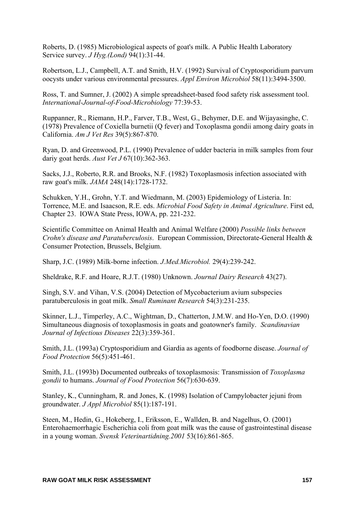Roberts, D. (1985) Microbiological aspects of goat's milk. A Public Health Laboratory Service survey. *J Hyg.(Lond)* 94(1):31-44.

Robertson, L.J., Campbell, A.T. and Smith, H.V. (1992) Survival of Cryptosporidium parvum oocysts under various environmental pressures. *Appl Environ Microbiol* 58(11):3494-3500.

Ross, T. and Sumner, J. (2002) A simple spreadsheet-based food safety risk assessment tool. *International-Journal-of-Food-Microbiology* 77:39-53.

Ruppanner, R., Riemann, H.P., Farver, T.B., West, G., Behymer, D.E. and Wijayasinghe, C. (1978) Prevalence of Coxiella burnetii (Q fever) and Toxoplasma gondii among dairy goats in California. *Am J Vet Res* 39(5):867-870.

Ryan, D. and Greenwood, P.L. (1990) Prevalence of udder bacteria in milk samples from four dariy goat herds. *Aust Vet J* 67(10):362-363.

Sacks, J.J., Roberto, R.R. and Brooks, N.F. (1982) Toxoplasmosis infection associated with raw goat's milk. *JAMA* 248(14):1728-1732.

Schukken, Y.H., Grohn, Y.T. and Wiedmann, M. (2003) Epidemiology of Listeria. In: Torrence, M.E. and Isaacson, R.E. eds. *Microbial Food Safety in Animal Agriculture*. First ed, Chapter 23. IOWA State Press, IOWA, pp. 221-232.

Scientific Committee on Animal Health and Animal Welfare (2000) *Possible links between Crohn's disease and Paratuberculosis*. European Commission, Directorate-General Health & Consumer Protection, Brussels, Belgium.

Sharp, J.C. (1989) Milk-borne infection. *J.Med.Microbiol.* 29(4):239-242.

Sheldrake, R.F. and Hoare, R.J.T. (1980) Unknown. *Journal Dairy Research* 43(27).

Singh, S.V. and Vihan, V.S. (2004) Detection of Mycobacterium avium subspecies paratuberculosis in goat milk. *Small Ruminant Research* 54(3):231-235.

Skinner, L.J., Timperley, A.C., Wightman, D., Chatterton, J.M.W. and Ho-Yen, D.O. (1990) Simultaneous diagnosis of toxoplasmosis in goats and goatowner's family. *Scandinavian Journal of Infectious Diseases* 22(3):359-361.

Smith, J.L. (1993a) Cryptosporidium and Giardia as agents of foodborne disease. *Journal of Food Protection* 56(5):451-461.

Smith, J.L. (1993b) Documented outbreaks of toxoplasmosis: Transmission of *Toxoplasma gondii* to humans. *Journal of Food Protection* 56(7):630-639.

Stanley, K., Cunningham, R. and Jones, K. (1998) Isolation of Campylobacter jejuni from groundwater. *J Appl Microbiol* 85(1):187-191.

Steen, M., Hedin, G., Hokeberg, I., Eriksson, E., Wallden, B. and Nagelhus, O. (2001) Enterohaemorrhagic Escherichia coli from goat milk was the cause of gastrointestinal disease in a young woman. *Svensk Veterinartidning.2001* 53(16):861-865.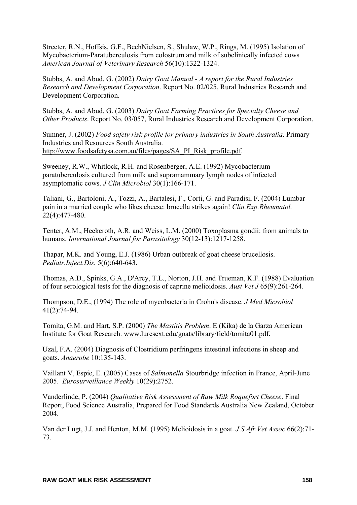Streeter, R.N., Hoffsis, G.F., BechNielsen, S., Shulaw, W.P., Rings, M. (1995) Isolation of Mycobacterium-Paratuberculosis from colostrum and milk of subclinically infected cows *American Journal of Veterinary Research* 56(10):1322-1324.

Stubbs, A. and Abud, G. (2002) *Dairy Goat Manual - A report for the Rural Industries Research and Development Corporation*. Report No. 02/025, Rural Industries Research and Development Corporation.

Stubbs, A. and Abud, G. (2003) *Dairy Goat Farming Practices for Specialty Cheese and Other Products*. Report No. 03/057, Rural Industries Research and Development Corporation.

Sumner, J. (2002) *Food safety risk profile for primary industries in South Australia*. Primary Industries and Resources South Australia. http://www.foodsafetysa.com.au/files/pages/SA\_PI\_Risk\_profile.pdf.

Sweeney, R.W., Whitlock, R.H. and Rosenberger, A.E. (1992) Mycobacterium paratuberculosis cultured from milk and supramammary lymph nodes of infected asymptomatic cows. *J Clin Microbiol* 30(1):166-171.

Taliani, G., Bartoloni, A., Tozzi, A., Bartalesi, F., Corti, G. and Paradisi, F. (2004) Lumbar pain in a married couple who likes cheese: brucella strikes again! *Clin.Exp.Rheumatol.*  22(4):477-480.

Tenter, A.M., Heckeroth, A.R. and Weiss, L.M. (2000) Toxoplasma gondii: from animals to humans. *International Journal for Parasitology* 30(12-13):1217-1258.

Thapar, M.K. and Young, E.J. (1986) Urban outbreak of goat cheese brucellosis. *Pediatr.Infect.Dis.* 5(6):640-643.

Thomas, A.D., Spinks, G.A., D'Arcy, T.L., Norton, J.H. and Trueman, K.F. (1988) Evaluation of four serological tests for the diagnosis of caprine melioidosis. *Aust Vet J* 65(9):261-264.

Thompson, D.E., (1994) The role of mycobacteria in Crohn's disease. *J Med Microbiol* 41(2):74-94.

Tomita, G.M. and Hart, S.P. (2000) *The Mastitis Problem*. E (Kika) de la Garza American Institute for Goat Research. www.luresext.edu/goats/library/field/tomita01.pdf.

Uzal, F.A. (2004) Diagnosis of Clostridium perfringens intestinal infections in sheep and goats. *Anaerobe* 10:135-143.

Vaillant V, Espie, E. (2005) Cases of *Salmonella* Stourbridge infection in France, April-June 2005. *Eurosurveillance Weekly* 10(29):2752.

Vanderlinde, P. (2004) *Qualitative Risk Assessment of Raw Milk Roquefort Cheese*. Final Report, Food Science Australia, Prepared for Food Standards Australia New Zealand, October 2004.

Van der Lugt, J.J. and Henton, M.M. (1995) Melioidosis in a goat. *J S Afr.Vet Assoc* 66(2):71- 73.